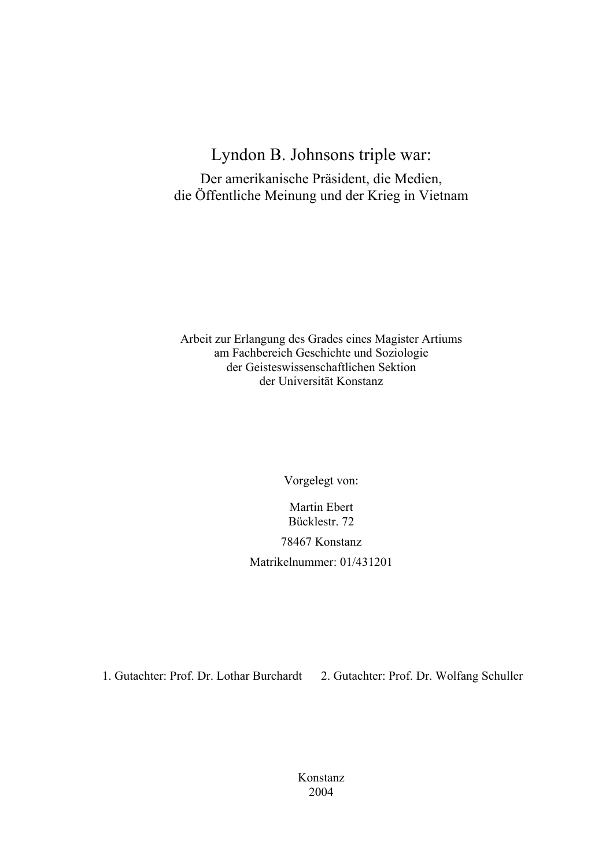# Lyndon B. Johnsons triple war:

Der amerikanische Präsident, die Medien, die Öffentliche Meinung und der Krieg in Vietnam

Arbeit zur Erlangung des Grades eines Magister Artiums am Fachbereich Geschichte und Soziologie der Geisteswissenschaftlichen Sektion der Universität Konstanz

Vorgelegt von:

Martin Ebert Bücklestr. 72

78467 Konstanz

Matrikelnummer: 01/431201

1. Gutachter: Prof. Dr. Lothar Burchardt 2. Gutachter: Prof. Dr. Wolfang Schuller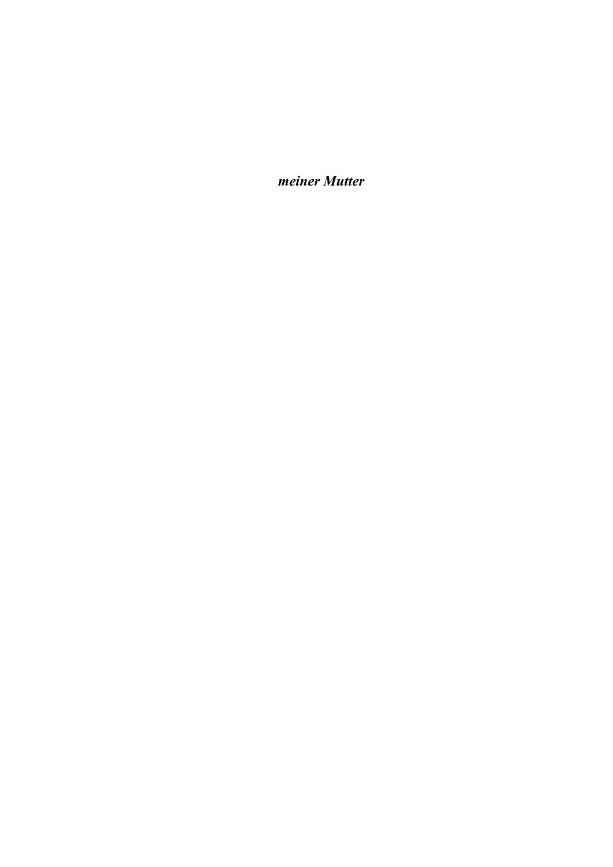*meiner Mutter*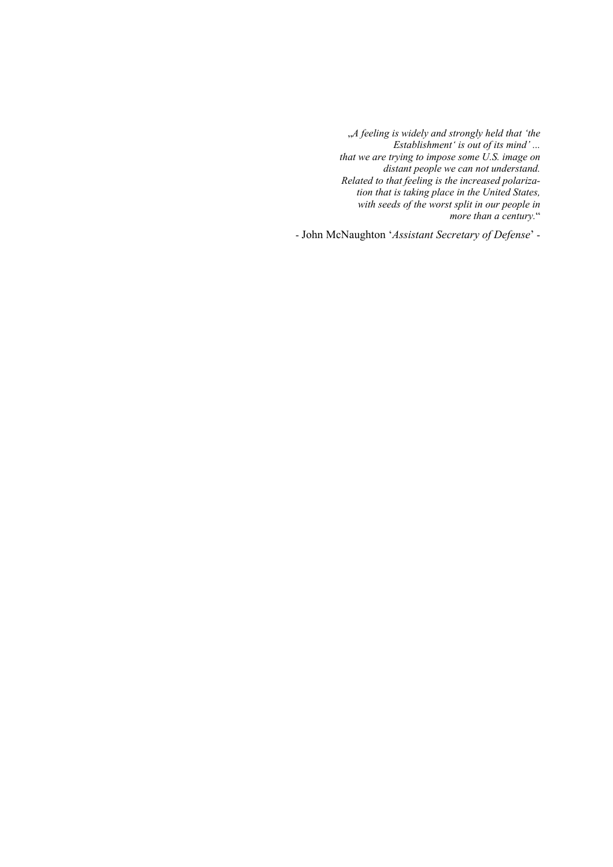"*A feeling is widely and strongly held that 'the Establishment' is out of its mind' ... that we are trying to impose some U.S. image on distant people we can not understand. Related to that feeling is the increased polarization that is taking place in the United States, with seeds of the worst split in our people in more than a century.*"

- John McNaughton '*Assistant Secretary of Defense*' -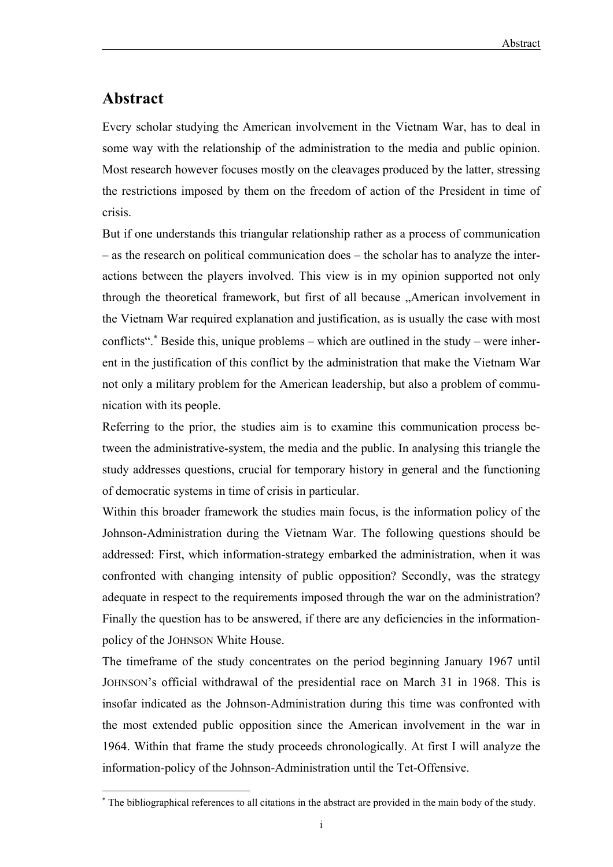# **Abstract**

l

Every scholar studying the American involvement in the Vietnam War, has to deal in some way with the relationship of the administration to the media and public opinion. Most research however focuses mostly on the cleavages produced by the latter, stressing the restrictions imposed by them on the freedom of action of the President in time of crisis.

But if one understands this triangular relationship rather as a process of communication – as the research on political communication does – the scholar has to analyze the interactions between the players involved. This view is in my opinion supported not only through the theoretical framework, but first of all because "American involvement in the Vietnam War required explanation and justification, as is usually the case with most conflicts". <sup>\*</sup> Beside this, unique problems – which are outlined in the study – were inherent in the justification of this conflict by the administration that make the Vietnam War not only a military problem for the American leadership, but also a problem of communication with its people.

Referring to the prior, the studies aim is to examine this communication process between the administrative-system, the media and the public. In analysing this triangle the study addresses questions, crucial for temporary history in general and the functioning of democratic systems in time of crisis in particular.

Within this broader framework the studies main focus, is the information policy of the Johnson-Administration during the Vietnam War. The following questions should be addressed: First, which information-strategy embarked the administration, when it was confronted with changing intensity of public opposition? Secondly, was the strategy adequate in respect to the requirements imposed through the war on the administration? Finally the question has to be answered, if there are any deficiencies in the informationpolicy of the JOHNSON White House.

The timeframe of the study concentrates on the period beginning January 1967 until JOHNSON's official withdrawal of the presidential race on March 31 in 1968. This is insofar indicated as the Johnson-Administration during this time was confronted with the most extended public opposition since the American involvement in the war in 1964. Within that frame the study proceeds chronologically. At first I will analyze the information-policy of the Johnson-Administration until the Tet-Offensive.

<sup>∗</sup> The bibliographical references to all citations in the abstract are provided in the main body of the study.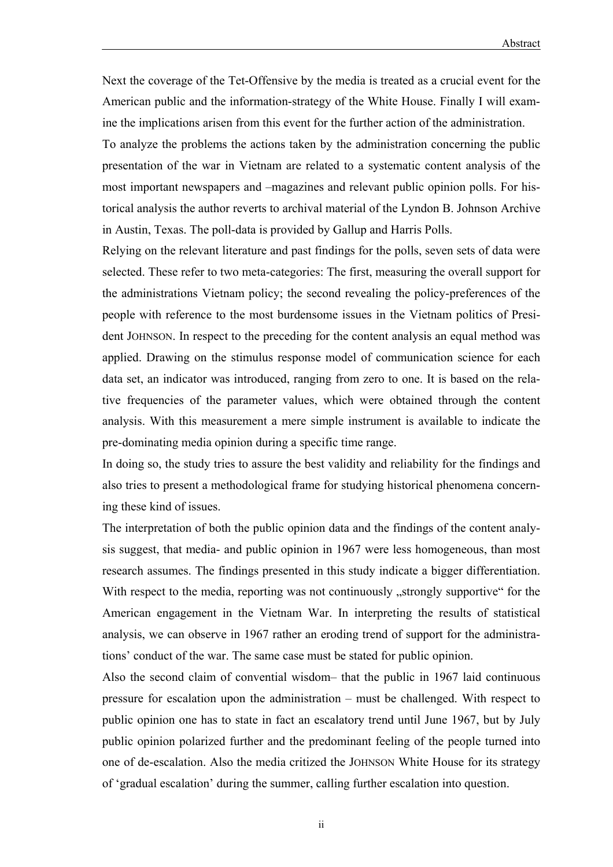Next the coverage of the Tet-Offensive by the media is treated as a crucial event for the American public and the information-strategy of the White House. Finally I will examine the implications arisen from this event for the further action of the administration.

To analyze the problems the actions taken by the administration concerning the public presentation of the war in Vietnam are related to a systematic content analysis of the most important newspapers and –magazines and relevant public opinion polls. For historical analysis the author reverts to archival material of the Lyndon B. Johnson Archive in Austin, Texas. The poll-data is provided by Gallup and Harris Polls.

Relying on the relevant literature and past findings for the polls, seven sets of data were selected. These refer to two meta-categories: The first, measuring the overall support for the administrations Vietnam policy; the second revealing the policy-preferences of the people with reference to the most burdensome issues in the Vietnam politics of President JOHNSON. In respect to the preceding for the content analysis an equal method was applied. Drawing on the stimulus response model of communication science for each data set, an indicator was introduced, ranging from zero to one. It is based on the relative frequencies of the parameter values, which were obtained through the content analysis. With this measurement a mere simple instrument is available to indicate the pre-dominating media opinion during a specific time range.

In doing so, the study tries to assure the best validity and reliability for the findings and also tries to present a methodological frame for studying historical phenomena concerning these kind of issues.

The interpretation of both the public opinion data and the findings of the content analysis suggest, that media- and public opinion in 1967 were less homogeneous, than most research assumes. The findings presented in this study indicate a bigger differentiation. With respect to the media, reporting was not continuously , strongly supportive for the American engagement in the Vietnam War. In interpreting the results of statistical analysis, we can observe in 1967 rather an eroding trend of support for the administrations' conduct of the war. The same case must be stated for public opinion.

Also the second claim of convential wisdom– that the public in 1967 laid continuous pressure for escalation upon the administration – must be challenged. With respect to public opinion one has to state in fact an escalatory trend until June 1967, but by July public opinion polarized further and the predominant feeling of the people turned into one of de-escalation. Also the media critized the JOHNSON White House for its strategy of 'gradual escalation' during the summer, calling further escalation into question.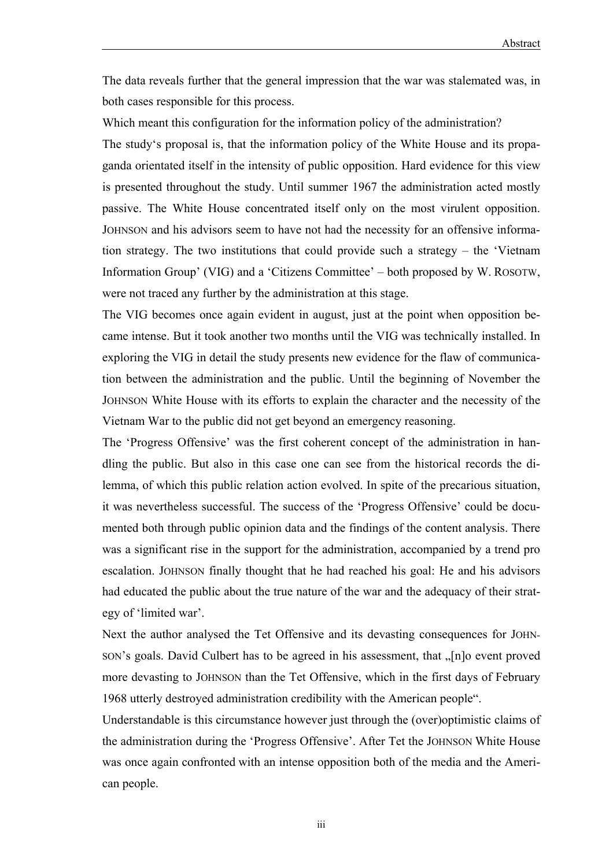The data reveals further that the general impression that the war was stalemated was, in both cases responsible for this process.

Which meant this configuration for the information policy of the administration? The study's proposal is, that the information policy of the White House and its propaganda orientated itself in the intensity of public opposition. Hard evidence for this view is presented throughout the study. Until summer 1967 the administration acted mostly passive. The White House concentrated itself only on the most virulent opposition. JOHNSON and his advisors seem to have not had the necessity for an offensive information strategy. The two institutions that could provide such a strategy – the 'Vietnam Information Group' (VIG) and a 'Citizens Committee' – both proposed by W. ROSOTW, were not traced any further by the administration at this stage.

The VIG becomes once again evident in august, just at the point when opposition became intense. But it took another two months until the VIG was technically installed. In exploring the VIG in detail the study presents new evidence for the flaw of communication between the administration and the public. Until the beginning of November the JOHNSON White House with its efforts to explain the character and the necessity of the Vietnam War to the public did not get beyond an emergency reasoning.

The 'Progress Offensive' was the first coherent concept of the administration in handling the public. But also in this case one can see from the historical records the dilemma, of which this public relation action evolved. In spite of the precarious situation, it was nevertheless successful. The success of the 'Progress Offensive' could be documented both through public opinion data and the findings of the content analysis. There was a significant rise in the support for the administration, accompanied by a trend pro escalation. JOHNSON finally thought that he had reached his goal: He and his advisors had educated the public about the true nature of the war and the adequacy of their strategy of 'limited war'.

Next the author analysed the Tet Offensive and its devasting consequences for JOHN-SON's goals. David Culbert has to be agreed in his assessment, that  $\sqrt{n}$  [n]o event proved more devasting to JOHNSON than the Tet Offensive, which in the first days of February 1968 utterly destroyed administration credibility with the American people".

Understandable is this circumstance however just through the (over)optimistic claims of the administration during the 'Progress Offensive'. After Tet the JOHNSON White House was once again confronted with an intense opposition both of the media and the American people.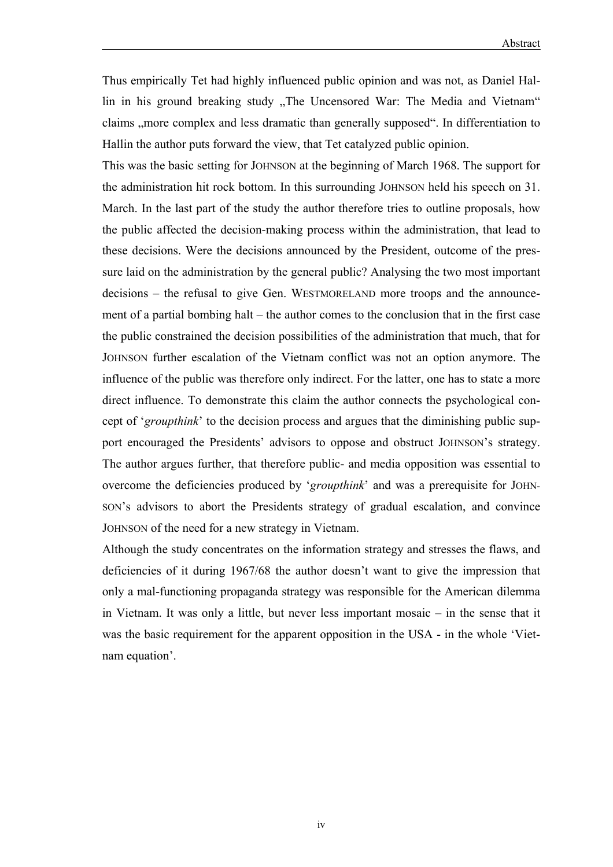Thus empirically Tet had highly influenced public opinion and was not, as Daniel Hallin in his ground breaking study "The Uncensored War: The Media and Vietnam" claims "more complex and less dramatic than generally supposed". In differentiation to Hallin the author puts forward the view, that Tet catalyzed public opinion.

This was the basic setting for JOHNSON at the beginning of March 1968. The support for the administration hit rock bottom. In this surrounding JOHNSON held his speech on 31. March. In the last part of the study the author therefore tries to outline proposals, how the public affected the decision-making process within the administration, that lead to these decisions. Were the decisions announced by the President, outcome of the pressure laid on the administration by the general public? Analysing the two most important decisions – the refusal to give Gen. WESTMORELAND more troops and the announcement of a partial bombing halt – the author comes to the conclusion that in the first case the public constrained the decision possibilities of the administration that much, that for JOHNSON further escalation of the Vietnam conflict was not an option anymore. The influence of the public was therefore only indirect. For the latter, one has to state a more direct influence. To demonstrate this claim the author connects the psychological concept of '*groupthink*' to the decision process and argues that the diminishing public support encouraged the Presidents' advisors to oppose and obstruct JOHNSON's strategy. The author argues further, that therefore public- and media opposition was essential to overcome the deficiencies produced by '*groupthink*' and was a prerequisite for JOHN-SON's advisors to abort the Presidents strategy of gradual escalation, and convince JOHNSON of the need for a new strategy in Vietnam.

Although the study concentrates on the information strategy and stresses the flaws, and deficiencies of it during 1967/68 the author doesn't want to give the impression that only a mal-functioning propaganda strategy was responsible for the American dilemma in Vietnam. It was only a little, but never less important mosaic – in the sense that it was the basic requirement for the apparent opposition in the USA - in the whole 'Vietnam equation'.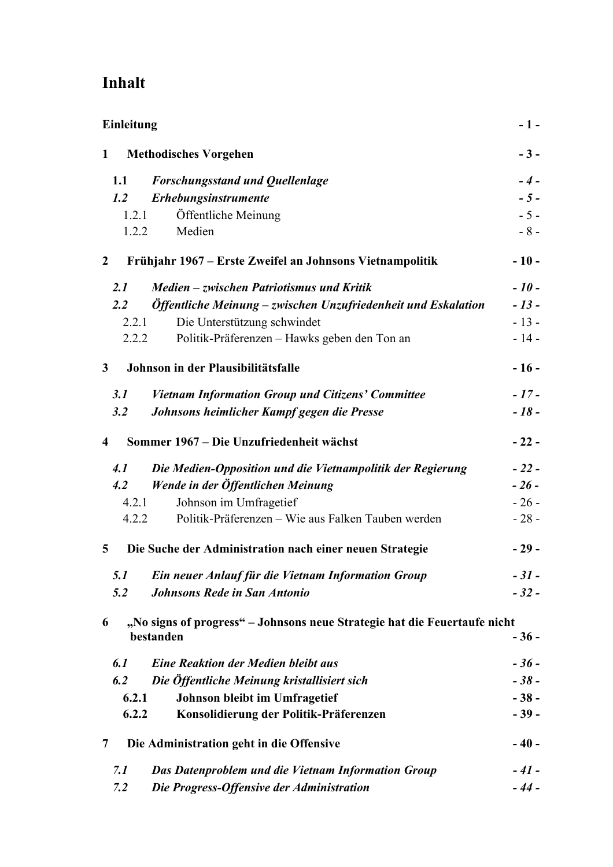# **Inhalt**

| Einleitung                                                                                  |        |
|---------------------------------------------------------------------------------------------|--------|
| $\mathbf{1}$<br><b>Methodisches Vorgehen</b>                                                | $-3-$  |
| <b>Forschungsstand und Quellenlage</b><br>1.1                                               | $-4-$  |
| Erhebungsinstrumente<br>1.2                                                                 | $-5-$  |
| Öffentliche Meinung<br>1.2.1                                                                | $-5-$  |
| Medien<br>1.2.2                                                                             | $-8-$  |
| Frühjahr 1967 – Erste Zweifel an Johnsons Vietnampolitik<br>$\mathbf{2}$                    | $-10-$ |
| Medien – zwischen Patriotismus und Kritik<br>2.1                                            | $-10-$ |
| Öffentliche Meinung - zwischen Unzufriedenheit und Eskalation<br>2.2                        | $-13-$ |
| Die Unterstützung schwindet<br>2.2.1                                                        | $-13-$ |
| Politik-Präferenzen – Hawks geben den Ton an<br>2.2.2                                       | $-14-$ |
| Johnson in der Plausibilitätsfalle<br>3 <sup>1</sup>                                        | $-16-$ |
| 3.1<br><b>Vietnam Information Group und Citizens' Committee</b>                             | $-17-$ |
| Johnsons heimlicher Kampf gegen die Presse<br>3.2                                           | $-18-$ |
| Sommer 1967 – Die Unzufriedenheit wächst<br>4                                               | $-22-$ |
| Die Medien-Opposition und die Vietnampolitik der Regierung<br>4.1                           | $-22-$ |
| Wende in der Öffentlichen Meinung<br>4.2                                                    | $-26-$ |
| Johnson im Umfragetief<br>4.2.1                                                             | $-26-$ |
| Politik-Präferenzen – Wie aus Falken Tauben werden<br>4.2.2                                 | $-28-$ |
| Die Suche der Administration nach einer neuen Strategie<br>5                                | $-29-$ |
| Ein neuer Anlauf für die Vietnam Information Group<br>5.1                                   | $-31-$ |
| 5.2<br><b>Johnsons Rede in San Antonio</b>                                                  | $-32-$ |
| "No signs of progress" – Johnsons neue Strategie hat die Feuertaufe nicht<br>6<br>bestanden | $-36-$ |
| 6.1<br><b>Eine Reaktion der Medien bleibt aus</b>                                           | $-36-$ |
| Die Öffentliche Meinung kristallisiert sich<br>6.2                                          | $-38-$ |
| Johnson bleibt im Umfragetief<br>6.2.1                                                      | $-38-$ |
| 6.2.2<br>Konsolidierung der Politik-Präferenzen                                             | $-39-$ |
| Die Administration geht in die Offensive<br>7                                               | $-40-$ |
| 7.1<br>Das Datenproblem und die Vietnam Information Group                                   | $-41-$ |
| Die Progress-Offensive der Administration<br>7.2                                            | $-44-$ |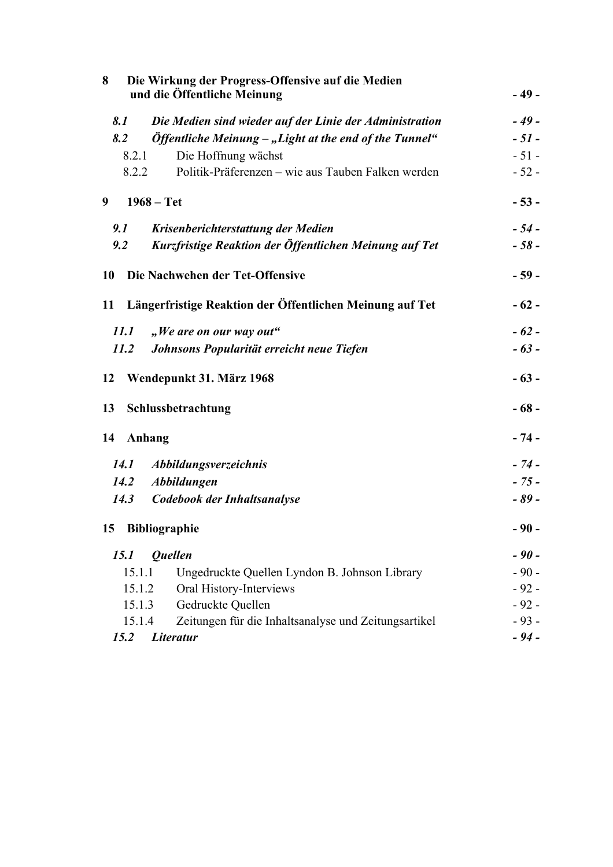| Die Wirkung der Progress-Offensive auf die Medien<br>8<br>und die Öffentliche Meinung |                                                                                 | $-49-$ |
|---------------------------------------------------------------------------------------|---------------------------------------------------------------------------------|--------|
| 8.1                                                                                   | Die Medien sind wieder auf der Linie der Administration                         | $-49-$ |
| 8.2                                                                                   | $\ddot{\text{O}}$ <i>Offentliche Meinung – "Light at the end of the Tunnel"</i> | $-51-$ |
| 8.2.1                                                                                 | Die Hoffnung wächst                                                             | $-51-$ |
| 8.2.2                                                                                 | Politik-Präferenzen – wie aus Tauben Falken werden                              | $-52-$ |
| 9                                                                                     | $1968 - Tet$                                                                    | $-53-$ |
| 9.1                                                                                   | Krisenberichterstattung der Medien                                              | $-54-$ |
| 9.2                                                                                   | Kurzfristige Reaktion der Öffentlichen Meinung auf Tet                          | $-58-$ |
| 10                                                                                    | Die Nachwehen der Tet-Offensive                                                 | $-59-$ |
|                                                                                       | 11 Längerfristige Reaktion der Öffentlichen Meinung auf Tet                     | $-62-$ |
| 11.1                                                                                  | "We are on our way out"                                                         | $-62-$ |
| 11.2                                                                                  | Johnsons Popularität erreicht neue Tiefen                                       | $-63-$ |
| 12                                                                                    | Wendepunkt 31. März 1968                                                        | $-63-$ |
| 13                                                                                    | Schlussbetrachtung                                                              | $-68-$ |
| 14 Anhang                                                                             |                                                                                 | $-74-$ |
| <i>14.1</i>                                                                           | Abbildungsverzeichnis                                                           | $-74-$ |
| <i>14.2</i>                                                                           | <b>Abbildungen</b>                                                              | $-75-$ |
| <i>14.3</i>                                                                           | Codebook der Inhaltsanalyse                                                     | $-89-$ |
| 15                                                                                    | <b>Bibliographie</b>                                                            | $-90-$ |
| 15.1                                                                                  | <b>Quellen</b>                                                                  | $-90-$ |
| 15.1.1                                                                                | Ungedruckte Quellen Lyndon B. Johnson Library                                   | $-90-$ |
| 15.1.2                                                                                | Oral History-Interviews                                                         | $-92-$ |
| 15.1.3                                                                                | Gedruckte Quellen                                                               | $-92-$ |
| 15.1.4                                                                                | Zeitungen für die Inhaltsanalyse und Zeitungsartikel                            | $-93-$ |
| 15.2                                                                                  | Literatur                                                                       | $-94-$ |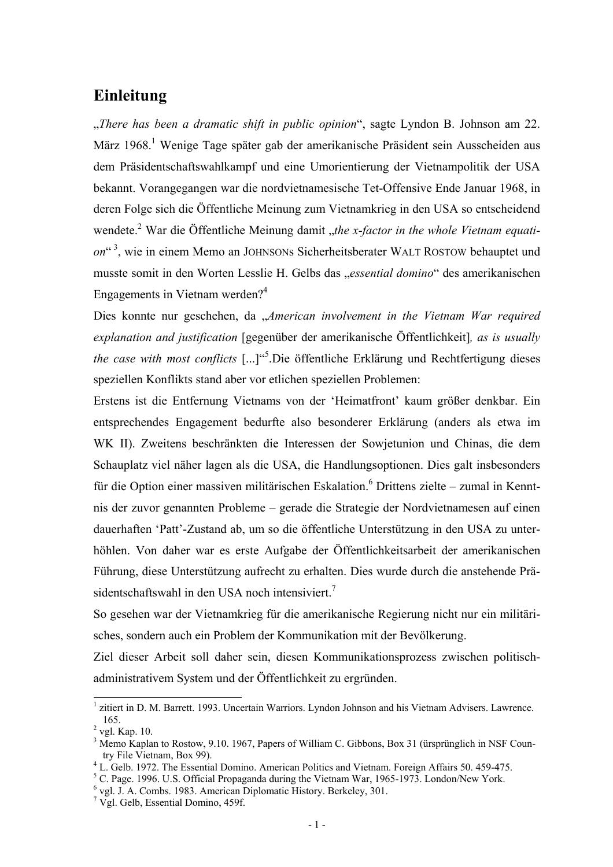## **Einleitung**

"*There has been a dramatic shift in public opinion*", sagte Lyndon B. Johnson am 22. März 1968.<sup>1</sup> Wenige Tage später gab der amerikanische Präsident sein Ausscheiden aus dem Präsidentschaftswahlkampf und eine Umorientierung der Vietnampolitik der USA bekannt. Vorangegangen war die nordvietnamesische Tet-Offensive Ende Januar 1968, in deren Folge sich die Öffentliche Meinung zum Vietnamkrieg in den USA so entscheidend wendete.<sup>2</sup> War die Öffentliche Meinung damit "the x-factor in the whole Vietnam equati*on*" 3, wie in einem Memo an JOHNSONs Sicherheitsberater WALT ROSTOW behauptet und musste somit in den Worten Lesslie H. Gelbs das "*essential domino*" des amerikanischen Engagements in Vietnam werden? $4$ 

Dies konnte nur geschehen, da "*American involvement in the Vietnam War required explanation and justification* [gegenüber der amerikanische Öffentlichkeit]*, as is usually*  the case with most conflicts [...]<sup>45</sup>. Die öffentliche Erklärung und Rechtfertigung dieses speziellen Konflikts stand aber vor etlichen speziellen Problemen:

Erstens ist die Entfernung Vietnams von der 'Heimatfront' kaum größer denkbar. Ein entsprechendes Engagement bedurfte also besonderer Erklärung (anders als etwa im WK II). Zweitens beschränkten die Interessen der Sowjetunion und Chinas, die dem Schauplatz viel näher lagen als die USA, die Handlungsoptionen. Dies galt insbesonders für die Option einer massiven militärischen Eskalation.<sup>6</sup> Drittens zielte – zumal in Kenntnis der zuvor genannten Probleme – gerade die Strategie der Nordvietnamesen auf einen dauerhaften 'Patt'-Zustand ab, um so die öffentliche Unterstützung in den USA zu unterhöhlen. Von daher war es erste Aufgabe der Öffentlichkeitsarbeit der amerikanischen Führung, diese Unterstützung aufrecht zu erhalten. Dies wurde durch die anstehende Präsidentschaftswahl in den USA noch intensiviert.<sup>7</sup>

So gesehen war der Vietnamkrieg für die amerikanische Regierung nicht nur ein militärisches, sondern auch ein Problem der Kommunikation mit der Bevölkerung.

Ziel dieser Arbeit soll daher sein, diesen Kommunikationsprozess zwischen politischadministrativem System und der Öffentlichkeit zu ergründen.

<sup>&</sup>lt;sup>1</sup> zitiert in D. M. Barrett. 1993. Uncertain Warriors. Lyndon Johnson and his Vietnam Advisers. Lawrence.  $^{2}$  vgl. Kap. 10.

<sup>&</sup>lt;sup>3</sup> Memo Kaplan to Rostow, 9.10. 1967, Papers of William C. Gibbons, Box 31 (ürsprünglich in NSF Country File Vietnam, Box 99). 4 L. Gelb. 1972. The Essential Domino. American Politics and Vietnam. Foreign Affairs 50. 459-475.

<sup>&</sup>lt;sup>5</sup> C. Page. 1996. U.S. Official Propaganda during the Vietnam War, 1965-1973. London/New York.

<sup>&</sup>lt;sup>6</sup> vgl. J. A. Combs. 1983. American Diplomatic History. Berkeley, 301.

 $\frac{7}{1}$  Vgl. Gelb, Essential Domino, 459f.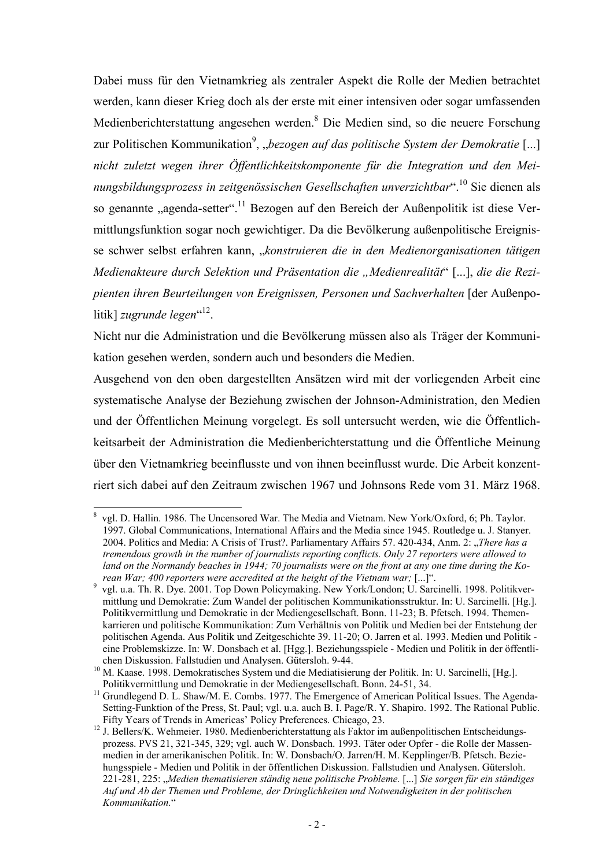Dabei muss für den Vietnamkrieg als zentraler Aspekt die Rolle der Medien betrachtet werden, kann dieser Krieg doch als der erste mit einer intensiven oder sogar umfassenden Medienberichterstattung angesehen werden. <sup>8</sup> Die Medien sind, so die neuere Forschung zur Politischen Kommunikation<sup>9</sup>, "*bezogen auf das politische System der Demokratie* [...] *nicht zuletzt wegen ihrer Öffentlichkeitskomponente für die Integration und den Meinungsbildungsprozess in zeitgenössischen Gesellschaften unverzichtbar*".10 Sie dienen als so genannte "agenda-setter".<sup>11</sup> Bezogen auf den Bereich der Außenpolitik ist diese Vermittlungsfunktion sogar noch gewichtiger. Da die Bevölkerung außenpolitische Ereignisse schwer selbst erfahren kann, "*konstruieren die in den Medienorganisationen tätigen Medienakteure durch Selektion und Präsentation die "Medienrealität*" [...], *die die Rezipienten ihren Beurteilungen von Ereignissen, Personen und Sachverhalten* [der Außenpolitik] *zugrunde legen*"<sup>12</sup>.

Nicht nur die Administration und die Bevölkerung müssen also als Träger der Kommunikation gesehen werden, sondern auch und besonders die Medien.

Ausgehend von den oben dargestellten Ansätzen wird mit der vorliegenden Arbeit eine systematische Analyse der Beziehung zwischen der Johnson-Administration, den Medien und der Öffentlichen Meinung vorgelegt. Es soll untersucht werden, wie die Öffentlichkeitsarbeit der Administration die Medienberichterstattung und die Öffentliche Meinung über den Vietnamkrieg beeinflusste und von ihnen beeinflusst wurde. Die Arbeit konzentriert sich dabei auf den Zeitraum zwischen 1967 und Johnsons Rede vom 31. März 1968.

-

<sup>8</sup> vgl. D. Hallin. 1986. The Uncensored War. The Media and Vietnam. New York/Oxford, 6; Ph. Taylor. 1997. Global Communications, International Affairs and the Media since 1945. Routledge u. J. Stanyer. 2004. Politics and Media: A Crisis of Trust?. Parliamentary Affairs 57. 420-434, Anm. 2: "*There has a tremendous growth in the number of journalists reporting conflicts. Only 27 reporters were allowed to*  land on the Normandy beaches in 1944; 70 journalists were on the front at any one time during the Ko-<br>rean War: 400 reporters were accredited at the height of the Vietnam war: [...]".

rean *War; 400 reporters were accredited at the height of the Vietnam war;* [...]".<br><sup>9</sup> vgl. u.a. Th. R. Dye. 2001. Top Down Policymaking. New York/London; U. Sarcinelli. 1998. Politikvermittlung und Demokratie: Zum Wandel der politischen Kommunikationsstruktur. In: U. Sarcinelli. [Hg.]. Politikvermittlung und Demokratie in der Mediengesellschaft. Bonn. 11-23; B. Pfetsch. 1994. Themenkarrieren und politische Kommunikation: Zum Verhältnis von Politik und Medien bei der Entstehung der politischen Agenda. Aus Politik und Zeitgeschichte 39. 11-20; O. Jarren et al. 1993. Medien und Politik eine Problemskizze. In: W. Donsbach et al. [Hgg.]. Beziehungsspiele - Medien und Politik in der öffentli-

M. Kaase. 1998. Demokratisches System und die Mediatisierung der Politik. In: U. Sarcinelli, [Hg.].

Politikvermittlung und Demokratie in der Mediengesellschaft. Bonn. 24-51, 34.<br><sup>11</sup> Grundlegend D. L. Shaw/M. E. Combs. 1977. The Emergence of American Political Issues. The Agenda-Setting-Funktion of the Press, St. Paul; vgl. u.a. auch B. I. Page/R. Y. Shapiro. 1992. The Rational Public.

Fifty Years of Trends in Americas' Policy Preferences. Chicago, 23.<br><sup>12</sup> J. Bellers/K. Wehmeier. 1980. Medienberichterstattung als Faktor im außenpolitischen Entscheidungsprozess. PVS 21, 321-345, 329; vgl. auch W. Donsbach. 1993. Täter oder Opfer - die Rolle der Massenmedien in der amerikanischen Politik. In: W. Donsbach/O. Jarren/H. M. Kepplinger/B. Pfetsch. Beziehungsspiele - Medien und Politik in der öffentlichen Diskussion. Fallstudien und Analysen. Gütersloh. 221-281, 225: "*Medien thematisieren ständig neue politische Probleme.* [...] *Sie sorgen für ein ständiges Auf und Ab der Themen und Probleme, der Dringlichkeiten und Notwendigkeiten in der politischen Kommunikation.*"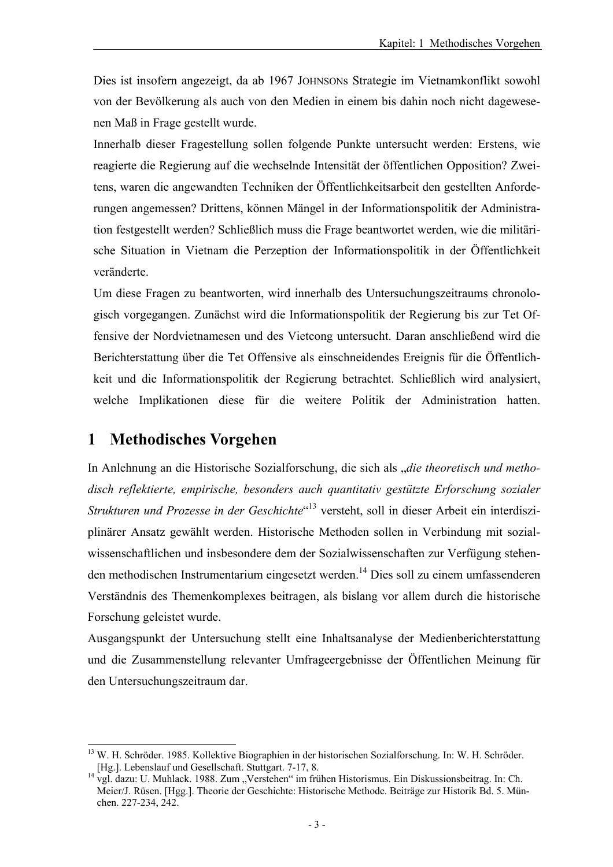Dies ist insofern angezeigt, da ab 1967 JOHNSONs Strategie im Vietnamkonflikt sowohl von der Bevölkerung als auch von den Medien in einem bis dahin noch nicht dagewesenen Maß in Frage gestellt wurde.

Innerhalb dieser Fragestellung sollen folgende Punkte untersucht werden: Erstens, wie reagierte die Regierung auf die wechselnde Intensität der öffentlichen Opposition? Zweitens, waren die angewandten Techniken der Öffentlichkeitsarbeit den gestellten Anforderungen angemessen? Drittens, können Mängel in der Informationspolitik der Administration festgestellt werden? Schließlich muss die Frage beantwortet werden, wie die militärische Situation in Vietnam die Perzeption der Informationspolitik in der Öffentlichkeit veränderte.

Um diese Fragen zu beantworten, wird innerhalb des Untersuchungszeitraums chronologisch vorgegangen. Zunächst wird die Informationspolitik der Regierung bis zur Tet Offensive der Nordvietnamesen und des Vietcong untersucht. Daran anschließend wird die Berichterstattung über die Tet Offensive als einschneidendes Ereignis für die Öffentlichkeit und die Informationspolitik der Regierung betrachtet. Schließlich wird analysiert, welche Implikationen diese für die weitere Politik der Administration hatten.

## **1 Methodisches Vorgehen**

l

In Anlehnung an die Historische Sozialforschung, die sich als "*die theoretisch und methodisch reflektierte, empirische, besonders auch quantitativ gestützte Erforschung sozialer Strukturen und Prozesse in der Geschichte*" 13 versteht, soll in dieser Arbeit ein interdisziplinärer Ansatz gewählt werden. Historische Methoden sollen in Verbindung mit sozialwissenschaftlichen und insbesondere dem der Sozialwissenschaften zur Verfügung stehenden methodischen Instrumentarium eingesetzt werden.<sup>14</sup> Dies soll zu einem umfassenderen Verständnis des Themenkomplexes beitragen, als bislang vor allem durch die historische Forschung geleistet wurde.

Ausgangspunkt der Untersuchung stellt eine Inhaltsanalyse der Medienberichterstattung und die Zusammenstellung relevanter Umfrageergebnisse der Öffentlichen Meinung für den Untersuchungszeitraum dar.

<sup>&</sup>lt;sup>13</sup> W. H. Schröder. 1985. Kollektive Biographien in der historischen Sozialforschung. In: W. H. Schröder. [Hg.]. Lebenslauf und Gesellschaft. Stuttgart. 7-17, 8. 14 vgl. dazu: U. Muhlack. 1988. Zum "Verstehen" im frühen Historismus. Ein Diskussionsbeitrag. In: Ch.

Meier/J. Rüsen. [Hgg.]. Theorie der Geschichte: Historische Methode. Beiträge zur Historik Bd. 5. München. 227-234, 242.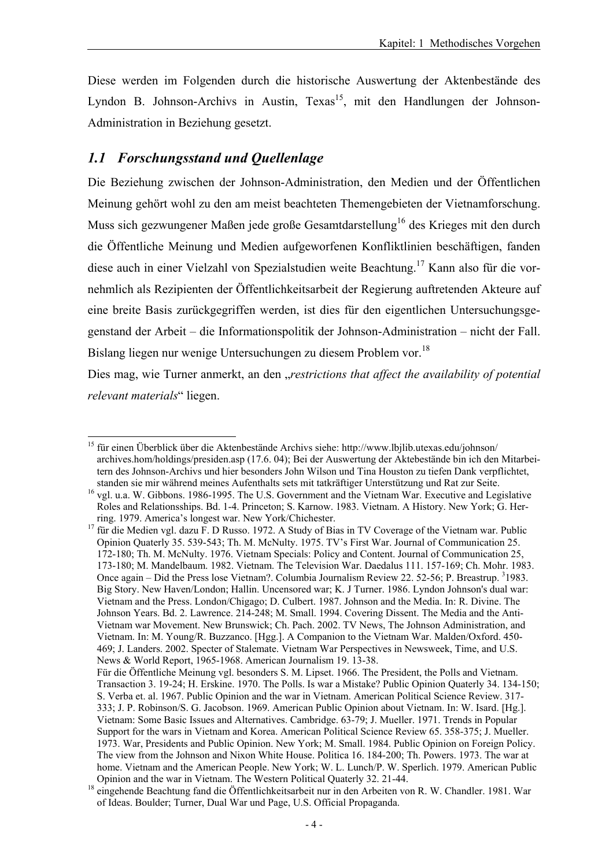Diese werden im Folgenden durch die historische Auswertung der Aktenbestände des Lyndon B. Johnson-Archivs in Austin, Texas<sup>15</sup>, mit den Handlungen der Johnson-Administration in Beziehung gesetzt.

#### *1.1 Forschungsstand und Quellenlage*

Die Beziehung zwischen der Johnson-Administration, den Medien und der Öffentlichen Meinung gehört wohl zu den am meist beachteten Themengebieten der Vietnamforschung. Muss sich gezwungener Maßen jede große Gesamtdarstellung<sup>16</sup> des Krieges mit den durch die Öffentliche Meinung und Medien aufgeworfenen Konfliktlinien beschäftigen, fanden diese auch in einer Vielzahl von Spezialstudien weite Beachtung.17 Kann also für die vornehmlich als Rezipienten der Öffentlichkeitsarbeit der Regierung auftretenden Akteure auf eine breite Basis zurückgegriffen werden, ist dies für den eigentlichen Untersuchungsgegenstand der Arbeit – die Informationspolitik der Johnson-Administration – nicht der Fall. Bislang liegen nur wenige Untersuchungen zu diesem Problem vor.<sup>18</sup>

Dies mag, wie Turner anmerkt, an den "*restrictions that affect the availability of potential relevant materials*" liegen.

l <sup>15</sup> für einen Überblick über die Aktenbestände Archivs siehe: http://www.lbjlib.utexas.edu/johnson/ archives.hom/holdings/presiden.asp (17.6. 04); Bei der Auswertung der Aktebestände bin ich den Mitarbeitern des Johnson-Archivs und hier besonders John Wilson und Tina Houston zu tiefen Dank verpflichtet, standen sie mir während meines Aufenthalts sets mit tatkräftiger Unterstützung und Rat zur Seite.

<sup>&</sup>lt;sup>16</sup> vgl. u.a. W. Gibbons. 1986-1995. The U.S. Government and the Vietnam War. Executive and Legislative Roles and Relationsships. Bd. 1-4. Princeton; S. Karnow. 1983. Vietnam. A History. New York; G. Her-

ring. 1979. America's longest war. New York/Chichester. 17 für die Medien vgl. dazu F. D Russo. 1972. A Study of Bias in TV Coverage of the Vietnam war. Public Opinion Quaterly 35. 539-543; Th. M. McNulty. 1975. TV's First War. Journal of Communication 25. 172-180; Th. M. McNulty. 1976. Vietnam Specials: Policy and Content. Journal of Communication 25, 173-180; M. Mandelbaum. 1982. Vietnam. The Television War. Daedalus 111. 157-169; Ch. Mohr. 1983. Once again – Did the Press lose Vietnam?. Columbia Journalism Review 22. 52-56; P. Breastrup. <sup>3</sup>1983. Big Story. New Haven/London; Hallin. Uncensored war; K. J Turner. 1986. Lyndon Johnson's dual war: Vietnam and the Press. London/Chigago; D. Culbert. 1987. Johnson and the Media. In: R. Divine. The Johnson Years. Bd. 2. Lawrence. 214-248; M. Small. 1994. Covering Dissent. The Media and the Anti-Vietnam war Movement. New Brunswick; Ch. Pach. 2002. TV News, The Johnson Administration, and Vietnam. In: M. Young/R. Buzzanco. [Hgg.]. A Companion to the Vietnam War. Malden/Oxford. 450- 469; J. Landers. 2002. Specter of Stalemate. Vietnam War Perspectives in Newsweek, Time, and U.S. News & World Report, 1965-1968. American Journalism 19. 13-38.

Für die Öffentliche Meinung vgl. besonders S. M. Lipset. 1966. The President, the Polls and Vietnam. Transaction 3. 19-24; H. Erskine. 1970. The Polls. Is war a Mistake? Public Opinion Quaterly 34. 134-150; S. Verba et. al. 1967. Public Opinion and the war in Vietnam. American Political Science Review. 317- 333; J. P. Robinson/S. G. Jacobson. 1969. American Public Opinion about Vietnam. In: W. Isard. [Hg.]. Vietnam: Some Basic Issues and Alternatives. Cambridge. 63-79; J. Mueller. 1971. Trends in Popular Support for the wars in Vietnam and Korea. American Political Science Review 65. 358-375; J. Mueller. 1973. War, Presidents and Public Opinion. New York; M. Small. 1984. Public Opinion on Foreign Policy. The view from the Johnson and Nixon White House. Politica 16. 184-200; Th. Powers. 1973. The war at home. Vietnam and the American People. New York; W. L. Lunch/P. W. Sperlich. 1979. American Public

Opinion and the war in Vietnam. The Western Political Quaterly 32. 21-44. 18 eingehende Beachtung fand die Öffentlichkeitsarbeit nur in den Arbeiten von R. W. Chandler. 1981. War of Ideas. Boulder; Turner, Dual War und Page, U.S. Official Propaganda.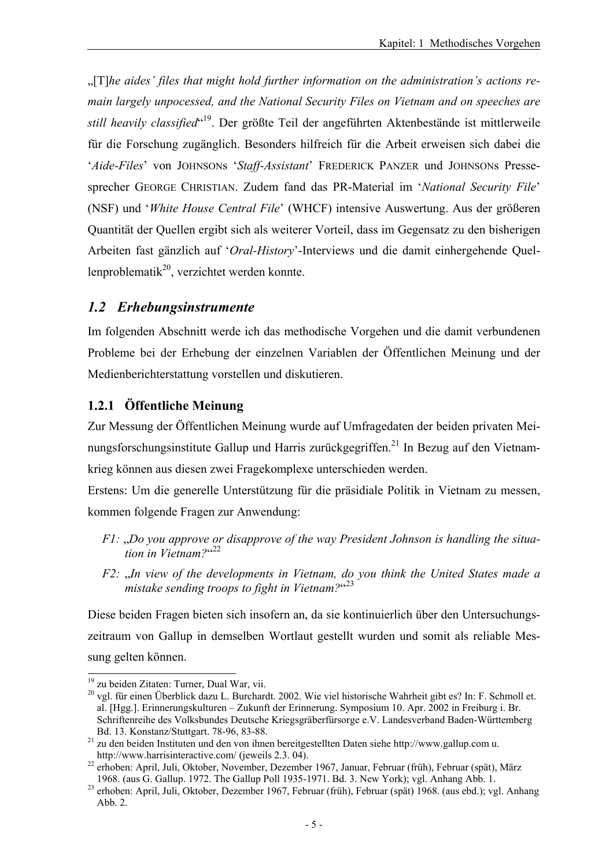"[T]*he aides' files that might hold further information on the administration's actions remain largely unpocessed, and the National Security Files on Vietnam and on speeches are still heavily classified*" 19. Der größte Teil der angeführten Aktenbestände ist mittlerweile für die Forschung zugänglich. Besonders hilfreich für die Arbeit erweisen sich dabei die '*Aide-Files*' von JOHNSONs '*Staff-Assistant*' FREDERICK PANZER und JOHNSONs Pressesprecher GEORGE CHRISTIAN. Zudem fand das PR-Material im '*National Security File*' (NSF) und '*White House Central File*' (WHCF) intensive Auswertung. Aus der größeren Quantität der Quellen ergibt sich als weiterer Vorteil, dass im Gegensatz zu den bisherigen Arbeiten fast gänzlich auf '*Oral-History*'-Interviews und die damit einhergehende Quellenproblematik<sup>20</sup>, verzichtet werden konnte.

#### *1.2 Erhebungsinstrumente*

Im folgenden Abschnitt werde ich das methodische Vorgehen und die damit verbundenen Probleme bei der Erhebung der einzelnen Variablen der Öffentlichen Meinung und der Medienberichterstattung vorstellen und diskutieren.

#### **1.2.1 Öffentliche Meinung**

Zur Messung der Öffentlichen Meinung wurde auf Umfragedaten der beiden privaten Meinungsforschungsinstitute Gallup und Harris zurückgegriffen.<sup>21</sup> In Bezug auf den Vietnamkrieg können aus diesen zwei Fragekomplexe unterschieden werden.

Erstens: Um die generelle Unterstützung für die präsidiale Politik in Vietnam zu messen, kommen folgende Fragen zur Anwendung:

- *F1:* "*Do you approve or disapprove of the way President Johnson is handling the situation in Vietnam?*" 22
- *F2:* "*In view of the developments in Vietnam, do you think the United States made a mistake sending troops to fight in Vietnam?*" 23

Diese beiden Fragen bieten sich insofern an, da sie kontinuierlich über den Untersuchungszeitraum von Gallup in demselben Wortlaut gestellt wurden und somit als reliable Messung gelten können.

<sup>&</sup>lt;sup>19</sup> zu beiden Zitaten: Turner, Dual War, vii.

<sup>&</sup>lt;sup>20</sup> vgl. für einen Überblick dazu L. Burchardt. 2002. Wie viel historische Wahrheit gibt es? In: F. Schmoll et. al. [Hgg.]. Erinnerungskulturen – Zukunft der Erinnerung. Symposium 10. Apr. 2002 in Freiburg i. Br. Schriftenreihe des Volksbundes Deutsche Kriegsgräberfürsorge e.V. Landesverband Baden-Württemberg

Bd. 13. Konstanz/Stuttgart. 78-96, 83-88.<br><sup>21</sup> zu den beiden Instituten und den von ihnen bereitgestellten Daten siehe http://www.gallup.com u.<br>http://www.harrisinteractive.com/ (jeweils 2.3. 04).

<sup>22</sup> erhoben: April, Juli, Oktober, November, Dezember 1967, Januar, Februar (früh), Februar (spät), März

<sup>1968. (</sup>aus G. Gallup. 1972. The Gallup Poll 1935-1971. Bd. 3. New York); vgl. Anhang Abb. 1. 23 erhoben: April, Juli, Oktober, Dezember 1967, Februar (früh), Februar (spät) 1968. (aus ebd.); vgl. Anhang Abb. 2.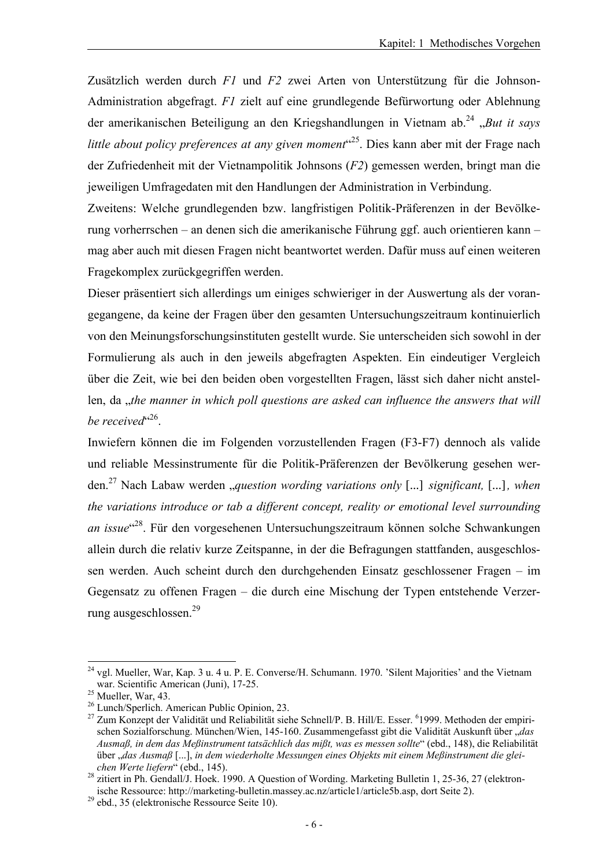Zusätzlich werden durch *F1* und *F2* zwei Arten von Unterstützung für die Johnson-Administration abgefragt. *F1* zielt auf eine grundlegende Befürwortung oder Ablehnung der amerikanischen Beteiligung an den Kriegshandlungen in Vietnam ab.<sup>24</sup> *"But it says* little about policy preferences at any given moment<sup>"25</sup>. Dies kann aber mit der Frage nach der Zufriedenheit mit der Vietnampolitik Johnsons (*F2*) gemessen werden, bringt man die jeweiligen Umfragedaten mit den Handlungen der Administration in Verbindung.

Zweitens: Welche grundlegenden bzw. langfristigen Politik-Präferenzen in der Bevölkerung vorherrschen – an denen sich die amerikanische Führung ggf. auch orientieren kann – mag aber auch mit diesen Fragen nicht beantwortet werden. Dafür muss auf einen weiteren Fragekomplex zurückgegriffen werden.

Dieser präsentiert sich allerdings um einiges schwieriger in der Auswertung als der vorangegangene, da keine der Fragen über den gesamten Untersuchungszeitraum kontinuierlich von den Meinungsforschungsinstituten gestellt wurde. Sie unterscheiden sich sowohl in der Formulierung als auch in den jeweils abgefragten Aspekten. Ein eindeutiger Vergleich über die Zeit, wie bei den beiden oben vorgestellten Fragen, lässt sich daher nicht anstellen, da *, the manner in which poll questions are asked can influence the answers that will* be received<sup>"26</sup>.

Inwiefern können die im Folgenden vorzustellenden Fragen (F3-F7) dennoch als valide und reliable Messinstrumente für die Politik-Präferenzen der Bevölkerung gesehen werden.27 Nach Labaw werden "*question wording variations only* [...] *significant,* [...]*, when the variations introduce or tab a different concept, reality or emotional level surrounding an issue*" 28. Für den vorgesehenen Untersuchungszeitraum können solche Schwankungen allein durch die relativ kurze Zeitspanne, in der die Befragungen stattfanden, ausgeschlossen werden. Auch scheint durch den durchgehenden Einsatz geschlossener Fragen – im Gegensatz zu offenen Fragen – die durch eine Mischung der Typen entstehende Verzerrung ausgeschlossen.29

 $24$  vgl. Mueller, War, Kap. 3 u. 4 u. P. E. Converse/H. Schumann. 1970. 'Silent Majorities' and the Vietnam war. Scientific American (Juni), 17-25. 25 Mueller, War, 43.

<sup>26</sup> Lunch/Sperlich. American Public Opinion, 23.

<sup>&</sup>lt;sup>27</sup> Zum Konzept der Validität und Reliabilität siehe Schnell/P. B. Hill/E. Esser. <sup>6</sup>1999. Methoden der empirischen Sozialforschung. München/Wien, 145-160. Zusammengefasst gibt die Validität Auskunft über "*das Ausmaß, in dem das Meßinstrument tatsächlich das mißt, was es messen sollte*" (ebd., 148), die Reliabilität über "*das Ausmaß* [...], *in dem wiederholte Messungen eines Objekts mit einem Meßinstrument die glei-*<br>chen Werte liefern" (ebd., 145).

<sup>&</sup>lt;sup>28</sup> zitiert in Ph. Gendall/J. Hoek. 1990. A Question of Wording. Marketing Bulletin 1, 25-36, 27 (elektronische Ressource: http://marketing-bulletin.massey.ac.nz/article1/article5b.asp, dort Seite 2). 29 ebd., 35 (elektronische Ressource Seite 10).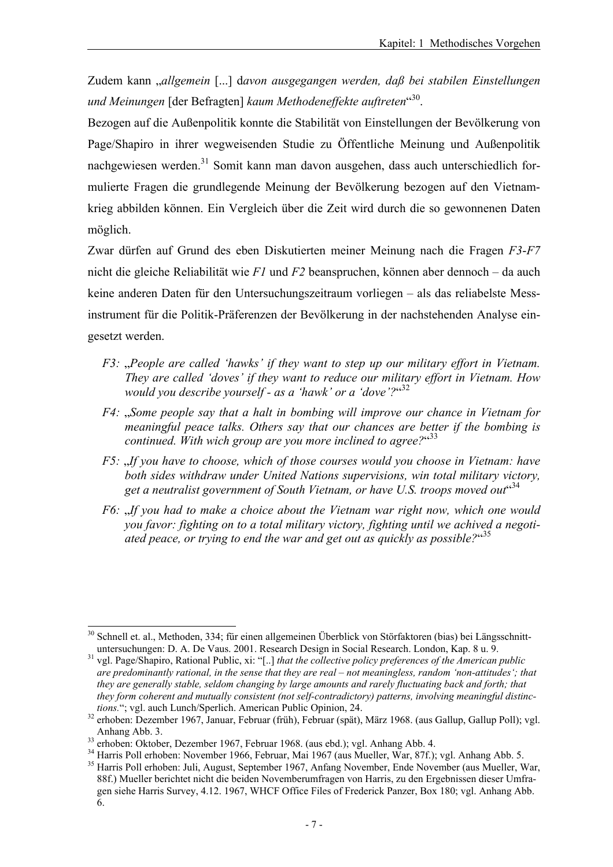Zudem kann "*allgemein* [...] d*avon ausgegangen werden, daß bei stabilen Einstellungen und Meinungen* [der Befragten] *kaum Methodeneffekte auftreten*" 30.

Bezogen auf die Außenpolitik konnte die Stabilität von Einstellungen der Bevölkerung von Page/Shapiro in ihrer wegweisenden Studie zu Öffentliche Meinung und Außenpolitik nachgewiesen werden.<sup>31</sup> Somit kann man davon ausgehen, dass auch unterschiedlich formulierte Fragen die grundlegende Meinung der Bevölkerung bezogen auf den Vietnamkrieg abbilden können. Ein Vergleich über die Zeit wird durch die so gewonnenen Daten möglich.

Zwar dürfen auf Grund des eben Diskutierten meiner Meinung nach die Fragen *F3*-*F7* nicht die gleiche Reliabilität wie *F1* und *F2* beanspruchen, können aber dennoch – da auch keine anderen Daten für den Untersuchungszeitraum vorliegen – als das reliabelste Messinstrument für die Politik-Präferenzen der Bevölkerung in der nachstehenden Analyse eingesetzt werden.

- *F3: "People are called 'hawks' if they want to step up our military effort in Vietnam. They are called 'doves' if they want to reduce our military effort in Vietnam. How would you describe yourself - as a 'hawk' or a 'dove'?*" 32
- *F4:* "*Some people say that a halt in bombing will improve our chance in Vietnam for meaningful peace talks. Others say that our chances are better if the bombing is continued. With wich group are you more inclined to agree?*" 33
- *F5:* "*If you have to choose, which of those courses would you choose in Vietnam: have both sides withdraw under United Nations supervisions, win total military victory,*  get a neutralist government of South Vietnam, or have U.S. troops moved out<sup>434</sup>
- *F6:* "*If you had to make a choice about the Vietnam war right now, which one would you favor: fighting on to a total military victory, fighting until we achived a negotiated peace, or trying to end the war and get out as quickly as possible?*" 35

l <sup>30</sup> Schnell et. al., Methoden, 334; für einen allgemeinen Überblick von Störfaktoren (bias) bei Längsschnitt-<br>untersuchungen: D. A. De Vaus. 2001. Research Design in Social Research. London, Kap. 8 u. 9.

untersuchungen: D. A. De Vaus. 2001. Research Design in Social Research. London, Kap. 8 u. 9. 31 vgl. Page/Shapiro, Rational Public, xi: "[..] *that the collective policy preferences of the American public are predominantly rational, in the sense that they are real – not meaningless, random 'non-attitudes'; that they are generally stable, seldom changing by large amounts and rarely fluctuating back and forth; that they form coherent and mutually consistent (not self-contradictory) patterns, involving meaningful distinc-*

*tions.*"; vgl. auch Lunch/Sperlich. American Public Opinion, 24.<br><sup>32</sup> erhoben: Dezember 1967, Januar, Februar (früh), Februar (spät), März 1968. (aus Gallup, Gallup Poll); vgl.<br>Anhang Abb. 3.

<sup>33</sup> erhoben: Oktober, Dezember 1967, Februar 1968. (aus ebd.); vgl. Anhang Abb. 4.<br><sup>34</sup> Harris Poll erhoben: November 1966, Februar, Mai 1967 (aus Mueller, War, 87f.); vgl. Anhang Abb. 5. 35 Harris Poll erhoben: Juli, August, September 1967, Anfang November, Ende November (aus Mueller, War, 88f.) Mueller berichtet nicht die beiden Novemberumfragen von Harris, zu den Ergebnissen dieser Umfragen siehe Harris Survey, 4.12. 1967, WHCF Office Files of Frederick Panzer, Box 180; vgl. Anhang Abb. 6.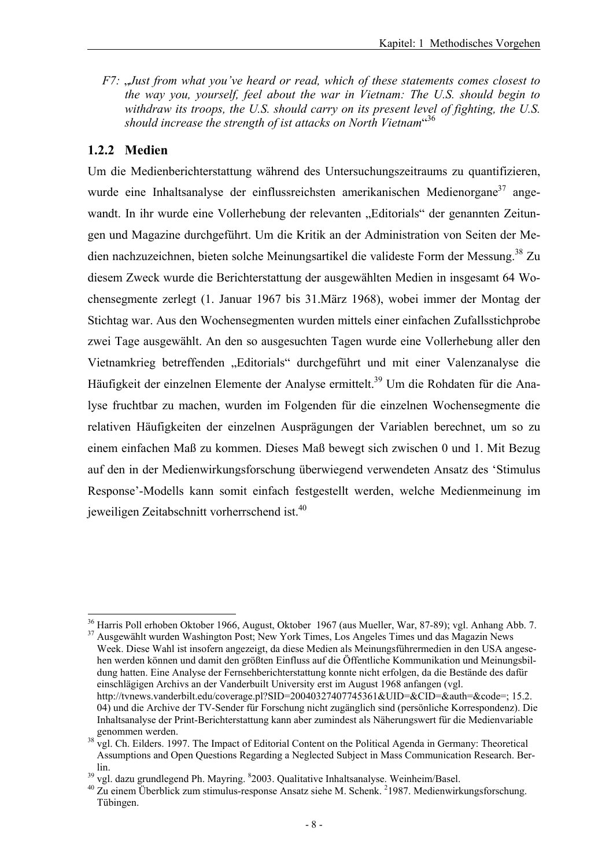*F7:* "*Just from what you've heard or read, which of these statements comes closest to the way you, yourself, feel about the war in Vietnam: The U.S. should begin to withdraw its troops, the U.S. should carry on its present level of fighting, the U.S.*  should increase the strength of ist attacks on North Vietnam<sup>436</sup>

#### **1.2.2 Medien**

Um die Medienberichterstattung während des Untersuchungszeitraums zu quantifizieren, wurde eine Inhaltsanalyse der einflussreichsten amerikanischen Medienorgane<sup>37</sup> angewandt. In ihr wurde eine Vollerhebung der relevanten "Editorials" der genannten Zeitungen und Magazine durchgeführt. Um die Kritik an der Administration von Seiten der Medien nachzuzeichnen, bieten solche Meinungsartikel die valideste Form der Messung.<sup>38</sup> Zu diesem Zweck wurde die Berichterstattung der ausgewählten Medien in insgesamt 64 Wochensegmente zerlegt (1. Januar 1967 bis 31.März 1968), wobei immer der Montag der Stichtag war. Aus den Wochensegmenten wurden mittels einer einfachen Zufallsstichprobe zwei Tage ausgewählt. An den so ausgesuchten Tagen wurde eine Vollerhebung aller den Vietnamkrieg betreffenden "Editorials" durchgeführt und mit einer Valenzanalyse die Häufigkeit der einzelnen Elemente der Analyse ermittelt.<sup>39</sup> Um die Rohdaten für die Analyse fruchtbar zu machen, wurden im Folgenden für die einzelnen Wochensegmente die relativen Häufigkeiten der einzelnen Ausprägungen der Variablen berechnet, um so zu einem einfachen Maß zu kommen. Dieses Maß bewegt sich zwischen 0 und 1. Mit Bezug auf den in der Medienwirkungsforschung überwiegend verwendeten Ansatz des 'Stimulus Response'-Modells kann somit einfach festgestellt werden, welche Medienmeinung im jeweiligen Zeitabschnitt vorherrschend ist.<sup>40</sup>

l 36 Harris Poll erhoben Oktober 1966, August, Oktober 1967 (aus Mueller, War, 87-89); vgl. Anhang Abb. 7.

<sup>37</sup> Ausgewählt wurden Washington Post; New York Times, Los Angeles Times und das Magazin News Week. Diese Wahl ist insofern angezeigt, da diese Medien als Meinungsführermedien in den USA angesehen werden können und damit den größten Einfluss auf die Öffentliche Kommunikation und Meinungsbildung hatten. Eine Analyse der Fernsehberichterstattung konnte nicht erfolgen, da die Bestände des dafür einschlägigen Archivs an der Vanderbuilt University erst im August 1968 anfangen (vgl. http://tvnews.vanderbilt.edu/coverage.pl?SID=20040327407745361&UID=&CID=&auth=&code=; 15.2. 04) und die Archive der TV-Sender für Forschung nicht zugänglich sind (persönliche Korrespondenz). Die Inhaltsanalyse der Print-Berichterstattung kann aber zumindest als Näherungswert für die Medienvariable

<sup>&</sup>lt;sup>38</sup> vgl. Ch. Eilders. 1997. The Impact of Editorial Content on the Political Agenda in Germany: Theoretical Assumptions and Open Questions Regarding a Neglected Subject in Mass Communication Research. Ber-

lin.<br> $39$  vgl. dazu grundlegend Ph. Mayring.  $82003$ . Qualitative Inhaltsanalyse. Weinheim/Basel.

<sup>&</sup>lt;sup>39</sup> vgl. dazu grundlegend Ph. Mayring. <sup>8</sup>2003. Qualitative Inhaltsanalyse. Weinheim/Basel.<br><sup>40</sup> Zu einem Überblick zum stimulus-response Ansatz siehe M. Schenk. <sup>2</sup>1987. Medienwirkungsforschung. Tübingen.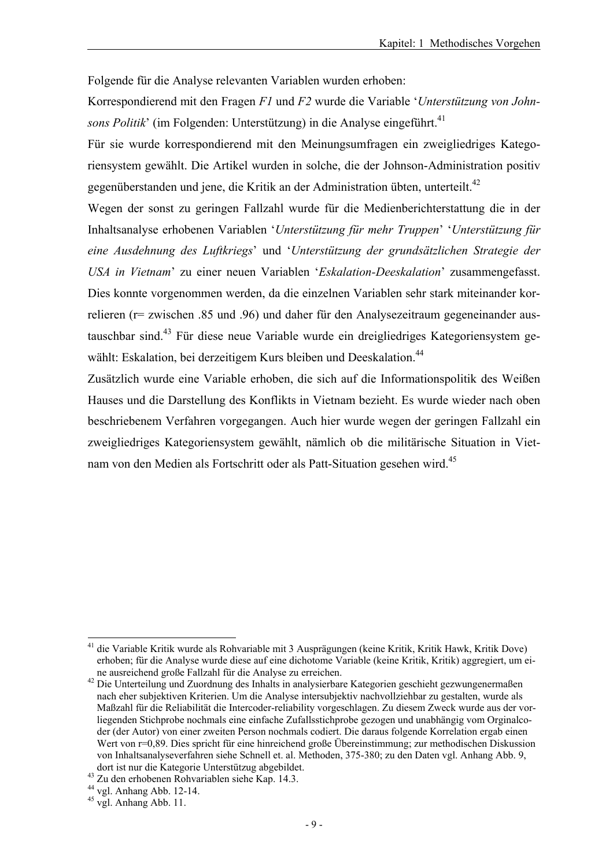Folgende für die Analyse relevanten Variablen wurden erhoben:

Korrespondierend mit den Fragen *F1* und *F2* wurde die Variable '*Unterstützung von John*sons Politik' (im Folgenden: Unterstützung) in die Analyse eingeführt.<sup>41</sup>

Für sie wurde korrespondierend mit den Meinungsumfragen ein zweigliedriges Kategoriensystem gewählt. Die Artikel wurden in solche, die der Johnson-Administration positiv gegenüberstanden und jene, die Kritik an der Administration übten, unterteilt.<sup>42</sup>

Wegen der sonst zu geringen Fallzahl wurde für die Medienberichterstattung die in der Inhaltsanalyse erhobenen Variablen '*Unterstützung für mehr Truppen*' '*Unterstützung für eine Ausdehnung des Luftkriegs*' und '*Unterstützung der grundsätzlichen Strategie der USA in Vietnam*' zu einer neuen Variablen '*Eskalation-Deeskalation*' zusammengefasst. Dies konnte vorgenommen werden, da die einzelnen Variablen sehr stark miteinander korrelieren (r= zwischen .85 und .96) und daher für den Analysezeitraum gegeneinander austauschbar sind.43 Für diese neue Variable wurde ein dreigliedriges Kategoriensystem gewählt: Eskalation, bei derzeitigem Kurs bleiben und Deeskalation.<sup>44</sup>

Zusätzlich wurde eine Variable erhoben, die sich auf die Informationspolitik des Weißen Hauses und die Darstellung des Konflikts in Vietnam bezieht. Es wurde wieder nach oben beschriebenem Verfahren vorgegangen. Auch hier wurde wegen der geringen Fallzahl ein zweigliedriges Kategoriensystem gewählt, nämlich ob die militärische Situation in Vietnam von den Medien als Fortschritt oder als Patt-Situation gesehen wird.45

<sup>41</sup> die Variable Kritik wurde als Rohvariable mit 3 Ausprägungen (keine Kritik, Kritik Hawk, Kritik Dove) erhoben; für die Analyse wurde diese auf eine dichotome Variable (keine Kritik, Kritik) aggregiert, um ei-

<sup>&</sup>lt;sup>42</sup> Die Unterteilung und Zuordnung des Inhalts in analysierbare Kategorien geschieht gezwungenermaßen nach eher subjektiven Kriterien. Um die Analyse intersubjektiv nachvollziehbar zu gestalten, wurde als Maßzahl für die Reliabilität die Intercoder-reliability vorgeschlagen. Zu diesem Zweck wurde aus der vorliegenden Stichprobe nochmals eine einfache Zufallsstichprobe gezogen und unabhängig vom Orginalcoder (der Autor) von einer zweiten Person nochmals codiert. Die daraus folgende Korrelation ergab einen Wert von r=0,89. Dies spricht für eine hinreichend große Übereinstimmung; zur methodischen Diskussion von Inhaltsanalyseverfahren siehe Schnell et. al. Methoden, 375-380; zu den Daten vgl. Anhang Abb. 9,

dort ist nur die Kategorie Unterstützug abgebildet. 43 Zu den erhobenen Rohvariablen siehe Kap. 14.3.

<sup>44</sup> vgl. Anhang Abb. 12-14.

 $45$  vgl. Anhang Abb. 11.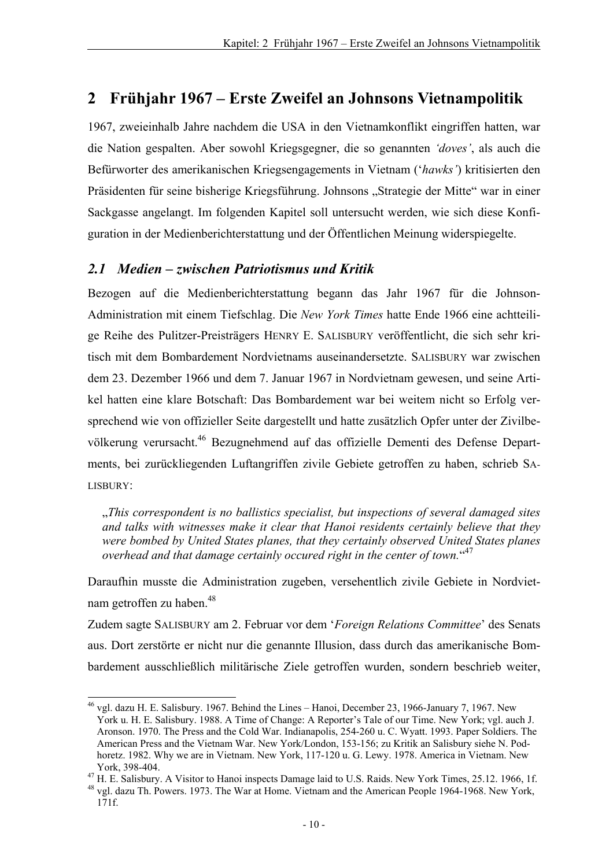# **2 Frühjahr 1967 – Erste Zweifel an Johnsons Vietnampolitik**

1967, zweieinhalb Jahre nachdem die USA in den Vietnamkonflikt eingriffen hatten, war die Nation gespalten. Aber sowohl Kriegsgegner, die so genannten *'doves'*, als auch die Befürworter des amerikanischen Kriegsengagements in Vietnam ('*hawks'*) kritisierten den Präsidenten für seine bisherige Kriegsführung. Johnsons "Strategie der Mitte" war in einer Sackgasse angelangt. Im folgenden Kapitel soll untersucht werden, wie sich diese Konfiguration in der Medienberichterstattung und der Öffentlichen Meinung widerspiegelte.

### *2.1 Medien – zwischen Patriotismus und Kritik*

Bezogen auf die Medienberichterstattung begann das Jahr 1967 für die Johnson-Administration mit einem Tiefschlag. Die *New York Times* hatte Ende 1966 eine achtteilige Reihe des Pulitzer-Preisträgers HENRY E. SALISBURY veröffentlicht, die sich sehr kritisch mit dem Bombardement Nordvietnams auseinandersetzte. SALISBURY war zwischen dem 23. Dezember 1966 und dem 7. Januar 1967 in Nordvietnam gewesen, und seine Artikel hatten eine klare Botschaft: Das Bombardement war bei weitem nicht so Erfolg versprechend wie von offizieller Seite dargestellt und hatte zusätzlich Opfer unter der Zivilbevölkerung verursacht.<sup>46</sup> Bezugnehmend auf das offizielle Dementi des Defense Departments, bei zurückliegenden Luftangriffen zivile Gebiete getroffen zu haben, schrieb SA-LISBURY:

"*This correspondent is no ballistics specialist, but inspections of several damaged sites and talks with witnesses make it clear that Hanoi residents certainly believe that they were bombed by United States planes, that they certainly observed United States planes overhead and that damage certainly occured right in the center of town.*" 47

Daraufhin musste die Administration zugeben, versehentlich zivile Gebiete in Nordvietnam getroffen zu haben.<sup>48</sup>

Zudem sagte SALISBURY am 2. Februar vor dem '*Foreign Relations Committee*' des Senats aus. Dort zerstörte er nicht nur die genannte Illusion, dass durch das amerikanische Bombardement ausschließlich militärische Ziele getroffen wurden, sondern beschrieb weiter,

l  $^{46}$  vgl. dazu H. E. Salisbury. 1967. Behind the Lines – Hanoi, December 23, 1966-January 7, 1967. New York u. H. E. Salisbury. 1988. A Time of Change: A Reporter's Tale of our Time. New York; vgl. auch J. Aronson. 1970. The Press and the Cold War. Indianapolis, 254-260 u. C. Wyatt. 1993. Paper Soldiers. The American Press and the Vietnam War. New York/London, 153-156; zu Kritik an Salisbury siehe N. Podhoretz. 1982. Why we are in Vietnam. New York, 117-120 u. G. Lewy. 1978. America in Vietnam. New

York, 398-404.<br><sup>47</sup> H. E. Salisbury. A Visitor to Hanoi inspects Damage laid to U.S. Raids. New York Times, 25.12. 1966, 1f.<br><sup>48</sup> vgl. dazu Th. Powers. 1973. The War at Home. Vietnam and the American People 1964-1968. New 171f.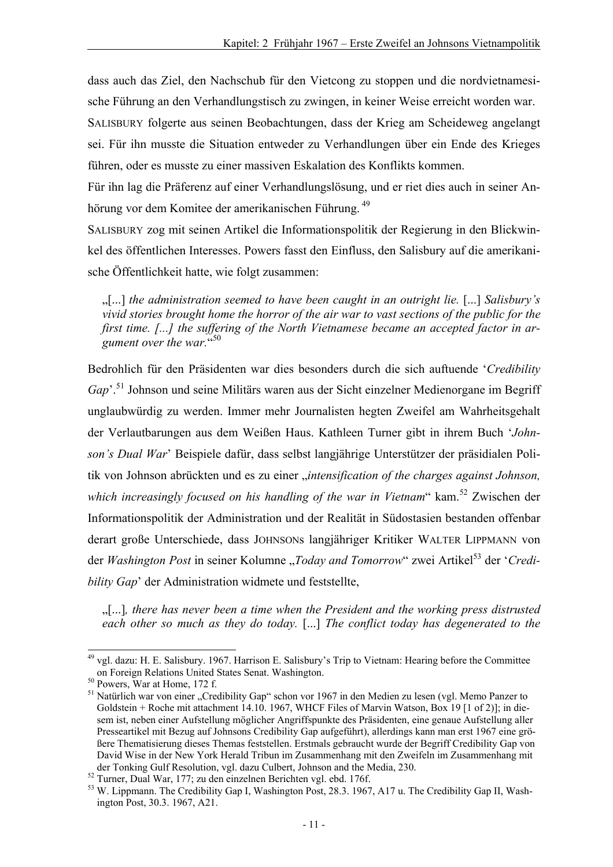dass auch das Ziel, den Nachschub für den Vietcong zu stoppen und die nordvietnamesische Führung an den Verhandlungstisch zu zwingen, in keiner Weise erreicht worden war.

SALISBURY folgerte aus seinen Beobachtungen, dass der Krieg am Scheideweg angelangt sei. Für ihn musste die Situation entweder zu Verhandlungen über ein Ende des Krieges führen, oder es musste zu einer massiven Eskalation des Konflikts kommen.

Für ihn lag die Präferenz auf einer Verhandlungslösung, und er riet dies auch in seiner Anhörung vor dem Komitee der amerikanischen Führung. <sup>49</sup>

SALISBURY zog mit seinen Artikel die Informationspolitik der Regierung in den Blickwinkel des öffentlichen Interesses. Powers fasst den Einfluss, den Salisbury auf die amerikanische Öffentlichkeit hatte, wie folgt zusammen:

"[...] *the administration seemed to have been caught in an outright lie.* [...] *Salisbury's vivid stories brought home the horror of the air war to vast sections of the public for the first time. [...] the suffering of the North Vietnamese became an accepted factor in ar*gument over the war.<sup>"50</sup>

Bedrohlich für den Präsidenten war dies besonders durch die sich auftuende '*Credibility Gap*'.51 Johnson und seine Militärs waren aus der Sicht einzelner Medienorgane im Begriff unglaubwürdig zu werden. Immer mehr Journalisten hegten Zweifel am Wahrheitsgehalt der Verlautbarungen aus dem Weißen Haus. Kathleen Turner gibt in ihrem Buch '*Johnson's Dual War*' Beispiele dafür, dass selbst langjährige Unterstützer der präsidialen Politik von Johnson abrückten und es zu einer "*intensification of the charges against Johnson*, which increasingly focused on his handling of the war in Vietnam" kam.<sup>52</sup> Zwischen der Informationspolitik der Administration und der Realität in Südostasien bestanden offenbar derart große Unterschiede, dass JOHNSONs langjähriger Kritiker WALTER LIPPMANN von der *Washington Post* in seiner Kolumne ..*Today and Tomorrow*" zwei Artikel<sup>53</sup> der '*Credibility Gap*' der Administration widmete und feststellte,

"[...]*, there has never been a time when the President and the working press distrusted each other so much as they do today.* [...] *The conflict today has degenerated to the* 

l <sup>49</sup> vgl. dazu: H. E. Salisbury. 1967. Harrison E. Salisbury's Trip to Vietnam: Hearing before the Committee on Foreign Relations United States Senat. Washington. 50 Powers, War at Home, 172 f.

<sup>&</sup>lt;sup>51</sup> Natürlich war von einer "Credibility Gap" schon vor 1967 in den Medien zu lesen (vgl. Memo Panzer to Goldstein + Roche mit attachment 14.10. 1967, WHCF Files of Marvin Watson, Box 19 [1 of 2)]; in diesem ist, neben einer Aufstellung möglicher Angriffspunkte des Präsidenten, eine genaue Aufstellung aller Presseartikel mit Bezug auf Johnsons Credibility Gap aufgeführt), allerdings kann man erst 1967 eine größere Thematisierung dieses Themas feststellen. Erstmals gebraucht wurde der Begriff Credibility Gap von David Wise in der New York Herald Tribun im Zusammenhang mit den Zweifeln im Zusammenhang mit der Tonking Gulf Resolution, vgl. dazu Culbert, Johnson and the Media, 230. 52 Turner, Dual War, 177; zu den einzelnen Berichten vgl. ebd. 176f.

<sup>53</sup> W. Lippmann. The Credibility Gap I, Washington Post, 28.3. 1967, A17 u. The Credibility Gap II, Washington Post, 30.3. 1967, A21.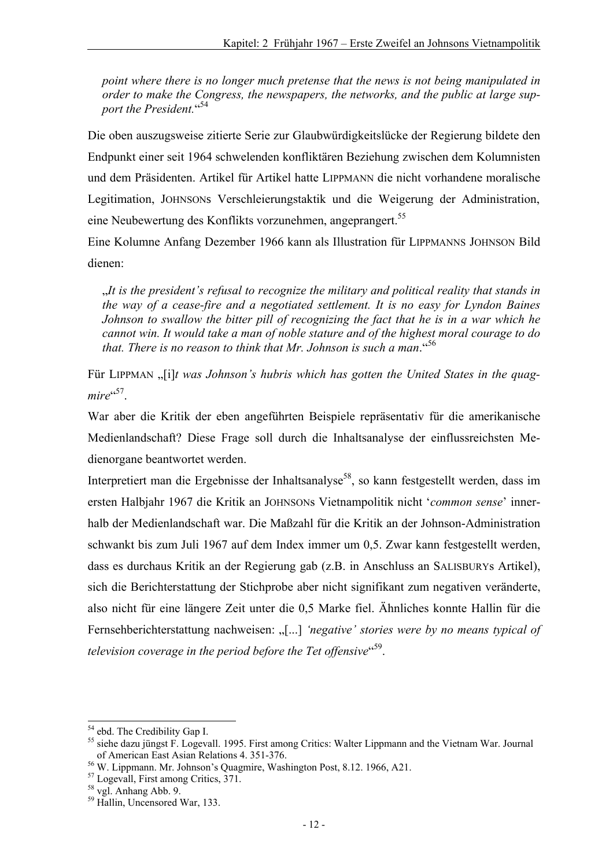*point where there is no longer much pretense that the news is not being manipulated in order to make the Congress, the newspapers, the networks, and the public at large support the President.*" 54

Die oben auszugsweise zitierte Serie zur Glaubwürdigkeitslücke der Regierung bildete den Endpunkt einer seit 1964 schwelenden konfliktären Beziehung zwischen dem Kolumnisten und dem Präsidenten. Artikel für Artikel hatte LIPPMANN die nicht vorhandene moralische Legitimation, JOHNSONs Verschleierungstaktik und die Weigerung der Administration, eine Neubewertung des Konflikts vorzunehmen, angeprangert.<sup>55</sup>

Eine Kolumne Anfang Dezember 1966 kann als Illustration für LIPPMANNS JOHNSON Bild dienen:

"*It is the president's refusal to recognize the military and political reality that stands in the way of a cease-fire and a negotiated settlement. It is no easy for Lyndon Baines Johnson to swallow the bitter pill of recognizing the fact that he is in a war which he cannot win. It would take a man of noble stature and of the highest moral courage to do that. There is no reason to think that Mr. Johnson is such a man*."<sup>56</sup>

Für LIPPMAN "[i]*t was Johnson's hubris which has gotten the United States in the quag*mire<sup>"57</sup>.

War aber die Kritik der eben angeführten Beispiele repräsentativ für die amerikanische Medienlandschaft? Diese Frage soll durch die Inhaltsanalyse der einflussreichsten Medienorgane beantwortet werden.

Interpretiert man die Ergebnisse der Inhaltsanalyse<sup>58</sup>, so kann festgestellt werden, dass im ersten Halbjahr 1967 die Kritik an JOHNSONs Vietnampolitik nicht '*common sense*' innerhalb der Medienlandschaft war. Die Maßzahl für die Kritik an der Johnson-Administration schwankt bis zum Juli 1967 auf dem Index immer um 0,5. Zwar kann festgestellt werden, dass es durchaus Kritik an der Regierung gab (z.B. in Anschluss an SALISBURYs Artikel), sich die Berichterstattung der Stichprobe aber nicht signifikant zum negativen veränderte, also nicht für eine längere Zeit unter die 0,5 Marke fiel. Ähnliches konnte Hallin für die Fernsehberichterstattung nachweisen: "[...] 'negative' stories were by no means typical of *television coverage in the period before the Tet offensive*" 59.

<sup>&</sup>lt;sup>54</sup> ebd. The Credibility Gap I.

<sup>&</sup>lt;sup>55</sup> siehe dazu jüngst F. Logevall. 1995. First among Critics: Walter Lippmann and the Vietnam War. Journal of American East Asian Relations 4. 351-376.

of American East Asian Relations 4. 351-376. 56 W. Lippmann. Mr. Johnson's Quagmire, Washington Post, 8.12. 1966, A21.

<sup>57</sup> Logevall, First among Critics, 371.

 $58$  vgl. Anhang Abb. 9.

<sup>59</sup> Hallin, Uncensored War, 133.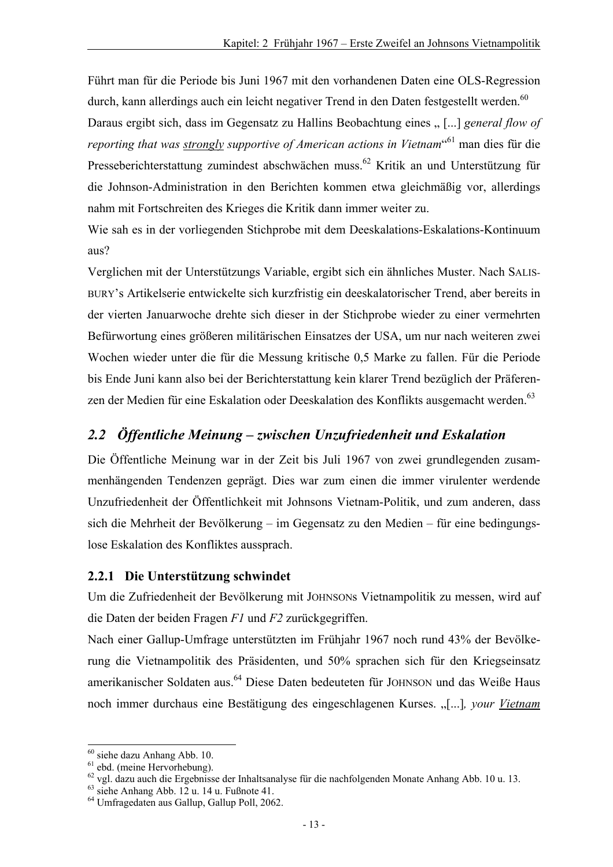Führt man für die Periode bis Juni 1967 mit den vorhandenen Daten eine OLS-Regression durch, kann allerdings auch ein leicht negativer Trend in den Daten festgestellt werden.<sup>60</sup>

Daraus ergibt sich, dass im Gegensatz zu Hallins Beobachtung eines " [...] *general flow of reporting that was strongly supportive of American actions in Vietnam*" 61 man dies für die Presseberichterstattung zumindest abschwächen muss.62 Kritik an und Unterstützung für die Johnson-Administration in den Berichten kommen etwa gleichmäßig vor, allerdings nahm mit Fortschreiten des Krieges die Kritik dann immer weiter zu.

Wie sah es in der vorliegenden Stichprobe mit dem Deeskalations-Eskalations-Kontinuum aus?

Verglichen mit der Unterstützungs Variable, ergibt sich ein ähnliches Muster. Nach SALIS-BURY's Artikelserie entwickelte sich kurzfristig ein deeskalatorischer Trend, aber bereits in der vierten Januarwoche drehte sich dieser in der Stichprobe wieder zu einer vermehrten Befürwortung eines größeren militärischen Einsatzes der USA, um nur nach weiteren zwei Wochen wieder unter die für die Messung kritische 0,5 Marke zu fallen. Für die Periode bis Ende Juni kann also bei der Berichterstattung kein klarer Trend bezüglich der Präferenzen der Medien für eine Eskalation oder Deeskalation des Konflikts ausgemacht werden.<sup>63</sup>

### *2.2 Öffentliche Meinung – zwischen Unzufriedenheit und Eskalation*

Die Öffentliche Meinung war in der Zeit bis Juli 1967 von zwei grundlegenden zusammenhängenden Tendenzen geprägt. Dies war zum einen die immer virulenter werdende Unzufriedenheit der Öffentlichkeit mit Johnsons Vietnam-Politik, und zum anderen, dass sich die Mehrheit der Bevölkerung – im Gegensatz zu den Medien – für eine bedingungslose Eskalation des Konfliktes aussprach.

#### **2.2.1 Die Unterstützung schwindet**

Um die Zufriedenheit der Bevölkerung mit JOHNSONs Vietnampolitik zu messen, wird auf die Daten der beiden Fragen *F1* und *F2* zurückgegriffen.

Nach einer Gallup-Umfrage unterstützten im Frühjahr 1967 noch rund 43% der Bevölkerung die Vietnampolitik des Präsidenten, und 50% sprachen sich für den Kriegseinsatz amerikanischer Soldaten aus.<sup>64</sup> Diese Daten bedeuteten für JOHNSON und das Weiße Haus noch immer durchaus eine Bestätigung des eingeschlagenen Kurses. "[...]*, your Vietnam* 

<sup>60</sup> siehe dazu Anhang Abb. 10.

<sup>&</sup>lt;sup>61</sup> ebd. (meine Hervorhebung).

<sup>62</sup> vgl. dazu auch die Ergebnisse der Inhaltsanalyse für die nachfolgenden Monate Anhang Abb. 10 u. 13.

 $63$  siehe Anhang Abb. 12 u. 14 u. Fußnote 41.

<sup>64</sup> Umfragedaten aus Gallup, Gallup Poll, 2062.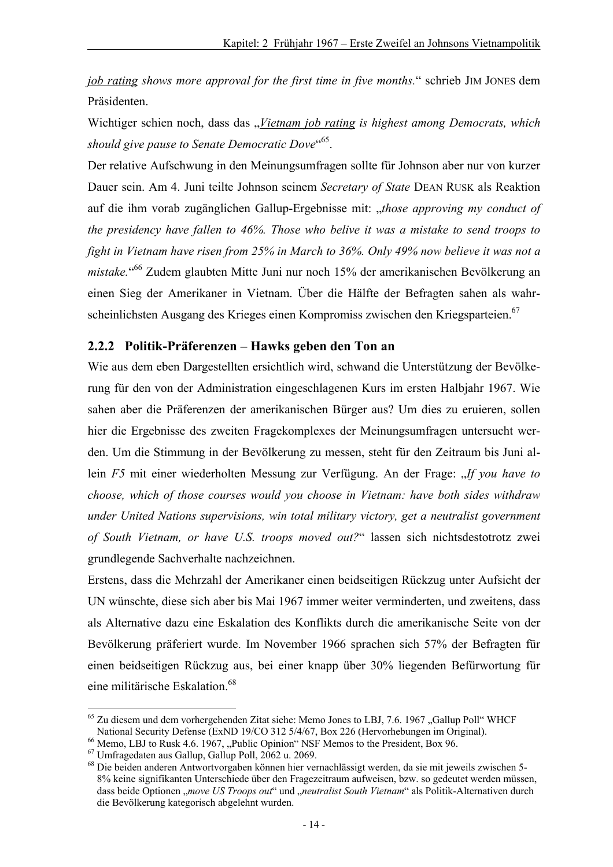*job rating shows more approval for the first time in five months.*" schrieb JIM JONES dem Präsidenten.

Wichtiger schien noch, dass das *"Vietnam job rating is highest among Democrats, which should give pause to Senate Democratic Dove*" 65.

Der relative Aufschwung in den Meinungsumfragen sollte für Johnson aber nur von kurzer Dauer sein. Am 4. Juni teilte Johnson seinem *Secretary of State* DEAN RUSK als Reaktion auf die ihm vorab zugänglichen Gallup-Ergebnisse mit: "*those approving my conduct of the presidency have fallen to 46%. Those who belive it was a mistake to send troops to fight in Vietnam have risen from 25% in March to 36%. Only 49% now believe it was not a mistake.*" 66 Zudem glaubten Mitte Juni nur noch 15% der amerikanischen Bevölkerung an einen Sieg der Amerikaner in Vietnam. Über die Hälfte der Befragten sahen als wahrscheinlichsten Ausgang des Krieges einen Kompromiss zwischen den Kriegsparteien.<sup>67</sup>

#### **2.2.2 Politik-Präferenzen – Hawks geben den Ton an**

Wie aus dem eben Dargestellten ersichtlich wird, schwand die Unterstützung der Bevölkerung für den von der Administration eingeschlagenen Kurs im ersten Halbjahr 1967. Wie sahen aber die Präferenzen der amerikanischen Bürger aus? Um dies zu eruieren, sollen hier die Ergebnisse des zweiten Fragekomplexes der Meinungsumfragen untersucht werden. Um die Stimmung in der Bevölkerung zu messen, steht für den Zeitraum bis Juni allein *F5* mit einer wiederholten Messung zur Verfügung. An der Frage: "If you have to *choose, which of those courses would you choose in Vietnam: have both sides withdraw under United Nations supervisions, win total military victory, get a neutralist government of South Vietnam, or have U.S. troops moved out?*" lassen sich nichtsdestotrotz zwei grundlegende Sachverhalte nachzeichnen.

Erstens, dass die Mehrzahl der Amerikaner einen beidseitigen Rückzug unter Aufsicht der UN wünschte, diese sich aber bis Mai 1967 immer weiter verminderten, und zweitens, dass als Alternative dazu eine Eskalation des Konflikts durch die amerikanische Seite von der Bevölkerung präferiert wurde. Im November 1966 sprachen sich 57% der Befragten für einen beidseitigen Rückzug aus, bei einer knapp über 30% liegenden Befürwortung für eine militärische Eskalation.<sup>68</sup>

l  $<sup>65</sup>$  Zu diesem und dem vorhergehenden Zitat siehe: Memo Jones to LBJ, 7.6. 1967. Gallup Poll" WHCF</sup>

National Security Defense (ExND 19/CO 312 5/4/67, Box 226 (Hervorhebungen im Original).<br><sup>66</sup> Memo, LBJ to Rusk 4.6. 1967, "Public Opinion" NSF Memos to the President, Box 96.

<sup>67</sup> Umfragedaten aus Gallup, Gallup Poll, 2062 u. 2069.

<sup>68</sup> Die beiden anderen Antwortvorgaben können hier vernachlässigt werden, da sie mit jeweils zwischen 5- 8% keine signifikanten Unterschiede über den Fragezeitraum aufweisen, bzw. so gedeutet werden müssen, dass beide Optionen "*move US Troops out"* und "neutralist South Vietnam" als Politik-Alternativen durch die Bevölkerung kategorisch abgelehnt wurden.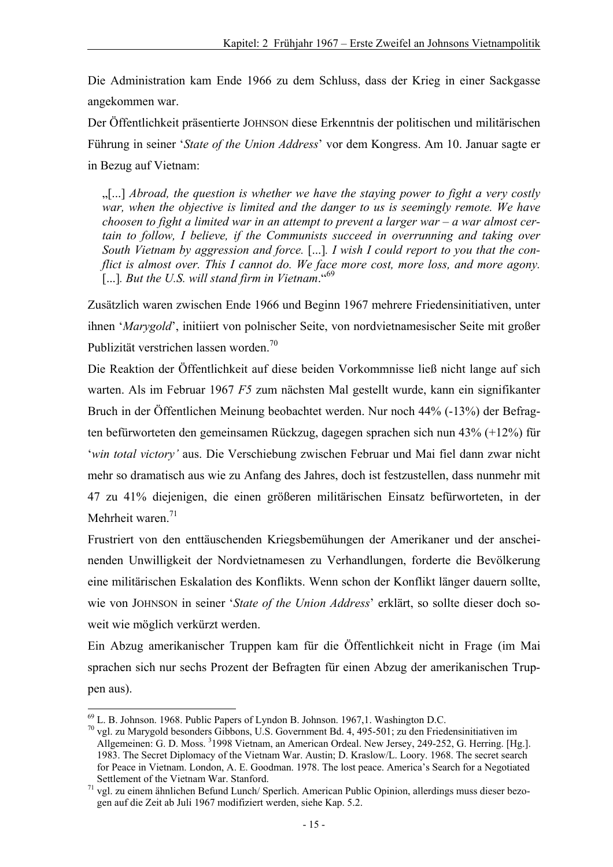Die Administration kam Ende 1966 zu dem Schluss, dass der Krieg in einer Sackgasse angekommen war.

Der Öffentlichkeit präsentierte JOHNSON diese Erkenntnis der politischen und militärischen Führung in seiner '*State of the Union Address*' vor dem Kongress. Am 10. Januar sagte er in Bezug auf Vietnam:

"[...] *Abroad, the question is whether we have the staying power to fight a very costly war, when the objective is limited and the danger to us is seemingly remote. We have choosen to fight a limited war in an attempt to prevent a larger war – a war almost certain to follow, I believe, if the Communists succeed in overrunning and taking over South Vietnam by aggression and force.* [...]*. I wish I could report to you that the conflict is almost over. This I cannot do. We face more cost, more loss, and more agony.*  [...]*. But the U.S. will stand firm in Vietnam*."<sup>69</sup>

Zusätzlich waren zwischen Ende 1966 und Beginn 1967 mehrere Friedensinitiativen, unter ihnen '*Marygold*', initiiert von polnischer Seite, von nordvietnamesischer Seite mit großer Publizität verstrichen lassen worden.<sup>70</sup>

Die Reaktion der Öffentlichkeit auf diese beiden Vorkommnisse ließ nicht lange auf sich warten. Als im Februar 1967 *F5* zum nächsten Mal gestellt wurde, kann ein signifikanter Bruch in der Öffentlichen Meinung beobachtet werden. Nur noch 44% (-13%) der Befragten befürworteten den gemeinsamen Rückzug, dagegen sprachen sich nun 43% (+12%) für '*win total victory'* aus. Die Verschiebung zwischen Februar und Mai fiel dann zwar nicht mehr so dramatisch aus wie zu Anfang des Jahres, doch ist festzustellen, dass nunmehr mit 47 zu 41% diejenigen, die einen größeren militärischen Einsatz befürworteten, in der Mehrheit waren. $71$ 

Frustriert von den enttäuschenden Kriegsbemühungen der Amerikaner und der anscheinenden Unwilligkeit der Nordvietnamesen zu Verhandlungen, forderte die Bevölkerung eine militärischen Eskalation des Konflikts. Wenn schon der Konflikt länger dauern sollte, wie von JOHNSON in seiner '*State of the Union Address*' erklärt, so sollte dieser doch soweit wie möglich verkürzt werden.

Ein Abzug amerikanischer Truppen kam für die Öffentlichkeit nicht in Frage (im Mai sprachen sich nur sechs Prozent der Befragten für einen Abzug der amerikanischen Truppen aus).

 $69$  L. B. Johnson. 1968. Public Papers of Lyndon B. Johnson. 1967, 1. Washington D.C.

<sup>70</sup> vgl. zu Marygold besonders Gibbons, U.S. Government Bd. 4, 495-501; zu den Friedensinitiativen im Allgemeinen: G. D. Moss. <sup>3</sup>1998 Vietnam, an American Ordeal. New Jersey, 249-252, G. Herring. [Hg.]. 1983. The Secret Diplomacy of the Vietnam War. Austin; D. Kraslow/L. Loory. 1968. The secret search for Peace in Vietnam. London, A. E. Goodman. 1978. The lost peace. America's Search for a Negotiated

Settlement of the Vietnam War. Stanford.<br><sup>71</sup> vgl. zu einem ähnlichen Befund Lunch/ Sperlich. American Public Opinion, allerdings muss dieser bezogen auf die Zeit ab Juli 1967 modifiziert werden, siehe Kap. 5.2.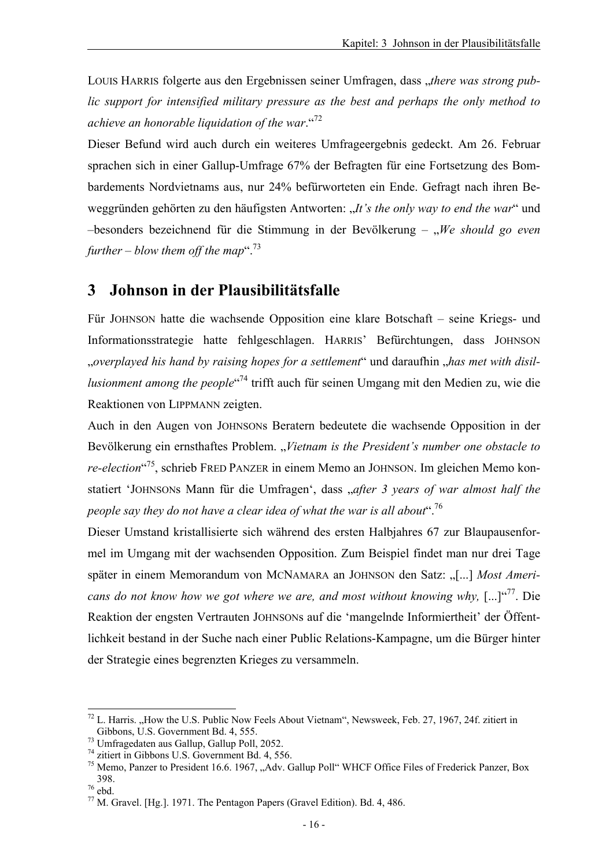LOUIS HARRIS folgerte aus den Ergebnissen seiner Umfragen, dass "*there was strong public support for intensified military pressure as the best and perhaps the only method to achieve an honorable liquidation of the war*."<sup>72</sup>

Dieser Befund wird auch durch ein weiteres Umfrageergebnis gedeckt. Am 26. Februar sprachen sich in einer Gallup-Umfrage 67% der Befragten für eine Fortsetzung des Bombardements Nordvietnams aus, nur 24% befürworteten ein Ende. Gefragt nach ihren Beweggründen gehörten zu den häufigsten Antworten: "*It's the only way to end the war*" und –besonders bezeichnend für die Stimmung in der Bevölkerung – "*We should go even further* – *blow them off the map*<sup>".<sup>73</sup></sup>

## **3 Johnson in der Plausibilitätsfalle**

Für JOHNSON hatte die wachsende Opposition eine klare Botschaft – seine Kriegs- und Informationsstrategie hatte fehlgeschlagen. HARRIS' Befürchtungen, dass JOHNSON "*overplayed his hand by raising hopes for a settlement*" und daraufhin "*has met with disillusionment among the people*" 74 trifft auch für seinen Umgang mit den Medien zu, wie die Reaktionen von LIPPMANN zeigten.

Auch in den Augen von JOHNSONs Beratern bedeutete die wachsende Opposition in der Bevölkerung ein ernsthaftes Problem. "*Vietnam is the President's number one obstacle to re-election*" 75, schrieb FRED PANZER in einem Memo an JOHNSON. Im gleichen Memo konstatiert 'JOHNSONs Mann für die Umfragen', dass "*after 3 years of war almost half the people say they do not have a clear idea of what the war is all about*  $16$ 

Dieser Umstand kristallisierte sich während des ersten Halbjahres 67 zur Blaupausenformel im Umgang mit der wachsenden Opposition. Zum Beispiel findet man nur drei Tage später in einem Memorandum von MCNAMARA an JOHNSON den Satz: "[...] *Most Americans do not know how we got where we are, and most without knowing why,* [...]"<sup>77</sup>. Die Reaktion der engsten Vertrauten JOHNSONs auf die 'mangelnde Informiertheit' der Öffentlichkeit bestand in der Suche nach einer Public Relations-Kampagne, um die Bürger hinter der Strategie eines begrenzten Krieges zu versammeln.

 $^{72}$  L. Harris. "How the U.S. Public Now Feels About Vietnam", Newsweek, Feb. 27, 1967, 24f. zitiert in Gibbons, U.S. Government Bd. 4, 555.

 $^{73}$  Umfragedaten aus Gallup, Gallup Poll, 2052.

<sup>74</sup> zitiert in Gibbons U.S. Government Bd. 4, 556.

<sup>&</sup>lt;sup>75</sup> Memo, Panzer to President 16.6. 1967, "Adv. Gallup Poll" WHCF Office Files of Frederick Panzer, Box 398. 76 ebd.

<sup>77</sup> M. Gravel. [Hg.]. 1971. The Pentagon Papers (Gravel Edition). Bd. 4, 486.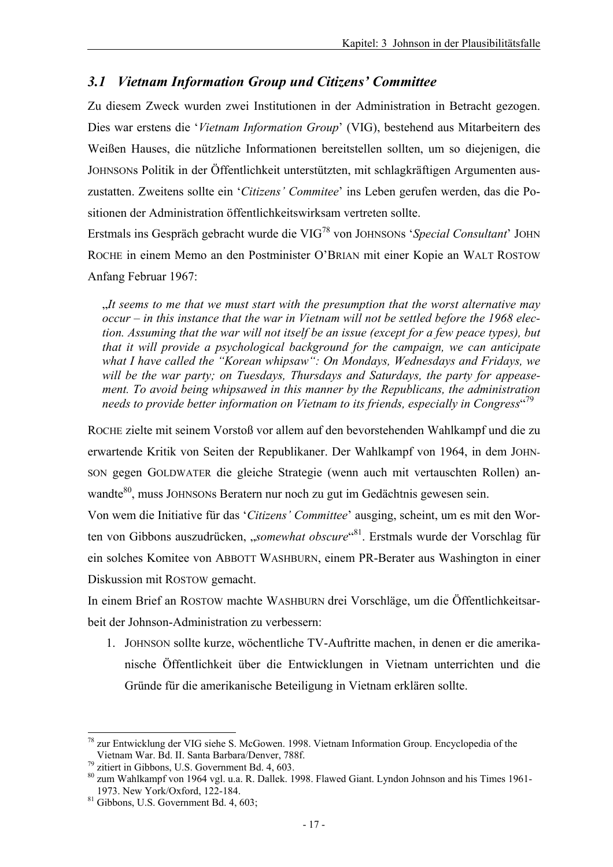## *3.1 Vietnam Information Group und Citizens' Committee*

Zu diesem Zweck wurden zwei Institutionen in der Administration in Betracht gezogen. Dies war erstens die '*Vietnam Information Group*' (VIG), bestehend aus Mitarbeitern des Weißen Hauses, die nützliche Informationen bereitstellen sollten, um so diejenigen, die JOHNSONs Politik in der Öffentlichkeit unterstützten, mit schlagkräftigen Argumenten auszustatten. Zweitens sollte ein '*Citizens' Commitee*' ins Leben gerufen werden, das die Positionen der Administration öffentlichkeitswirksam vertreten sollte.

Erstmals ins Gespräch gebracht wurde die VIG78 von JOHNSONs '*Special Consultant*' JOHN ROCHE in einem Memo an den Postminister O'BRIAN mit einer Kopie an WALT ROSTOW Anfang Februar 1967:

"*It seems to me that we must start with the presumption that the worst alternative may occur – in this instance that the war in Vietnam will not be settled before the 1968 election. Assuming that the war will not itself be an issue (except for a few peace types), but that it will provide a psychological background for the campaign, we can anticipate what I have called the "Korean whipsaw": On Mondays, Wednesdays and Fridays, we will be the war party; on Tuesdays, Thursdays and Saturdays, the party for appeasement. To avoid being whipsawed in this manner by the Republicans, the administration*  needs to provide better information on Vietnam to its friends, especially in Congress<sup>«79</sup>

ROCHE zielte mit seinem Vorstoß vor allem auf den bevorstehenden Wahlkampf und die zu erwartende Kritik von Seiten der Republikaner. Der Wahlkampf von 1964, in dem JOHN-SON gegen GOLDWATER die gleiche Strategie (wenn auch mit vertauschten Rollen) anwandte<sup>80</sup>, muss JOHNSONs Beratern nur noch zu gut im Gedächtnis gewesen sein.

Von wem die Initiative für das '*Citizens' Committee*' ausging, scheint, um es mit den Worten von Gibbons auszudrücken, "somewhat obscure"<sup>81</sup>. Erstmals wurde der Vorschlag für ein solches Komitee von ABBOTT WASHBURN, einem PR-Berater aus Washington in einer Diskussion mit ROSTOW gemacht.

In einem Brief an ROSTOW machte WASHBURN drei Vorschläge, um die Öffentlichkeitsarbeit der Johnson-Administration zu verbessern:

1. JOHNSON sollte kurze, wöchentliche TV-Auftritte machen, in denen er die amerikanische Öffentlichkeit über die Entwicklungen in Vietnam unterrichten und die Gründe für die amerikanische Beteiligung in Vietnam erklären sollte.

l <sup>78</sup> zur Entwicklung der VIG siehe S. McGowen. 1998. Vietnam Information Group. Encyclopedia of the Vietnam War. Bd. II. Santa Barbara/Denver, 788f. 79 zitiert in Gibbons, U.S. Government Bd. 4, 603.

<sup>&</sup>lt;sup>80</sup> zum Wahlkampf von 1964 vgl. u.a. R. Dallek. 1998. Flawed Giant. Lyndon Johnson and his Times 1961-1973. New York/Oxford, 122-184.

 $81$  Gibbons, U.S. Government Bd. 4, 603;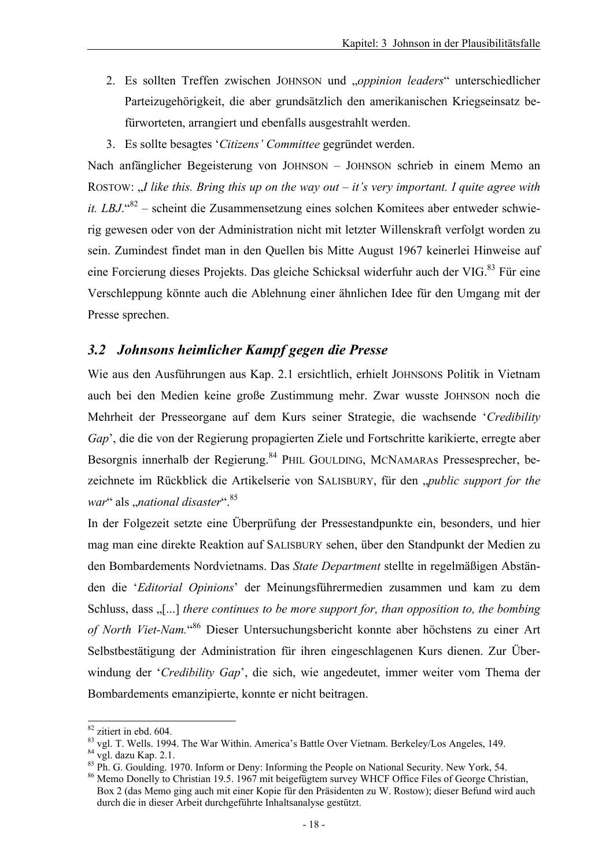- 2. Es sollten Treffen zwischen JOHNSON und "*oppinion leaders*" unterschiedlicher Parteizugehörigkeit, die aber grundsätzlich den amerikanischen Kriegseinsatz befürworteten, arrangiert und ebenfalls ausgestrahlt werden.
- 3. Es sollte besagtes '*Citizens' Committee* gegründet werden.

Nach anfänglicher Begeisterung von JOHNSON – JOHNSON schrieb in einem Memo an ROSTOW: *..I like this. Bring this up on the way out – it's very important. I quite agree with it. LBJ*.<sup>"82</sup> – scheint die Zusammensetzung eines solchen Komitees aber entweder schwierig gewesen oder von der Administration nicht mit letzter Willenskraft verfolgt worden zu sein. Zumindest findet man in den Quellen bis Mitte August 1967 keinerlei Hinweise auf eine Forcierung dieses Projekts. Das gleiche Schicksal widerfuhr auch der VIG.<sup>83</sup> Für eine Verschleppung könnte auch die Ablehnung einer ähnlichen Idee für den Umgang mit der Presse sprechen.

#### *3.2 Johnsons heimlicher Kampf gegen die Presse*

Wie aus den Ausführungen aus Kap. 2.1 ersichtlich, erhielt JOHNSONS Politik in Vietnam auch bei den Medien keine große Zustimmung mehr. Zwar wusste JOHNSON noch die Mehrheit der Presseorgane auf dem Kurs seiner Strategie, die wachsende '*Credibility Gap*', die die von der Regierung propagierten Ziele und Fortschritte karikierte, erregte aber Besorgnis innerhalb der Regierung.<sup>84</sup> PHIL GOULDING, MCNAMARAs Pressesprecher, bezeichnete im Rückblick die Artikelserie von SALISBURY, für den "*public support for the war*" als "*national disaster*".<sup>85</sup>

In der Folgezeit setzte eine Überprüfung der Pressestandpunkte ein, besonders, und hier mag man eine direkte Reaktion auf SALISBURY sehen, über den Standpunkt der Medien zu den Bombardements Nordvietnams. Das *State Department* stellte in regelmäßigen Abständen die '*Editorial Opinions*' der Meinungsführermedien zusammen und kam zu dem Schluss, dass  $\lbrack \dots \rbrack$  *there continues to be more support for, than opposition to, the bombing of North Viet-Nam.*" 86 Dieser Untersuchungsbericht konnte aber höchstens zu einer Art Selbstbestätigung der Administration für ihren eingeschlagenen Kurs dienen. Zur Überwindung der '*Credibility Gap*', die sich, wie angedeutet, immer weiter vom Thema der Bombardements emanzipierte, konnte er nicht beitragen.

 $82$  zitiert in ebd. 604.

 $^{83}$  vgl. T. Wells. 1994. The War Within. America's Battle Over Vietnam. Berkeley/Los Angeles, 149.  $^{84}$  vgl. dazu Kap. 2.1.

<sup>&</sup>lt;sup>85</sup> Ph. G. Goulding. 1970. Inform or Deny: Informing the People on National Security. New York, 54.

<sup>86</sup> Memo Donelly to Christian 19.5. 1967 mit beigefügtem survey WHCF Office Files of George Christian, Box 2 (das Memo ging auch mit einer Kopie für den Präsidenten zu W. Rostow); dieser Befund wird auch durch die in dieser Arbeit durchgeführte Inhaltsanalyse gestützt.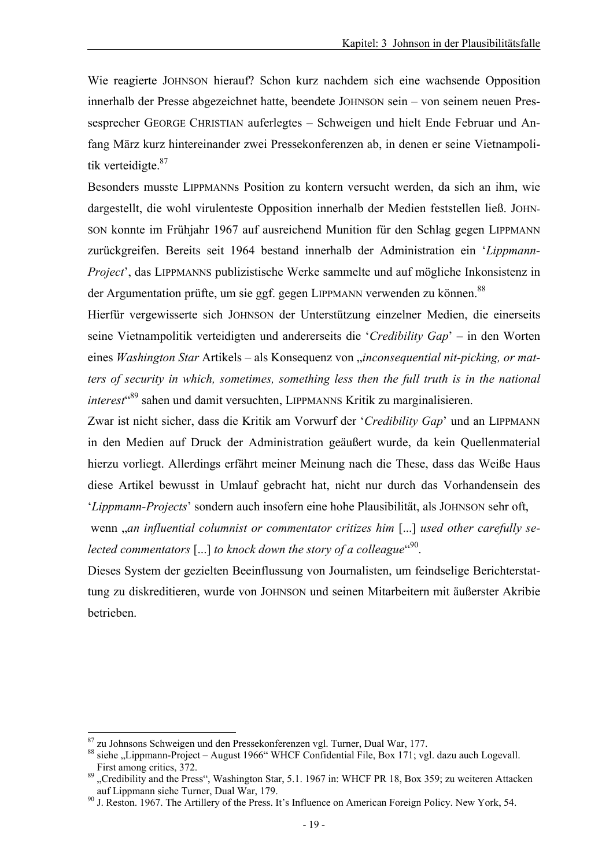Wie reagierte JOHNSON hierauf? Schon kurz nachdem sich eine wachsende Opposition innerhalb der Presse abgezeichnet hatte, beendete JOHNSON sein – von seinem neuen Pressesprecher GEORGE CHRISTIAN auferlegtes – Schweigen und hielt Ende Februar und Anfang März kurz hintereinander zwei Pressekonferenzen ab, in denen er seine Vietnampolitik verteidigte.<sup>87</sup>

Besonders musste LIPPMANNs Position zu kontern versucht werden, da sich an ihm, wie dargestellt, die wohl virulenteste Opposition innerhalb der Medien feststellen ließ. JOHN-SON konnte im Frühjahr 1967 auf ausreichend Munition für den Schlag gegen LIPPMANN zurückgreifen. Bereits seit 1964 bestand innerhalb der Administration ein '*Lippmann-Project*', das LIPPMANNS publizistische Werke sammelte und auf mögliche Inkonsistenz in der Argumentation prüfte, um sie ggf. gegen LIPPMANN verwenden zu können.<sup>88</sup>

Hierfür vergewisserte sich JOHNSON der Unterstützung einzelner Medien, die einerseits seine Vietnampolitik verteidigten und andererseits die '*Credibility Gap*' – in den Worten eines Washington Star Artikels - als Konsequenz von "inconsequential nit-picking, or mat*ters of security in which, sometimes, something less then the full truth is in the national interest*" 89 sahen und damit versuchten, LIPPMANNS Kritik zu marginalisieren.

Zwar ist nicht sicher, dass die Kritik am Vorwurf der '*Credibility Gap*' und an LIPPMANN in den Medien auf Druck der Administration geäußert wurde, da kein Quellenmaterial hierzu vorliegt. Allerdings erfährt meiner Meinung nach die These, dass das Weiße Haus diese Artikel bewusst in Umlauf gebracht hat, nicht nur durch das Vorhandensein des '*Lippmann-Projects*' sondern auch insofern eine hohe Plausibilität, als JOHNSON sehr oft,

 wenn "*an influential columnist or commentator critizes him* [...] *used other carefully se*lected commentators [...] to knock down the story of a colleague<sup>"90</sup>.

Dieses System der gezielten Beeinflussung von Journalisten, um feindselige Berichterstattung zu diskreditieren, wurde von JOHNSON und seinen Mitarbeitern mit äußerster Akribie betrieben.

<sup>87</sup> zu Johnsons Schweigen und den Pressekonferenzen vgl. Turner, Dual War, 177.

<sup>88</sup> siehe "Lippmann-Project – August 1966" WHCF Confidential File, Box 171; vgl. dazu auch Logevall.

First among critics, 372.<br><sup>89</sup> "Credibility and the Press", Washington Star, 5.1. 1967 in: WHCF PR 18, Box 359; zu weiteren Attacken auf Lippmann siehe Turner, Dual War, 179.

<sup>&</sup>lt;sup>90</sup> J. Reston. 1967. The Artillery of the Press. It's Influence on American Foreign Policy. New York, 54.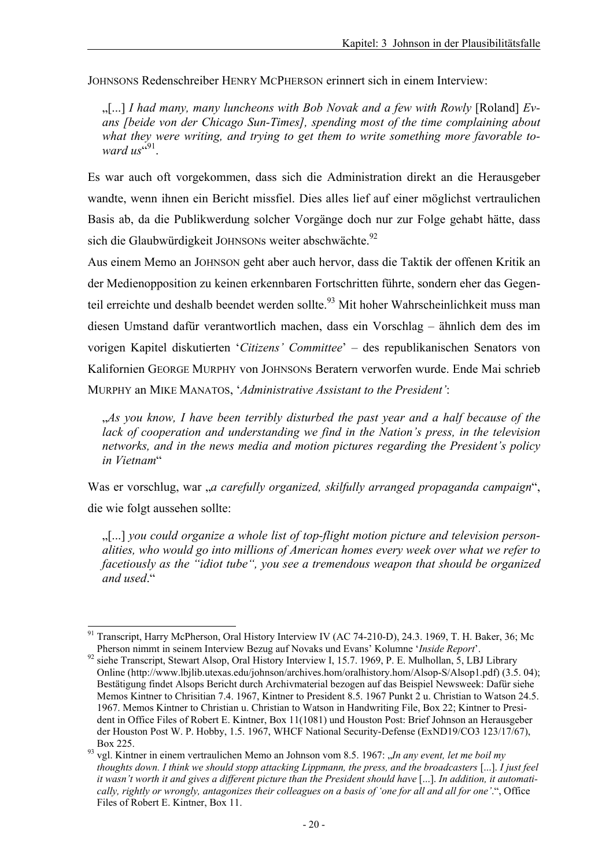JOHNSONS Redenschreiber HENRY MCPHERSON erinnert sich in einem Interview:

"[...] *I had many, many luncheons with Bob Novak and a few with Rowly* [Roland] *Evans [beide von der Chicago Sun-Times], spending most of the time complaining about what they were writing, and trying to get them to write something more favorable to*ward us"<sup>91</sup>.

Es war auch oft vorgekommen, dass sich die Administration direkt an die Herausgeber wandte, wenn ihnen ein Bericht missfiel. Dies alles lief auf einer möglichst vertraulichen Basis ab, da die Publikwerdung solcher Vorgänge doch nur zur Folge gehabt hätte, dass sich die Glaubwürdigkeit JOHNSONs weiter abschwächte.<sup>92</sup>

Aus einem Memo an JOHNSON geht aber auch hervor, dass die Taktik der offenen Kritik an der Medienopposition zu keinen erkennbaren Fortschritten führte, sondern eher das Gegenteil erreichte und deshalb beendet werden sollte.<sup>93</sup> Mit hoher Wahrscheinlichkeit muss man diesen Umstand dafür verantwortlich machen, dass ein Vorschlag – ähnlich dem des im vorigen Kapitel diskutierten '*Citizens' Committee*' – des republikanischen Senators von Kalifornien GEORGE MURPHY von JOHNSONs Beratern verworfen wurde. Ende Mai schrieb MURPHY an MIKE MANATOS, '*Administrative Assistant to the President'*:

"*As you know, I have been terribly disturbed the past year and a half because of the lack of cooperation and understanding we find in the Nation's press, in the television networks, and in the news media and motion pictures regarding the President's policy in Vietnam*"

Was er vorschlug, war "*a carefully organized, skilfully arranged propaganda campaign*", die wie folgt aussehen sollte:

"[...] *you could organize a whole list of top-flight motion picture and television personalities, who would go into millions of American homes every week over what we refer to facetiously as the "idiot tube", you see a tremendous weapon that should be organized and used*."

Transcript, Harry McPherson, Oral History Interview IV (AC 74-210-D), 24.3. 1969, T. H. Baker, 36; Mc<br>Pherson nimmt in seinem Interview Bezug auf Novaks und Evans' Kolumne 'Inside Report'.

siehe Transcript, Stewart Alsop, Oral History Interview I, 15.7. 1969, P. E. Mulhollan, 5, LBJ Library Online (http://www.lbjlib.utexas.edu/johnson/archives.hom/oralhistory.hom/Alsop-S/Alsop1.pdf) (3.5. 04); Bestätigung findet Alsops Bericht durch Archivmaterial bezogen auf das Beispiel Newsweek: Dafür siehe Memos Kintner to Chrisitian 7.4. 1967, Kintner to President 8.5. 1967 Punkt 2 u. Christian to Watson 24.5. 1967. Memos Kintner to Christian u. Christian to Watson in Handwriting File, Box 22; Kintner to President in Office Files of Robert E. Kintner, Box 11(1081) und Houston Post: Brief Johnson an Herausgeber der Houston Post W. P. Hobby, 1.5. 1967, WHCF National Security-Defense (ExND19/CO3 123/17/67),

Box 225.<br><sup>93</sup> vgl. Kintner in einem vertraulichen Memo an Johnson vom 8.5. 1967: "*In any event, let me boil my thoughts down. I think we should stopp attacking Lippmann, the press, and the broadcasters* [...]. *I just feel*  it wasn't worth it and gives a different picture than the President should have [...]. In addition, it automati*cally, rightly or wrongly, antagonizes their colleagues on a basis of 'one for all and all for one'*.", Office Files of Robert E. Kintner, Box 11.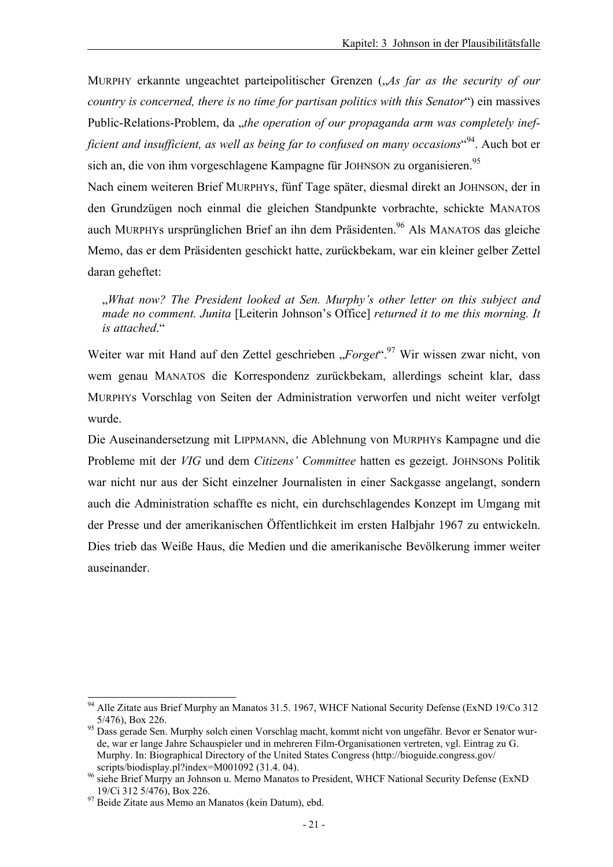MURPHY erkannte ungeachtet parteipolitischer Grenzen (*As far as the security of our country is concerned, there is no time for partisan politics with this Senator*") ein massives Public-Relations-Problem, da *"the operation of our propaganda arm was completely inef*ficient and insufficient, as well as being far to confused on many occasions<sup>«94</sup>. Auch bot er sich an, die von ihm vorgeschlagene Kampagne für JOHNSON zu organisieren.<sup>95</sup>

Nach einem weiteren Brief MURPHYs, fünf Tage später, diesmal direkt an JOHNSON, der in den Grundzügen noch einmal die gleichen Standpunkte vorbrachte, schickte MANATOS auch MURPHYs ursprünglichen Brief an ihn dem Präsidenten.96 Als MANATOS das gleiche Memo, das er dem Präsidenten geschickt hatte, zurückbekam, war ein kleiner gelber Zettel daran geheftet:

"*What now? The President looked at Sen. Murphy's other letter on this subject and made no comment. Junita* [Leiterin Johnson's Office] *returned it to me this morning. It is attached*."

Weiter war mit Hand auf den Zettel geschrieben "*Forget*".<sup>97</sup> Wir wissen zwar nicht, von wem genau MANATOS die Korrespondenz zurückbekam, allerdings scheint klar, dass MURPHYs Vorschlag von Seiten der Administration verworfen und nicht weiter verfolgt wurde.

Die Auseinandersetzung mit LIPPMANN, die Ablehnung von MURPHYs Kampagne und die Probleme mit der *VIG* und dem *Citizens' Committee* hatten es gezeigt. JOHNSONs Politik war nicht nur aus der Sicht einzelner Journalisten in einer Sackgasse angelangt, sondern auch die Administration schaffte es nicht, ein durchschlagendes Konzept im Umgang mit der Presse und der amerikanischen Öffentlichkeit im ersten Halbjahr 1967 zu entwickeln. Dies trieb das Weiße Haus, die Medien und die amerikanische Bevölkerung immer weiter auseinander.

<sup>94</sup> Alle Zitate aus Brief Murphy an Manatos 31.5. 1967, WHCF National Security Defense (ExND 19/Co 312 5/476), Box 226.<br>Dass gerade Sen. Murphy solch einen Vorschlag macht, kommt nicht von ungefähr. Bevor er Senator wur-

de, war er lange Jahre Schauspieler und in mehreren Film-Organisationen vertreten, vgl. Eintrag zu G. Murphy. In: Biographical Directory of the United States Congress (http://bioguide.congress.gov/<br>scripts/biodisplay.pl?index=M001092 (31.4.04).

scripts/biodisplay.pl?index=M001022 (31.1. 04).<br><sup>96</sup> siehe Brief Murpy an Johnson u. Memo Manatos to President, WHCF National Security Defense (ExND<br>19/Ci 312 5/476), Box 226.

<sup>&</sup>lt;sup>97</sup> Beide Zitate aus Memo an Manatos (kein Datum), ebd.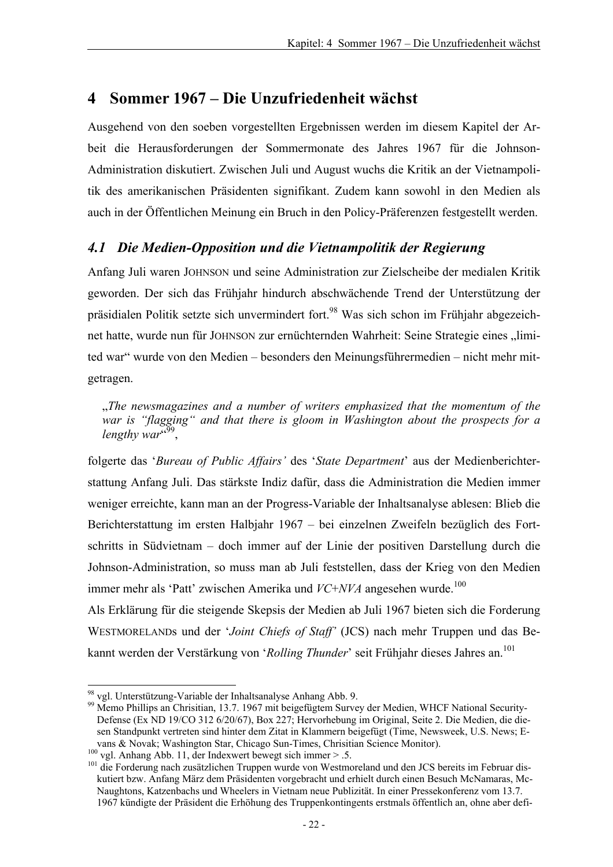# **4 Sommer 1967 – Die Unzufriedenheit wächst**

Ausgehend von den soeben vorgestellten Ergebnissen werden im diesem Kapitel der Arbeit die Herausforderungen der Sommermonate des Jahres 1967 für die Johnson-Administration diskutiert. Zwischen Juli und August wuchs die Kritik an der Vietnampolitik des amerikanischen Präsidenten signifikant. Zudem kann sowohl in den Medien als auch in der Öffentlichen Meinung ein Bruch in den Policy-Präferenzen festgestellt werden.

### *4.1 Die Medien-Opposition und die Vietnampolitik der Regierung*

Anfang Juli waren JOHNSON und seine Administration zur Zielscheibe der medialen Kritik geworden. Der sich das Frühjahr hindurch abschwächende Trend der Unterstützung der präsidialen Politik setzte sich unvermindert fort.98 Was sich schon im Frühjahr abgezeichnet hatte, wurde nun für JOHNSON zur ernüchternden Wahrheit: Seine Strategie eines "limited war" wurde von den Medien – besonders den Meinungsführermedien – nicht mehr mitgetragen.

"*The newsmagazines and a number of writers emphasized that the momentum of the war is "flagging" and that there is gloom in Washington about the prospects for a*  lengthy war<sup>"99</sup>,

folgerte das '*Bureau of Public Affairs'* des '*State Department*' aus der Medienberichterstattung Anfang Juli. Das stärkste Indiz dafür, dass die Administration die Medien immer weniger erreichte, kann man an der Progress-Variable der Inhaltsanalyse ablesen: Blieb die Berichterstattung im ersten Halbjahr 1967 – bei einzelnen Zweifeln bezüglich des Fortschritts in Südvietnam – doch immer auf der Linie der positiven Darstellung durch die Johnson-Administration, so muss man ab Juli feststellen, dass der Krieg von den Medien immer mehr als 'Patt' zwischen Amerika und *VC+NVA* angesehen wurde.<sup>100</sup>

Als Erklärung für die steigende Skepsis der Medien ab Juli 1967 bieten sich die Forderung WESTMORELANDs und der '*Joint Chiefs of Staff'* (JCS) nach mehr Truppen und das Bekannt werden der Verstärkung von '*Rolling Thunder*' seit Frühjahr dieses Jahres an.<sup>101</sup>

l <sup>98</sup> vgl. Unterstützung-Variable der Inhaltsanalyse Anhang Abb. 9.

<sup>&</sup>lt;sup>99</sup> Memo Phillips an Chrisitian, 13.7. 1967 mit beigefügtem Survey der Medien, WHCF National Security-Defense (Ex ND 19/CO 312 6/20/67), Box 227; Hervorhebung im Original, Seite 2. Die Medien, die diesen Standpunkt vertreten sind hinter dem Zitat in Klammern beigefügt (Time, Newsweek, U.S. News; Evans & Novak; Washington Star, Chicago Sun-Times, Christian Science Monitor).<br><sup>100</sup> vgl. Anhang Abb. 11, der Indexwert bewegt sich immer > .5.<br><sup>101</sup> die Forderung nach zusätzlichen Truppen wurde von Westmoreland und den JC

kutiert bzw. Anfang März dem Präsidenten vorgebracht und erhielt durch einen Besuch McNamaras, Mc-Naughtons, Katzenbachs und Wheelers in Vietnam neue Publizität. In einer Pressekonferenz vom 13.7. 1967 kündigte der Präsident die Erhöhung des Truppenkontingents erstmals öffentlich an, ohne aber defi-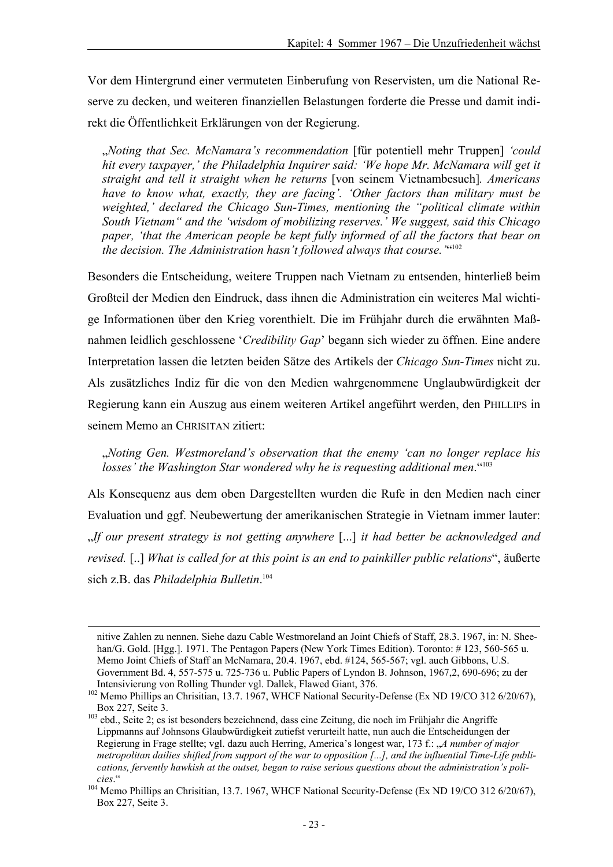Vor dem Hintergrund einer vermuteten Einberufung von Reservisten, um die National Reserve zu decken, und weiteren finanziellen Belastungen forderte die Presse und damit indirekt die Öffentlichkeit Erklärungen von der Regierung.

"*Noting that Sec. McNamara's recommendation* [für potentiell mehr Truppen] *'could hit every taxpayer,' the Philadelphia Inquirer said: 'We hope Mr. McNamara will get it straight and tell it straight when he returns* [von seinem Vietnambesuch]*. Americans have to know what, exactly, they are facing'. 'Other factors than military must be weighted,' declared the Chicago Sun-Times, mentioning the "political climate within South Vietnam" and the 'wisdom of mobilizing reserves.' We suggest, said this Chicago paper, 'that the American people be kept fully informed of all the factors that bear on*  the decision. The Administration hasn't followed always that course.<sup>""102</sup>

Besonders die Entscheidung, weitere Truppen nach Vietnam zu entsenden, hinterließ beim Großteil der Medien den Eindruck, dass ihnen die Administration ein weiteres Mal wichtige Informationen über den Krieg vorenthielt. Die im Frühjahr durch die erwähnten Maßnahmen leidlich geschlossene '*Credibility Gap*' begann sich wieder zu öffnen. Eine andere Interpretation lassen die letzten beiden Sätze des Artikels der *Chicago Sun-Times* nicht zu. Als zusätzliches Indiz für die von den Medien wahrgenommene Unglaubwürdigkeit der Regierung kann ein Auszug aus einem weiteren Artikel angeführt werden, den PHILLIPS in seinem Memo an CHRISITAN zitiert:

"*Noting Gen. Westmoreland's observation that the enemy 'can no longer replace his losses' the Washington Star wondered why he is requesting additional men*."103

Als Konsequenz aus dem oben Dargestellten wurden die Rufe in den Medien nach einer Evaluation und ggf. Neubewertung der amerikanischen Strategie in Vietnam immer lauter: "*If our present strategy is not getting anywhere* [...] *it had better be acknowledged and revised.* [..] *What is called for at this point is an end to painkiller public relations*", äußerte sich z.B. das *Philadelphia Bulletin*. 104

-

nitive Zahlen zu nennen. Siehe dazu Cable Westmoreland an Joint Chiefs of Staff, 28.3. 1967, in: N. Sheehan/G. Gold. [Hgg.]. 1971. The Pentagon Papers (New York Times Edition). Toronto: #123, 560-565 u. Memo Joint Chiefs of Staff an McNamara, 20.4. 1967, ebd. #124, 565-567; vgl. auch Gibbons, U.S. Government Bd. 4, 557-575 u. 725-736 u. Public Papers of Lyndon B. Johnson, 1967,2, 690-696; zu der

Intensivierung von Rolling Thunder vgl. Dallek, Flawed Giant, 376.<br><sup>102</sup> Memo Phillips an Chrisitian, 13.7. 1967, WHCF National Security-Defense (Ex ND 19/CO 312 6/20/67), Box 227, Seite 3.<br><sup>103</sup> ebd., Seite 2; es ist besonders bezeichnend, dass eine Zeitung, die noch im Frühjahr die Angriffe

Lippmanns auf Johnsons Glaubwürdigkeit zutiefst verurteilt hatte, nun auch die Entscheidungen der Regierung in Frage stellte; vgl. dazu auch Herring, America's longest war, 173 f.: "*A number of major metropolitan dailies shifted from support of the war to opposition [...], and the influential Time-Life publications, fervently hawkish at the outset, began to raise serious questions about the administration's poli-*

*cies*." 104 Memo Phillips an Chrisitian, 13.7. 1967, WHCF National Security-Defense (Ex ND 19/CO 312 6/20/67), Box 227, Seite 3.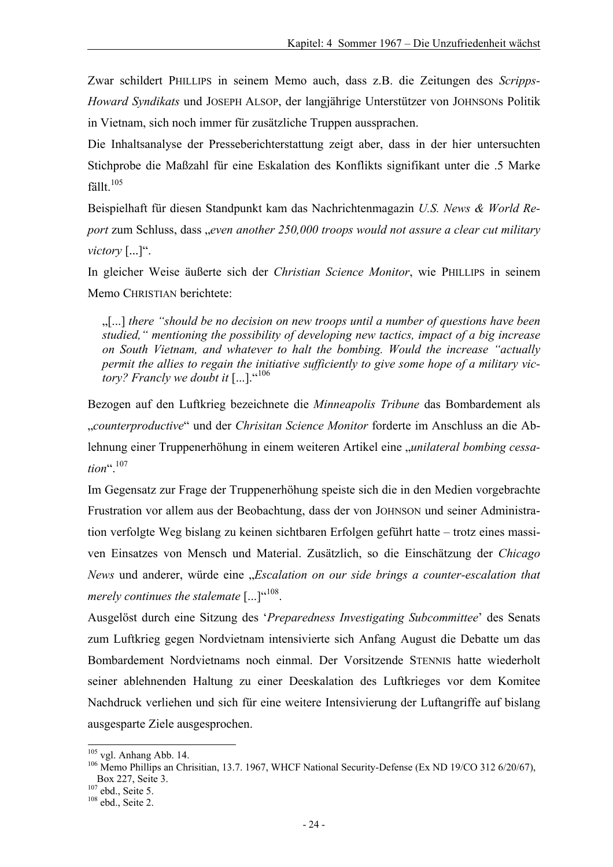Zwar schildert PHILLIPS in seinem Memo auch, dass z.B. die Zeitungen des *Scripps-Howard Syndikats* und JOSEPH ALSOP, der langjährige Unterstützer von JOHNSONs Politik in Vietnam, sich noch immer für zusätzliche Truppen aussprachen.

Die Inhaltsanalyse der Presseberichterstattung zeigt aber, dass in der hier untersuchten Stichprobe die Maßzahl für eine Eskalation des Konflikts signifikant unter die .5 Marke fällt. $105$ 

Beispielhaft für diesen Standpunkt kam das Nachrichtenmagazin *U.S. News & World Report* zum Schluss, dass "*even another 250,000 troops would not assure a clear cut military victory* [...]".

In gleicher Weise äußerte sich der *Christian Science Monitor*, wie PHILLIPS in seinem Memo CHRISTIAN berichtete<sup>.</sup>

"[...] *there "should be no decision on new troops until a number of questions have been studied," mentioning the possibility of developing new tactics, impact of a big increase on South Vietnam, and whatever to halt the bombing. Would the increase "actually permit the allies to regain the initiative sufficiently to give some hope of a military victory? Francly we doubt it* [...]."<sup>106</sup>

Bezogen auf den Luftkrieg bezeichnete die *Minneapolis Tribune* das Bombardement als "*counterproductive*" und der *Chrisitan Science Monitor* forderte im Anschluss an die Ablehnung einer Truppenerhöhung in einem weiteren Artikel eine "*unilateral bombing cessation*".107

Im Gegensatz zur Frage der Truppenerhöhung speiste sich die in den Medien vorgebrachte Frustration vor allem aus der Beobachtung, dass der von JOHNSON und seiner Administration verfolgte Weg bislang zu keinen sichtbaren Erfolgen geführt hatte – trotz eines massiven Einsatzes von Mensch und Material. Zusätzlich, so die Einschätzung der *Chicago News* und anderer, würde eine "*Escalation on our side brings a counter-escalation that merely continues the stalemate* [...]"<sup>4108</sup>.

Ausgelöst durch eine Sitzung des '*Preparedness Investigating Subcommittee*' des Senats zum Luftkrieg gegen Nordvietnam intensivierte sich Anfang August die Debatte um das Bombardement Nordvietnams noch einmal. Der Vorsitzende STENNIS hatte wiederholt seiner ablehnenden Haltung zu einer Deeskalation des Luftkrieges vor dem Komitee Nachdruck verliehen und sich für eine weitere Intensivierung der Luftangriffe auf bislang ausgesparte Ziele ausgesprochen.

l

<sup>&</sup>lt;sup>105</sup> vgl. Anhang Abb. 14.<br><sup>106</sup> Memo Phillips an Chrisitian, 13.7. 1967, WHCF National Security-Defense (Ex ND 19/CO 312 6/20/67), Box 227, Seite 3.<br><sup>107</sup> ebd., Seite 5.<br><sup>108</sup> ebd., Seite 2.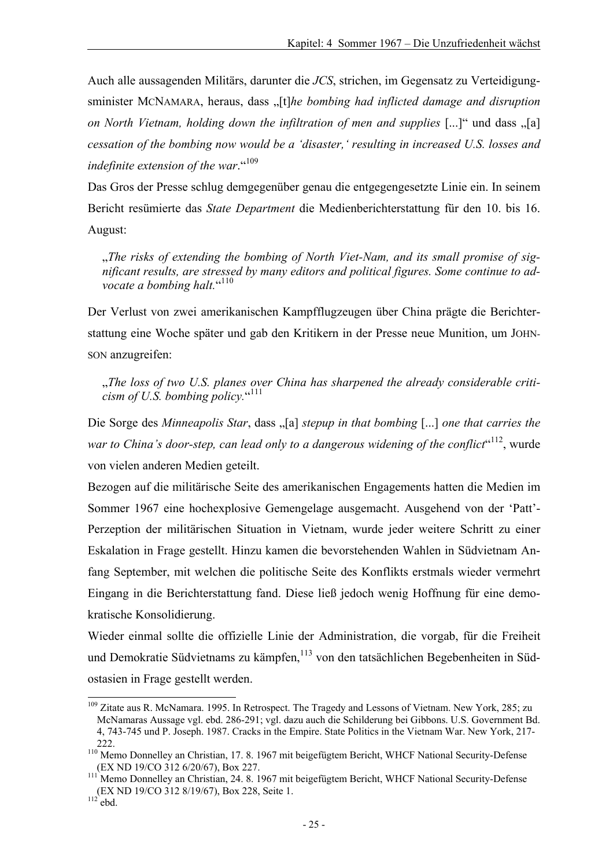Auch alle aussagenden Militärs, darunter die *JCS*, strichen, im Gegensatz zu Verteidigungsminister MCNAMARA, heraus, dass "[t]*he bombing had inflicted damage and disruption on North Vietnam, holding down the infiltration of men and supplies* [...]" und dass  $\sqrt{a}$ ] *cessation of the bombing now would be a 'disaster,' resulting in increased U.S. losses and indefinite extension of the war.*"<sup>109</sup>

Das Gros der Presse schlug demgegenüber genau die entgegengesetzte Linie ein. In seinem Bericht resümierte das *State Department* die Medienberichterstattung für den 10. bis 16. August:

The risks of extending the bombing of North Viet-Nam, and its small promise of sig*nificant results, are stressed by many editors and political figures. Some continue to ad*vocate a bombing halt."<sup>110</sup>

Der Verlust von zwei amerikanischen Kampfflugzeugen über China prägte die Berichterstattung eine Woche später und gab den Kritikern in der Presse neue Munition, um JOHN-SON anzugreifen:

"*The loss of two U.S. planes over China has sharpened the already considerable criti*cism of U.S. bombing policy."<sup>111</sup>

Die Sorge des *Minneapolis Star*, dass "[a] *stepup in that bombing* [...] *one that carries the* war to China's door-step, can lead only to a dangerous widening of the conflict<sup>«112</sup>, wurde von vielen anderen Medien geteilt.

Bezogen auf die militärische Seite des amerikanischen Engagements hatten die Medien im Sommer 1967 eine hochexplosive Gemengelage ausgemacht. Ausgehend von der 'Patt'- Perzeption der militärischen Situation in Vietnam, wurde jeder weitere Schritt zu einer Eskalation in Frage gestellt. Hinzu kamen die bevorstehenden Wahlen in Südvietnam Anfang September, mit welchen die politische Seite des Konflikts erstmals wieder vermehrt Eingang in die Berichterstattung fand. Diese ließ jedoch wenig Hoffnung für eine demokratische Konsolidierung.

Wieder einmal sollte die offizielle Linie der Administration, die vorgab, für die Freiheit und Demokratie Südvietnams zu kämpfen,<sup>113</sup> von den tatsächlichen Begebenheiten in Südostasien in Frage gestellt werden.

<sup>&</sup>lt;sup>109</sup> Zitate aus R. McNamara. 1995. In Retrospect. The Tragedy and Lessons of Vietnam. New York, 285; zu McNamaras Aussage vgl. ebd. 286-291; vgl. dazu auch die Schilderung bei Gibbons. U.S. Government Bd. 4, 743-745 und P. Joseph. 1987. Cracks in the Empire. State Politics in the Vietnam War. New York, 217- 222. 110 Memo Donnelley an Christian, 17. 8. 1967 mit beigefügtem Bericht, WHCF National Security-Defense

<sup>(</sup>EX ND 19/CO 312 6/20/67), Box 227.<br><sup>111</sup> Memo Donnelley an Christian, 24. 8. 1967 mit beigefügtem Bericht, WHCF National Security-Defense

<sup>(</sup>EX ND 19/CO 312 8/19/67), Box 228, Seite 1.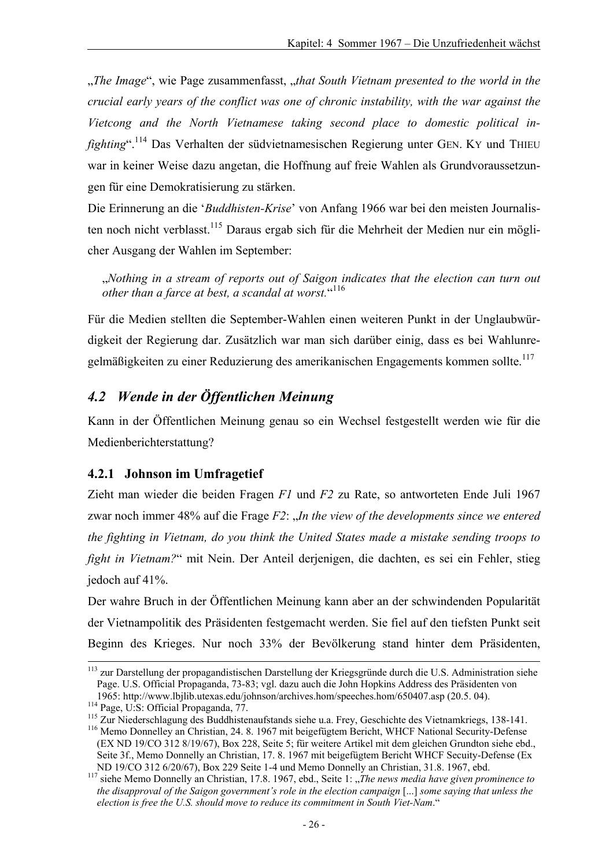"*The Image*", wie Page zusammenfasst, "*that South Vietnam presented to the world in the crucial early years of the conflict was one of chronic instability, with the war against the Vietcong and the North Vietnamese taking second place to domestic political infighting*".114 Das Verhalten der südvietnamesischen Regierung unter GEN. KY und THIEU war in keiner Weise dazu angetan, die Hoffnung auf freie Wahlen als Grundvoraussetzungen für eine Demokratisierung zu stärken.

Die Erinnerung an die '*Buddhisten-Krise*' von Anfang 1966 war bei den meisten Journalisten noch nicht verblasst.<sup>115</sup> Daraus ergab sich für die Mehrheit der Medien nur ein möglicher Ausgang der Wahlen im September:

"*Nothing in a stream of reports out of Saigon indicates that the election can turn out other than a farce at best, a scandal at worst.*" 116

Für die Medien stellten die September-Wahlen einen weiteren Punkt in der Unglaubwürdigkeit der Regierung dar. Zusätzlich war man sich darüber einig, dass es bei Wahlunregelmäßigkeiten zu einer Reduzierung des amerikanischen Engagements kommen sollte.<sup>117</sup>

### *4.2 Wende in der Öffentlichen Meinung*

Kann in der Öffentlichen Meinung genau so ein Wechsel festgestellt werden wie für die Medienberichterstattung?

#### **4.2.1 Johnson im Umfragetief**

Zieht man wieder die beiden Fragen *F1* und *F2* zu Rate, so antworteten Ende Juli 1967 zwar noch immer 48% auf die Frage *F2*: "*In the view of the developments since we entered the fighting in Vietnam, do you think the United States made a mistake sending troops to fight in Vietnam?*" mit Nein. Der Anteil derjenigen, die dachten, es sei ein Fehler, stieg jedoch auf 41%.

Der wahre Bruch in der Öffentlichen Meinung kann aber an der schwindenden Popularität der Vietnampolitik des Präsidenten festgemacht werden. Sie fiel auf den tiefsten Punkt seit Beginn des Krieges. Nur noch 33% der Bevölkerung stand hinter dem Präsidenten,

<sup>&</sup>lt;sup>113</sup> zur Darstellung der propagandistischen Darstellung der Kriegsgründe durch die U.S. Administration siehe Page. U.S. Official Propaganda, 73-83; vgl. dazu auch die John Hopkins Address des Präsidenten von

<sup>1965:</sup> http://www.lbjlib.utexas.edu/johnson/archives.hom/speeches.hom/650407.asp (20.5. 04).<br><sup>114</sup> Page, U:S: Official Propaganda, 77.<br><sup>115</sup> Zur Niederschlagung des Buddhistenaufstands siehe u.a. Frey, Geschichte des Vietna (EX ND 19/CO 312 8/19/67), Box 228, Seite 5; für weitere Artikel mit dem gleichen Grundton siehe ebd., Seite 3f., Memo Donnelly an Christian, 17. 8. 1967 mit beigefügtem Bericht WHCF Secuity-Defense (Ex

ND 19/CO 312 6/20/67), Box 229 Seite 1-4 und Memo Donnelly an Christian, 31.8. 1967, ebd. <sup>117</sup> siehe Memo Donnelly an Christian, 17.8. 1967, ebd., Seite 1: *"The news media have given prominence to the disapproval of the Saigon government's role in the election campaign* [...] *some saying that unless the election is free the U.S. should move to reduce its commitment in South Viet-Nam*."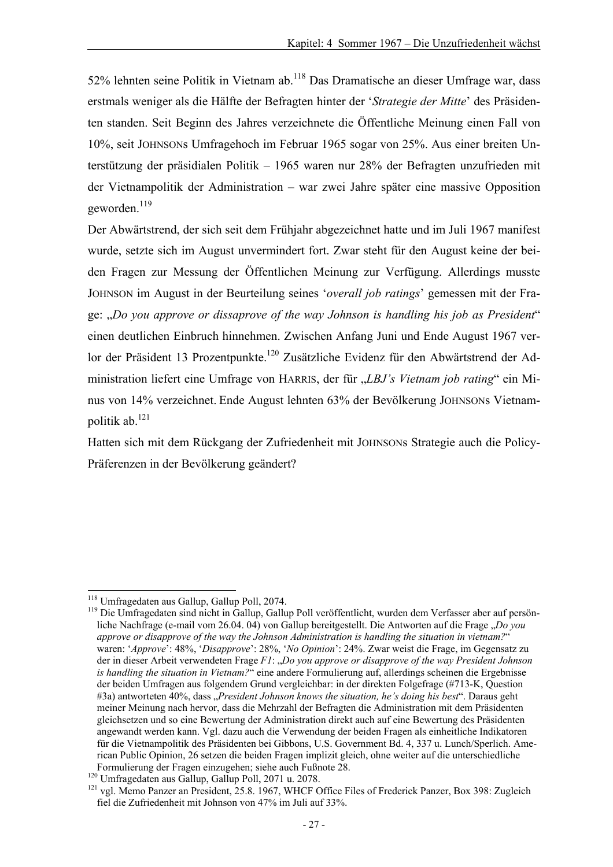52% lehnten seine Politik in Vietnam ab.118 Das Dramatische an dieser Umfrage war, dass erstmals weniger als die Hälfte der Befragten hinter der '*Strategie der Mitte*' des Präsidenten standen. Seit Beginn des Jahres verzeichnete die Öffentliche Meinung einen Fall von 10%, seit JOHNSONs Umfragehoch im Februar 1965 sogar von 25%. Aus einer breiten Unterstützung der präsidialen Politik – 1965 waren nur 28% der Befragten unzufrieden mit der Vietnampolitik der Administration – war zwei Jahre später eine massive Opposition geworden.<sup>119</sup>

Der Abwärtstrend, der sich seit dem Frühjahr abgezeichnet hatte und im Juli 1967 manifest wurde, setzte sich im August unvermindert fort. Zwar steht für den August keine der beiden Fragen zur Messung der Öffentlichen Meinung zur Verfügung. Allerdings musste JOHNSON im August in der Beurteilung seines '*overall job ratings*' gemessen mit der Frage: "*Do you approve or dissaprove of the way Johnson is handling his job as President*" einen deutlichen Einbruch hinnehmen. Zwischen Anfang Juni und Ende August 1967 verlor der Präsident 13 Prozentpunkte.<sup>120</sup> Zusätzliche Evidenz für den Abwärtstrend der Administration liefert eine Umfrage von HARRIS, der für "*LBJ's Vietnam job rating*" ein Minus von 14% verzeichnet. Ende August lehnten 63% der Bevölkerung JOHNSONs Vietnampolitik ab.121

Hatten sich mit dem Rückgang der Zufriedenheit mit JOHNSONs Strategie auch die Policy-Präferenzen in der Bevölkerung geändert?

<sup>&</sup>lt;sup>118</sup> Umfragedaten aus Gallup, Gallup Poll, 2074.

<sup>&</sup>lt;sup>119</sup> Die Umfragedaten sind nicht in Gallup, Gallup Poll veröffentlicht, wurden dem Verfasser aber auf persönliche Nachfrage (e-mail vom 26.04. 04) von Gallup bereitgestellt. Die Antworten auf die Frage "*Do you approve or disapprove of the way the Johnson Administration is handling the situation in vietnam?*" waren: '*Approve*': 48%, '*Disapprove*': 28%, '*No Opinion*': 24%. Zwar weist die Frage, im Gegensatz zu der in dieser Arbeit verwendeten Frage *F1*: "*Do you approve or disapprove of the way President Johnson is handling the situation in Vietnam?*" eine andere Formulierung auf, allerdings scheinen die Ergebnisse der beiden Umfragen aus folgendem Grund vergleichbar: in der direkten Folgefrage (#713-K, Question #3a) antworteten 40%, dass "*President Johnson knows the situation, he's doing his best*". Daraus geht meiner Meinung nach hervor, dass die Mehrzahl der Befragten die Administration mit dem Präsidenten gleichsetzen und so eine Bewertung der Administration direkt auch auf eine Bewertung des Präsidenten angewandt werden kann. Vgl. dazu auch die Verwendung der beiden Fragen als einheitliche Indikatoren für die Vietnampolitik des Präsidenten bei Gibbons, U.S. Government Bd. 4, 337 u. Lunch/Sperlich. American Public Opinion, 26 setzen die beiden Fragen implizit gleich, ohne weiter auf die unterschiedliche

Formulierung der Fragen einzugehen; siehe auch Fußnote 28.<br><sup>120</sup> Umfragedaten aus Gallup, Gallup Poll, 2071 u. 2078.<br><sup>121</sup> vgl. Memo Panzer an President, 25.8. 1967, WHCF Office Files of Frederick Panzer, Box 398: Zugleich fiel die Zufriedenheit mit Johnson von 47% im Juli auf 33%.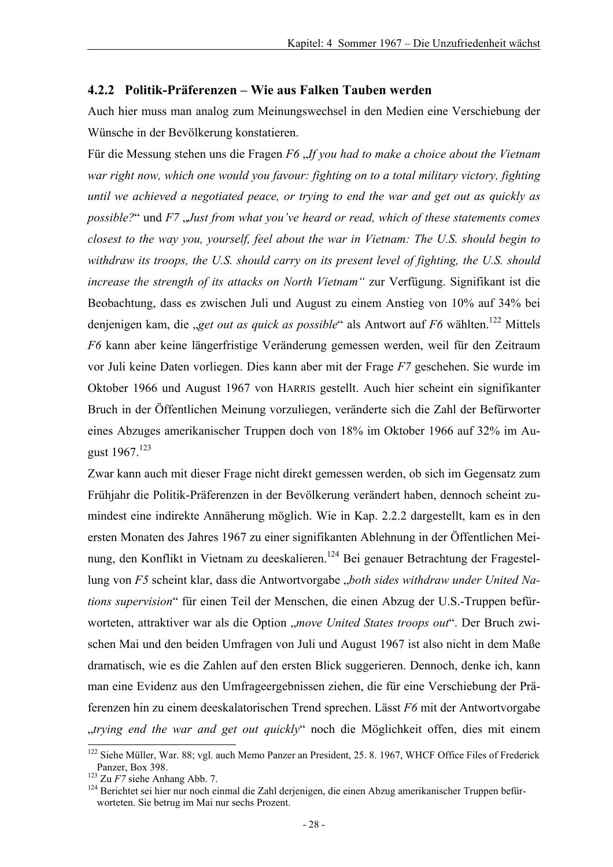#### **4.2.2 Politik-Präferenzen – Wie aus Falken Tauben werden**

Auch hier muss man analog zum Meinungswechsel in den Medien eine Verschiebung der Wünsche in der Bevölkerung konstatieren.

Für die Messung stehen uns die Fragen *F6 . If you had to make a choice about the Vietnam war right now, which one would you favour: fighting on to a total military victory, fighting until we achieved a negotiated peace, or trying to end the war and get out as quickly as possible?*" und *F7* , *Just from what you've heard or read, which of these statements comes closest to the way you, yourself, feel about the war in Vietnam: The U.S. should begin to withdraw its troops, the U.S. should carry on its present level of fighting, the U.S. should increase the strength of its attacks on North Vietnam"* zur Verfügung. Signifikant ist die Beobachtung, dass es zwischen Juli und August zu einem Anstieg von 10% auf 34% bei denjenigen kam, die *"get out as quick as possible"* als Antwort auf *F6* wählten.<sup>122</sup> Mittels *F6* kann aber keine längerfristige Veränderung gemessen werden, weil für den Zeitraum vor Juli keine Daten vorliegen. Dies kann aber mit der Frage *F7* geschehen. Sie wurde im Oktober 1966 und August 1967 von HARRIS gestellt. Auch hier scheint ein signifikanter Bruch in der Öffentlichen Meinung vorzuliegen, veränderte sich die Zahl der Befürworter eines Abzuges amerikanischer Truppen doch von 18% im Oktober 1966 auf 32% im August  $1967$ <sup>123</sup>

Zwar kann auch mit dieser Frage nicht direkt gemessen werden, ob sich im Gegensatz zum Frühjahr die Politik-Präferenzen in der Bevölkerung verändert haben, dennoch scheint zumindest eine indirekte Annäherung möglich. Wie in Kap. 2.2.2 dargestellt, kam es in den ersten Monaten des Jahres 1967 zu einer signifikanten Ablehnung in der Öffentlichen Meinung, den Konflikt in Vietnam zu deeskalieren.<sup>124</sup> Bei genauer Betrachtung der Fragestellung von *F5* scheint klar, dass die Antwortvorgabe "*both sides withdraw under United Nations supervision*" für einen Teil der Menschen, die einen Abzug der U.S.-Truppen befürworteten, attraktiver war als die Option "*move United States troops out"*. Der Bruch zwischen Mai und den beiden Umfragen von Juli und August 1967 ist also nicht in dem Maße dramatisch, wie es die Zahlen auf den ersten Blick suggerieren. Dennoch, denke ich, kann man eine Evidenz aus den Umfrageergebnissen ziehen, die für eine Verschiebung der Präferenzen hin zu einem deeskalatorischen Trend sprechen. Lässt *F6* mit der Antwortvorgabe "*trying end the war and get out quickly*" noch die Möglichkeit offen, dies mit einem

<sup>&</sup>lt;sup>122</sup> Siehe Müller, War. 88; vgl. auch Memo Panzer an President, 25. 8. 1967, WHCF Office Files of Frederick<br>Panzer, Box 398.<br><sup>123</sup> Zu F7 siehe Anhang Abb. 7.

<sup>&</sup>lt;sup>124</sup> Berichtet sei hier nur noch einmal die Zahl derjenigen, die einen Abzug amerikanischer Truppen befürworteten. Sie betrug im Mai nur sechs Prozent.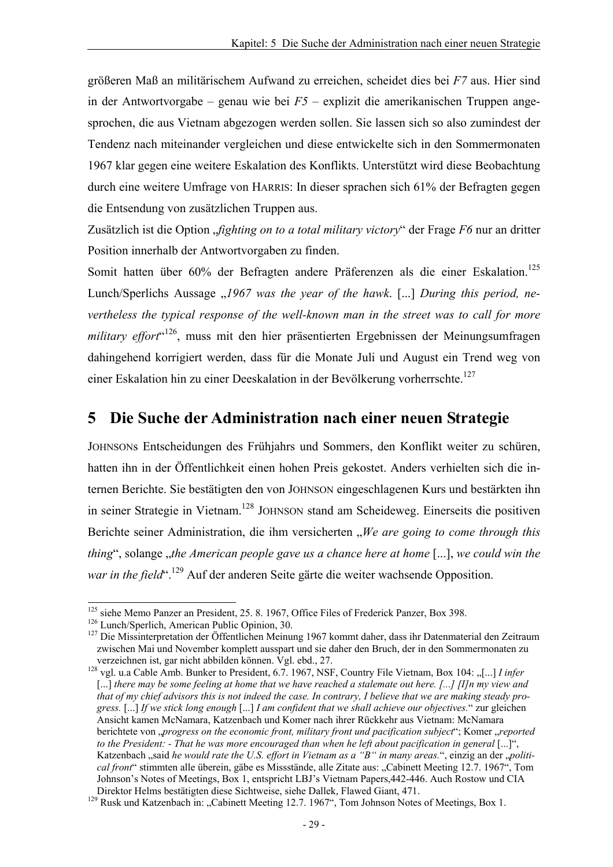größeren Maß an militärischem Aufwand zu erreichen, scheidet dies bei *F7* aus. Hier sind in der Antwortvorgabe – genau wie bei *F5* – explizit die amerikanischen Truppen angesprochen, die aus Vietnam abgezogen werden sollen. Sie lassen sich so also zumindest der Tendenz nach miteinander vergleichen und diese entwickelte sich in den Sommermonaten 1967 klar gegen eine weitere Eskalation des Konflikts. Unterstützt wird diese Beobachtung durch eine weitere Umfrage von HARRIS: In dieser sprachen sich 61% der Befragten gegen die Entsendung von zusätzlichen Truppen aus.

Zusätzlich ist die Option "*fighting on to a total military victory*" der Frage *F6* nur an dritter Position innerhalb der Antwortvorgaben zu finden.

Somit hatten über 60% der Befragten andere Präferenzen als die einer Eskalation.<sup>125</sup> Lunch/Sperlichs Aussage  $\mu$ 1967 was the year of the hawk. [...] *During this period, nevertheless the typical response of the well-known man in the street was to call for more*  military effort<sup>«126</sup>, muss mit den hier präsentierten Ergebnissen der Meinungsumfragen dahingehend korrigiert werden, dass für die Monate Juli und August ein Trend weg von einer Eskalation hin zu einer Deeskalation in der Bevölkerung vorherrschte.<sup>127</sup>

## **5 Die Suche der Administration nach einer neuen Strategie**

JOHNSONs Entscheidungen des Frühjahrs und Sommers, den Konflikt weiter zu schüren, hatten ihn in der Öffentlichkeit einen hohen Preis gekostet. Anders verhielten sich die internen Berichte. Sie bestätigten den von JOHNSON eingeschlagenen Kurs und bestärkten ihn in seiner Strategie in Vietnam.128 JOHNSON stand am Scheideweg. Einerseits die positiven Berichte seiner Administration, die ihm versicherten *"We are going to come through this thing*", solange *"the American people gave us a chance here at home* [...], *we could win the war in the field*".<sup>129</sup> Auf der anderen Seite gärte die weiter wachsende Opposition.

<sup>&</sup>lt;sup>125</sup> siehe Memo Panzer an President, 25. 8. 1967, Office Files of Frederick Panzer, Box 398.

<sup>&</sup>lt;sup>126</sup> Lunch/Sperlich, American Public Opinion, 30.<br><sup>126</sup> Lunch/Sperlich, American Public Opinion, 30.<br><sup>127</sup> Die Missinterpretation der Öffentlichen Meinung 1967 kommt daher, dass ihr Datenmaterial den Zeitraum zwischen Mai und November komplett ausspart und sie daher den Bruch, der in den Sommermonaten zu verzeichnen ist, gar nicht abbilden können. Vgl. ebd., 27.

<sup>&</sup>lt;sup>128</sup> vgl. u.a Cable Amb. Bunker to President, 6.7. 1967, NSF, Country File Vietnam, Box 104: "[...] *I infer* [...] *there may be some feeling at home that we have reached a stalemate out here. [...] [I]n my view and that of my chief advisors this is not indeed the case. In contrary, I believe that we are making steady progress.* [...] *If we stick long enough* [...] *I am confident that we shall achieve our objectives.*" zur gleichen Ansicht kamen McNamara, Katzenbach und Komer nach ihrer Rückkehr aus Vietnam: McNamara berichtete von "*progress on the economic front, military front und pacification subject*"; Komer "*reported to the President: - That he was more encouraged than when he left about pacification in general* [...]", Katzenbach "said *he would rate the U.S. effort in Vietnam as a "B" in many areas."*, einzig an der "*political front*" stimmten alle überein, gäbe es Missstände, alle Zitate aus: "Cabinett Meeting 12.7. 1967", Tom Johnson's Notes of Meetings, Box 1, entspricht LBJ's Vietnam Papers,442-446. Auch Rostow und CIA Direktor Helms bestätigten diese Sichtweise, siehe Dallek, Flawed Giant, 471.<br><sup>129</sup> Rusk und Katzenbach in: "Cabinett Meeting 12.7. 1967", Tom Johnson Notes of Meetings, Box 1.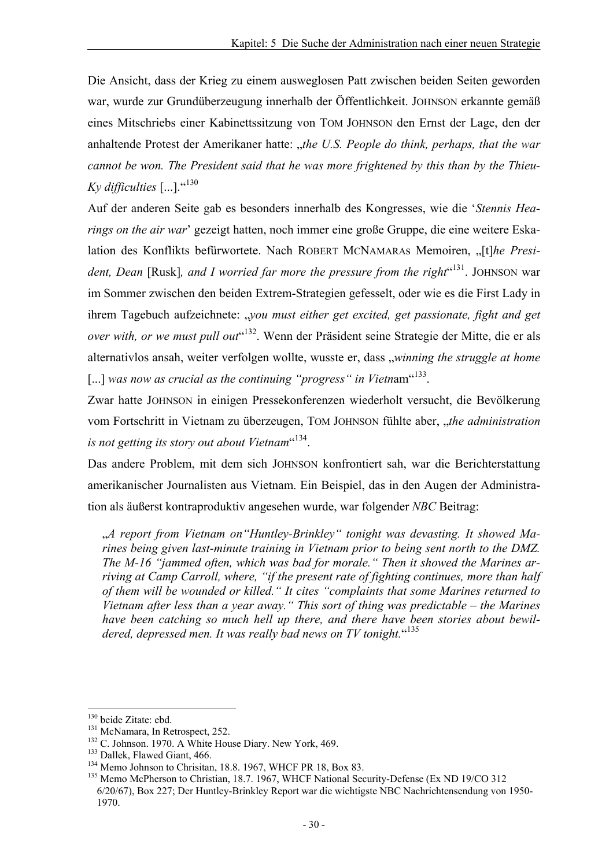Die Ansicht, dass der Krieg zu einem ausweglosen Patt zwischen beiden Seiten geworden war, wurde zur Grundüberzeugung innerhalb der Öffentlichkeit. JOHNSON erkannte gemäß eines Mitschriebs einer Kabinettssitzung von TOM JOHNSON den Ernst der Lage, den der anhaltende Protest der Amerikaner hatte: "the U.S. People do think, perhaps, that the war *cannot be won. The President said that he was more frightened by this than by the Thieu-Ky difficulties*  $\left[ \ldots \right]$ .  $\cdot$ <sup>(130</sup>)

Auf der anderen Seite gab es besonders innerhalb des Kongresses, wie die '*Stennis Hearings on the air war*' gezeigt hatten, noch immer eine große Gruppe, die eine weitere Eskalation des Konflikts befürwortete. Nach ROBERT MCNAMARAs Memoiren, "[t]he President, Dean [Rusk], and I worried far more the pressure from the right<sup>"131</sup>. JOHNSON war im Sommer zwischen den beiden Extrem-Strategien gefesselt, oder wie es die First Lady in ihrem Tagebuch aufzeichnete: "*you must either get excited, get passionate, fight and get* over with, or we must pull out<sup>«132</sup>. Wenn der Präsident seine Strategie der Mitte, die er als alternativlos ansah, weiter verfolgen wollte, wusste er, dass "winning the struggle at home [...] *was now as crucial as the continuing "progress" in Vietnam*<sup>"133</sup>.

Zwar hatte JOHNSON in einigen Pressekonferenzen wiederholt versucht, die Bevölkerung vom Fortschritt in Vietnam zu überzeugen, TOM JOHNSON fühlte aber, "*the administration is not getting its story out about Vietnam*" 134.

Das andere Problem, mit dem sich JOHNSON konfrontiert sah, war die Berichterstattung amerikanischer Journalisten aus Vietnam. Ein Beispiel, das in den Augen der Administration als äußerst kontraproduktiv angesehen wurde, war folgender *NBC* Beitrag:

"*A report from Vietnam on"Huntley-Brinkley" tonight was devasting. It showed Marines being given last-minute training in Vietnam prior to being sent north to the DMZ. The M-16 "jammed often, which was bad for morale." Then it showed the Marines arriving at Camp Carroll, where, "if the present rate of fighting continues, more than half of them will be wounded or killed." It cites "complaints that some Marines returned to Vietnam after less than a year away." This sort of thing was predictable – the Marines have been catching so much hell up there, and there have been stories about bewil*dered, depressed men. It was really bad news on TV tonight. "135

<sup>&</sup>lt;sup>130</sup> beide Zitate: ebd.<br><sup>131</sup> McNamara, In Retrospect, 252.<br><sup>132</sup> C. Johnson. 1970. A White House Diary. New York, 469.<br><sup>133</sup> Dallek, Flawed Giant, 466.<br><sup>134</sup> Memo Johnson to Christian, 18.8. 1967, WHCF PR 18, Box 83.<br><sup>13</sup> 6/20/67), Box 227; Der Huntley-Brinkley Report war die wichtigste NBC Nachrichtensendung von 1950- 1970.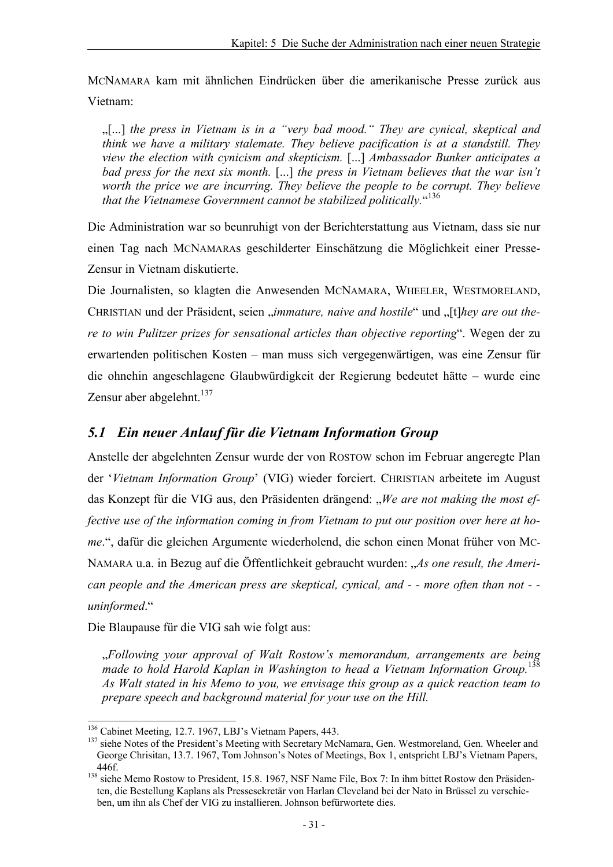MCNAMARA kam mit ähnlichen Eindrücken über die amerikanische Presse zurück aus Vietnam:

"[...] *the press in Vietnam is in a "very bad mood." They are cynical, skeptical and think we have a military stalemate. They believe pacification is at a standstill. They view the election with cynicism and skepticism.* [...] *Ambassador Bunker anticipates a bad press for the next six month.* [...] *the press in Vietnam believes that the war isn't worth the price we are incurring. They believe the people to be corrupt. They believe that the Vietnamese Government cannot be stabilized politically.*" 136

Die Administration war so beunruhigt von der Berichterstattung aus Vietnam, dass sie nur einen Tag nach MCNAMARAs geschilderter Einschätzung die Möglichkeit einer Presse-Zensur in Vietnam diskutierte.

Die Journalisten, so klagten die Anwesenden MCNAMARA, WHEELER, WESTMORELAND, CHRISTIAN und der Präsident, seien *..immature, naive and hostile*" und ...[t]*hey are out there to win Pulitzer prizes for sensational articles than objective reporting*". Wegen der zu erwartenden politischen Kosten – man muss sich vergegenwärtigen, was eine Zensur für die ohnehin angeschlagene Glaubwürdigkeit der Regierung bedeutet hätte – wurde eine Zensur aber abgelehnt. $137$ 

### *5.1 Ein neuer Anlauf für die Vietnam Information Group*

Anstelle der abgelehnten Zensur wurde der von ROSTOW schon im Februar angeregte Plan der '*Vietnam Information Group*' (VIG) wieder forciert. CHRISTIAN arbeitete im August das Konzept für die VIG aus, den Präsidenten drängend: "*We are not making the most effective use of the information coming in from Vietnam to put our position over here at home*.", dafür die gleichen Argumente wiederholend, die schon einen Monat früher von MC-NAMARA u.a. in Bezug auf die Öffentlichkeit gebraucht wurden: "*As one result, the American people and the American press are skeptical, cynical, and - - more often than not - uninformed*."

Die Blaupause für die VIG sah wie folgt aus:

"*Following your approval of Walt Rostow's memorandum, arrangements are being made to hold Harold Kaplan in Washington to head a Vietnam Information Group.*<sup>138</sup> *As Walt stated in his Memo to you, we envisage this group as a quick reaction team to prepare speech and background material for your use on the Hill.* 

<sup>&</sup>lt;sup>136</sup> Cabinet Meeting, 12.7. 1967, LBJ's Vietnam Papers, 443.

<sup>&</sup>lt;sup>137</sup> siehe Notes of the President's Meeting with Secretary McNamara, Gen. Westmoreland, Gen. Wheeler and George Chrisitan, 13.7. 1967, Tom Johnson's Notes of Meetings, Box 1, entspricht LBJ's Vietnam Papers,

<sup>446</sup>f. 138 siehe Memo Rostow to President, 15.8. 1967, NSF Name File, Box 7: In ihm bittet Rostow den Präsidenten, die Bestellung Kaplans als Pressesekretär von Harlan Cleveland bei der Nato in Brüssel zu verschieben, um ihn als Chef der VIG zu installieren. Johnson befürwortete dies.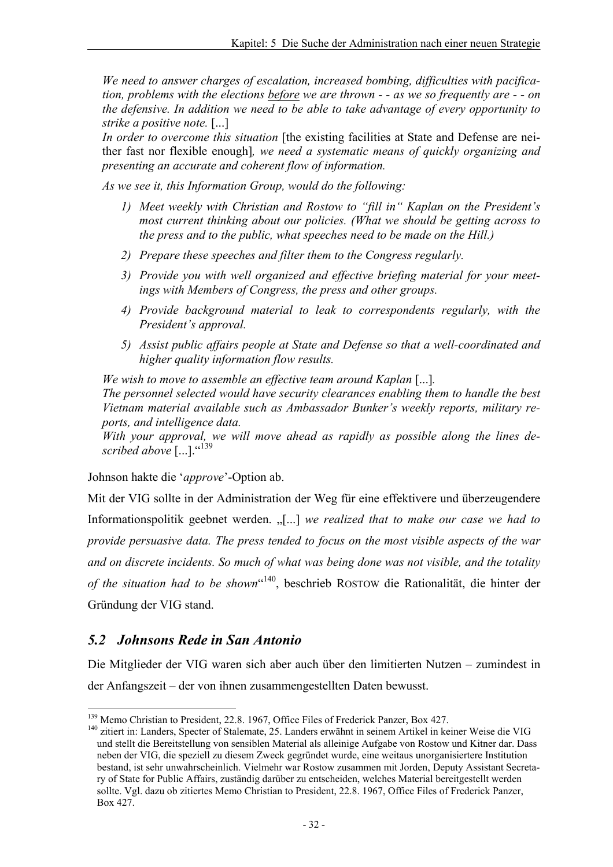*We need to answer charges of escalation, increased bombing, difficulties with pacification, problems with the elections before we are thrown - - as we so frequently are - - on the defensive. In addition we need to be able to take advantage of every opportunity to strike a positive note.* [...]

In order to overcome this situation [the existing facilities at State and Defense are neither fast nor flexible enough]*, we need a systematic means of quickly organizing and presenting an accurate and coherent flow of information.* 

*As we see it, this Information Group, would do the following:* 

- *1) Meet weekly with Christian and Rostow to "fill in" Kaplan on the President's most current thinking about our policies. (What we should be getting across to the press and to the public, what speeches need to be made on the Hill.)*
- *2) Prepare these speeches and filter them to the Congress regularly.*
- *3) Provide you with well organized and effective briefing material for your meetings with Members of Congress, the press and other groups.*
- *4) Provide background material to leak to correspondents regularly, with the President's approval.*
- *5) Assist public affairs people at State and Defense so that a well-coordinated and higher quality information flow results.*

*We wish to move to assemble an effective team around Kaplan* [...]*. The personnel selected would have security clearances enabling them to handle the best Vietnam material available such as Ambassador Bunker's weekly reports, military reports, and intelligence data.* 

*With your approval, we will move ahead as rapidly as possible along the lines described above* [...]."<sup>139</sup>

Johnson hakte die '*approve*'-Option ab.

Mit der VIG sollte in der Administration der Weg für eine effektivere und überzeugendere Informationspolitik geebnet werden. "[...] we realized that to make our case we had to *provide persuasive data. The press tended to focus on the most visible aspects of the war and on discrete incidents. So much of what was being done was not visible, and the totality of the situation had to be shown*" 140, beschrieb ROSTOW die Rationalität, die hinter der Gründung der VIG stand.

### *5.2 Johnsons Rede in San Antonio*

Die Mitglieder der VIG waren sich aber auch über den limitierten Nutzen – zumindest in der Anfangszeit – der von ihnen zusammengestellten Daten bewusst.

<sup>&</sup>lt;sup>139</sup> Memo Christian to President, 22.8. 1967, Office Files of Frederick Panzer, Box 427.

<sup>&</sup>lt;sup>140</sup> zitiert in: Landers, Specter of Stalemate, 25. Landers erwähnt in seinem Artikel in keiner Weise die VIG und stellt die Bereitstellung von sensiblen Material als alleinige Aufgabe von Rostow und Kitner dar. Dass neben der VIG, die speziell zu diesem Zweck gegründet wurde, eine weitaus unorganisiertere Institution bestand, ist sehr unwahrscheinlich. Vielmehr war Rostow zusammen mit Jorden, Deputy Assistant Secretary of State for Public Affairs, zuständig darüber zu entscheiden, welches Material bereitgestellt werden sollte. Vgl. dazu ob zitiertes Memo Christian to President, 22.8. 1967, Office Files of Frederick Panzer, Box 427.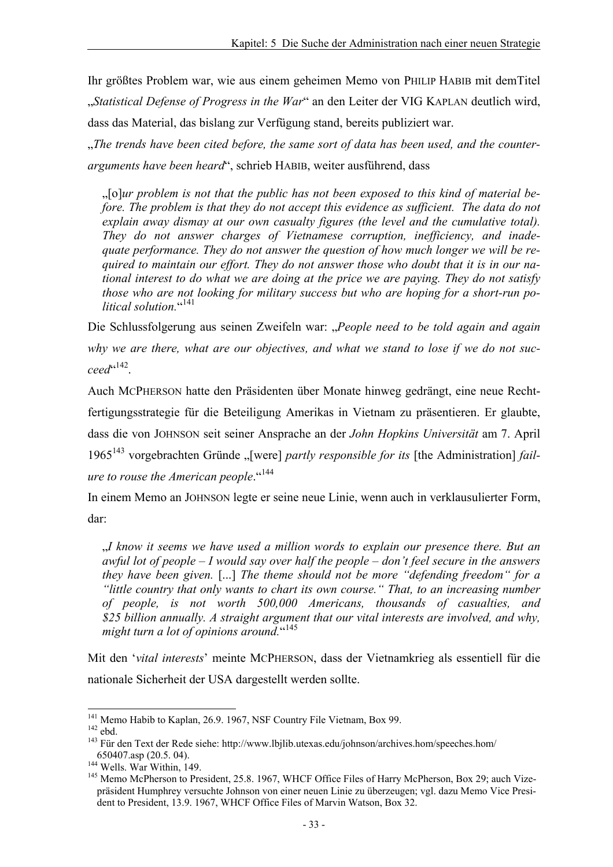Ihr größtes Problem war, wie aus einem geheimen Memo von PHILIP HABIB mit demTitel "*Statistical Defense of Progress in the War*" an den Leiter der VIG KAPLAN deutlich wird, dass das Material, das bislang zur Verfügung stand, bereits publiziert war. The trends have been cited before, the same sort of data has been used, and the counter-

*arguments have been heard*", schrieb HABIB, weiter ausführend, dass

"[o]*ur problem is not that the public has not been exposed to this kind of material before. The problem is that they do not accept this evidence as sufficient. The data do not explain away dismay at our own casualty figures (the level and the cumulative total). They do not answer charges of Vietnamese corruption, inefficiency, and inadequate performance. They do not answer the question of how much longer we will be required to maintain our effort. They do not answer those who doubt that it is in our national interest to do what we are doing at the price we are paying. They do not satisfy those who are not looking for military success but who are hoping for a short-run political solution.*" 141

Die Schlussfolgerung aus seinen Zweifeln war: "*People need to be told again and again why we are there, what are our objectives, and what we stand to lose if we do not succeed*" 142.

Auch MCPHERSON hatte den Präsidenten über Monate hinweg gedrängt, eine neue Rechtfertigungsstrategie für die Beteiligung Amerikas in Vietnam zu präsentieren. Er glaubte, dass die von JOHNSON seit seiner Ansprache an der *John Hopkins Universität* am 7. April 1965<sup>143</sup> vorgebrachten Gründe "[were] *partly responsible for its* [the Administration] *failure to rouse the American people.*<sup>"144</sup>

In einem Memo an JOHNSON legte er seine neue Linie, wenn auch in verklausulierter Form, dar:

"*I know it seems we have used a million words to explain our presence there. But an awful lot of people – I would say over half the people – don't feel secure in the answers they have been given.* [...] *The theme should not be more "defending freedom" for a "little country that only wants to chart its own course." That, to an increasing number of people, is not worth 500,000 Americans, thousands of casualties, and \$25 billion annually. A straight argument that our vital interests are involved, and why,*  might turn a lot of opinions around."<sup>145</sup>

Mit den '*vital interests*' meinte MCPHERSON, dass der Vietnamkrieg als essentiell für die nationale Sicherheit der USA dargestellt werden sollte.

<sup>&</sup>lt;sup>141</sup> Memo Habib to Kaplan, 26.9. 1967, NSF Country File Vietnam, Box 99.

<sup>142</sup> ebd.<br><sup>142</sup> ebd. <sup>143</sup> Für den Text der Rede siehe: http://www.lbjlib.utexas.edu/johnson/archives.hom/speeches.hom/

<sup>650407.</sup>asp (20.5. 04).<br><sup>144</sup> Wells. War Within, 149.<br><sup>145</sup> Memo McPherson to President, 25.8. 1967, WHCF Office Files of Harry McPherson, Box 29; auch Vizepräsident Humphrey versuchte Johnson von einer neuen Linie zu überzeugen; vgl. dazu Memo Vice President to President, 13.9. 1967, WHCF Office Files of Marvin Watson, Box 32.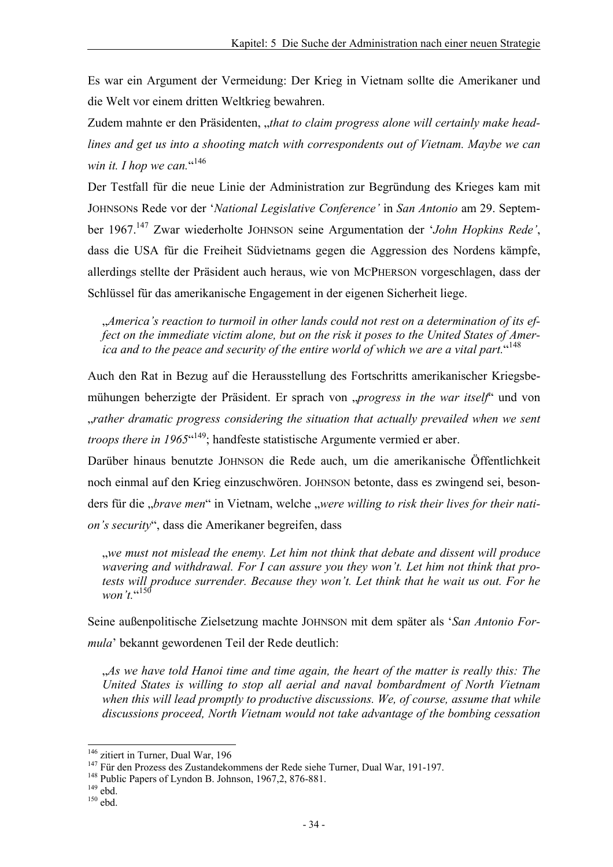Es war ein Argument der Vermeidung: Der Krieg in Vietnam sollte die Amerikaner und die Welt vor einem dritten Weltkrieg bewahren.

Zudem mahnte er den Präsidenten, "that to claim progress alone will certainly make head*lines and get us into a shooting match with correspondents out of Vietnam. Maybe we can*  win it. I hop we can."<sup>146</sup>

Der Testfall für die neue Linie der Administration zur Begründung des Krieges kam mit JOHNSONs Rede vor der '*National Legislative Conference'* in *San Antonio* am 29. September 1967.147 Zwar wiederholte JOHNSON seine Argumentation der '*John Hopkins Rede'*, dass die USA für die Freiheit Südvietnams gegen die Aggression des Nordens kämpfe, allerdings stellte der Präsident auch heraus, wie von MCPHERSON vorgeschlagen, dass der Schlüssel für das amerikanische Engagement in der eigenen Sicherheit liege.

"*America's reaction to turmoil in other lands could not rest on a determination of its effect on the immediate victim alone, but on the risk it poses to the United States of America and to the peace and security of the entire world of which we are a vital part.*" <sup>148</sup>

Auch den Rat in Bezug auf die Herausstellung des Fortschritts amerikanischer Kriegsbemühungen beherzigte der Präsident. Er sprach von "*progress in the war itself*" und von "*rather dramatic progress considering the situation that actually prevailed when we sent troops there in 1965*<sup>(149</sup>; handfeste statistische Argumente vermied er aber.

Darüber hinaus benutzte JOHNSON die Rede auch, um die amerikanische Öffentlichkeit noch einmal auf den Krieg einzuschwören. JOHNSON betonte, dass es zwingend sei, besonders für die "*brave men*" in Vietnam, welche "were willing to risk their lives for their nati*on's security*", dass die Amerikaner begreifen, dass

"*we must not mislead the enemy. Let him not think that debate and dissent will produce wavering and withdrawal. For I can assure you they won't. Let him not think that protests will produce surrender. Because they won't. Let think that he wait us out. For he won't.*" <sup>150</sup>

Seine außenpolitische Zielsetzung machte JOHNSON mit dem später als '*San Antonio Formula*' bekannt gewordenen Teil der Rede deutlich:

"*As we have told Hanoi time and time again, the heart of the matter is really this: The United States is willing to stop all aerial and naval bombardment of North Vietnam when this will lead promptly to productive discussions. We, of course, assume that while discussions proceed, North Vietnam would not take advantage of the bombing cessation* 

<sup>&</sup>lt;sup>146</sup> zitiert in Turner, Dual War, 196<br>
<sup>147</sup> Für den Prozess des Zustandekommens der Rede siehe Turner, Dual War, 191-197.<br>
<sup>148</sup> Public Papers of Lyndon B. Johnson, 1967,2, 876-881.<br>
<sup>149</sup> ebd. <sup>150</sup> ehd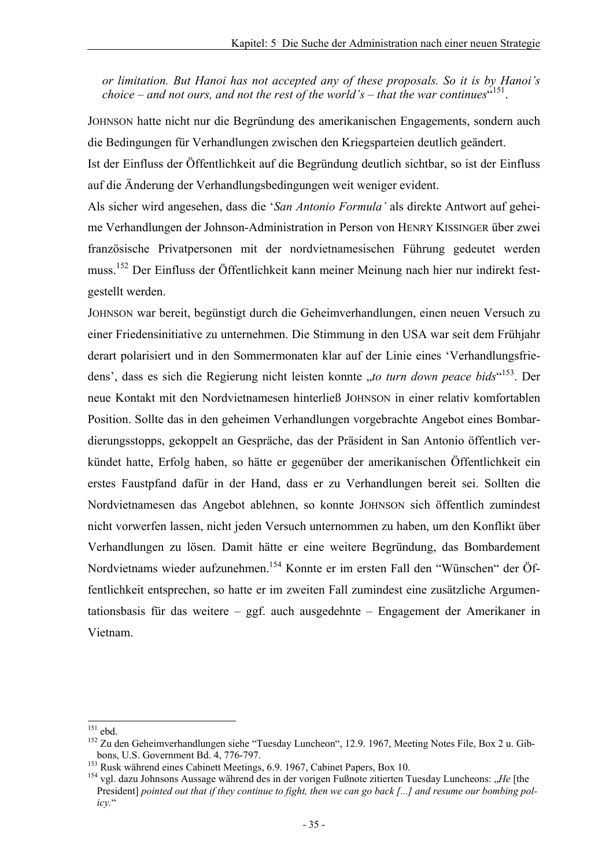*or limitation. But Hanoi has not accepted any of these proposals. So it is by Hanoi's choice – and not ours, and not the rest of the world's – that the war continues*" 151.

JOHNSON hatte nicht nur die Begründung des amerikanischen Engagements, sondern auch die Bedingungen für Verhandlungen zwischen den Kriegsparteien deutlich geändert.

Ist der Einfluss der Öffentlichkeit auf die Begründung deutlich sichtbar, so ist der Einfluss auf die Änderung der Verhandlungsbedingungen weit weniger evident.

Als sicher wird angesehen, dass die '*San Antonio Formula'* als direkte Antwort auf geheime Verhandlungen der Johnson-Administration in Person von HENRY KISSINGER über zwei französische Privatpersonen mit der nordvietnamesischen Führung gedeutet werden muss.152 Der Einfluss der Öffentlichkeit kann meiner Meinung nach hier nur indirekt festgestellt werden.

JOHNSON war bereit, begünstigt durch die Geheimverhandlungen, einen neuen Versuch zu einer Friedensinitiative zu unternehmen. Die Stimmung in den USA war seit dem Frühjahr derart polarisiert und in den Sommermonaten klar auf der Linie eines 'Verhandlungsfriedens', dass es sich die Regierung nicht leisten konnte "*to turn down peace bids*"<sup>153</sup>. Der neue Kontakt mit den Nordvietnamesen hinterließ JOHNSON in einer relativ komfortablen Position. Sollte das in den geheimen Verhandlungen vorgebrachte Angebot eines Bombardierungsstopps, gekoppelt an Gespräche, das der Präsident in San Antonio öffentlich verkündet hatte, Erfolg haben, so hätte er gegenüber der amerikanischen Öffentlichkeit ein erstes Faustpfand dafür in der Hand, dass er zu Verhandlungen bereit sei. Sollten die Nordvietnamesen das Angebot ablehnen, so konnte JOHNSON sich öffentlich zumindest nicht vorwerfen lassen, nicht jeden Versuch unternommen zu haben, um den Konflikt über Verhandlungen zu lösen. Damit hätte er eine weitere Begründung, das Bombardement Nordvietnams wieder aufzunehmen.154 Konnte er im ersten Fall den "Wünschen" der Öffentlichkeit entsprechen, so hatte er im zweiten Fall zumindest eine zusätzliche Argumentationsbasis für das weitere – ggf. auch ausgedehnte – Engagement der Amerikaner in Vietnam.

 $151$  ebd.

<sup>&</sup>lt;sup>152</sup> Zu den Geheimverhandlungen siehe "Tuesday Luncheon", 12.9. 1967, Meeting Notes File, Box 2 u. Gib-<br>bons, U.S. Government Bd. 4, 776-797.

<sup>&</sup>lt;sup>153</sup> Rusk während eines Cabinett Meetings, 6.9. 1967, Cabinet Papers, Box 10.<br><sup>154</sup> vgl. dazu Johnsons Aussage während des in der vorigen Fußnote zitierten Tuesday Luncheons: "He [the President] *pointed out that if they continue to fight, then we can go back [...] and resume our bombing policy.*"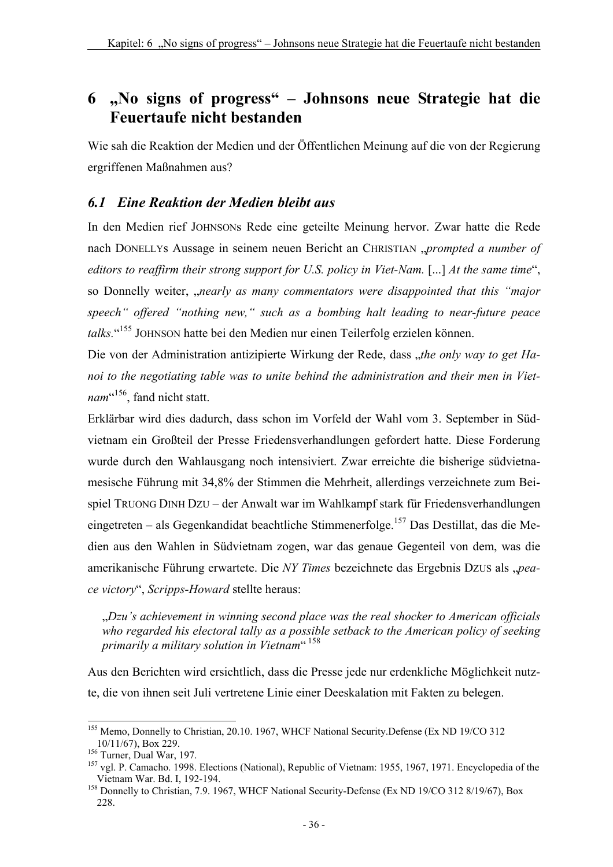# **6 "No signs of progress" – Johnsons neue Strategie hat die Feuertaufe nicht bestanden**

Wie sah die Reaktion der Medien und der Öffentlichen Meinung auf die von der Regierung ergriffenen Maßnahmen aus?

### *6.1 Eine Reaktion der Medien bleibt aus*

In den Medien rief JOHNSONs Rede eine geteilte Meinung hervor. Zwar hatte die Rede nach DONELLYs Aussage in seinem neuen Bericht an CHRISTIAN *, prompted a number of editors to reaffirm their strong support for U.S. policy in Viet-Nam.* [...] At the same time", so Donnelly weiter, "nearly as many commentators were disappointed that this "major *speech" offered "nothing new," such as a bombing halt leading to near-future peace talks.*" 155 JOHNSON hatte bei den Medien nur einen Teilerfolg erzielen können.

Die von der Administration antizipierte Wirkung der Rede, dass "*the only way to get Hanoi to the negotiating table was to unite behind the administration and their men in Viet*nam<sup>c156</sup>, fand nicht statt.

Erklärbar wird dies dadurch, dass schon im Vorfeld der Wahl vom 3. September in Südvietnam ein Großteil der Presse Friedensverhandlungen gefordert hatte. Diese Forderung wurde durch den Wahlausgang noch intensiviert. Zwar erreichte die bisherige südvietnamesische Führung mit 34,8% der Stimmen die Mehrheit, allerdings verzeichnete zum Beispiel TRUONG DINH DZU – der Anwalt war im Wahlkampf stark für Friedensverhandlungen eingetreten – als Gegenkandidat beachtliche Stimmenerfolge.<sup>157</sup> Das Destillat, das die Medien aus den Wahlen in Südvietnam zogen, war das genaue Gegenteil von dem, was die amerikanische Führung erwartete. Die *NY Times* bezeichnete das Ergebnis DZUS als "*peace victory*", *Scripps-Howard* stellte heraus:

"*Dzu's achievement in winning second place was the real shocker to American officials who regarded his electoral tally as a possible setback to the American policy of seeking primarily a military solution in Vietnam*" 158

Aus den Berichten wird ersichtlich, dass die Presse jede nur erdenkliche Möglichkeit nutzte, die von ihnen seit Juli vertretene Linie einer Deeskalation mit Fakten zu belegen.

l <sup>155</sup> Memo, Donnelly to Christian, 20.10. 1967, WHCF National Security.Defense (Ex ND 19/CO 312) 10/11/67), Box 229.<br><sup>156</sup> Turner, Dual War, 197.<br><sup>157</sup> vgl. P. Camacho. 1998. Elections (National), Republic of Vietnam: 1955, 1967, 1971. Encyclopedia of the

Vietnam War. Bd. I, 192-194.<br><sup>158</sup> Donnelly to Christian, 7.9. 1967, WHCF National Security-Defense (Ex ND 19/CO 312 8/19/67), Box

<sup>228.</sup>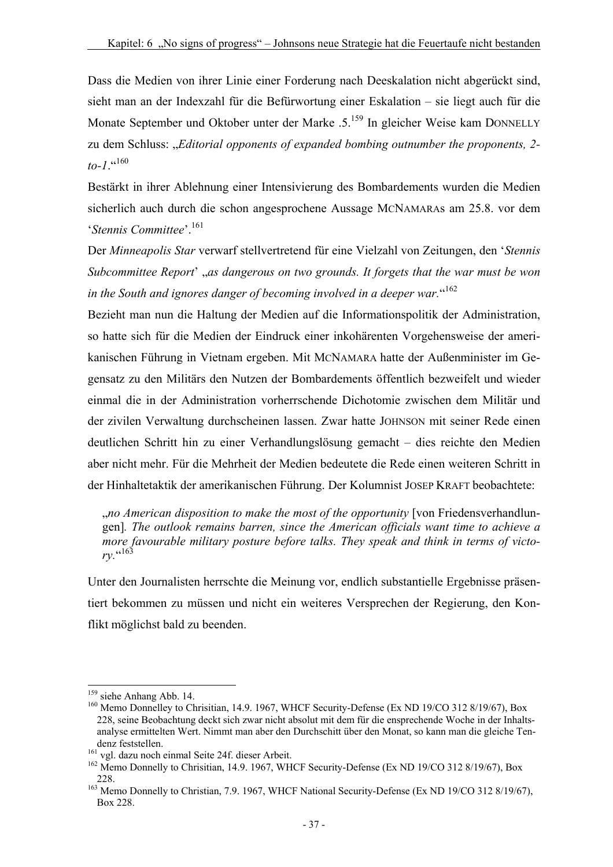Dass die Medien von ihrer Linie einer Forderung nach Deeskalation nicht abgerückt sind, sieht man an der Indexzahl für die Befürwortung einer Eskalation – sie liegt auch für die Monate September und Oktober unter der Marke .5.<sup>159</sup> In gleicher Weise kam DONNELLY zu dem Schluss: "*Editorial opponents of expanded bombing outnumber the proponents, 2*  $to-1$ .<sup> $(160)$ </sup>

Bestärkt in ihrer Ablehnung einer Intensivierung des Bombardements wurden die Medien sicherlich auch durch die schon angesprochene Aussage MCNAMARAs am 25.8. vor dem '*Stennis Committee*'.161

Der *Minneapolis Star* verwarf stellvertretend für eine Vielzahl von Zeitungen, den '*Stennis Subcommittee Report*' "*as dangerous on two grounds. It forgets that the war must be won in the South and ignores danger of becoming involved in a deeper war.*" 162

Bezieht man nun die Haltung der Medien auf die Informationspolitik der Administration, so hatte sich für die Medien der Eindruck einer inkohärenten Vorgehensweise der amerikanischen Führung in Vietnam ergeben. Mit MCNAMARA hatte der Außenminister im Gegensatz zu den Militärs den Nutzen der Bombardements öffentlich bezweifelt und wieder einmal die in der Administration vorherrschende Dichotomie zwischen dem Militär und der zivilen Verwaltung durchscheinen lassen. Zwar hatte JOHNSON mit seiner Rede einen deutlichen Schritt hin zu einer Verhandlungslösung gemacht – dies reichte den Medien aber nicht mehr. Für die Mehrheit der Medien bedeutete die Rede einen weiteren Schritt in der Hinhaltetaktik der amerikanischen Führung. Der Kolumnist JOSEP KRAFT beobachtete:

"*no American disposition to make the most of the opportunity* [von Friedensverhandlungen]*. The outlook remains barren, since the American officials want time to achieve a more favourable military posture before talks. They speak and think in terms of victory.*" 163

Unter den Journalisten herrschte die Meinung vor, endlich substantielle Ergebnisse präsentiert bekommen zu müssen und nicht ein weiteres Versprechen der Regierung, den Konflikt möglichst bald zu beenden.

<sup>&</sup>lt;sup>159</sup> siehe Anhang Abb. 14.

<sup>&</sup>lt;sup>160</sup> Memo Donnelley to Chrisitian, 14.9. 1967, WHCF Security-Defense (Ex ND 19/CO 312 8/19/67), Box 228, seine Beobachtung deckt sich zwar nicht absolut mit dem für die ensprechende Woche in der Inhaltsanalyse ermittelten Wert. Nimmt man aber den Durchschitt über den Monat, so kann man die gleiche Tendenz feststellen.<br>
<sup>161</sup> vgl. dazu noch einmal Seite 24f. dieser Arbeit.<br>
<sup>162</sup> Memo Donnelly to Chrisitian, 14.9. 1967, WHCF Security-Defense (Ex ND 19/CO 312 8/19/67), Box

<sup>228. 163</sup> Memo Donnelly to Christian, 7.9. 1967, WHCF National Security-Defense (Ex ND 19/CO 312 8/19/67), Box 228.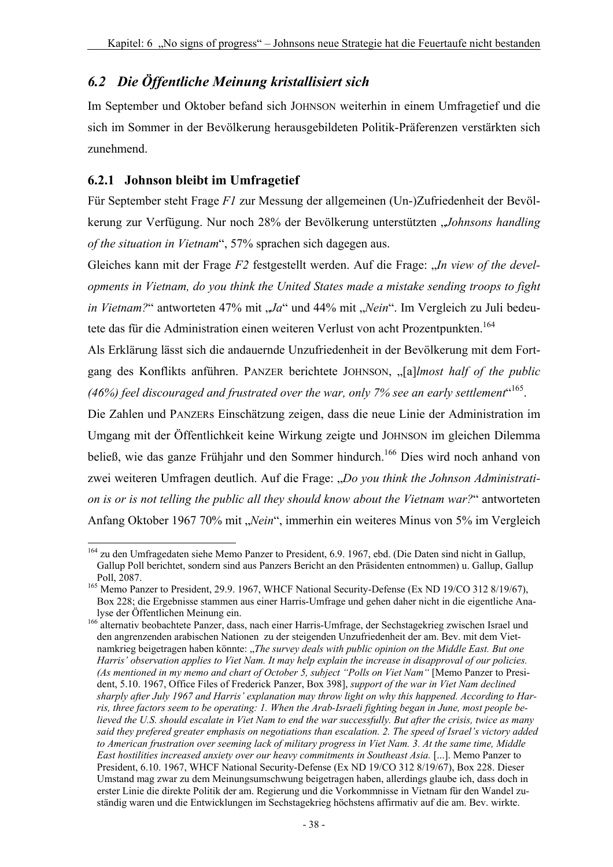## *6.2 Die Öffentliche Meinung kristallisiert sich*

Im September und Oktober befand sich JOHNSON weiterhin in einem Umfragetief und die sich im Sommer in der Bevölkerung herausgebildeten Politik-Präferenzen verstärkten sich zunehmend.

### **6.2.1 Johnson bleibt im Umfragetief**

Für September steht Frage *F1* zur Messung der allgemeinen (Un-)Zufriedenheit der Bevölkerung zur Verfügung. Nur noch 28% der Bevölkerung unterstützten "*Johnsons handling of the situation in Vietnam*", 57% sprachen sich dagegen aus.

Gleiches kann mit der Frage *F2* festgestellt werden. Auf die Frage: "*In view of the developments in Vietnam, do you think the United States made a mistake sending troops to fight in Vietnam?*" antworteten 47% mit "Ja" und 44% mit "Nein". Im Vergleich zu Juli bedeutete das für die Administration einen weiteren Verlust von acht Prozentpunkten.<sup>164</sup>

Als Erklärung lässt sich die andauernde Unzufriedenheit in der Bevölkerung mit dem Fortgang des Konflikts anführen. PANZER berichtete JOHNSON, "[a]*lmost half of the public*  (46%) feel discouraged and frustrated over the war, only 7% see an early settlement<sup>«165</sup>.

Die Zahlen und PANZERs Einschätzung zeigen, dass die neue Linie der Administration im Umgang mit der Öffentlichkeit keine Wirkung zeigte und JOHNSON im gleichen Dilemma beließ, wie das ganze Frühiahr und den Sommer hindurch.<sup>166</sup> Dies wird noch anhand von zwei weiteren Umfragen deutlich. Auf die Frage: "*Do you think the Johnson Administration is or is not telling the public all they should know about the Vietnam war?*" antworteten Anfang Oktober 1967 70% mit "*Nein"*, immerhin ein weiteres Minus von 5% im Vergleich

l <sup>164</sup> zu den Umfragedaten siehe Memo Panzer to President, 6.9. 1967, ebd. (Die Daten sind nicht in Gallup, Gallup Poll berichtet, sondern sind aus Panzers Bericht an den Präsidenten entnommen) u. Gallup, Gallup

<sup>&</sup>lt;sup>165</sup> Memo Panzer to President, 29.9. 1967, WHCF National Security-Defense (Ex ND 19/CO 312 8/19/67), Box 228; die Ergebnisse stammen aus einer Harris-Umfrage und gehen daher nicht in die eigentliche Ana-

<sup>166</sup> alternativ beobachtete Panzer, dass, nach einer Harris-Umfrage, der Sechstagekrieg zwischen Israel und den angrenzenden arabischen Nationen zu der steigenden Unzufriedenheit der am. Bev. mit dem Vietnamkrieg beigetragen haben könnte: "*The survey deals with public opinion on the Middle East. But one Harris' observation applies to Viet Nam. It may help explain the increase in disapproval of our policies. (As mentioned in my memo and chart of October 5, subject "Polls on Viet Nam"* [Memo Panzer to President, 5.10. 1967, Office Files of Frederick Panzer, Box 398], *support of the war in Viet Nam declined sharply after July 1967 and Harris' explanation may throw light on why this happened. According to Harris, three factors seem to be operating: 1. When the Arab-Israeli fighting began in June, most people believed the U.S. should escalate in Viet Nam to end the war successfully. But after the crisis, twice as many said they prefered greater emphasis on negotiations than escalation. 2. The speed of Israel's victory added to American frustration over seeming lack of military progress in Viet Nam. 3. At the same time, Middle East hostilities increased anxiety over our heavy commitments in Southeast Asia.* [...]. Memo Panzer to President, 6.10. 1967, WHCF National Security-Defense (Ex ND 19/CO 312 8/19/67), Box 228. Dieser Umstand mag zwar zu dem Meinungsumschwung beigetragen haben, allerdings glaube ich, dass doch in erster Linie die direkte Politik der am. Regierung und die Vorkommnisse in Vietnam für den Wandel zuständig waren und die Entwicklungen im Sechstagekrieg höchstens affirmativ auf die am. Bev. wirkte.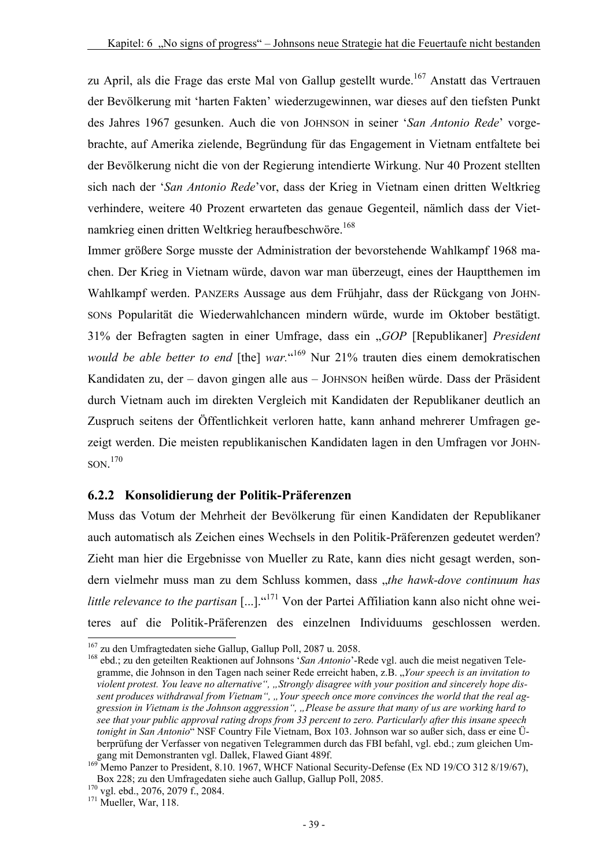zu April, als die Frage das erste Mal von Gallup gestellt wurde.<sup>167</sup> Anstatt das Vertrauen der Bevölkerung mit 'harten Fakten' wiederzugewinnen, war dieses auf den tiefsten Punkt des Jahres 1967 gesunken. Auch die von JOHNSON in seiner '*San Antonio Rede*' vorgebrachte, auf Amerika zielende, Begründung für das Engagement in Vietnam entfaltete bei der Bevölkerung nicht die von der Regierung intendierte Wirkung. Nur 40 Prozent stellten sich nach der '*San Antonio Rede*'vor, dass der Krieg in Vietnam einen dritten Weltkrieg verhindere, weitere 40 Prozent erwarteten das genaue Gegenteil, nämlich dass der Vietnamkrieg einen dritten Weltkrieg heraufbeschwöre.<sup>168</sup>

Immer größere Sorge musste der Administration der bevorstehende Wahlkampf 1968 machen. Der Krieg in Vietnam würde, davon war man überzeugt, eines der Hauptthemen im Wahlkampf werden. PANZERs Aussage aus dem Frühjahr, dass der Rückgang von JOHN-SONs Popularität die Wiederwahlchancen mindern würde, wurde im Oktober bestätigt. 31% der Befragten sagten in einer Umfrage, dass ein "*GOP* [Republikaner] *President would be able better to end* [the] *war.*" 169 Nur 21% trauten dies einem demokratischen Kandidaten zu, der – davon gingen alle aus – JOHNSON heißen würde. Dass der Präsident durch Vietnam auch im direkten Vergleich mit Kandidaten der Republikaner deutlich an Zuspruch seitens der Öffentlichkeit verloren hatte, kann anhand mehrerer Umfragen gezeigt werden. Die meisten republikanischen Kandidaten lagen in den Umfragen vor JOHN-SON. 170

#### **6.2.2 Konsolidierung der Politik-Präferenzen**

Muss das Votum der Mehrheit der Bevölkerung für einen Kandidaten der Republikaner auch automatisch als Zeichen eines Wechsels in den Politik-Präferenzen gedeutet werden? Zieht man hier die Ergebnisse von Mueller zu Rate, kann dies nicht gesagt werden, sondern vielmehr muss man zu dem Schluss kommen, dass "*the hawk-dove continuum has little relevance to the partisan* [...]."<sup>171</sup> Von der Partei Affiliation kann also nicht ohne weiteres auf die Politik-Präferenzen des einzelnen Individuums geschlossen werden.

<sup>&</sup>lt;sup>167</sup> zu den Umfragtedaten siehe Gallup, Gallup Poll, 2087 u. 2058.

<sup>&</sup>lt;sup>168</sup> ebd.; zu den geteilten Reaktionen auf Johnsons '*San Antonio*'-Rede vgl. auch die meist negativen Telegramme, die Johnson in den Tagen nach seiner Rede erreicht haben, z.B. "*Your speech is an invitation to violent protest. You leave no alternative", "Strongly disagree with your position and sincerely hope dis*sent produces withdrawal from Vietnam", "Your speech once more convinces the world that the real ag*gression in Vietnam is the Johnson aggression", "Please be assure that many of us are working hard to see that your public approval rating drops from 33 percent to zero. Particularly after this insane speech tonight in San Antonio*" NSF Country File Vietnam, Box 103. Johnson war so außer sich, dass er eine Überprüfung der Verfasser von negativen Telegrammen durch das FBI befahl, vgl. ebd.; zum gleichen Umgang mit Demonstranten vgl. Dallek, Flawed Giant 489f.<br><sup>169</sup> Memo Panzer to President, 8.10. 1967, WHCF National Security-Defense (Ex ND 19/CO 312 8/19/67),

Box 228; zu den Umfragedaten siehe auch Gallup, Gallup Poll, 2085. 170 vgl. ebd., 2076, 2079 f., 2084. 171 Mueller, War, 118.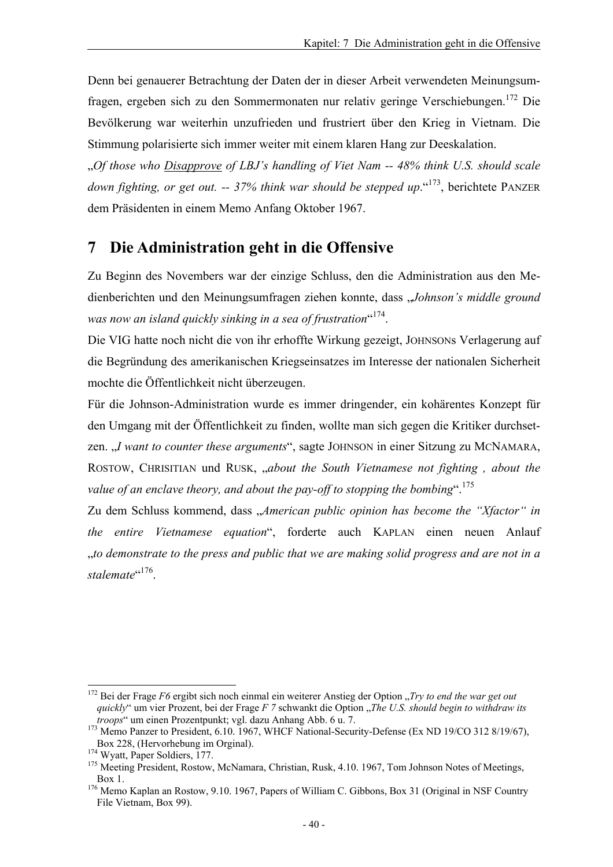Denn bei genauerer Betrachtung der Daten der in dieser Arbeit verwendeten Meinungsumfragen, ergeben sich zu den Sommermonaten nur relativ geringe Verschiebungen.172 Die Bevölkerung war weiterhin unzufrieden und frustriert über den Krieg in Vietnam. Die Stimmung polarisierte sich immer weiter mit einem klaren Hang zur Deeskalation.

"*Of those who Disapprove of LBJ's handling of Viet Nam -- 48% think U.S. should scale*  down fighting, or get out. -- 37% think war should be stepped up. <sup>(173</sup>, berichtete PANZER) dem Präsidenten in einem Memo Anfang Oktober 1967.

## **7 Die Administration geht in die Offensive**

Zu Beginn des Novembers war der einzige Schluss, den die Administration aus den Medienberichten und den Meinungsumfragen ziehen konnte, dass "*Johnson's middle ground*  was now an island quickly sinking in a sea of frustration<sup>"174</sup>.

Die VIG hatte noch nicht die von ihr erhoffte Wirkung gezeigt, JOHNSONs Verlagerung auf die Begründung des amerikanischen Kriegseinsatzes im Interesse der nationalen Sicherheit mochte die Öffentlichkeit nicht überzeugen.

Für die Johnson-Administration wurde es immer dringender, ein kohärentes Konzept für den Umgang mit der Öffentlichkeit zu finden, wollte man sich gegen die Kritiker durchsetzen. *J* want to counter these arguments", sagte JOHNSON in einer Sitzung zu MCNAMARA, ROSTOW, CHRISITIAN und RUSK, "about the South Vietnamese not fighting, about the *value of an enclave theory, and about the pay-off to stopping the bombing*".175

Zu dem Schluss kommend, dass "American public opinion has become the "Xfactor" in *the entire Vietnamese equation*", forderte auch KAPLAN einen neuen Anlauf "*to demonstrate to the press and public that we are making solid progress and are not in a*  stalemate<sup>"176</sup>.

<sup>172</sup> Bei der Frage *F6* ergibt sich noch einmal ein weiterer Anstieg der Option "*Try to end the war get out quickly*" um vier Prozent, bei der Frage *F 7* schwankt die Option "*The U.S. should begin to withdraw its troops*" um einen Prozentpunkt; vgl. dazu Anhang Abb. 6 u. 7.<br><sup>173</sup> Memo Panzer to President, 6.10. 1967, WHCF National-Security-Defense (Ex ND 19/CO 312 8/19/67),

Box 228, (Hervorhebung im Orginal).<br><sup>174</sup> Wyatt, Paper Soldiers, 177.<br><sup>175</sup> Meeting President, Rostow, McNamara, Christian, Rusk, 4.10. 1967, Tom Johnson Notes of Meetings,

Box 1.<br><sup>176</sup> Memo Kaplan an Rostow, 9.10. 1967, Papers of William C. Gibbons, Box 31 (Original in NSF Country File Vietnam, Box 99).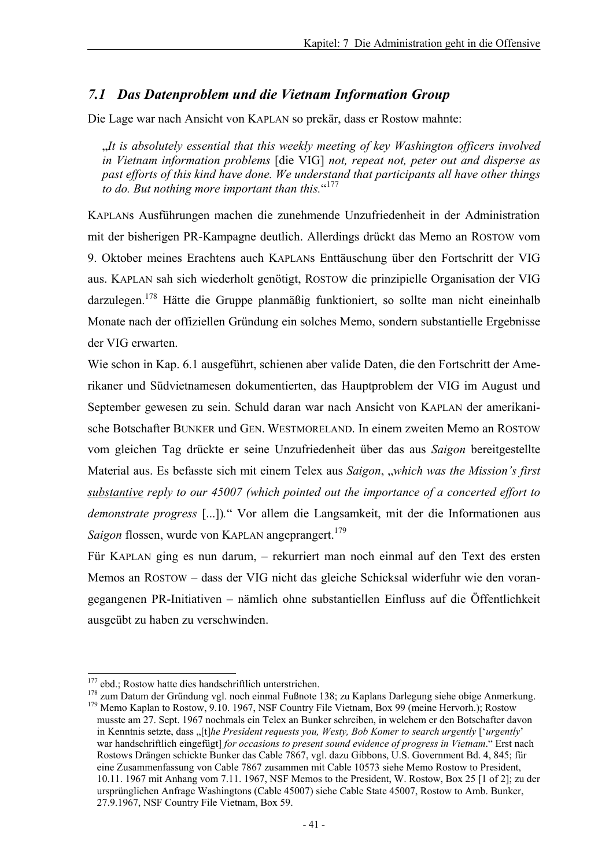#### *7.1 Das Datenproblem und die Vietnam Information Group*

Die Lage war nach Ansicht von KAPLAN so prekär, dass er Rostow mahnte:

"*It is absolutely essential that this weekly meeting of key Washington officers involved in Vietnam information problems* [die VIG] *not, repeat not, peter out and disperse as past efforts of this kind have done. We understand that participants all have other things to do. But nothing more important than this.*" 177

KAPLANs Ausführungen machen die zunehmende Unzufriedenheit in der Administration mit der bisherigen PR-Kampagne deutlich. Allerdings drückt das Memo an ROSTOW vom 9. Oktober meines Erachtens auch KAPLANs Enttäuschung über den Fortschritt der VIG aus. KAPLAN sah sich wiederholt genötigt, ROSTOW die prinzipielle Organisation der VIG darzulegen.<sup>178</sup> Hätte die Gruppe planmäßig funktioniert, so sollte man nicht eineinhalb Monate nach der offiziellen Gründung ein solches Memo, sondern substantielle Ergebnisse der VIG erwarten.

Wie schon in Kap. 6.1 ausgeführt, schienen aber valide Daten, die den Fortschritt der Amerikaner und Südvietnamesen dokumentierten, das Hauptproblem der VIG im August und September gewesen zu sein. Schuld daran war nach Ansicht von KAPLAN der amerikanische Botschafter BUNKER und GEN. WESTMORELAND. In einem zweiten Memo an ROSTOW vom gleichen Tag drückte er seine Unzufriedenheit über das aus *Saigon* bereitgestellte Material aus. Es befasste sich mit einem Telex aus *Saigon, "which was the Mission's first substantive reply to our 45007 (which pointed out the importance of a concerted effort to demonstrate progress* [...])*.*" Vor allem die Langsamkeit, mit der die Informationen aus *Saigon* flossen, wurde von KAPLAN angeprangert.<sup>179</sup>

Für KAPLAN ging es nun darum, – rekurriert man noch einmal auf den Text des ersten Memos an ROSTOW – dass der VIG nicht das gleiche Schicksal widerfuhr wie den vorangegangenen PR-Initiativen – nämlich ohne substantiellen Einfluss auf die Öffentlichkeit ausgeübt zu haben zu verschwinden.

<sup>&</sup>lt;sup>177</sup> ebd.; Rostow hatte dies handschriftlich unterstrichen.<br><sup>178</sup> zum Datum der Gründung vgl. noch einmal Fußnote 138; zu Kaplans Darlegung siehe obige Anmerkung.<br><sup>179</sup> Memo Kaplan to Rostow, 9.10. 1967, NSF Country File

musste am 27. Sept. 1967 nochmals ein Telex an Bunker schreiben, in welchem er den Botschafter davon in Kenntnis setzte, dass "[t]*he President requests you, Westy, Bob Komer to search urgently* ['*urgently'* war handschriftlich eingefügt] *for occasions to present sound evidence of progress in Vietnam*." Erst nach Rostows Drängen schickte Bunker das Cable 7867, vgl. dazu Gibbons, U.S. Government Bd. 4, 845; für eine Zusammenfassung von Cable 7867 zusammen mit Cable 10573 siehe Memo Rostow to President, 10.11. 1967 mit Anhang vom 7.11. 1967, NSF Memos to the President, W. Rostow, Box 25 [1 of 2]; zu der ursprünglichen Anfrage Washingtons (Cable 45007) siehe Cable State 45007, Rostow to Amb. Bunker, 27.9.1967, NSF Country File Vietnam, Box 59.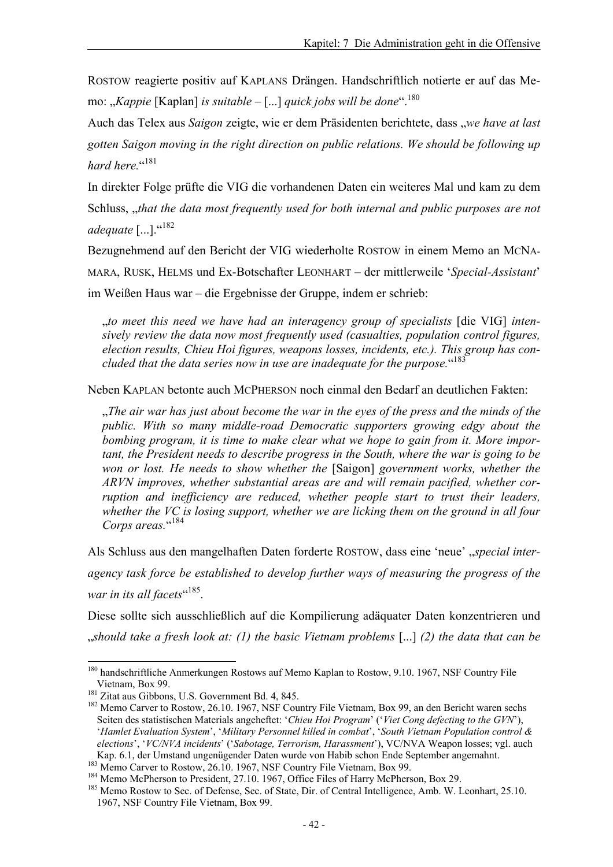ROSTOW reagierte positiv auf KAPLANS Drängen. Handschriftlich notierte er auf das Memo: "*Kappie* [Kaplan] *is suitable* – [...] *quick jobs will be done*".180

Auch das Telex aus *Saigon* zeigte, wie er dem Präsidenten berichtete, dass "*we have at last gotten Saigon moving in the right direction on public relations. We should be following up*  hard here.<sup>"181</sup>

In direkter Folge prüfte die VIG die vorhandenen Daten ein weiteres Mal und kam zu dem Schluss, *"that the data most frequently used for both internal and public purposes are not* adequate [...].<sup>"182</sup>

Bezugnehmend auf den Bericht der VIG wiederholte ROSTOW in einem Memo an MCNA-MARA, RUSK, HELMS und Ex-Botschafter LEONHART – der mittlerweile '*Special-Assistant*' im Weißen Haus war – die Ergebnisse der Gruppe, indem er schrieb:

"*to meet this need we have had an interagency group of specialists* [die VIG] *intensively review the data now most frequently used (casualties, population control figures, election results, Chieu Hoi figures, weapons losses, incidents, etc.). This group has concluded that the data series now in use are inadequate for the purpose.*" 183

Neben KAPLAN betonte auch MCPHERSON noch einmal den Bedarf an deutlichen Fakten:

"*The air war has just about become the war in the eyes of the press and the minds of the public. With so many middle-road Democratic supporters growing edgy about the bombing program, it is time to make clear what we hope to gain from it. More important, the President needs to describe progress in the South, where the war is going to be won or lost. He needs to show whether the* [Saigon] *government works, whether the ARVN improves, whether substantial areas are and will remain pacified, whether corruption and inefficiency are reduced, whether people start to trust their leaders, whether the VC is losing support, whether we are licking them on the ground in all four*  Corps areas."<sup>184</sup>

Als Schluss aus den mangelhaften Daten forderte ROSTOW, dass eine 'neue', *special interagency task force be established to develop further ways of measuring the progress of the*  war in its all facets<sup>«185</sup>.

Diese sollte sich ausschließlich auf die Kompilierung adäquater Daten konzentrieren und "*should take a fresh look at: (1) the basic Vietnam problems* [...] *(2) the data that can be* 

<sup>&</sup>lt;sup>180</sup> handschriftliche Anmerkungen Rostows auf Memo Kaplan to Rostow, 9.10. 1967, NSF Country File Vietnam, Box 99.<br><sup>181</sup> Zitat aus Gibbons, U.S. Government Bd. 4, 845.<br><sup>182</sup> Memo Carver to Rostow, 26.10. 1967, NSF Country File Vietnam, Box 99, an den Bericht waren sechs

Seiten des statistischen Materials angeheftet: '*Chieu Hoi Program*' ('*Viet Cong defecting to the GVN*'), '*Hamlet Evaluation System*', '*Military Personnel killed in combat*', '*South Vietnam Population control & elections*', '*VC/NVA incidents*' ('*Sabotage, Terrorism, Harassment*'), VC/NVA Weapon losses; vgl. auch

Kap. 6.1, der Umstand ungenügender Daten wurde von Habib schon Ende September angemahnt.<br><sup>183</sup> Memo Carver to Rostow, 26.10. 1967, NSF Country File Vietnam, Box 99.<br><sup>184</sup> Memo McPherson to President, 27.10. 1967, Office Fi 1967, NSF Country File Vietnam, Box 99.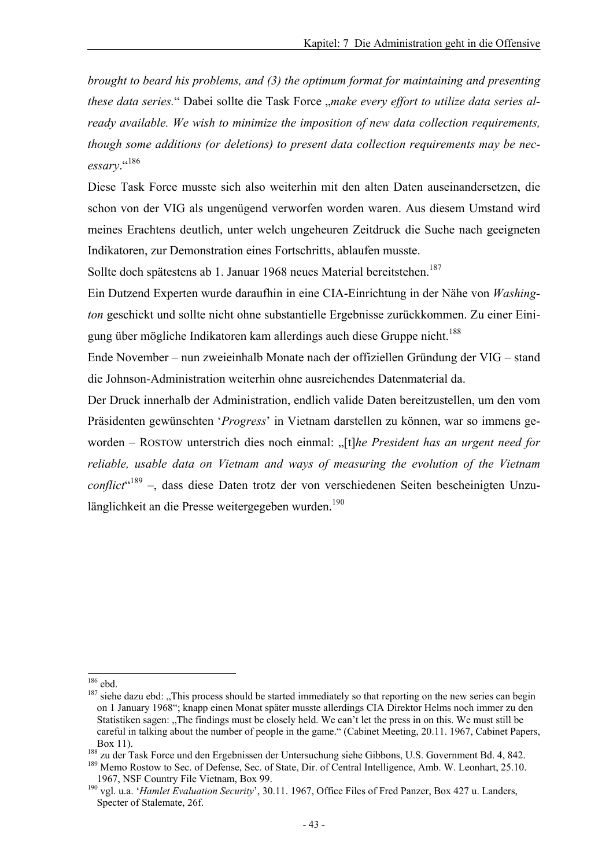*brought to beard his problems, and (3) the optimum format for maintaining and presenting*  these data series." Dabei sollte die Task Force "make every effort to utilize data series al*ready available. We wish to minimize the imposition of new data collection requirements, though some additions (or deletions) to present data collection requirements may be necessary*."186

Diese Task Force musste sich also weiterhin mit den alten Daten auseinandersetzen, die schon von der VIG als ungenügend verworfen worden waren. Aus diesem Umstand wird meines Erachtens deutlich, unter welch ungeheuren Zeitdruck die Suche nach geeigneten Indikatoren, zur Demonstration eines Fortschritts, ablaufen musste.

Sollte doch spätestens ab 1. Januar 1968 neues Material bereitstehen.<sup>187</sup>

Ein Dutzend Experten wurde daraufhin in eine CIA-Einrichtung in der Nähe von *Washington* geschickt und sollte nicht ohne substantielle Ergebnisse zurückkommen. Zu einer Einigung über mögliche Indikatoren kam allerdings auch diese Gruppe nicht.<sup>188</sup>

Ende November – nun zweieinhalb Monate nach der offiziellen Gründung der VIG – stand die Johnson-Administration weiterhin ohne ausreichendes Datenmaterial da.

Der Druck innerhalb der Administration, endlich valide Daten bereitzustellen, um den vom Präsidenten gewünschten '*Progress*' in Vietnam darstellen zu können, war so immens geworden – ROSTOW unterstrich dies noch einmal: "[t]*he President has an urgent need for reliable, usable data on Vietnam and ways of measuring the evolution of the Vietnam conflict*" 189 –, dass diese Daten trotz der von verschiedenen Seiten bescheinigten Unzulänglichkeit an die Presse weitergegeben wurden.<sup>190</sup>

 $186$  ebd.

 $187$  siehe dazu ebd: "This process should be started immediately so that reporting on the new series can begin on 1 January 1968"; knapp einen Monat später musste allerdings CIA Direktor Helms noch immer zu den Statistiken sagen: "The findings must be closely held. We can't let the press in on this. We must still be careful in talking about the number of people in the game." (Cabinet Meeting, 20.11. 1967, Cabinet Papers,

Box 11).<br><sup>188</sup> zu der Task Force und den Ergebnissen der Untersuchung siehe Gibbons, U.S. Government Bd. 4, 842.<br><sup>189</sup> Memo Rostow to Sec. of Defense, Sec. of State, Dir. of Central Intelligence, Amb. W. Leonhart, 25.10.<br>1

<sup>&</sup>lt;sup>190</sup> vgl. u.a. '*Hamlet Evaluation Security*', 30.11. 1967, Office Files of Fred Panzer, Box 427 u. Landers, Specter of Stalemate, 26f.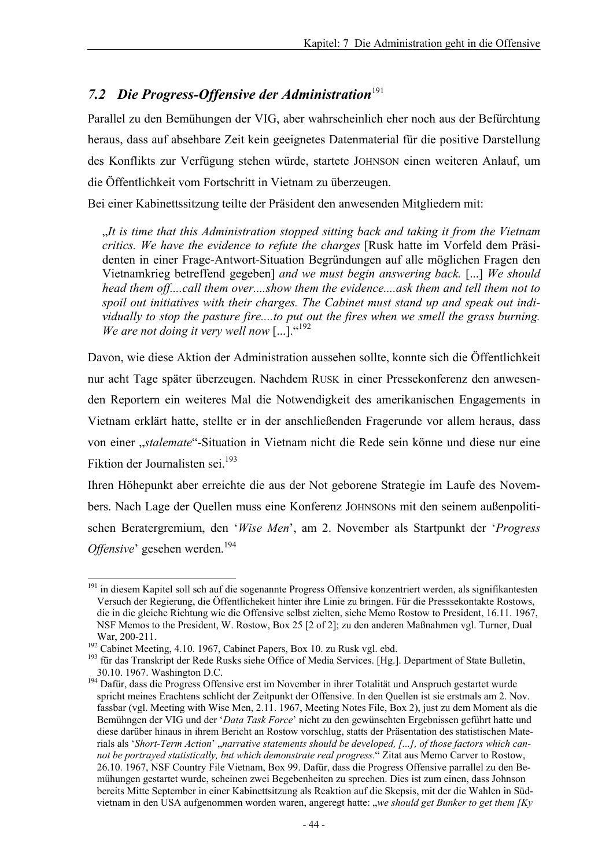### 7.2 Die Progress-Offensive der Administration<sup>191</sup>

Parallel zu den Bemühungen der VIG, aber wahrscheinlich eher noch aus der Befürchtung heraus, dass auf absehbare Zeit kein geeignetes Datenmaterial für die positive Darstellung des Konflikts zur Verfügung stehen würde, startete JOHNSON einen weiteren Anlauf, um die Öffentlichkeit vom Fortschritt in Vietnam zu überzeugen.

Bei einer Kabinettssitzung teilte der Präsident den anwesenden Mitgliedern mit:

"*It is time that this Administration stopped sitting back and taking it from the Vietnam critics. We have the evidence to refute the charges* [Rusk hatte im Vorfeld dem Präsidenten in einer Frage-Antwort-Situation Begründungen auf alle möglichen Fragen den Vietnamkrieg betreffend gegeben] *and we must begin answering back.* [...] *We should head them off....call them over....show them the evidence....ask them and tell them not to spoil out initiatives with their charges. The Cabinet must stand up and speak out individually to stop the pasture fire....to put out the fires when we smell the grass burning.*  We are not doing it very well now [...]."<sup>192</sup>

Davon, wie diese Aktion der Administration aussehen sollte, konnte sich die Öffentlichkeit nur acht Tage später überzeugen. Nachdem RUSK in einer Pressekonferenz den anwesenden Reportern ein weiteres Mal die Notwendigkeit des amerikanischen Engagements in Vietnam erklärt hatte, stellte er in der anschließenden Fragerunde vor allem heraus, dass von einer "*stalemate*"-Situation in Vietnam nicht die Rede sein könne und diese nur eine Fiktion der Journalisten sei.<sup>193</sup>

Ihren Höhepunkt aber erreichte die aus der Not geborene Strategie im Laufe des Novembers. Nach Lage der Quellen muss eine Konferenz JOHNSONs mit den seinem außenpolitischen Beratergremium, den '*Wise Men*', am 2. November als Startpunkt der '*Progress*  Offensive' gesehen werden.<sup>194</sup>

l <sup>191</sup> in diesem Kapitel soll sch auf die sogenannte Progress Offensive konzentriert werden, als signifikantesten Versuch der Regierung, die Öffentlichekeit hinter ihre Linie zu bringen. Für die Presssekontakte Rostows, die in die gleiche Richtung wie die Offensive selbst zielten, siehe Memo Rostow to President, 16.11. 1967, NSF Memos to the President, W. Rostow, Box 25 [2 of 2]; zu den anderen Maßnahmen vgl. Turner, Dual

War, 200-211.<br><sup>192</sup> Cabinet Meeting, 4.10. 1967, Cabinet Papers, Box 10. zu Rusk vgl. ebd.<br><sup>193</sup> für das Transkript der Rede Rusks siehe Office of Media Services. [Hg.]. Department of State Bulletin,<br>30.10. 1967. Washingto

<sup>&</sup>lt;sup>194</sup> Dafür, dass die Progress Offensive erst im November in ihrer Totalität und Anspruch gestartet wurde spricht meines Erachtens schlicht der Zeitpunkt der Offensive. In den Quellen ist sie erstmals am 2. Nov. fassbar (vgl. Meeting with Wise Men, 2.11. 1967, Meeting Notes File, Box 2), just zu dem Moment als die Bemühngen der VIG und der '*Data Task Force*' nicht zu den gewünschten Ergebnissen geführt hatte und diese darüber hinaus in ihrem Bericht an Rostow vorschlug, statts der Präsentation des statistischen Materials als '*Short-Term Action*' "narrative statements should be developed, [...], of those factors which can*not be portrayed statistically, but which demonstrate real progress*." Zitat aus Memo Carver to Rostow, 26.10. 1967, NSF Country File Vietnam, Box 99. Dafür, dass die Progress Offensive parrallel zu den Bemühungen gestartet wurde, scheinen zwei Begebenheiten zu sprechen. Dies ist zum einen, dass Johnson bereits Mitte September in einer Kabinettsitzung als Reaktion auf die Skepsis, mit der die Wahlen in Südvietnam in den USA aufgenommen worden waren, angeregt hatte: "*we should get Bunker to get them [Ky*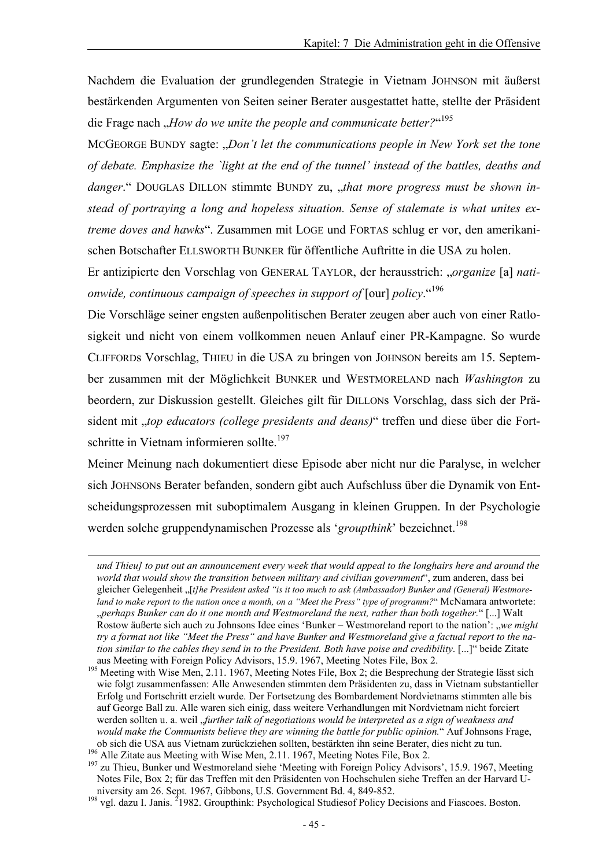Nachdem die Evaluation der grundlegenden Strategie in Vietnam JOHNSON mit äußerst bestärkenden Argumenten von Seiten seiner Berater ausgestattet hatte, stellte der Präsident die Frage nach "*How do we unite the people and communicate better?*" 195

MCGEORGE BUNDY sagte: "Don't let the communications people in New York set the tone *of debate. Emphasize the `light at the end of the tunnel' instead of the battles, deaths and*  danger." DOUGLAS DILLON stimmte BUNDY zu, *"that more progress must be shown instead of portraying a long and hopeless situation. Sense of stalemate is what unites extreme doves and hawks*". Zusammen mit LOGE und FORTAS schlug er vor, den amerikanischen Botschafter ELLSWORTH BUNKER für öffentliche Auftritte in die USA zu holen.

Er antizipierte den Vorschlag von GENERAL TAYLOR, der herausstrich: "*organize* [a] *nationwide, continuous campaign of speeches in support of* [our] *policy*."196

Die Vorschläge seiner engsten außenpolitischen Berater zeugen aber auch von einer Ratlosigkeit und nicht von einem vollkommen neuen Anlauf einer PR-Kampagne. So wurde CLIFFORDs Vorschlag, THIEU in die USA zu bringen von JOHNSON bereits am 15. September zusammen mit der Möglichkeit BUNKER und WESTMORELAND nach *Washington* zu beordern, zur Diskussion gestellt. Gleiches gilt für DILLONs Vorschlag, dass sich der Präsident mit "*top educators (college presidents and deans)*" treffen und diese über die Fortschritte in Vietnam informieren sollte.<sup>197</sup>

Meiner Meinung nach dokumentiert diese Episode aber nicht nur die Paralyse, in welcher sich JOHNSONs Berater befanden, sondern gibt auch Aufschluss über die Dynamik von Entscheidungsprozessen mit suboptimalem Ausgang in kleinen Gruppen. In der Psychologie werden solche gruppendynamischen Prozesse als 'groupthink' bezeichnet.<sup>198</sup>

-

*und Thieu] to put out an announcement every week that would appeal to the longhairs here and around the world that would show the transition between military and civilian government*", zum anderen, dass bei gleicher Gelegenheit "[*t]he President asked "is it too much to ask (Ambassador) Bunker and (General) Westmoreland to make report to the nation once a month, on a "Meet the Press" type of programm?*" McNamara antwortete: perhaps Bunker can do it one month and Westmoreland the next, rather than both together." [...] Walt, Rostow äußerte sich auch zu Johnsons Idee eines 'Bunker – Westmoreland report to the nation': "*we might try a format not like "Meet the Press" and have Bunker and Westmoreland give a factual report to the nation similar to the cables they send in to the President. Both have poise and credibility.* [...]" beide Zitate aus Meeting with Foreign Policy Advisors, 15.9. 1967. Meeting Notes File, Box 2.

<sup>&</sup>lt;sup>195</sup> Meeting with Wise Men, 2.11. 1967, Meeting Notes File, Box 2; die Besprechung der Strategie lässt sich wie folgt zusammenfassen: Alle Anwesenden stimmten dem Präsidenten zu, dass in Vietnam substantieller Erfolg und Fortschritt erzielt wurde. Der Fortsetzung des Bombardement Nordvietnams stimmten alle bis auf George Ball zu. Alle waren sich einig, dass weitere Verhandlungen mit Nordvietnam nicht forciert werden sollten u. a. weil "*further talk of negotiations would be interpreted as a sign of weakness and would make the Communists believe they are winning the battle for public opinion.*" Auf Johnsons Frage, ob sich die USA aus Vietnam zurückziehen sollten, bestärkten ihn seine Berater, dies nicht zu tun.<br><sup>196</sup> Alle Zitate aus Meeting with Wise Men, 2.11. 1967, Meeting Notes File, Box 2.<br><sup>197</sup> zu Thieu, Bunker und Westmoreland

Notes File, Box 2; für das Treffen mit den Präsidenten von Hochschulen siehe Treffen an der Harvard University am 26. Sept. 1967, Gibbons, U.S. Government Bd. 4, 849-852.<br><sup>198</sup> vgl. dazu I. Janis. <sup>2</sup>1982. Groupthink: Psychological Studiesof Policy Decisions and Fiascoes. Boston.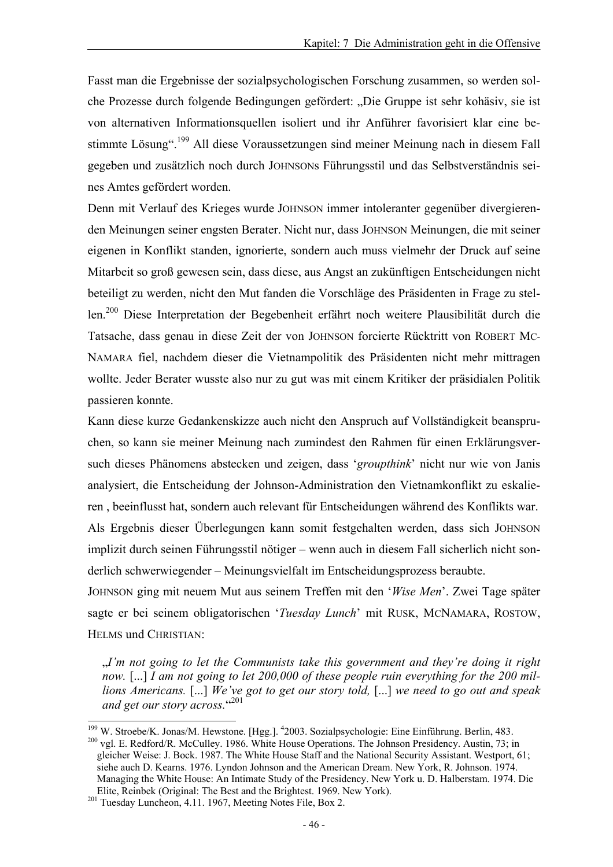Fasst man die Ergebnisse der sozialpsychologischen Forschung zusammen, so werden solche Prozesse durch folgende Bedingungen gefördert: "Die Gruppe ist sehr kohäsiv, sie ist von alternativen Informationsquellen isoliert und ihr Anführer favorisiert klar eine bestimmte Lösung".199 All diese Voraussetzungen sind meiner Meinung nach in diesem Fall gegeben und zusätzlich noch durch JOHNSONs Führungsstil und das Selbstverständnis seines Amtes gefördert worden.

Denn mit Verlauf des Krieges wurde JOHNSON immer intoleranter gegenüber divergierenden Meinungen seiner engsten Berater. Nicht nur, dass JOHNSON Meinungen, die mit seiner eigenen in Konflikt standen, ignorierte, sondern auch muss vielmehr der Druck auf seine Mitarbeit so groß gewesen sein, dass diese, aus Angst an zukünftigen Entscheidungen nicht beteiligt zu werden, nicht den Mut fanden die Vorschläge des Präsidenten in Frage zu stellen.200 Diese Interpretation der Begebenheit erfährt noch weitere Plausibilität durch die Tatsache, dass genau in diese Zeit der von JOHNSON forcierte Rücktritt von ROBERT MC-NAMARA fiel, nachdem dieser die Vietnampolitik des Präsidenten nicht mehr mittragen wollte. Jeder Berater wusste also nur zu gut was mit einem Kritiker der präsidialen Politik passieren konnte.

Kann diese kurze Gedankenskizze auch nicht den Anspruch auf Vollständigkeit beanspruchen, so kann sie meiner Meinung nach zumindest den Rahmen für einen Erklärungsversuch dieses Phänomens abstecken und zeigen, dass '*groupthink*' nicht nur wie von Janis analysiert, die Entscheidung der Johnson-Administration den Vietnamkonflikt zu eskalieren , beeinflusst hat, sondern auch relevant für Entscheidungen während des Konflikts war.

Als Ergebnis dieser Überlegungen kann somit festgehalten werden, dass sich JOHNSON implizit durch seinen Führungsstil nötiger – wenn auch in diesem Fall sicherlich nicht sonderlich schwerwiegender – Meinungsvielfalt im Entscheidungsprozess beraubte.

JOHNSON ging mit neuem Mut aus seinem Treffen mit den '*Wise Men*'. Zwei Tage später sagte er bei seinem obligatorischen '*Tuesday Lunch*' mit RUSK, MCNAMARA, ROSTOW, HELMS und CHRISTIAN:

"*I'm not going to let the Communists take this government and they're doing it right now.* [...] *I am not going to let 200,000 of these people ruin everything for the 200 millions Americans.* [...] *We've got to get our story told,* [...] *we need to go out and speak*  and get our story across."<sup>201</sup>

 $199$  W. Stroebe/K. Jonas/M. Hewstone. [Hgg.].  $4$  $^{200}$  vgl. E. Redford/R. McCulley. 1986. White House Operations. The Johnson Presidency. Austin, 73; in gleicher Weise: J. Bock. 1987. The White House Staff and the National Security Assistant. Westport, 61; siehe auch D. Kearns. 1976. Lyndon Johnson and the American Dream. New York, R. Johnson. 1974. Managing the White House: An Intimate Study of the Presidency. New York u. D. Halberstam. 1974. Die Elite, Reinbek (Original: The Best and the Brightest. 1969. New York). 201 Tuesday Luncheon, 4.11. 1967, Meeting Notes File, Box 2.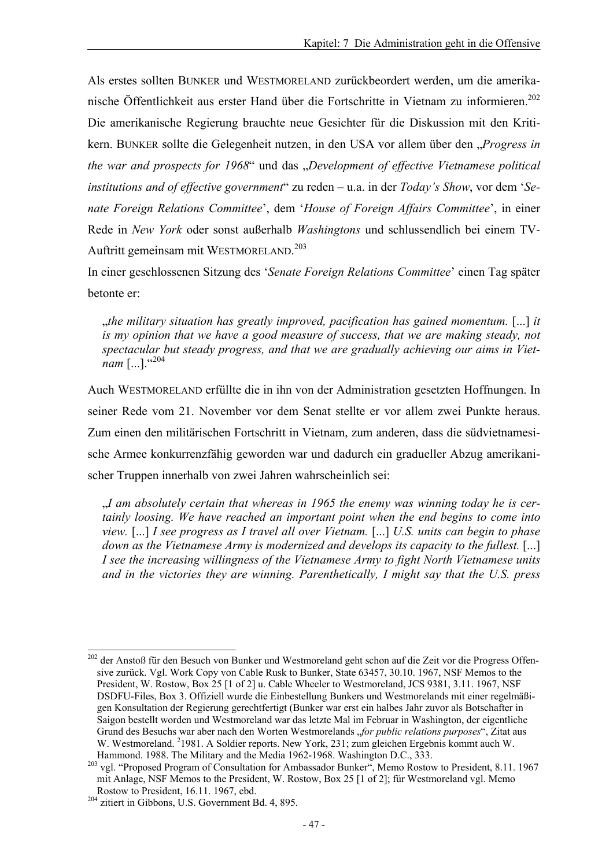Als erstes sollten BUNKER und WESTMORELAND zurückbeordert werden, um die amerikanische Öffentlichkeit aus erster Hand über die Fortschritte in Vietnam zu informieren.<sup>202</sup> Die amerikanische Regierung brauchte neue Gesichter für die Diskussion mit den Kritikern. BUNKER sollte die Gelegenheit nutzen, in den USA vor allem über den "Progress in *the war and prospects for 1968*" und das "*Development of effective Vietnamese political institutions and of effective government*" zu reden – u.a. in der *Today's Show*, vor dem '*Senate Foreign Relations Committee*', dem '*House of Foreign Affairs Committee*', in einer Rede in *New York* oder sonst außerhalb *Washingtons* und schlussendlich bei einem TV-Auftritt gemeinsam mit WESTMORELAND. 203

In einer geschlossenen Sitzung des '*Senate Foreign Relations Committee*' einen Tag später betonte er:

"*the military situation has greatly improved, pacification has gained momentum.* [...] *it is my opinion that we have a good measure of success, that we are making steady, not spectacular but steady progress, and that we are gradually achieving our aims in Vietnam* [...]. "204

Auch WESTMORELAND erfüllte die in ihn von der Administration gesetzten Hoffnungen. In seiner Rede vom 21. November vor dem Senat stellte er vor allem zwei Punkte heraus. Zum einen den militärischen Fortschritt in Vietnam, zum anderen, dass die südvietnamesische Armee konkurrenzfähig geworden war und dadurch ein gradueller Abzug amerikanischer Truppen innerhalb von zwei Jahren wahrscheinlich sei:

"*I am absolutely certain that whereas in 1965 the enemy was winning today he is certainly loosing. We have reached an important point when the end begins to come into view.* [...] *I see progress as I travel all over Vietnam.* [...] *U.S. units can begin to phase down as the Vietnamese Army is modernized and develops its capacity to the fullest.* [...] *I see the increasing willingness of the Vietnamese Army to fight North Vietnamese units and in the victories they are winning. Parenthetically, I might say that the U.S. press* 

l <sup>202</sup> der Anstoß für den Besuch von Bunker und Westmoreland geht schon auf die Zeit vor die Progress Offensive zurück. Vgl. Work Copy von Cable Rusk to Bunker, State 63457, 30.10. 1967, NSF Memos to the President, W. Rostow, Box 25 [1 of 2] u. Cable Wheeler to Westmoreland, JCS 9381, 3.11. 1967, NSF DSDFU-Files, Box 3. Offiziell wurde die Einbestellung Bunkers und Westmorelands mit einer regelmäßigen Konsultation der Regierung gerechtfertigt (Bunker war erst ein halbes Jahr zuvor als Botschafter in Saigon bestellt worden und Westmoreland war das letzte Mal im Februar in Washington, der eigentliche Grund des Besuchs war aber nach den Worten Westmorelands "*for public relations purposes*", Zitat aus W. Westmoreland. <sup>2</sup>1981. A Soldier reports. New York, 231; zum gleichen Ergebnis kommt auch W.

Hammond. 1988. The Military and the Media 1962-1968. Washington D.C., 333.<br><sup>203</sup> vgl. "Proposed Program of Consultation for Ambassador Bunker", Memo Rostow to President, 8.11. 1967 mit Anlage, NSF Memos to the President, W. Rostow, Box 25 [1 of 2]; für Westmoreland vgl. Memo Rostow to President, 16.11. 1967, ebd. <sup>204</sup> zitiert in Gibbons, U.S. Government Bd. 4, 895.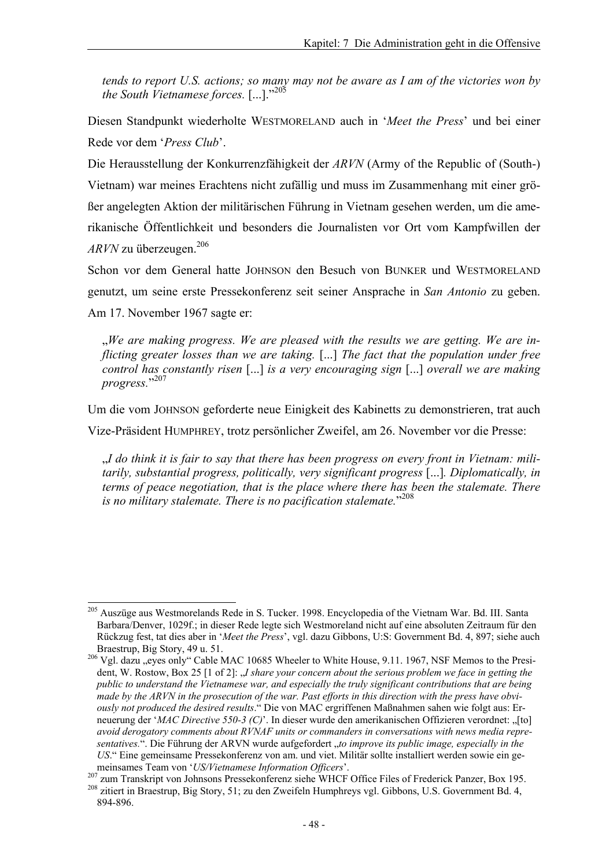*tends to report U.S. actions; so many may not be aware as I am of the victories won by the South Vietnamese forces.* [...]."<sup>205</sup>

Diesen Standpunkt wiederholte WESTMORELAND auch in '*Meet the Press*' und bei einer Rede vor dem '*Press Club*'.

Die Herausstellung der Konkurrenzfähigkeit der *ARVN* (Army of the Republic of (South-) Vietnam) war meines Erachtens nicht zufällig und muss im Zusammenhang mit einer größer angelegten Aktion der militärischen Führung in Vietnam gesehen werden, um die amerikanische Öffentlichkeit und besonders die Journalisten vor Ort vom Kampfwillen der *ARVN* zu überzeugen.206

Schon vor dem General hatte JOHNSON den Besuch von BUNKER und WESTMORELAND genutzt, um seine erste Pressekonferenz seit seiner Ansprache in *San Antonio* zu geben. Am 17. November 1967 sagte er:

We are making progress. We are pleased with the results we are getting. We are in*flicting greater losses than we are taking.* [...] *The fact that the population under free control has constantly risen* [...] *is a very encouraging sign* [...] *overall we are making progress.*" 207

Um die vom JOHNSON geforderte neue Einigkeit des Kabinetts zu demonstrieren, trat auch Vize-Präsident HUMPHREY, trotz persönlicher Zweifel, am 26. November vor die Presse:

"*I do think it is fair to say that there has been progress on every front in Vietnam: militarily, substantial progress, politically, very significant progress* [...]*. Diplomatically, in terms of peace negotiation, that is the place where there has been the stalemate. There is no military stalemate. There is no pacification stalemate.*" <sup>208</sup>

<sup>&</sup>lt;sup>205</sup> Auszüge aus Westmorelands Rede in S. Tucker. 1998. Encyclopedia of the Vietnam War. Bd. III. Santa Barbara/Denver, 1029f.; in dieser Rede legte sich Westmoreland nicht auf eine absoluten Zeitraum für den Rückzug fest, tat dies aber in '*Meet the Press*', vgl. dazu Gibbons, U:S: Government Bd. 4, 897; siehe auch

<sup>&</sup>lt;sup>206</sup> Vgl. dazu "eyes only" Cable MAC 10685 Wheeler to White House, 9.11. 1967, NSF Memos to the President, W. Rostow, Box 25 [1 of 2]: *J. share your concern about the serious problem we face in getting the public to understand the Vietnamese war, and especially the truly significant contributions that are being made by the ARVN in the prosecution of the war. Past efforts in this direction with the press have obviously not produced the desired results*." Die von MAC ergriffenen Maßnahmen sahen wie folgt aus: Erneuerung der '*MAC Directive 550-3 (C)*'. In dieser wurde den amerikanischen Offizieren verordnet: "[to] *avoid derogatory comments about RVNAF units or commanders in conversations with news media representatives.*". Die Führung der ARVN wurde aufgefordert "*to improve its public image, especially in the US*." Eine gemeinsame Pressekonferenz von am. und viet. Militär sollte installiert werden sowie ein ge-

meinsames Team von '*US/Vietnamese Information Officers'*.<br><sup>207</sup> zum Transkript von Johnsons Pressekonferenz siehe WHCF Office Files of Frederick Panzer, Box 195.<br><sup>208</sup> zitiert in Braestrup, Big Story, 51; zu den Zweifeln

<sup>894-896.</sup>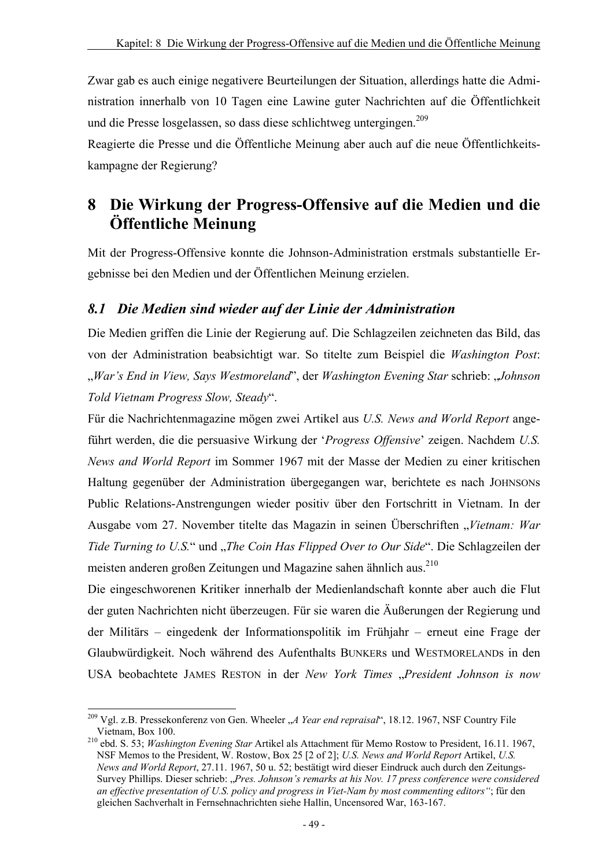Zwar gab es auch einige negativere Beurteilungen der Situation, allerdings hatte die Administration innerhalb von 10 Tagen eine Lawine guter Nachrichten auf die Öffentlichkeit und die Presse losgelassen, so dass diese schlichtweg untergingen.<sup>209</sup>

Reagierte die Presse und die Öffentliche Meinung aber auch auf die neue Öffentlichkeitskampagne der Regierung?

# **8 Die Wirkung der Progress-Offensive auf die Medien und die Öffentliche Meinung**

Mit der Progress-Offensive konnte die Johnson-Administration erstmals substantielle Ergebnisse bei den Medien und der Öffentlichen Meinung erzielen.

#### *8.1 Die Medien sind wieder auf der Linie der Administration*

Die Medien griffen die Linie der Regierung auf. Die Schlagzeilen zeichneten das Bild, das von der Administration beabsichtigt war. So titelte zum Beispiel die *Washington Post*: "*War's End in View, Says Westmoreland*", der *Washington Evening Star* schrieb: "*Johnson Told Vietnam Progress Slow, Steady*".

Für die Nachrichtenmagazine mögen zwei Artikel aus *U.S. News and World Report* angeführt werden, die die persuasive Wirkung der '*Progress Offensive*' zeigen. Nachdem *U.S. News and World Report* im Sommer 1967 mit der Masse der Medien zu einer kritischen Haltung gegenüber der Administration übergegangen war, berichtete es nach JOHNSONs Public Relations-Anstrengungen wieder positiv über den Fortschritt in Vietnam. In der Ausgabe vom 27. November titelte das Magazin in seinen Überschriften "*Vietnam: War Tide Turning to U.S.*" und "*The Coin Has Flipped Over to Our Side*". Die Schlagzeilen der meisten anderen großen Zeitungen und Magazine sahen ähnlich aus.<sup>210</sup>

Die eingeschworenen Kritiker innerhalb der Medienlandschaft konnte aber auch die Flut der guten Nachrichten nicht überzeugen. Für sie waren die Äußerungen der Regierung und der Militärs – eingedenk der Informationspolitik im Frühjahr – erneut eine Frage der Glaubwürdigkeit. Noch während des Aufenthalts BUNKERs und WESTMORELANDs in den USA beobachtete JAMES RESTON in der *New York Times* "*President Johnson is now* 

<sup>&</sup>lt;sup>209</sup> Vgl. z.B. Pressekonferenz von Gen. Wheeler "*A Year end repraisal"*, 18.12. 1967, NSF Country File Vietnam, Box 100.

<sup>&</sup>lt;sup>210</sup> ebd. S. 53; *Washington Evening Star* Artikel als Attachment für Memo Rostow to President, 16.11. 1967, NSF Memos to the President, W. Rostow, Box 25 [2 of 2]; *U.S. News and World Report* Artikel, *U.S. News and World Report*, 27.11. 1967, 50 u. 52; bestätigt wird dieser Eindruck auch durch den Zeitungs-Survey Phillips. Dieser schrieb: "*Pres. Johnson's remarks at his Nov. 17 press conference were considered an effective presentation of U.S. policy and progress in Viet-Nam by most commenting editors"*; für den gleichen Sachverhalt in Fernsehnachrichten siehe Hallin, Uncensored War, 163-167.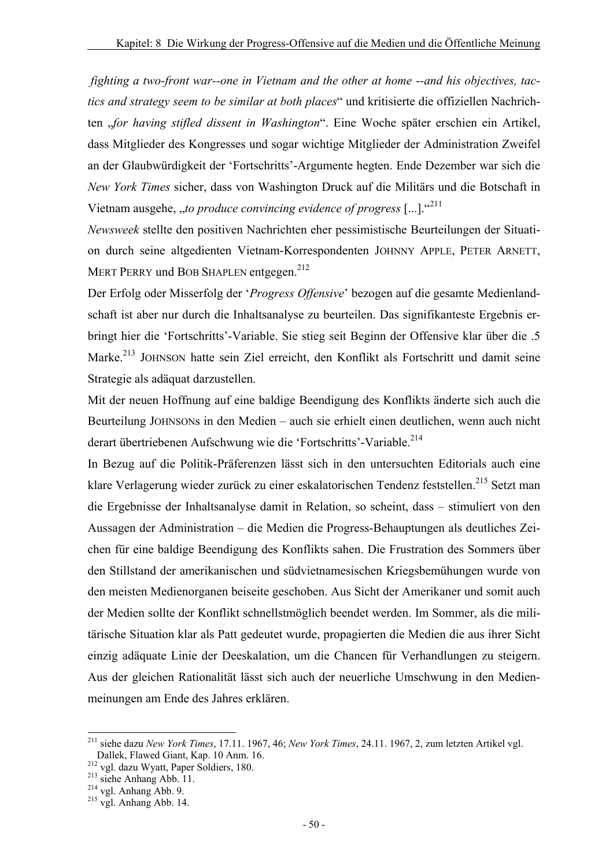*fighting a two-front war--one in Vietnam and the other at home --and his objectives, tactics and strategy seem to be similar at both places*" und kritisierte die offiziellen Nachrichten "*for having stifled dissent in Washington*". Eine Woche später erschien ein Artikel, dass Mitglieder des Kongresses und sogar wichtige Mitglieder der Administration Zweifel an der Glaubwürdigkeit der 'Fortschritts'-Argumente hegten. Ende Dezember war sich die *New York Times* sicher, dass von Washington Druck auf die Militärs und die Botschaft in Vietnam ausgehe, "*to produce convincing evidence of progress* [...].<sup>"211</sup>

*Newsweek* stellte den positiven Nachrichten eher pessimistische Beurteilungen der Situation durch seine altgedienten Vietnam-Korrespondenten JOHNNY APPLE, PETER ARNETT, MERT PERRY und BOB SHAPLEN entgegen.<sup>212</sup>

Der Erfolg oder Misserfolg der '*Progress Offensive*' bezogen auf die gesamte Medienlandschaft ist aber nur durch die Inhaltsanalyse zu beurteilen. Das signifikanteste Ergebnis erbringt hier die 'Fortschritts'-Variable. Sie stieg seit Beginn der Offensive klar über die .5 Marke.<sup>213</sup> JOHNSON hatte sein Ziel erreicht, den Konflikt als Fortschritt und damit seine Strategie als adäquat darzustellen.

Mit der neuen Hoffnung auf eine baldige Beendigung des Konflikts änderte sich auch die Beurteilung JOHNSONs in den Medien – auch sie erhielt einen deutlichen, wenn auch nicht derart übertriebenen Aufschwung wie die 'Fortschritts'-Variable.<sup>214</sup>

In Bezug auf die Politik-Präferenzen lässt sich in den untersuchten Editorials auch eine klare Verlagerung wieder zurück zu einer eskalatorischen Tendenz feststellen.<sup>215</sup> Setzt man die Ergebnisse der Inhaltsanalyse damit in Relation, so scheint, dass – stimuliert von den Aussagen der Administration – die Medien die Progress-Behauptungen als deutliches Zeichen für eine baldige Beendigung des Konflikts sahen. Die Frustration des Sommers über den Stillstand der amerikanischen und südvietnamesischen Kriegsbemühungen wurde von den meisten Medienorganen beiseite geschoben. Aus Sicht der Amerikaner und somit auch der Medien sollte der Konflikt schnellstmöglich beendet werden. Im Sommer, als die militärische Situation klar als Patt gedeutet wurde, propagierten die Medien die aus ihrer Sicht einzig adäquate Linie der Deeskalation, um die Chancen für Verhandlungen zu steigern. Aus der gleichen Rationalität lässt sich auch der neuerliche Umschwung in den Medienmeinungen am Ende des Jahres erklären.

<sup>211</sup> siehe dazu *New York Times*, 17.11. 1967, 46; *New York Times*, 24.11. 1967, 2, zum letzten Artikel vgl.

Dallek, Flawed Giant, Kap. 10 Anm. 16.<br><sup>212</sup> vgl. dazu Wyatt, Paper Soldiers, 180.<br><sup>213</sup> siehe Anhang Abb. 11.<br><sup>214</sup> vgl. Anhang Abb. 9.<br><sup>215</sup> vgl. Anhang Abb. 14.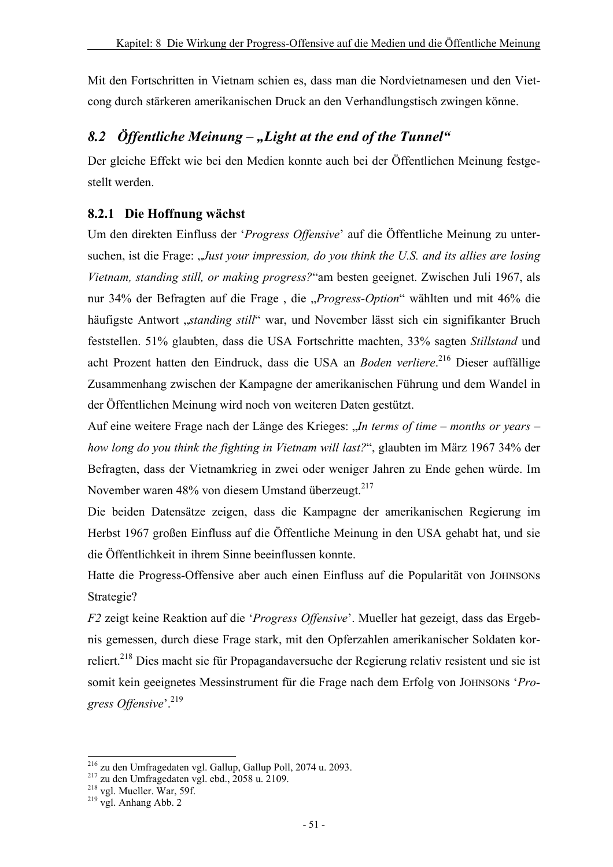Mit den Fortschritten in Vietnam schien es, dass man die Nordvietnamesen und den Vietcong durch stärkeren amerikanischen Druck an den Verhandlungstisch zwingen könne.

## 8.2 *Öffentliche Meinung – "Light at the end of the Tunnel"*

Der gleiche Effekt wie bei den Medien konnte auch bei der Öffentlichen Meinung festgestellt werden.

#### **8.2.1 Die Hoffnung wächst**

Um den direkten Einfluss der '*Progress Offensive*' auf die Öffentliche Meinung zu untersuchen, ist die Frage: "*Just your impression, do you think the U.S. and its allies are losing Vietnam, standing still, or making progress?*"am besten geeignet. Zwischen Juli 1967, als nur 34% der Befragten auf die Frage , die "*Progress-Option*" wählten und mit 46% die häufigste Antwort "*standing still*" war, und November lässt sich ein signifikanter Bruch feststellen. 51% glaubten, dass die USA Fortschritte machten, 33% sagten *Stillstand* und acht Prozent hatten den Eindruck, dass die USA an *Boden verliere*. 216 Dieser auffällige Zusammenhang zwischen der Kampagne der amerikanischen Führung und dem Wandel in der Öffentlichen Meinung wird noch von weiteren Daten gestützt.

Auf eine weitere Frage nach der Länge des Krieges: "*In terms of time – months or years – how long do you think the fighting in Vietnam will last?*", glaubten im März 1967 34% der Befragten, dass der Vietnamkrieg in zwei oder weniger Jahren zu Ende gehen würde. Im November waren 48% von diesem Umstand überzeugt.<sup>217</sup>

Die beiden Datensätze zeigen, dass die Kampagne der amerikanischen Regierung im Herbst 1967 großen Einfluss auf die Öffentliche Meinung in den USA gehabt hat, und sie die Öffentlichkeit in ihrem Sinne beeinflussen konnte.

Hatte die Progress-Offensive aber auch einen Einfluss auf die Popularität von JOHNSONs Strategie?

*F2* zeigt keine Reaktion auf die '*Progress Offensive*'. Mueller hat gezeigt, dass das Ergebnis gemessen, durch diese Frage stark, mit den Opferzahlen amerikanischer Soldaten korreliert.<sup>218</sup> Dies macht sie für Propagandaversuche der Regierung relativ resistent und sie ist somit kein geeignetes Messinstrument für die Frage nach dem Erfolg von JOHNSONs '*Progress Offensive*'.219

<sup>&</sup>lt;sup>216</sup> zu den Umfragedaten vgl. Gallup, Gallup Poll, 2074 u. 2093.

<sup>&</sup>lt;sup>217</sup> zu den Umfragedaten vgl. Gallup, Gallup Poll<sup>217</sup> zu den Umfragedaten vgl. ebd., 2058 u. 2109.<br><sup>218</sup> vgl. Mueller. War, 59f. <sup>219</sup> vgl. Anhang Abb. 2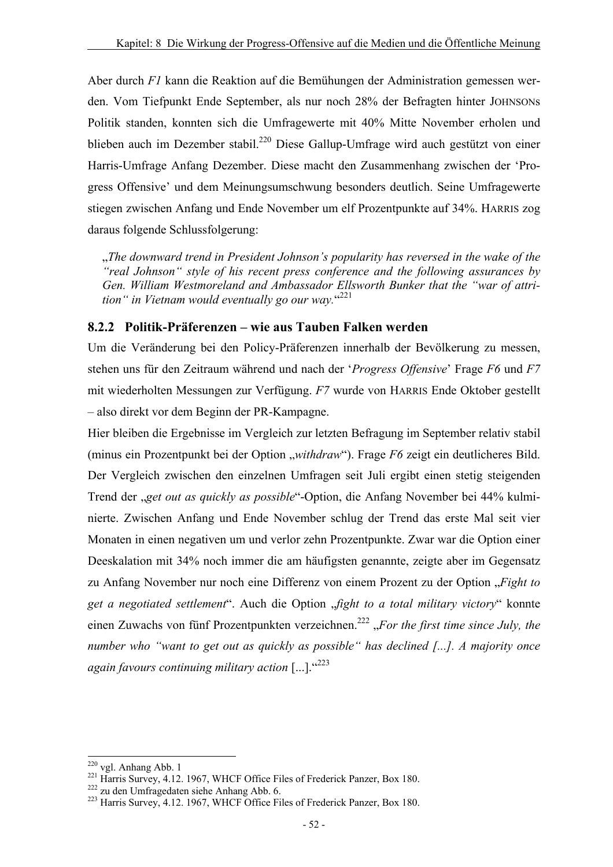Aber durch *F1* kann die Reaktion auf die Bemühungen der Administration gemessen werden. Vom Tiefpunkt Ende September, als nur noch 28% der Befragten hinter JOHNSONs Politik standen, konnten sich die Umfragewerte mit 40% Mitte November erholen und blieben auch im Dezember stabil.<sup>220</sup> Diese Gallup-Umfrage wird auch gestützt von einer Harris-Umfrage Anfang Dezember. Diese macht den Zusammenhang zwischen der 'Progress Offensive' und dem Meinungsumschwung besonders deutlich. Seine Umfragewerte stiegen zwischen Anfang und Ende November um elf Prozentpunkte auf 34%. HARRIS zog daraus folgende Schlussfolgerung:

"*The downward trend in President Johnson's popularity has reversed in the wake of the "real Johnson" style of his recent press conference and the following assurances by Gen. William Westmoreland and Ambassador Ellsworth Bunker that the "war of attrition" in Vietnam would eventually go our way.*" 221

#### **8.2.2 Politik-Präferenzen – wie aus Tauben Falken werden**

Um die Veränderung bei den Policy-Präferenzen innerhalb der Bevölkerung zu messen, stehen uns für den Zeitraum während und nach der '*Progress Offensive*' Frage *F6* und *F7* mit wiederholten Messungen zur Verfügung. *F7* wurde von HARRIS Ende Oktober gestellt – also direkt vor dem Beginn der PR-Kampagne.

Hier bleiben die Ergebnisse im Vergleich zur letzten Befragung im September relativ stabil (minus ein Prozentpunkt bei der Option "*withdraw"*). Frage *F6* zeigt ein deutlicheres Bild. Der Vergleich zwischen den einzelnen Umfragen seit Juli ergibt einen stetig steigenden Trend der "*get out as quickly as possible*"-Option, die Anfang November bei 44% kulminierte. Zwischen Anfang und Ende November schlug der Trend das erste Mal seit vier Monaten in einen negativen um und verlor zehn Prozentpunkte. Zwar war die Option einer Deeskalation mit 34% noch immer die am häufigsten genannte, zeigte aber im Gegensatz zu Anfang November nur noch eine Differenz von einem Prozent zu der Option "*Fight to get a negotiated settlement*". Auch die Option "*fight to a total military victory*" konnte einen Zuwachs von fünf Prozentpunkten verzeichnen.<sup>222</sup> "For the first time since July, the *number who "want to get out as quickly as possible" has declined [...]. A majority once again favours continuing military action* [...]."<sup>223</sup>

<sup>&</sup>lt;sup>220</sup> vgl. Anhang Abb. 1

<sup>&</sup>lt;sup>221</sup> Harris Survey, 4.12. 1967, WHCF Office Files of Frederick Panzer, Box 180.<br><sup>222</sup> zu den Umfragedaten siehe Anhang Abb. 6.<br><sup>223</sup> Harris Survey, 4.12. 1967, WHCF Office Files of Frederick Panzer, Box 180.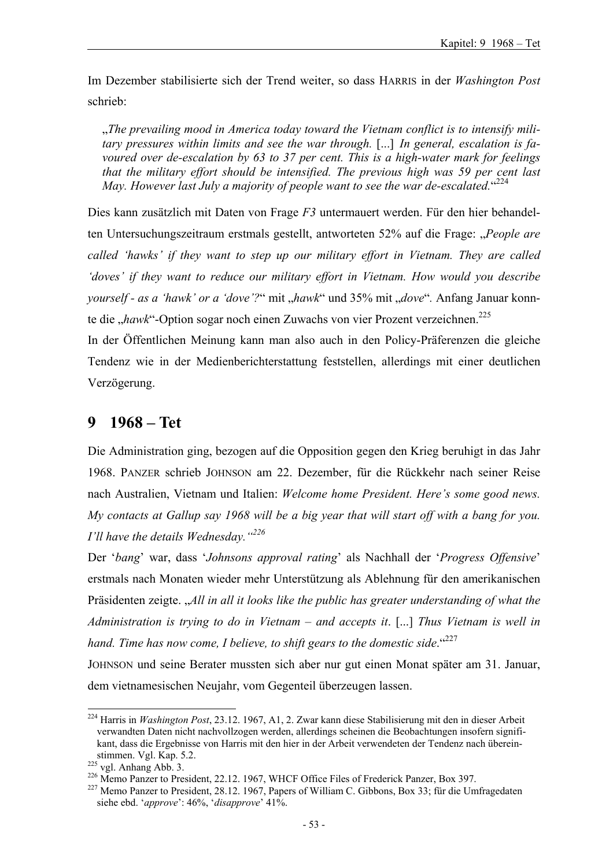Im Dezember stabilisierte sich der Trend weiter, so dass HARRIS in der *Washington Post* schrieb:

"*The prevailing mood in America today toward the Vietnam conflict is to intensify military pressures within limits and see the war through.* [...] *In general, escalation is favoured over de-escalation by 63 to 37 per cent. This is a high-water mark for feelings that the military effort should be intensified. The previous high was 59 per cent last*  May. However last July a majority of people want to see the war de-escalated. "224

Dies kann zusätzlich mit Daten von Frage *F3* untermauert werden. Für den hier behandelten Untersuchungszeitraum erstmals gestellt, antworteten 52% auf die Frage: "*People are called 'hawks' if they want to step up our military effort in Vietnam. They are called 'doves' if they want to reduce our military effort in Vietnam. How would you describe yourself - as a 'hawk' or a 'dove'?*" mit "hawk" und 35% mit "dove". Anfang Januar konnte die "hawk"-Option sogar noch einen Zuwachs von vier Prozent verzeichnen.<sup>225</sup>

In der Öffentlichen Meinung kann man also auch in den Policy-Präferenzen die gleiche Tendenz wie in der Medienberichterstattung feststellen, allerdings mit einer deutlichen Verzögerung.

## **9 1968 – Tet**

Die Administration ging, bezogen auf die Opposition gegen den Krieg beruhigt in das Jahr 1968. PANZER schrieb JOHNSON am 22. Dezember, für die Rückkehr nach seiner Reise nach Australien, Vietnam und Italien: *Welcome home President. Here's some good news. My contacts at Gallup say 1968 will be a big year that will start off with a bang for you. I'll have the details Wednesday."226*

Der '*bang*' war, dass '*Johnsons approval rating*' als Nachhall der '*Progress Offensive*' erstmals nach Monaten wieder mehr Unterstützung als Ablehnung für den amerikanischen Präsidenten zeigte. "*All in all it looks like the public has greater understanding of what the Administration is trying to do in Vietnam – and accepts it*. [...] *Thus Vietnam is well in*  hand. Time has now come, I believe, to shift gears to the domestic side.<sup>"227</sup>

JOHNSON und seine Berater mussten sich aber nur gut einen Monat später am 31. Januar, dem vietnamesischen Neujahr, vom Gegenteil überzeugen lassen.

l 224 Harris in *Washington Post*, 23.12. 1967, A1, 2. Zwar kann diese Stabilisierung mit den in dieser Arbeit verwandten Daten nicht nachvollzogen werden, allerdings scheinen die Beobachtungen insofern signifikant, dass die Ergebnisse von Harris mit den hier in der Arbeit verwendeten der Tendenz nach überein-<br>stimmen. Vgl. Kap. 5.2.<br><sup>225</sup> vgl. Anhang Abb. 3.

<sup>226</sup> Memo Panzer to President, 22.12. 1967, WHCF Office Files of Frederick Panzer, Box 397.<br>227 Memo Panzer to President, 28.12. 1967, Papers of William C. Gibbons, Box 33; für die Umfragedaten siehe ebd. '*approve*': 46%, '*disapprove*' 41%.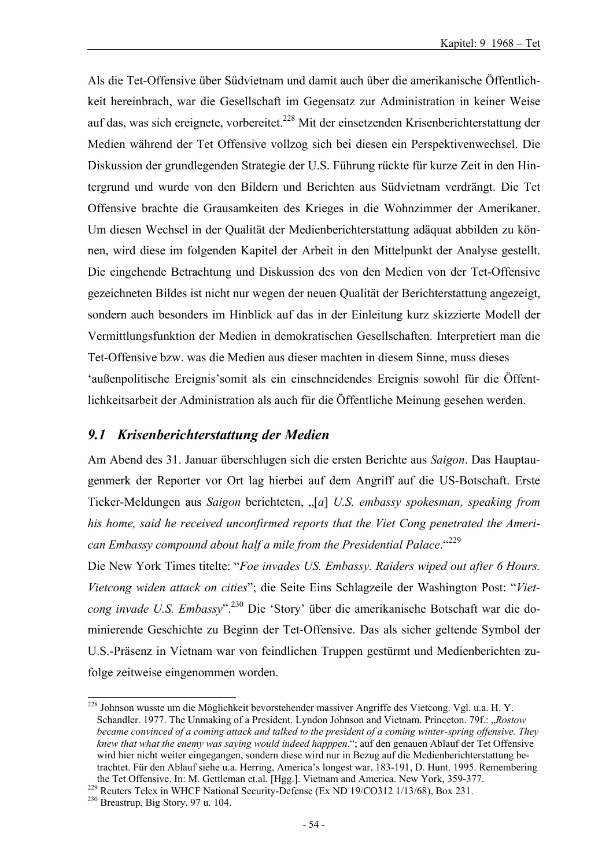Als die Tet-Offensive über Südvietnam und damit auch über die amerikanische Öffentlichkeit hereinbrach, war die Gesellschaft im Gegensatz zur Administration in keiner Weise auf das, was sich ereignete, vorbereitet.<sup>228</sup> Mit der einsetzenden Krisenberichterstattung der Medien während der Tet Offensive vollzog sich bei diesen ein Perspektivenwechsel. Die Diskussion der grundlegenden Strategie der U.S. Führung rückte für kurze Zeit in den Hintergrund und wurde von den Bildern und Berichten aus Südvietnam verdrängt. Die Tet Offensive brachte die Grausamkeiten des Krieges in die Wohnzimmer der Amerikaner. Um diesen Wechsel in der Qualität der Medienberichterstattung adäquat abbilden zu können, wird diese im folgenden Kapitel der Arbeit in den Mittelpunkt der Analyse gestellt. Die eingehende Betrachtung und Diskussion des von den Medien von der Tet-Offensive gezeichneten Bildes ist nicht nur wegen der neuen Qualität der Berichterstattung angezeigt, sondern auch besonders im Hinblick auf das in der Einleitung kurz skizzierte Modell der Vermittlungsfunktion der Medien in demokratischen Gesellschaften. Interpretiert man die Tet-Offensive bzw. was die Medien aus dieser machten in diesem Sinne, muss dieses 'außenpolitische Ereignis'somit als ein einschneidendes Ereignis sowohl für die Öffentlichkeitsarbeit der Administration als auch für die Öffentliche Meinung gesehen werden.

#### *9.1 Krisenberichterstattung der Medien*

Am Abend des 31. Januar überschlugen sich die ersten Berichte aus *Saigon*. Das Hauptaugenmerk der Reporter vor Ort lag hierbei auf dem Angriff auf die US-Botschaft. Erste Ticker-Meldungen aus *Saigon* berichteten, "[*a*] *U.S. embassy spokesman, speaking from his home, said he received unconfirmed reports that the Viet Cong penetrated the American Embassy compound about half a mile from the Presidential Palace*."229

Die New York Times titelte: "*Foe invades US. Embassy. Raiders wiped out after 6 Hours. Vietcong widen attack on cities*"; die Seite Eins Schlagzeile der Washington Post: "*Vietcong invade U.S. Embassy*".230 Die 'Story' über die amerikanische Botschaft war die dominierende Geschichte zu Beginn der Tet-Offensive. Das als sicher geltende Symbol der U.S.-Präsenz in Vietnam war von feindlichen Truppen gestürmt und Medienberichten zufolge zeitweise eingenommen worden.

<sup>&</sup>lt;sup>228</sup> Johnson wusste um die Möglichkeit bevorstehender massiver Angriffe des Vietcong. Vgl. u.a. H. Y. Schandler. 1977. The Unmaking of a President. Lyndon Johnson and Vietnam. Princeton. 79f.: "*Rostow became convinced of a coming attack and talked to the president of a coming winter-spring offensive. They knew that what the enemy was saying would indeed happpen*."; auf den genauen Ablauf der Tet Offensive wird hier nicht weiter eingegangen, sondern diese wird nur in Bezug auf die Medienberichterstattung betrachtet. Für den Ablauf siehe u.a. Herring, America's longest war, 183-191, D. Hunt. 1995. Remembering the Tet Offensive. In: M. Gettleman et.al. [Hgg.]. Vietnam and America. New York, 359-377.<br><sup>229</sup> Reuters Telex in WHCF National Security-Defense (Ex ND 19/CO312 1/13/68), Box 231.<br><sup>230</sup> Breastrup, Big Story. 97 u. 104.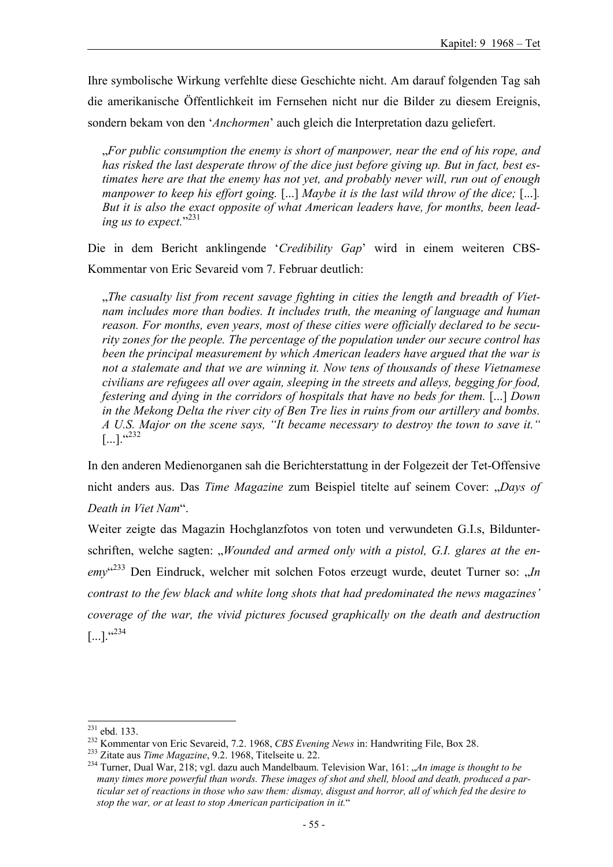Ihre symbolische Wirkung verfehlte diese Geschichte nicht. Am darauf folgenden Tag sah die amerikanische Öffentlichkeit im Fernsehen nicht nur die Bilder zu diesem Ereignis, sondern bekam von den '*Anchormen*' auch gleich die Interpretation dazu geliefert.

"*For public consumption the enemy is short of manpower, near the end of his rope, and has risked the last desperate throw of the dice just before giving up. But in fact, best estimates here are that the enemy has not yet, and probably never will, run out of enough manpower to keep his effort going.* [...] *Maybe it is the last wild throw of the dice;* [...]*. But it is also the exact opposite of what American leaders have, for months, been leading us to expect.*" 231

Die in dem Bericht anklingende '*Credibility Gap*' wird in einem weiteren CBS-Kommentar von Eric Sevareid vom 7. Februar deutlich:

<sub>n</sub>, The casualty list from recent savage fighting in cities the length and breadth of Viet*nam includes more than bodies. It includes truth, the meaning of language and human reason. For months, even years, most of these cities were officially declared to be security zones for the people. The percentage of the population under our secure control has been the principal measurement by which American leaders have argued that the war is not a stalemate and that we are winning it. Now tens of thousands of these Vietnamese civilians are refugees all over again, sleeping in the streets and alleys, begging for food, festering and dying in the corridors of hospitals that have no beds for them.* [...] *Down in the Mekong Delta the river city of Ben Tre lies in ruins from our artillery and bombs. A U.S. Major on the scene says, "It became necessary to destroy the town to save it."*   $[...]$ .  $(232)$ 

In den anderen Medienorganen sah die Berichterstattung in der Folgezeit der Tet-Offensive nicht anders aus. Das *Time Magazine* zum Beispiel titelte auf seinem Cover: "*Days of Death in Viet Nam*".

Weiter zeigte das Magazin Hochglanzfotos von toten und verwundeten G.I.s, Bildunterschriften, welche sagten: "Wounded and armed only with a pistol, G.I. glares at the enemy<sup>"233</sup> Den Eindruck, welcher mit solchen Fotos erzeugt wurde, deutet Turner so: "*In contrast to the few black and white long shots that had predominated the news magazines' coverage of the war, the vivid pictures focused graphically on the death and destruction*  $\left[ \ldots \right]$ .  $\cdot ^{6234}$ 

 $231$  ebd. 133.

<sup>&</sup>lt;sup>232</sup> Kommentar von Eric Sevareid, 7.2. 1968, *CBS Evening News* in: Handwriting File, Box 28.<br><sup>233</sup> Zitate aus *Time Magazine*, 9.2. 1968, Titelseite u. 22.<br><sup>234</sup> Turner, Dual War, 218; vgl. dazu auch Mandelbaum. Televis *many times more powerful than words. These images of shot and shell, blood and death, produced a particular set of reactions in those who saw them: dismay, disgust and horror, all of which fed the desire to stop the war, or at least to stop American participation in it.*"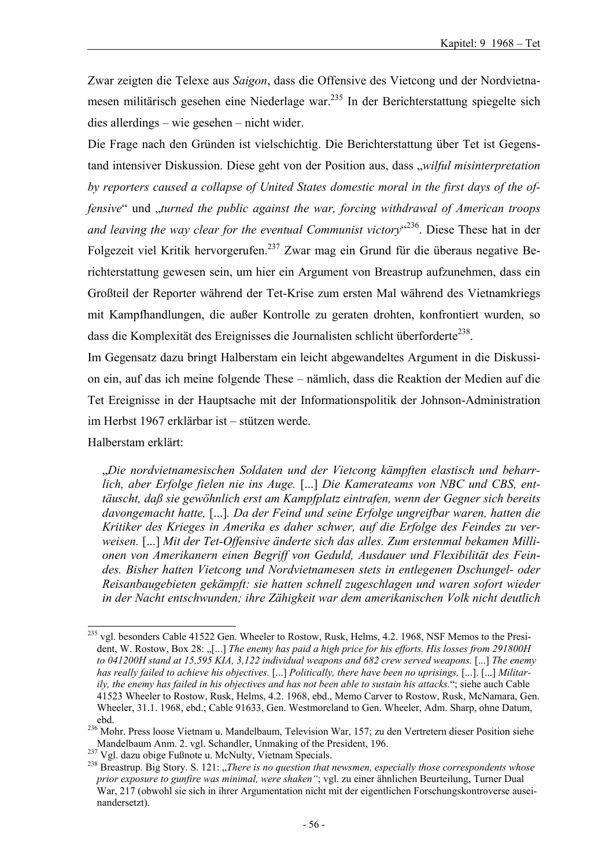Zwar zeigten die Telexe aus *Saigon*, dass die Offensive des Vietcong und der Nordvietnamesen militärisch gesehen eine Niederlage war.<sup>235</sup> In der Berichterstattung spiegelte sich dies allerdings – wie gesehen – nicht wider.

Die Frage nach den Gründen ist vielschichtig. Die Berichterstattung über Tet ist Gegenstand intensiver Diskussion. Diese geht von der Position aus, dass "*wilful misinterpretation by reporters caused a collapse of United States domestic moral in the first days of the offensive*" und "*turned the public against the war, forcing withdrawal of American troops* and leaving the way clear for the eventual Communist victory<sup>" 236</sup>. Diese These hat in der Folgezeit viel Kritik hervorgerufen.<sup>237</sup> Zwar mag ein Grund für die überaus negative Berichterstattung gewesen sein, um hier ein Argument von Breastrup aufzunehmen, dass ein Großteil der Reporter während der Tet-Krise zum ersten Mal während des Vietnamkriegs mit Kampfhandlungen, die außer Kontrolle zu geraten drohten, konfrontiert wurden, so dass die Komplexität des Ereignisses die Journalisten schlicht überforderte<sup>238</sup>.

Im Gegensatz dazu bringt Halberstam ein leicht abgewandeltes Argument in die Diskussion ein, auf das ich meine folgende These – nämlich, dass die Reaktion der Medien auf die Tet Ereignisse in der Hauptsache mit der Informationspolitik der Johnson-Administration im Herbst 1967 erklärbar ist – stützen werde.

Halberstam erklärt:

"*Die nordvietnamesischen Soldaten und der Vietcong kämpften elastisch und beharrlich, aber Erfolge fielen nie ins Auge.* [...] *Die Kamerateams von NBC und CBS, enttäuscht, daß sie gewöhnlich erst am Kampfplatz eintrafen, wenn der Gegner sich bereits davongemacht hatte,* [...]*. Da der Feind und seine Erfolge ungreifbar waren, hatten die Kritiker des Krieges in Amerika es daher schwer, auf die Erfolge des Feindes zu verweisen.* [...] *Mit der Tet-Offensive änderte sich das alles. Zum erstenmal bekamen Millionen von Amerikanern einen Begriff von Geduld, Ausdauer und Flexibilität des Feindes. Bisher hatten Vietcong und Nordvietnamesen stets in entlegenen Dschungel- oder Reisanbaugebieten gekämpft: sie hatten schnell zugeschlagen und waren sofort wieder in der Nacht entschwunden; ihre Zähigkeit war dem amerikanischen Volk nicht deutlich* 

l <sup>235</sup> vgl. besonders Cable 41522 Gen. Wheeler to Rostow, Rusk, Helms, 4.2. 1968, NSF Memos to the President, W. Rostow, Box 28: ...[...] *The enemy has paid a high price for his efforts. His losses from 291800H to 041200H stand at 15,595 KIA, 3,122 individual weapons and 682 crew served weapons.* [...] *The enemy has really failed to achieve his objectives.* [...] *Politically, there have been no uprisings,* [...]. [...] *Militarily, the enemy has failed in his objectives and has not been able to sustain his attacks.*"; siehe auch Cable 41523 Wheeler to Rostow, Rusk, Helms, 4.2. 1968, ebd., Memo Carver to Rostow, Rusk, McNamara, Gen. Wheeler, 31.1. 1968, ebd.; Cable 91633, Gen. Westmoreland to Gen. Wheeler, Adm. Sharp, ohne Datum,

ebd. 236 Mohr. Press loose Vietnam u. Mandelbaum, Television War, 157; zu den Vertretern dieser Position siehe Mandelbaum Anm. 2. vgl. Schandler, Unmaking of the President, 196.<br><sup>237</sup> Vgl. dazu obige Fußnote u. McNulty, Vietnam Specials.<br><sup>238</sup> Breastrup. Big Story. S. 121: "*There is no question that newsmen, especially those corre* 

*prior exposure to gunfire was minimal, were shaken"*; vgl. zu einer ähnlichen Beurteilung, Turner Dual War, 217 (obwohl sie sich in ihrer Argumentation nicht mit der eigentlichen Forschungskontroverse auseinandersetzt).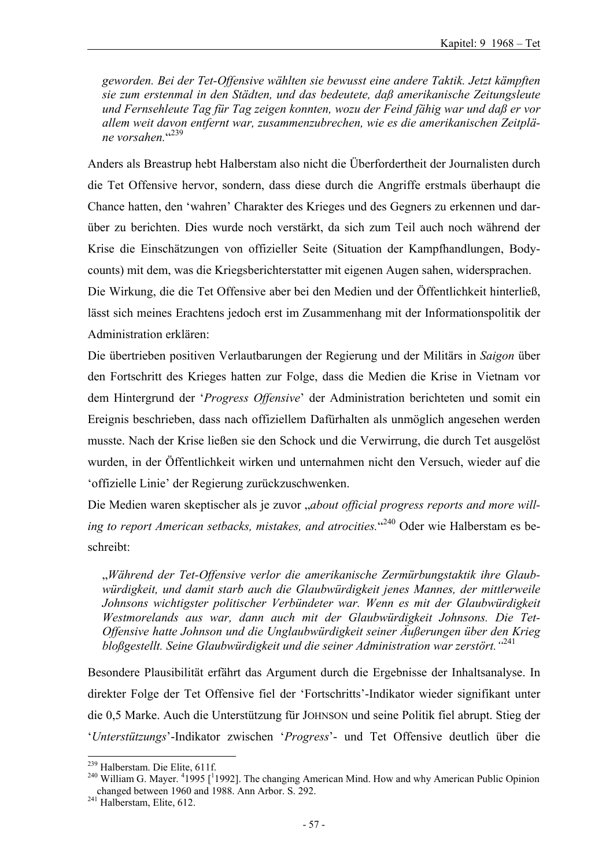*geworden. Bei der Tet-Offensive wählten sie bewusst eine andere Taktik. Jetzt kämpften sie zum erstenmal in den Städten, und das bedeutete, daß amerikanische Zeitungsleute und Fernsehleute Tag für Tag zeigen konnten, wozu der Feind fähig war und daß er vor allem weit davon entfernt war, zusammenzubrechen, wie es die amerikanischen Zeitplä*ne vorsahen.<sup>"239</sup>

Anders als Breastrup hebt Halberstam also nicht die Überfordertheit der Journalisten durch die Tet Offensive hervor, sondern, dass diese durch die Angriffe erstmals überhaupt die Chance hatten, den 'wahren' Charakter des Krieges und des Gegners zu erkennen und darüber zu berichten. Dies wurde noch verstärkt, da sich zum Teil auch noch während der Krise die Einschätzungen von offizieller Seite (Situation der Kampfhandlungen, Bodycounts) mit dem, was die Kriegsberichterstatter mit eigenen Augen sahen, widersprachen.

Die Wirkung, die die Tet Offensive aber bei den Medien und der Öffentlichkeit hinterließ, lässt sich meines Erachtens jedoch erst im Zusammenhang mit der Informationspolitik der Administration erklären:

Die übertrieben positiven Verlautbarungen der Regierung und der Militärs in *Saigon* über den Fortschritt des Krieges hatten zur Folge, dass die Medien die Krise in Vietnam vor dem Hintergrund der '*Progress Offensive*' der Administration berichteten und somit ein Ereignis beschrieben, dass nach offiziellem Dafürhalten als unmöglich angesehen werden musste. Nach der Krise ließen sie den Schock und die Verwirrung, die durch Tet ausgelöst wurden, in der Öffentlichkeit wirken und unternahmen nicht den Versuch, wieder auf die 'offizielle Linie' der Regierung zurückzuschwenken.

Die Medien waren skeptischer als je zuvor "about official progress reports and more will*ing to report American setbacks, mistakes, and atrocities.*" 240 Oder wie Halberstam es beschreibt:

"*Während der Tet-Offensive verlor die amerikanische Zermürbungstaktik ihre Glaubwürdigkeit, und damit starb auch die Glaubwürdigkeit jenes Mannes, der mittlerweile Johnsons wichtigster politischer Verbündeter war. Wenn es mit der Glaubwürdigkeit Westmorelands aus war, dann auch mit der Glaubwürdigkeit Johnsons. Die Tet-Offensive hatte Johnson und die Unglaubwürdigkeit seiner Äußerungen über den Krieg bloßgestellt. Seine Glaubwürdigkeit und die seiner Administration war zerstört."*<sup>241</sup>

Besondere Plausibilität erfährt das Argument durch die Ergebnisse der Inhaltsanalyse. In direkter Folge der Tet Offensive fiel der 'Fortschritts'-Indikator wieder signifikant unter die 0,5 Marke. Auch die Unterstützung für JOHNSON und seine Politik fiel abrupt. Stieg der '*Unterstützungs*'-Indikator zwischen '*Progress*'- und Tet Offensive deutlich über die

<sup>&</sup>lt;sup>239</sup> Halberstam. Die Elite, 611f.

<sup>&</sup>lt;sup>239</sup> Halberstam. Die Elite, 611f.<br><sup>240</sup> William G. Mayer. <sup>4</sup>1995 [<sup>1</sup>1992]. The changing American Mind. How and why American Public Opinion changed between 1960 and 1988. Ann Arbor. S. 292.<br><sup>241</sup> Halberstam, Elite, 612.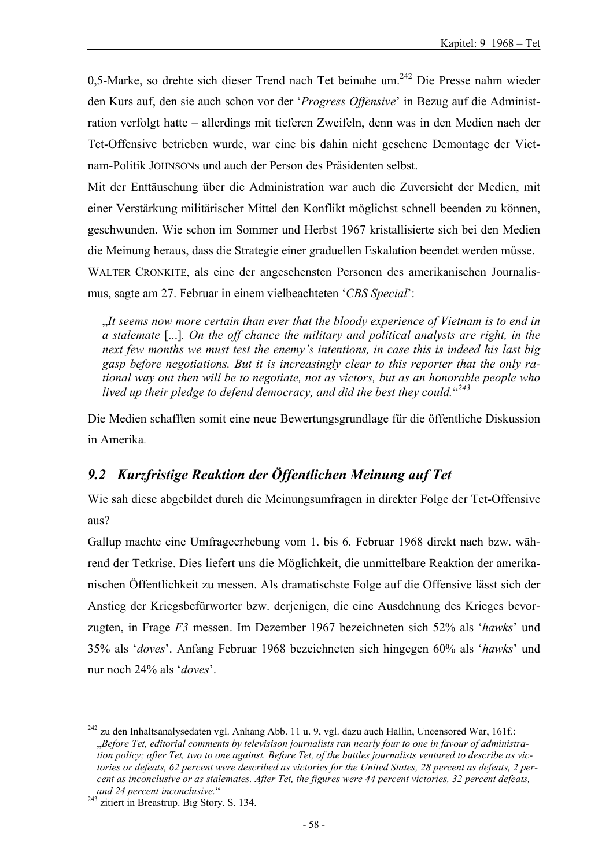0,5-Marke, so drehte sich dieser Trend nach Tet beinahe um.<sup>242</sup> Die Presse nahm wieder den Kurs auf, den sie auch schon vor der '*Progress Offensive*' in Bezug auf die Administration verfolgt hatte – allerdings mit tieferen Zweifeln, denn was in den Medien nach der Tet-Offensive betrieben wurde, war eine bis dahin nicht gesehene Demontage der Vietnam-Politik JOHNSONs und auch der Person des Präsidenten selbst.

Mit der Enttäuschung über die Administration war auch die Zuversicht der Medien, mit einer Verstärkung militärischer Mittel den Konflikt möglichst schnell beenden zu können, geschwunden. Wie schon im Sommer und Herbst 1967 kristallisierte sich bei den Medien die Meinung heraus, dass die Strategie einer graduellen Eskalation beendet werden müsse. WALTER CRONKITE, als eine der angesehensten Personen des amerikanischen Journalismus, sagte am 27. Februar in einem vielbeachteten '*CBS Special*':

"*It seems now more certain than ever that the bloody experience of Vietnam is to end in a stalemate* [...]*. On the off chance the military and political analysts are right, in the next few months we must test the enemy's intentions, in case this is indeed his last big gasp before negotiations. But it is increasingly clear to this reporter that the only rational way out then will be to negotiate, not as victors, but as an honorable people who lived up their pledge to defend democracy, and did the best they could.*" *243*

Die Medien schafften somit eine neue Bewertungsgrundlage für die öffentliche Diskussion in Amerika.

## *9.2 Kurzfristige Reaktion der Öffentlichen Meinung auf Tet*

Wie sah diese abgebildet durch die Meinungsumfragen in direkter Folge der Tet-Offensive aus?

Gallup machte eine Umfrageerhebung vom 1. bis 6. Februar 1968 direkt nach bzw. während der Tetkrise. Dies liefert uns die Möglichkeit, die unmittelbare Reaktion der amerikanischen Öffentlichkeit zu messen. Als dramatischste Folge auf die Offensive lässt sich der Anstieg der Kriegsbefürworter bzw. derjenigen, die eine Ausdehnung des Krieges bevorzugten, in Frage *F3* messen. Im Dezember 1967 bezeichneten sich 52% als '*hawks*' und 35% als '*doves*'. Anfang Februar 1968 bezeichneten sich hingegen 60% als '*hawks*' und nur noch 24% als '*doves*'.

l  $^{242}$  zu den Inhaltsanalysedaten vgl. Anhang Abb. 11 u. 9, vgl. dazu auch Hallin, Uncensored War, 161f.: "*Before Tet, editorial comments by televisison journalists ran nearly four to one in favour of administration policy; after Tet, two to one against. Before Tet, of the battles journalists ventured to describe as victories or defeats, 62 percent were described as victories for the United States, 28 percent as defeats, 2 percent as inconclusive or as stalemates. After Tet, the figures were 44 percent victories, 32 percent defeats,* 

*and 24 percent inconclusive.*" 243 zitiert in Breastrup. Big Story. S. 134.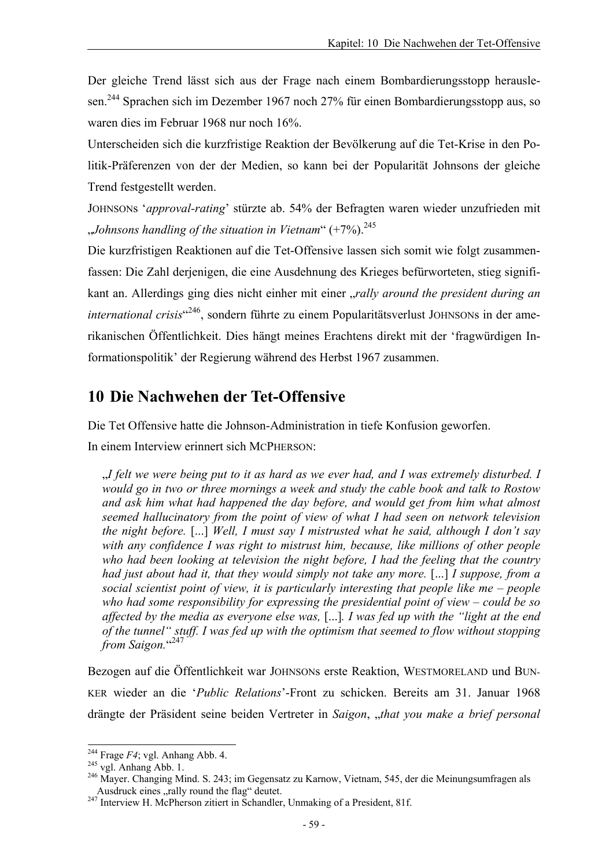Der gleiche Trend lässt sich aus der Frage nach einem Bombardierungsstopp herauslesen.<sup>244</sup> Sprachen sich im Dezember 1967 noch 27% für einen Bombardierungsstopp aus, so waren dies im Februar 1968 nur noch 16%.

Unterscheiden sich die kurzfristige Reaktion der Bevölkerung auf die Tet-Krise in den Politik-Präferenzen von der der Medien, so kann bei der Popularität Johnsons der gleiche Trend festgestellt werden.

JOHNSONs '*approval-rating*' stürzte ab. 54% der Befragten waren wieder unzufrieden mit "*Johnsons handling of the situation in Vietnam*" (+7%).245

Die kurzfristigen Reaktionen auf die Tet-Offensive lassen sich somit wie folgt zusammenfassen: Die Zahl derjenigen, die eine Ausdehnung des Krieges befürworteten, stieg signifikant an. Allerdings ging dies nicht einher mit einer "*rally around the president during an international crisis*" 246, sondern führte zu einem Popularitätsverlust JOHNSONs in der amerikanischen Öffentlichkeit. Dies hängt meines Erachtens direkt mit der 'fragwürdigen Informationspolitik' der Regierung während des Herbst 1967 zusammen.

# **10 Die Nachwehen der Tet-Offensive**

Die Tet Offensive hatte die Johnson-Administration in tiefe Konfusion geworfen.

In einem Interview erinnert sich MCPHERSON:

"*I felt we were being put to it as hard as we ever had, and I was extremely disturbed. I would go in two or three mornings a week and study the cable book and talk to Rostow and ask him what had happened the day before, and would get from him what almost seemed hallucinatory from the point of view of what I had seen on network television the night before.* [...] *Well, I must say I mistrusted what he said, although I don't say with any confidence I was right to mistrust him, because, like millions of other people who had been looking at television the night before, I had the feeling that the country had just about had it, that they would simply not take any more.* [...] *I suppose, from a social scientist point of view, it is particularly interesting that people like me – people who had some responsibility for expressing the presidential point of view – could be so affected by the media as everyone else was,* [...]*. I was fed up with the "light at the end of the tunnel" stuff. I was fed up with the optimism that seemed to flow without stopping from Saigon.*" 247

Bezogen auf die Öffentlichkeit war JOHNSONs erste Reaktion, WESTMORELAND und BUN-KER wieder an die '*Public Relations*'-Front zu schicken. Bereits am 31. Januar 1968 drängte der Präsident seine beiden Vertreter in *Saigon*, "*that you make a brief personal* 

 $244$  Frage  $F4$ ; vgl. Anhang Abb. 4.

<sup>244</sup> Frage *F4*; vgl. Anhang Abb. 4. 245 vgl. Anhang Abb. 1. 246 Mayer. Changing Mind. S. 243; im Gegensatz zu Karnow, Vietnam, 545, der die Meinungsumfragen als Ausdruck eines "rally round the flag" deutet.<br><sup>247</sup> Interview H. McPherson zitiert in Schandler, Unmaking of a President, 81f.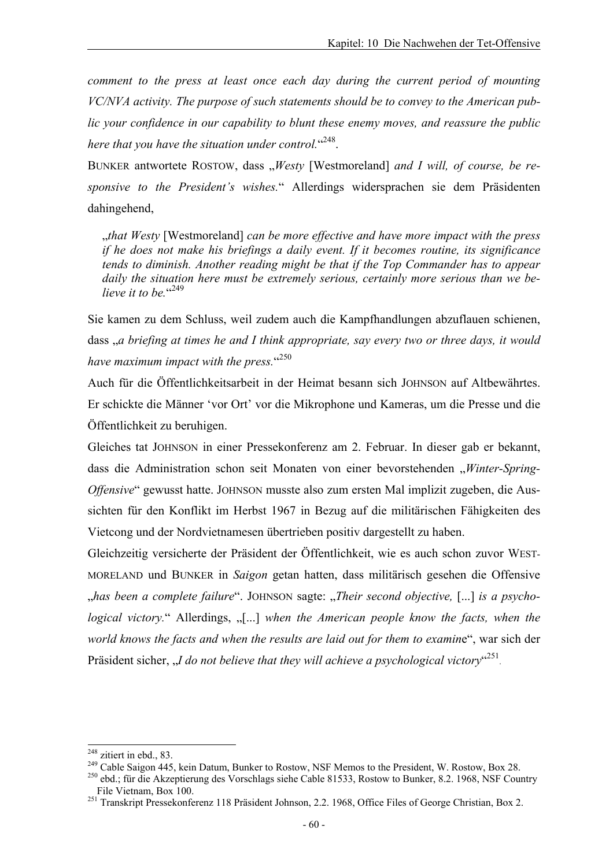*comment to the press at least once each day during the current period of mounting VC/NVA activity. The purpose of such statements should be to convey to the American public your confidence in our capability to blunt these enemy moves, and reassure the public*  here that you have the situation under control.<sup>"248</sup>.

BUNKER antwortete ROSTOW, dass "Westy [Westmoreland] and I will, of course, be re*sponsive to the President's wishes.*" Allerdings widersprachen sie dem Präsidenten dahingehend,

"*that Westy* [Westmoreland] *can be more effective and have more impact with the press if he does not make his briefings a daily event. If it becomes routine, its significance tends to diminish. Another reading might be that if the Top Commander has to appear daily the situation here must be extremely serious, certainly more serious than we be*lieve it to be."<sup>249</sup>

Sie kamen zu dem Schluss, weil zudem auch die Kampfhandlungen abzuflauen schienen, dass <sub>ra</sub> briefing at times he and I think appropriate, say every two or three days, it would have maximum impact with the press.<sup>"250</sup>

Auch für die Öffentlichkeitsarbeit in der Heimat besann sich JOHNSON auf Altbewährtes. Er schickte die Männer 'vor Ort' vor die Mikrophone und Kameras, um die Presse und die Öffentlichkeit zu beruhigen.

Gleiches tat JOHNSON in einer Pressekonferenz am 2. Februar. In dieser gab er bekannt, dass die Administration schon seit Monaten von einer bevorstehenden "Winter-Spring-*Offensive*" gewusst hatte. JOHNSON musste also zum ersten Mal implizit zugeben, die Aussichten für den Konflikt im Herbst 1967 in Bezug auf die militärischen Fähigkeiten des Vietcong und der Nordvietnamesen übertrieben positiv dargestellt zu haben.

Gleichzeitig versicherte der Präsident der Öffentlichkeit, wie es auch schon zuvor WEST-MORELAND und BUNKER in *Saigon* getan hatten, dass militärisch gesehen die Offensive has been a complete failure". JOHNSON sagte: "*Their second objective*, [...] *is a psychological victory.*" Allerdings,  $\lbrack \ldots \rbrack$  when the American people know the facts, when the *world knows the facts and when the results are laid out for them to examin*e", war sich der Präsident sicher, "*I do not believe that they will achieve a psychological victory*"<sup>251</sup>.

<sup>&</sup>lt;sup>248</sup> zitiert in ebd., 83.<br><sup>249</sup> Cable Saigon 445, kein Datum, Bunker to Rostow, NSF Memos to the President, W. Rostow, Box 28.<br><sup>250</sup> ebd.; für die Akzeptierung des Vorschlags siehe Cable 81533, Rostow to Bunker, 8.2. 196 File Vietnam, Box 100.<br><sup>251</sup> Transkript Pressekonferenz 118 Präsident Johnson, 2.2. 1968, Office Files of George Christian, Box 2.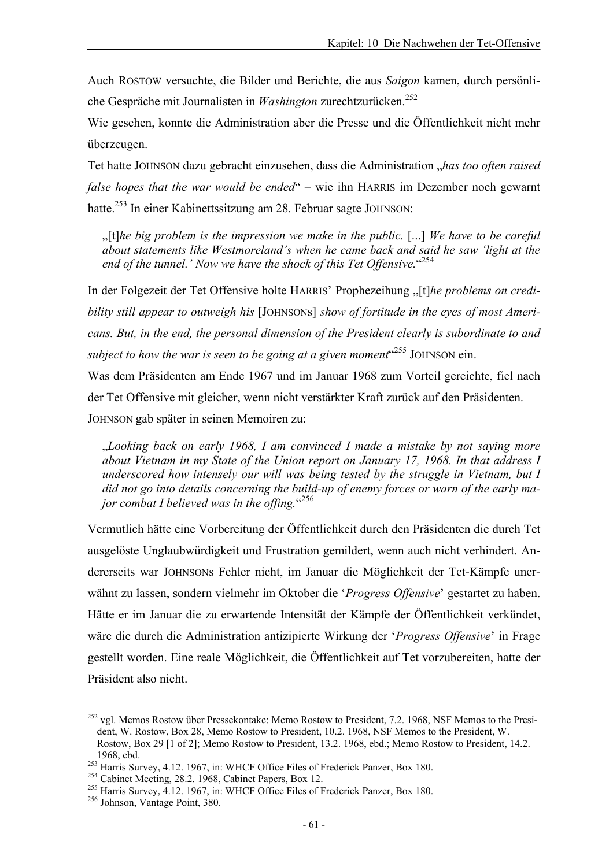Auch ROSTOW versuchte, die Bilder und Berichte, die aus *Saigon* kamen, durch persönliche Gespräche mit Journalisten in *Washington* zurechtzurücken.252

Wie gesehen, konnte die Administration aber die Presse und die Öffentlichkeit nicht mehr überzeugen.

Tet hatte JOHNSON dazu gebracht einzusehen, dass die Administration "*has too often raised false hopes that the war would be ended*" – wie ihn HARRIS im Dezember noch gewarnt hatte.<sup>253</sup> In einer Kabinettssitzung am 28. Februar sagte JOHNSON:

"[t]*he big problem is the impression we make in the public.* [...] *We have to be careful about statements like Westmoreland's when he came back and said he saw 'light at the end of the tunnel.' Now we have the shock of this Tet Offensive.*" 254

In der Folgezeit der Tet Offensive holte HARRIS' Prophezeihung "[t]*he problems on credibility still appear to outweigh his* [JOHNSONs] *show of fortitude in the eyes of most Americans. But, in the end, the personal dimension of the President clearly is subordinate to and*  subject to how the war is seen to be going at a given moment<sup>"255</sup> JOHNSON ein.

Was dem Präsidenten am Ende 1967 und im Januar 1968 zum Vorteil gereichte, fiel nach der Tet Offensive mit gleicher, wenn nicht verstärkter Kraft zurück auf den Präsidenten. JOHNSON gab später in seinen Memoiren zu:

"*Looking back on early 1968, I am convinced I made a mistake by not saying more about Vietnam in my State of the Union report on January 17, 1968. In that address I underscored how intensely our will was being tested by the struggle in Vietnam, but I did not go into details concerning the build-up of enemy forces or warn of the early ma*jor combat I believed was in the offing.<sup>"256</sup>

Vermutlich hätte eine Vorbereitung der Öffentlichkeit durch den Präsidenten die durch Tet ausgelöste Unglaubwürdigkeit und Frustration gemildert, wenn auch nicht verhindert. Andererseits war JOHNSONs Fehler nicht, im Januar die Möglichkeit der Tet-Kämpfe unerwähnt zu lassen, sondern vielmehr im Oktober die '*Progress Offensive*' gestartet zu haben. Hätte er im Januar die zu erwartende Intensität der Kämpfe der Öffentlichkeit verkündet, wäre die durch die Administration antizipierte Wirkung der '*Progress Offensive*' in Frage gestellt worden. Eine reale Möglichkeit, die Öffentlichkeit auf Tet vorzubereiten, hatte der Präsident also nicht.

<sup>&</sup>lt;sup>252</sup> vgl. Memos Rostow über Pressekontake: Memo Rostow to President, 7.2. 1968, NSF Memos to the President, W. Rostow, Box 28, Memo Rostow to President, 10.2. 1968, NSF Memos to the President, W. Rostow, Box 29 [1 of 2]; Memo Rostow to President, 13.2. 1968, ebd.; Memo Rostow to President, 14.2.

<sup>1968,</sup> ebd.<br>
<sup>253</sup> Harris Survey, 4.12. 1967, in: WHCF Office Files of Frederick Panzer, Box 180.<br>
<sup>254</sup> Cabinet Meeting, 28.2. 1968, Cabinet Papers, Box 12.<br>
<sup>255</sup> Harris Survey, 4.12. 1967, in: WHCF Office Files of Freder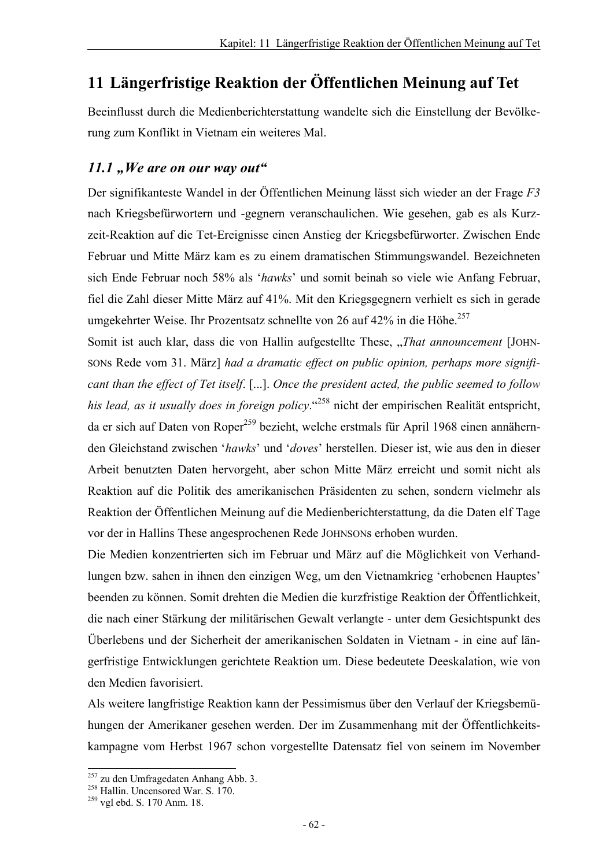# **11 Längerfristige Reaktion der Öffentlichen Meinung auf Tet**

Beeinflusst durch die Medienberichterstattung wandelte sich die Einstellung der Bevölkerung zum Konflikt in Vietnam ein weiteres Mal.

### *11.1*, We are on our way out"

Der signifikanteste Wandel in der Öffentlichen Meinung lässt sich wieder an der Frage *F3* nach Kriegsbefürwortern und -gegnern veranschaulichen. Wie gesehen, gab es als Kurzzeit-Reaktion auf die Tet-Ereignisse einen Anstieg der Kriegsbefürworter. Zwischen Ende Februar und Mitte März kam es zu einem dramatischen Stimmungswandel. Bezeichneten sich Ende Februar noch 58% als '*hawks*' und somit beinah so viele wie Anfang Februar, fiel die Zahl dieser Mitte März auf 41%. Mit den Kriegsgegnern verhielt es sich in gerade umgekehrter Weise. Ihr Prozentsatz schnellte von 26 auf 42% in die Höhe.<sup>257</sup>

Somit ist auch klar, dass die von Hallin aufgestellte These, "*That announcement* [JOHN-SONs Rede vom 31. März] *had a dramatic effect on public opinion, perhaps more significant than the effect of Tet itself*. [...]. *Once the president acted, the public seemed to follow his lead, as it usually does in foreign policy*."258 nicht der empirischen Realität entspricht, da er sich auf Daten von Roper<sup>259</sup> bezieht, welche erstmals für April 1968 einen annähernden Gleichstand zwischen '*hawks*' und '*doves*' herstellen. Dieser ist, wie aus den in dieser Arbeit benutzten Daten hervorgeht, aber schon Mitte März erreicht und somit nicht als Reaktion auf die Politik des amerikanischen Präsidenten zu sehen, sondern vielmehr als Reaktion der Öffentlichen Meinung auf die Medienberichterstattung, da die Daten elf Tage vor der in Hallins These angesprochenen Rede JOHNSONs erhoben wurden.

Die Medien konzentrierten sich im Februar und März auf die Möglichkeit von Verhandlungen bzw. sahen in ihnen den einzigen Weg, um den Vietnamkrieg 'erhobenen Hauptes' beenden zu können. Somit drehten die Medien die kurzfristige Reaktion der Öffentlichkeit, die nach einer Stärkung der militärischen Gewalt verlangte - unter dem Gesichtspunkt des Überlebens und der Sicherheit der amerikanischen Soldaten in Vietnam - in eine auf längerfristige Entwicklungen gerichtete Reaktion um. Diese bedeutete Deeskalation, wie von den Medien favorisiert.

Als weitere langfristige Reaktion kann der Pessimismus über den Verlauf der Kriegsbemühungen der Amerikaner gesehen werden. Der im Zusammenhang mit der Öffentlichkeitskampagne vom Herbst 1967 schon vorgestellte Datensatz fiel von seinem im November

<sup>&</sup>lt;sup>257</sup> zu den Umfragedaten Anhang Abb. 3.<br><sup>258</sup> Hallin. Uncensored War. S. 170.<br><sup>259</sup> vgl ebd. S. 170 Anm. 18.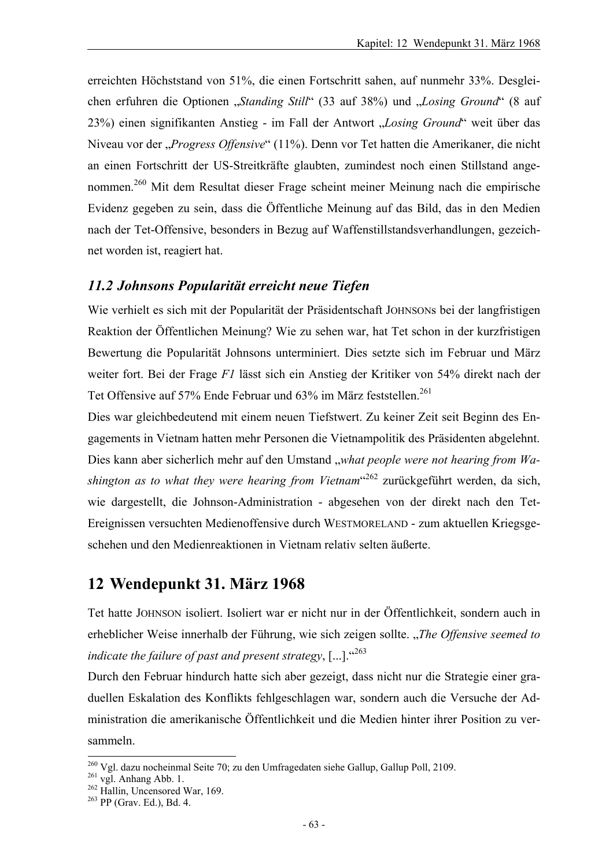erreichten Höchststand von 51%, die einen Fortschritt sahen, auf nunmehr 33%. Desgleichen erfuhren die Optionen "*Standing Still*" (33 auf 38%) und "*Losing Ground*" (8 auf 23%) einen signifikanten Anstieg - im Fall der Antwort "*Losing Ground*" weit über das Niveau vor der "*Progress Offensive*" (11%). Denn vor Tet hatten die Amerikaner, die nicht an einen Fortschritt der US-Streitkräfte glaubten, zumindest noch einen Stillstand angenommen.260 Mit dem Resultat dieser Frage scheint meiner Meinung nach die empirische Evidenz gegeben zu sein, dass die Öffentliche Meinung auf das Bild, das in den Medien nach der Tet-Offensive, besonders in Bezug auf Waffenstillstandsverhandlungen, gezeichnet worden ist, reagiert hat.

#### *11.2 Johnsons Popularität erreicht neue Tiefen*

Wie verhielt es sich mit der Popularität der Präsidentschaft JOHNSONs bei der langfristigen Reaktion der Öffentlichen Meinung? Wie zu sehen war, hat Tet schon in der kurzfristigen Bewertung die Popularität Johnsons unterminiert. Dies setzte sich im Februar und März weiter fort. Bei der Frage *F1* lässt sich ein Anstieg der Kritiker von 54% direkt nach der Tet Offensive auf 57% Ende Februar und 63% im März feststellen.<sup>261</sup>

Dies war gleichbedeutend mit einem neuen Tiefstwert. Zu keiner Zeit seit Beginn des Engagements in Vietnam hatten mehr Personen die Vietnampolitik des Präsidenten abgelehnt. Dies kann aber sicherlich mehr auf den Umstand "what people were not hearing from Washington as to what they were hearing from Vietnam<sup>"262</sup> zurückgeführt werden, da sich, wie dargestellt, die Johnson-Administration - abgesehen von der direkt nach den Tet-Ereignissen versuchten Medienoffensive durch WESTMORELAND - zum aktuellen Kriegsgeschehen und den Medienreaktionen in Vietnam relativ selten äußerte.

### **12 Wendepunkt 31. März 1968**

Tet hatte JOHNSON isoliert. Isoliert war er nicht nur in der Öffentlichkeit, sondern auch in erheblicher Weise innerhalb der Führung, wie sich zeigen sollte. "The Offensive seemed to *indicate the failure of past and present strategy*,  $[\dots]$ .  $\cdot^{263}$ 

Durch den Februar hindurch hatte sich aber gezeigt, dass nicht nur die Strategie einer graduellen Eskalation des Konflikts fehlgeschlagen war, sondern auch die Versuche der Administration die amerikanische Öffentlichkeit und die Medien hinter ihrer Position zu versammeln.

<sup>&</sup>lt;sup>260</sup> Vgl. dazu nocheinmal Seite 70; zu den Umfragedaten siehe Gallup, Gallup Poll, 2109.<br><sup>261</sup> vgl. Anhang Abb. 1.<br><sup>262</sup> Hallin, Uncensored War, 169. <sup>263</sup> PP (Grav. Ed.), Bd. 4.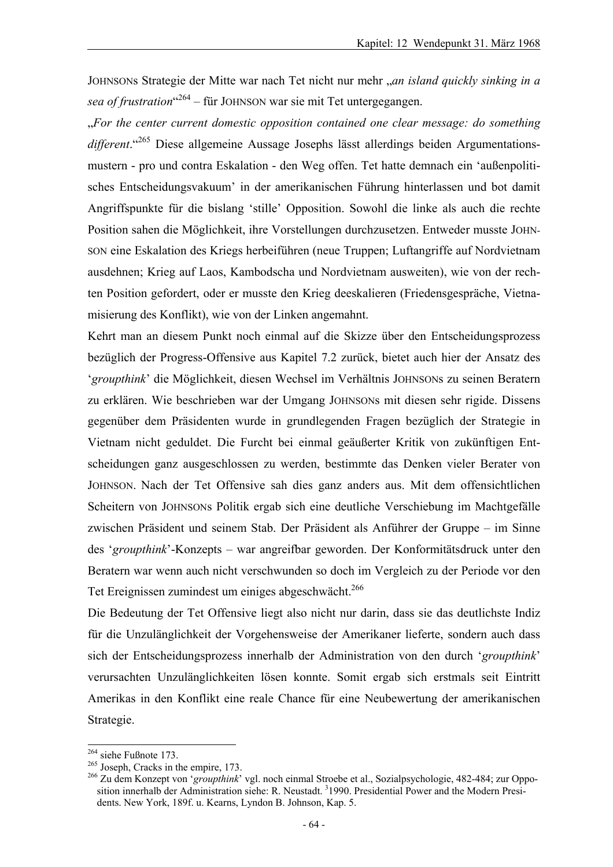JOHNSONs Strategie der Mitte war nach Tet nicht nur mehr "*an island quickly sinking in a sea of frustration*" <sup>264</sup> *–* für JOHNSON war sie mit Tet untergegangen.

"*For the center current domestic opposition contained one clear message: do something different*."265 Diese allgemeine Aussage Josephs lässt allerdings beiden Argumentationsmustern - pro und contra Eskalation - den Weg offen. Tet hatte demnach ein 'außenpolitisches Entscheidungsvakuum' in der amerikanischen Führung hinterlassen und bot damit Angriffspunkte für die bislang 'stille' Opposition. Sowohl die linke als auch die rechte Position sahen die Möglichkeit, ihre Vorstellungen durchzusetzen. Entweder musste JOHN-SON eine Eskalation des Kriegs herbeiführen (neue Truppen; Luftangriffe auf Nordvietnam ausdehnen; Krieg auf Laos, Kambodscha und Nordvietnam ausweiten), wie von der rechten Position gefordert, oder er musste den Krieg deeskalieren (Friedensgespräche, Vietnamisierung des Konflikt), wie von der Linken angemahnt.

Kehrt man an diesem Punkt noch einmal auf die Skizze über den Entscheidungsprozess bezüglich der Progress-Offensive aus Kapitel 7.2 zurück, bietet auch hier der Ansatz des '*groupthink*' die Möglichkeit, diesen Wechsel im Verhältnis JOHNSONs zu seinen Beratern zu erklären. Wie beschrieben war der Umgang JOHNSONs mit diesen sehr rigide. Dissens gegenüber dem Präsidenten wurde in grundlegenden Fragen bezüglich der Strategie in Vietnam nicht geduldet. Die Furcht bei einmal geäußerter Kritik von zukünftigen Entscheidungen ganz ausgeschlossen zu werden, bestimmte das Denken vieler Berater von JOHNSON. Nach der Tet Offensive sah dies ganz anders aus. Mit dem offensichtlichen Scheitern von JOHNSONs Politik ergab sich eine deutliche Verschiebung im Machtgefälle zwischen Präsident und seinem Stab. Der Präsident als Anführer der Gruppe – im Sinne des '*groupthink*'-Konzepts – war angreifbar geworden. Der Konformitätsdruck unter den Beratern war wenn auch nicht verschwunden so doch im Vergleich zu der Periode vor den Tet Ereignissen zumindest um einiges abgeschwächt.<sup>266</sup>

Die Bedeutung der Tet Offensive liegt also nicht nur darin, dass sie das deutlichste Indiz für die Unzulänglichkeit der Vorgehensweise der Amerikaner lieferte, sondern auch dass sich der Entscheidungsprozess innerhalb der Administration von den durch '*groupthink*' verursachten Unzulänglichkeiten lösen konnte. Somit ergab sich erstmals seit Eintritt Amerikas in den Konflikt eine reale Chance für eine Neubewertung der amerikanischen Strategie.

l

<sup>&</sup>lt;sup>264</sup> siehe Fußnote 173.<br><sup>265</sup> Joseph, Cracks in the empire, 173.<br><sup>266</sup> Zu dem Konzept von '*groupthink*' vgl. noch einmal Stroebe et al., Sozialpsychologie, 482-484; zur Opposition innerhalb der Administration siehe: R. Neustadt. <sup>3</sup>1990. Presidential Power and the Modern Presidents. New York, 189f. u. Kearns, Lyndon B. Johnson, Kap. 5.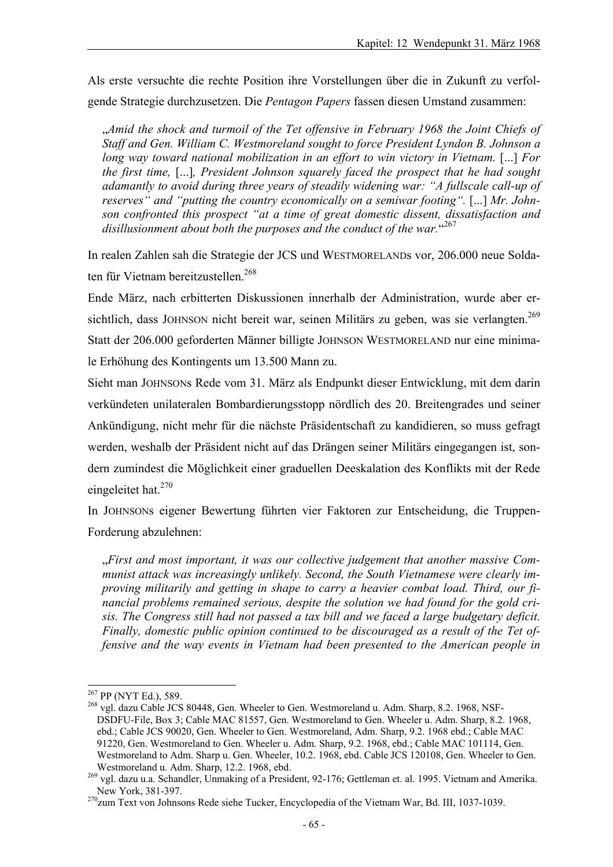Als erste versuchte die rechte Position ihre Vorstellungen über die in Zukunft zu verfolgende Strategie durchzusetzen. Die *Pentagon Papers* fassen diesen Umstand zusammen:

"*Amid the shock and turmoil of the Tet offensive in February 1968 the Joint Chiefs of Staff and Gen. William C. Westmoreland sought to force President Lyndon B. Johnson a long way toward national mobilization in an effort to win victory in Vietnam.* [...] *For the first time,* [...]*, President Johnson squarely faced the prospect that he had sought adamantly to avoid during three years of steadily widening war: "A fullscale call-up of reserves* " and "putting the country economically on a semiwar footing". [...] Mr. John*son confronted this prospect "at a time of great domestic dissent, dissatisfaction and*  disillusionment about both the purposes and the conduct of the war.  $4267$ 

In realen Zahlen sah die Strategie der JCS und WESTMORELANDs vor, 206.000 neue Soldaten für Vietnam bereitzustellen.<sup>268</sup>

Ende März, nach erbitterten Diskussionen innerhalb der Administration, wurde aber ersichtlich, dass JOHNSON nicht bereit war, seinen Militärs zu geben, was sie verlangten.<sup>269</sup> Statt der 206.000 geforderten Männer billigte JOHNSON WESTMORELAND nur eine minimale Erhöhung des Kontingents um 13.500 Mann zu.

Sieht man JOHNSONs Rede vom 31. März als Endpunkt dieser Entwicklung, mit dem darin verkündeten unilateralen Bombardierungsstopp nördlich des 20. Breitengrades und seiner Ankündigung, nicht mehr für die nächste Präsidentschaft zu kandidieren, so muss gefragt werden, weshalb der Präsident nicht auf das Drängen seiner Militärs eingegangen ist, sondern zumindest die Möglichkeit einer graduellen Deeskalation des Konflikts mit der Rede eingeleitet hat. $270$ 

In JOHNSONs eigener Bewertung führten vier Faktoren zur Entscheidung, die Truppen-Forderung abzulehnen:

"*First and most important, it was our collective judgement that another massive Communist attack was increasingly unlikely. Second, the South Vietnamese were clearly improving militarily and getting in shape to carry a heavier combat load. Third, our financial problems remained serious, despite the solution we had found for the gold crisis. The Congress still had not passed a tax bill and we faced a large budgetary deficit. Finally, domestic public opinion continued to be discouraged as a result of the Tet offensive and the way events in Vietnam had been presented to the American people in* 

<sup>&</sup>lt;sup>267</sup> PP (NYT Ed.), 589.

<sup>&</sup>lt;sup>268</sup> vgl. dazu Cable JCS 80448, Gen. Wheeler to Gen. Westmoreland u. Adm. Sharp, 8.2. 1968, NSF-DSDFU-File, Box 3; Cable MAC 81557, Gen. Westmoreland to Gen. Wheeler u. Adm. Sharp, 8.2. 1968, ebd.; Cable JCS 90020, Gen. Wheeler to Gen. Westmoreland, Adm. Sharp, 9.2. 1968 ebd.; Cable MAC 91220, Gen. Westmoreland to Gen. Wheeler u. Adm. Sharp, 9.2. 1968, ebd.; Cable MAC 101114, Gen. Westmoreland to Adm. Sharp u. Gen. Wheeler, 10.2. 1968, ebd. Cable JCS 120108, Gen. Wheeler to Gen.

Westmoreland u. Adm. Sharp, 12.2. 1968, ebd. <sup>269</sup> vgl. dazu u.a. Schandler, Unmaking of a President, 92-176; Gettleman et. al. 1995. Vietnam and Amerika. New York, 381-397.

<sup>&</sup>lt;sup>270</sup>zum Text von Johnsons Rede siehe Tucker, Encyclopedia of the Vietnam War, Bd. III, 1037-1039.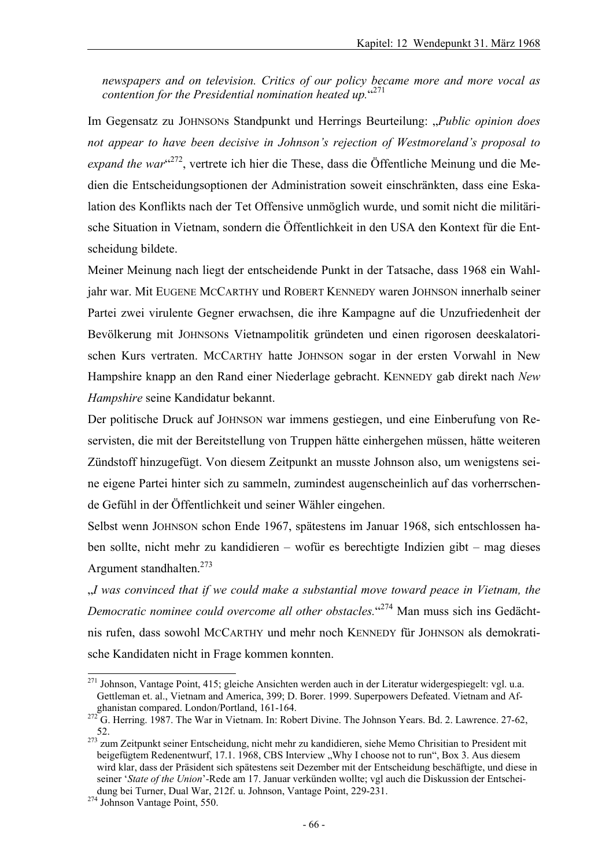*newspapers and on television. Critics of our policy became more and more vocal as contention for the Presidential nomination heated up.*" 271

Im Gegensatz zu JOHNSONs Standpunkt und Herrings Beurteilung: "*Public opinion does not appear to have been decisive in Johnson's rejection of Westmoreland's proposal to*  expand the war<sup>"272</sup>, vertrete ich hier die These, dass die Öffentliche Meinung und die Medien die Entscheidungsoptionen der Administration soweit einschränkten, dass eine Eskalation des Konflikts nach der Tet Offensive unmöglich wurde, und somit nicht die militärische Situation in Vietnam, sondern die Öffentlichkeit in den USA den Kontext für die Entscheidung bildete.

Meiner Meinung nach liegt der entscheidende Punkt in der Tatsache, dass 1968 ein Wahljahr war. Mit EUGENE MCCARTHY und ROBERT KENNEDY waren JOHNSON innerhalb seiner Partei zwei virulente Gegner erwachsen, die ihre Kampagne auf die Unzufriedenheit der Bevölkerung mit JOHNSONs Vietnampolitik gründeten und einen rigorosen deeskalatorischen Kurs vertraten. MCCARTHY hatte JOHNSON sogar in der ersten Vorwahl in New Hampshire knapp an den Rand einer Niederlage gebracht. KENNEDY gab direkt nach *New Hampshire* seine Kandidatur bekannt.

Der politische Druck auf JOHNSON war immens gestiegen, und eine Einberufung von Reservisten, die mit der Bereitstellung von Truppen hätte einhergehen müssen, hätte weiteren Zündstoff hinzugefügt. Von diesem Zeitpunkt an musste Johnson also, um wenigstens seine eigene Partei hinter sich zu sammeln, zumindest augenscheinlich auf das vorherrschende Gefühl in der Öffentlichkeit und seiner Wähler eingehen.

Selbst wenn JOHNSON schon Ende 1967, spätestens im Januar 1968, sich entschlossen haben sollte, nicht mehr zu kandidieren – wofür es berechtigte Indizien gibt – mag dieses Argument standhalten. $273$ 

"*I was convinced that if we could make a substantial move toward peace in Vietnam, the Democratic nominee could overcome all other obstacles.*" 274 Man muss sich ins Gedächtnis rufen, dass sowohl MCCARTHY und mehr noch KENNEDY für JOHNSON als demokratische Kandidaten nicht in Frage kommen konnten.

l <sup>271</sup> Johnson, Vantage Point, 415; gleiche Ansichten werden auch in der Literatur widergespiegelt: vgl. u.a. Gettleman et. al., Vietnam and America, 399; D. Borer. 1999. Superpowers Defeated. Vietnam and Af-

ghanistan compared. London/Portland, 161-164.<br><sup>272</sup> G. Herring. 1987. The War in Vietnam. In: Robert Divine. The Johnson Years. Bd. 2. Lawrence. 27-62,

<sup>&</sup>lt;sup>273</sup> zum Zeitpunkt seiner Entscheidung, nicht mehr zu kandidieren, siehe Memo Chrisitian to President mit beigefügtem Redenentwurf, 17.1. 1968, CBS Interview "Why I choose not to run", Box 3. Aus diesem wird klar, dass der Präsident sich spätestens seit Dezember mit der Entscheidung beschäftigte, und diese in seiner '*State of the Union*'-Rede am 17. Januar verkünden wollte; vgl auch die Diskussion der Entscheidung bei Turner, Dual War, 212f. u. Johnson, Vantage Point, 229-231. 274 Johnson Vantage Point, 550.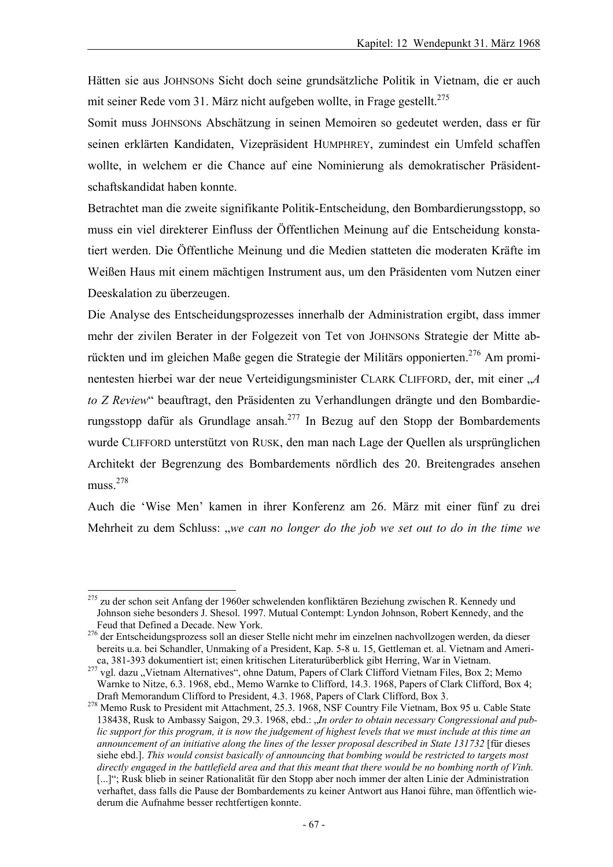Hätten sie aus JOHNSONs Sicht doch seine grundsätzliche Politik in Vietnam, die er auch mit seiner Rede vom 31. März nicht aufgeben wollte, in Frage gestellt.<sup>275</sup>

Somit muss JOHNSONs Abschätzung in seinen Memoiren so gedeutet werden, dass er für seinen erklärten Kandidaten, Vizepräsident HUMPHREY, zumindest ein Umfeld schaffen wollte, in welchem er die Chance auf eine Nominierung als demokratischer Präsidentschaftskandidat haben konnte.

Betrachtet man die zweite signifikante Politik-Entscheidung, den Bombardierungsstopp, so muss ein viel direkterer Einfluss der Öffentlichen Meinung auf die Entscheidung konstatiert werden. Die Öffentliche Meinung und die Medien statteten die moderaten Kräfte im Weißen Haus mit einem mächtigen Instrument aus, um den Präsidenten vom Nutzen einer Deeskalation zu überzeugen.

Die Analyse des Entscheidungsprozesses innerhalb der Administration ergibt, dass immer mehr der zivilen Berater in der Folgezeit von Tet von JOHNSONs Strategie der Mitte abrückten und im gleichen Maße gegen die Strategie der Militärs opponierten.276 Am prominentesten hierbei war der neue Verteidigungsminister CLARK CLIFFORD, der, mit einer "A *to Z Review*" beauftragt, den Präsidenten zu Verhandlungen drängte und den Bombardierungsstopp dafür als Grundlage ansah.277 In Bezug auf den Stopp der Bombardements wurde CLIFFORD unterstützt von RUSK, den man nach Lage der Quellen als ursprünglichen Architekt der Begrenzung des Bombardements nördlich des 20. Breitengrades ansehen muss.278

Auch die 'Wise Men' kamen in ihrer Konferenz am 26. März mit einer fünf zu drei Mehrheit zu dem Schluss: "*we can no longer do the job we set out to do in the time we* 

l <sup>275</sup> zu der schon seit Anfang der 1960er schwelenden konfliktären Beziehung zwischen R. Kennedy und Johnson siehe besonders J. Shesol. 1997. Mutual Contempt: Lyndon Johnson, Robert Kennedy, and the

<sup>&</sup>lt;sup>276</sup> der Entscheidungsprozess soll an dieser Stelle nicht mehr im einzelnen nachvollzogen werden, da dieser bereits u.a. bei Schandler, Unmaking of a President, Kap. 5-8 u. 15, Gettleman et. al. Vietnam and Ameri-<br>ca. 381-393 dokumentiert ist; einen kritischen Literaturüberblick gibt Herring, War in Vietnam.

<sup>&</sup>lt;sup>277</sup> vgl. dazu "Vietnam Alternatives", ohne Datum, Papers of Clark Clifford Vietnam Files, Box 2; Memo Warnke to Nitze, 6.3. 1968, ebd., Memo Warnke to Clifford, 14.3. 1968, Papers of Clark Clifford, Box 4;<br>Draft Memorandum Clifford to President, 4.3. 1968, Papers of Clark Clifford, Box 3.

<sup>&</sup>lt;sup>278</sup> Memo Rusk to President mit Attachment, 25.3. 1968, NSF Country File Vietnam, Box 95 u. Cable State 138438, Rusk to Ambassy Saigon, 29.3. 1968, ebd.: "*In order to obtain necessary Congressional and public support for this program, it is now the judgement of highest levels that we must include at this time an announcement of an initiative along the lines of the lesser proposal described in State 131732* [für dieses siehe ebd.]. *This would consist basically of announcing that bombing would be restricted to targets most directly engaged in the battlefield area and that this meant that there would be no bombing north of Vinh.*  [...]"; Rusk blieb in seiner Rationalität für den Stopp aber noch immer der alten Linie der Administration verhaftet, dass falls die Pause der Bombardements zu keiner Antwort aus Hanoi führe, man öffentlich wiederum die Aufnahme besser rechtfertigen konnte.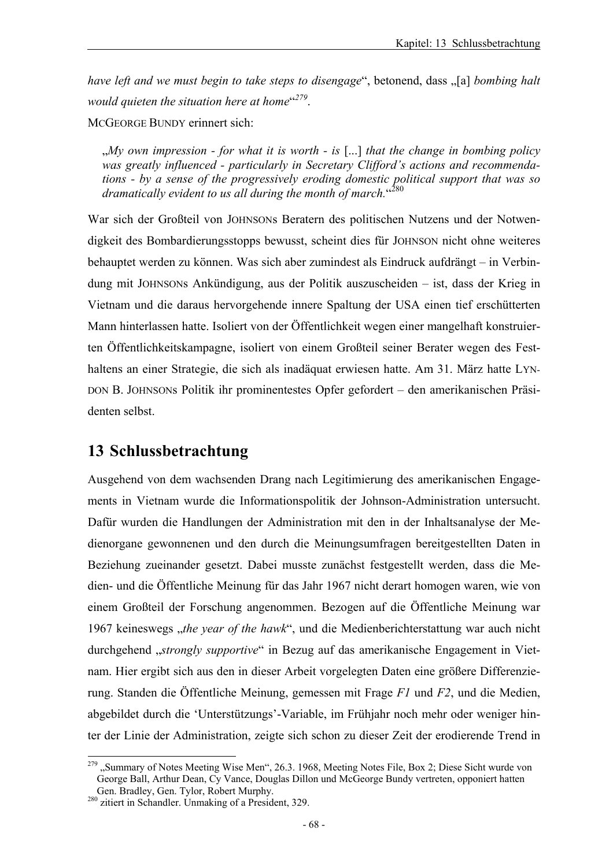have left and we must begin to take steps to disengage", betonend, dass "[a] *bombing halt would quieten the situation here at home*" *<sup>279</sup>*.

MCGEORGE BUNDY erinnert sich:

"*My own impression - for what it is worth - is* [...] *that the change in bombing policy was greatly influenced - particularly in Secretary Clifford's actions and recommendations - by a sense of the progressively eroding domestic political support that was so*  dramatically evident to us all during the month of march."<sup>280</sup>

War sich der Großteil von JOHNSONs Beratern des politischen Nutzens und der Notwendigkeit des Bombardierungsstopps bewusst, scheint dies für JOHNSON nicht ohne weiteres behauptet werden zu können. Was sich aber zumindest als Eindruck aufdrängt – in Verbindung mit JOHNSONs Ankündigung, aus der Politik auszuscheiden – ist, dass der Krieg in Vietnam und die daraus hervorgehende innere Spaltung der USA einen tief erschütterten Mann hinterlassen hatte. Isoliert von der Öffentlichkeit wegen einer mangelhaft konstruierten Öffentlichkeitskampagne, isoliert von einem Großteil seiner Berater wegen des Festhaltens an einer Strategie, die sich als inadäquat erwiesen hatte. Am 31. März hatte LYN-DON B. JOHNSONs Politik ihr prominentestes Opfer gefordert – den amerikanischen Präsidenten selbst.

# **13 Schlussbetrachtung**

Ausgehend von dem wachsenden Drang nach Legitimierung des amerikanischen Engagements in Vietnam wurde die Informationspolitik der Johnson-Administration untersucht. Dafür wurden die Handlungen der Administration mit den in der Inhaltsanalyse der Medienorgane gewonnenen und den durch die Meinungsumfragen bereitgestellten Daten in Beziehung zueinander gesetzt. Dabei musste zunächst festgestellt werden, dass die Medien- und die Öffentliche Meinung für das Jahr 1967 nicht derart homogen waren, wie von einem Großteil der Forschung angenommen. Bezogen auf die Öffentliche Meinung war 1967 keineswegs "*the year of the hawk*", und die Medienberichterstattung war auch nicht durchgehend "*strongly supportive*" in Bezug auf das amerikanische Engagement in Vietnam. Hier ergibt sich aus den in dieser Arbeit vorgelegten Daten eine größere Differenzierung. Standen die Öffentliche Meinung, gemessen mit Frage *F1* und *F2*, und die Medien, abgebildet durch die 'Unterstützungs'-Variable, im Frühjahr noch mehr oder weniger hinter der Linie der Administration, zeigte sich schon zu dieser Zeit der erodierende Trend in

l <sup>279</sup> "Summary of Notes Meeting Wise Men", 26.3. 1968, Meeting Notes File, Box 2; Diese Sicht wurde von George Ball, Arthur Dean, Cy Vance, Douglas Dillon und McGeorge Bundy vertreten, opponiert hatten

Gen. Bradley, Gen. Tylor, Robert Murphy. 280 zitiert in Schandler. Unmaking of a President, 329.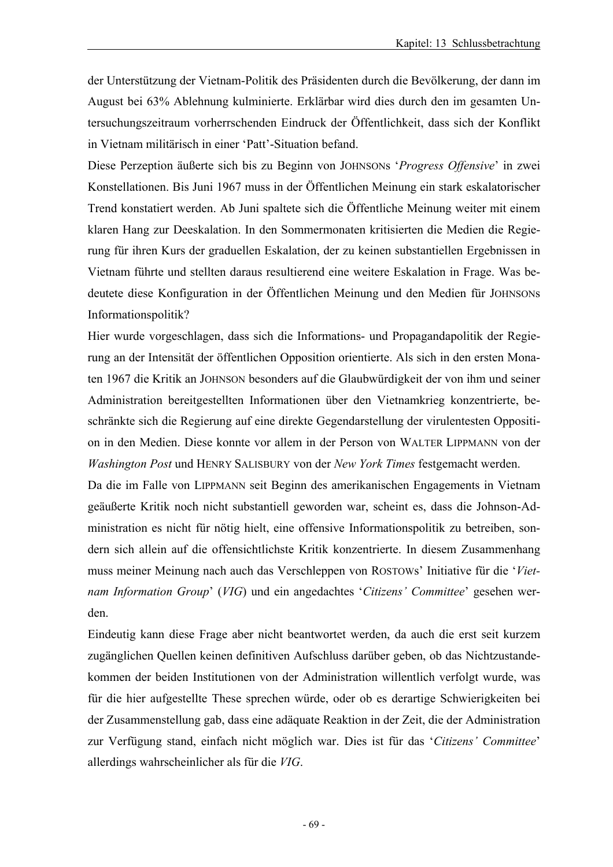der Unterstützung der Vietnam-Politik des Präsidenten durch die Bevölkerung, der dann im August bei 63% Ablehnung kulminierte. Erklärbar wird dies durch den im gesamten Untersuchungszeitraum vorherrschenden Eindruck der Öffentlichkeit, dass sich der Konflikt in Vietnam militärisch in einer 'Patt'-Situation befand.

Diese Perzeption äußerte sich bis zu Beginn von JOHNSONs '*Progress Offensive*' in zwei Konstellationen. Bis Juni 1967 muss in der Öffentlichen Meinung ein stark eskalatorischer Trend konstatiert werden. Ab Juni spaltete sich die Öffentliche Meinung weiter mit einem klaren Hang zur Deeskalation. In den Sommermonaten kritisierten die Medien die Regierung für ihren Kurs der graduellen Eskalation, der zu keinen substantiellen Ergebnissen in Vietnam führte und stellten daraus resultierend eine weitere Eskalation in Frage. Was bedeutete diese Konfiguration in der Öffentlichen Meinung und den Medien für JOHNSONs Informationspolitik?

Hier wurde vorgeschlagen, dass sich die Informations- und Propagandapolitik der Regierung an der Intensität der öffentlichen Opposition orientierte. Als sich in den ersten Monaten 1967 die Kritik an JOHNSON besonders auf die Glaubwürdigkeit der von ihm und seiner Administration bereitgestellten Informationen über den Vietnamkrieg konzentrierte, beschränkte sich die Regierung auf eine direkte Gegendarstellung der virulentesten Opposition in den Medien. Diese konnte vor allem in der Person von WALTER LIPPMANN von der *Washington Post* und HENRY SALISBURY von der *New York Times* festgemacht werden.

Da die im Falle von LIPPMANN seit Beginn des amerikanischen Engagements in Vietnam geäußerte Kritik noch nicht substantiell geworden war, scheint es, dass die Johnson-Administration es nicht für nötig hielt, eine offensive Informationspolitik zu betreiben, sondern sich allein auf die offensichtlichste Kritik konzentrierte. In diesem Zusammenhang muss meiner Meinung nach auch das Verschleppen von ROSTOWs' Initiative für die '*Vietnam Information Group*' (*VIG*) und ein angedachtes '*Citizens' Committee*' gesehen werden.

Eindeutig kann diese Frage aber nicht beantwortet werden, da auch die erst seit kurzem zugänglichen Quellen keinen definitiven Aufschluss darüber geben, ob das Nichtzustandekommen der beiden Institutionen von der Administration willentlich verfolgt wurde, was für die hier aufgestellte These sprechen würde, oder ob es derartige Schwierigkeiten bei der Zusammenstellung gab, dass eine adäquate Reaktion in der Zeit, die der Administration zur Verfügung stand, einfach nicht möglich war. Dies ist für das '*Citizens' Committee*' allerdings wahrscheinlicher als für die *VIG*.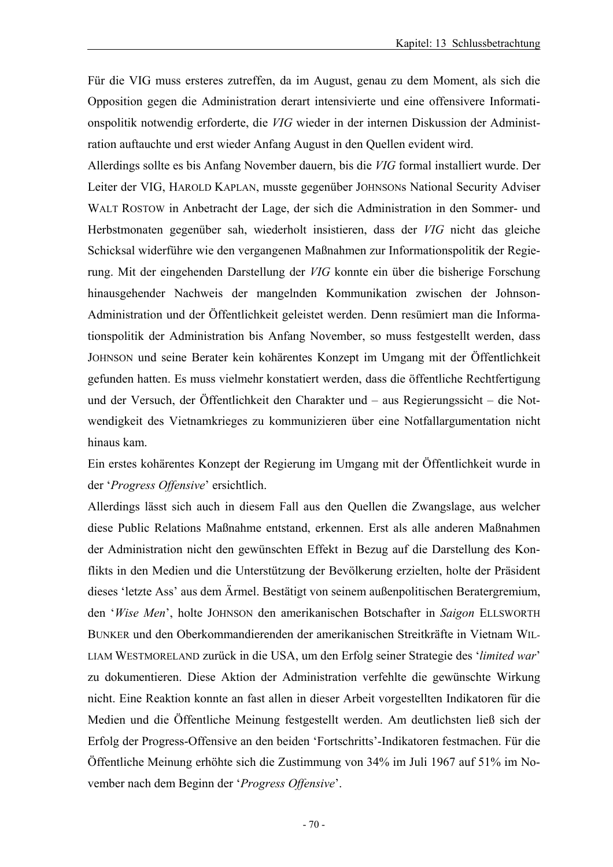Für die VIG muss ersteres zutreffen, da im August, genau zu dem Moment, als sich die Opposition gegen die Administration derart intensivierte und eine offensivere Informationspolitik notwendig erforderte, die *VIG* wieder in der internen Diskussion der Administration auftauchte und erst wieder Anfang August in den Quellen evident wird.

Allerdings sollte es bis Anfang November dauern, bis die *VIG* formal installiert wurde. Der Leiter der VIG, HAROLD KAPLAN, musste gegenüber JOHNSONs National Security Adviser WALT ROSTOW in Anbetracht der Lage, der sich die Administration in den Sommer- und Herbstmonaten gegenüber sah, wiederholt insistieren, dass der *VIG* nicht das gleiche Schicksal widerführe wie den vergangenen Maßnahmen zur Informationspolitik der Regierung. Mit der eingehenden Darstellung der *VIG* konnte ein über die bisherige Forschung hinausgehender Nachweis der mangelnden Kommunikation zwischen der Johnson-Administration und der Öffentlichkeit geleistet werden. Denn resümiert man die Informationspolitik der Administration bis Anfang November, so muss festgestellt werden, dass JOHNSON und seine Berater kein kohärentes Konzept im Umgang mit der Öffentlichkeit gefunden hatten. Es muss vielmehr konstatiert werden, dass die öffentliche Rechtfertigung und der Versuch, der Öffentlichkeit den Charakter und – aus Regierungssicht – die Notwendigkeit des Vietnamkrieges zu kommunizieren über eine Notfallargumentation nicht hinaus kam.

Ein erstes kohärentes Konzept der Regierung im Umgang mit der Öffentlichkeit wurde in der '*Progress Offensive*' ersichtlich.

Allerdings lässt sich auch in diesem Fall aus den Quellen die Zwangslage, aus welcher diese Public Relations Maßnahme entstand, erkennen. Erst als alle anderen Maßnahmen der Administration nicht den gewünschten Effekt in Bezug auf die Darstellung des Konflikts in den Medien und die Unterstützung der Bevölkerung erzielten, holte der Präsident dieses 'letzte Ass' aus dem Ärmel. Bestätigt von seinem außenpolitischen Beratergremium, den '*Wise Men*', holte JOHNSON den amerikanischen Botschafter in *Saigon* ELLSWORTH BUNKER und den Oberkommandierenden der amerikanischen Streitkräfte in Vietnam WIL-LIAM WESTMORELAND zurück in die USA, um den Erfolg seiner Strategie des '*limited war*' zu dokumentieren. Diese Aktion der Administration verfehlte die gewünschte Wirkung nicht. Eine Reaktion konnte an fast allen in dieser Arbeit vorgestellten Indikatoren für die Medien und die Öffentliche Meinung festgestellt werden. Am deutlichsten ließ sich der Erfolg der Progress-Offensive an den beiden 'Fortschritts'-Indikatoren festmachen. Für die Öffentliche Meinung erhöhte sich die Zustimmung von 34% im Juli 1967 auf 51% im November nach dem Beginn der '*Progress Offensive*'.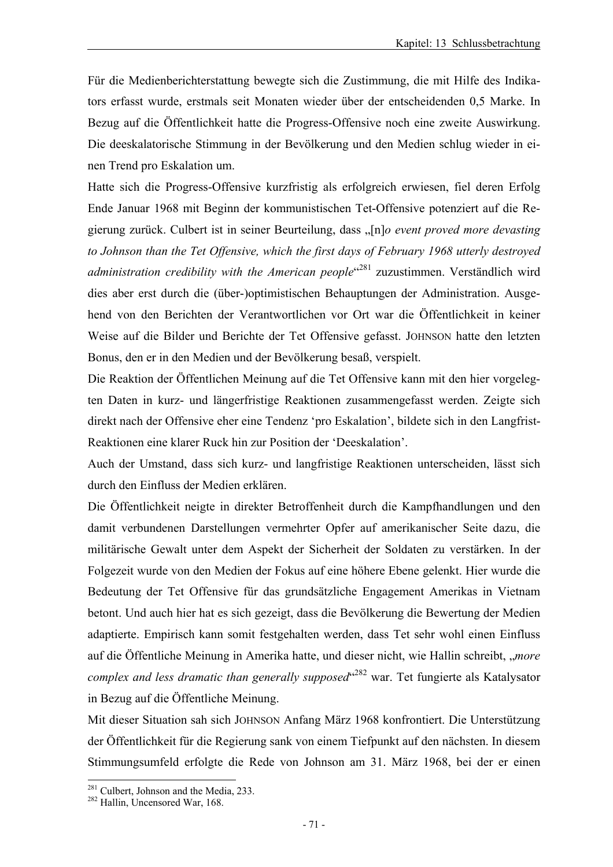Für die Medienberichterstattung bewegte sich die Zustimmung, die mit Hilfe des Indikators erfasst wurde, erstmals seit Monaten wieder über der entscheidenden 0,5 Marke. In Bezug auf die Öffentlichkeit hatte die Progress-Offensive noch eine zweite Auswirkung. Die deeskalatorische Stimmung in der Bevölkerung und den Medien schlug wieder in einen Trend pro Eskalation um.

Hatte sich die Progress-Offensive kurzfristig als erfolgreich erwiesen, fiel deren Erfolg Ende Januar 1968 mit Beginn der kommunistischen Tet-Offensive potenziert auf die Regierung zurück. Culbert ist in seiner Beurteilung, dass "[n]*o event proved more devasting to Johnson than the Tet Offensive, which the first days of February 1968 utterly destroyed*  administration credibility with the American people<sup>«281</sup> zuzustimmen. Verständlich wird dies aber erst durch die (über-)optimistischen Behauptungen der Administration. Ausgehend von den Berichten der Verantwortlichen vor Ort war die Öffentlichkeit in keiner Weise auf die Bilder und Berichte der Tet Offensive gefasst. JOHNSON hatte den letzten Bonus, den er in den Medien und der Bevölkerung besaß, verspielt.

Die Reaktion der Öffentlichen Meinung auf die Tet Offensive kann mit den hier vorgelegten Daten in kurz- und längerfristige Reaktionen zusammengefasst werden. Zeigte sich direkt nach der Offensive eher eine Tendenz 'pro Eskalation', bildete sich in den Langfrist-Reaktionen eine klarer Ruck hin zur Position der 'Deeskalation'.

Auch der Umstand, dass sich kurz- und langfristige Reaktionen unterscheiden, lässt sich durch den Einfluss der Medien erklären.

Die Öffentlichkeit neigte in direkter Betroffenheit durch die Kampfhandlungen und den damit verbundenen Darstellungen vermehrter Opfer auf amerikanischer Seite dazu, die militärische Gewalt unter dem Aspekt der Sicherheit der Soldaten zu verstärken. In der Folgezeit wurde von den Medien der Fokus auf eine höhere Ebene gelenkt. Hier wurde die Bedeutung der Tet Offensive für das grundsätzliche Engagement Amerikas in Vietnam betont. Und auch hier hat es sich gezeigt, dass die Bevölkerung die Bewertung der Medien adaptierte. Empirisch kann somit festgehalten werden, dass Tet sehr wohl einen Einfluss auf die Öffentliche Meinung in Amerika hatte, und dieser nicht, wie Hallin schreibt, "*more*  complex and less dramatic than generally supposed<sup>«282</sup> war. Tet fungierte als Katalysator in Bezug auf die Öffentliche Meinung.

Mit dieser Situation sah sich JOHNSON Anfang März 1968 konfrontiert. Die Unterstützung der Öffentlichkeit für die Regierung sank von einem Tiefpunkt auf den nächsten. In diesem Stimmungsumfeld erfolgte die Rede von Johnson am 31. März 1968, bei der er einen

l

 $^{281}$  Culbert, Johnson and the Media, 233.<br> $^{282}$  Hallin, Uncensored War, 168.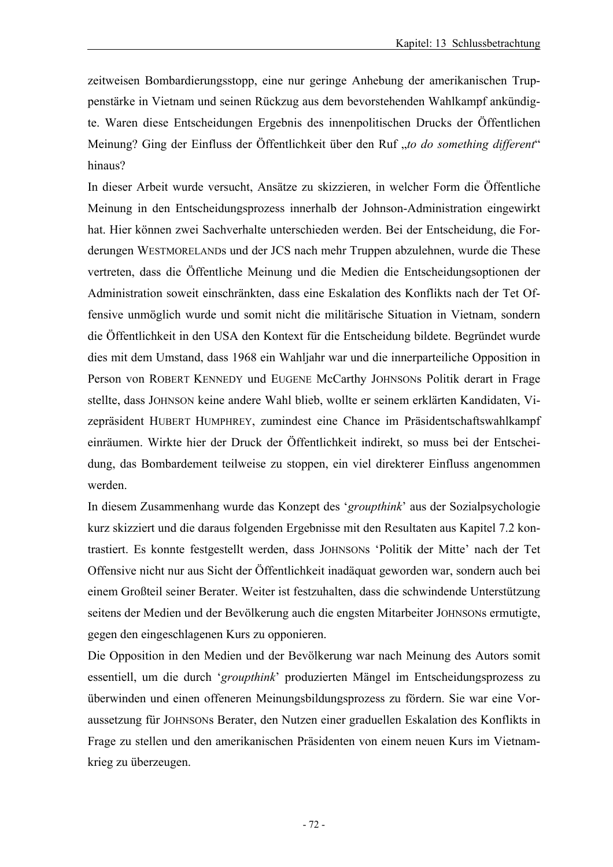zeitweisen Bombardierungsstopp, eine nur geringe Anhebung der amerikanischen Truppenstärke in Vietnam und seinen Rückzug aus dem bevorstehenden Wahlkampf ankündigte. Waren diese Entscheidungen Ergebnis des innenpolitischen Drucks der Öffentlichen Meinung? Ging der Einfluss der Öffentlichkeit über den Ruf "*to do something different"* hinaus?

In dieser Arbeit wurde versucht, Ansätze zu skizzieren, in welcher Form die Öffentliche Meinung in den Entscheidungsprozess innerhalb der Johnson-Administration eingewirkt hat. Hier können zwei Sachverhalte unterschieden werden. Bei der Entscheidung, die Forderungen WESTMORELANDs und der JCS nach mehr Truppen abzulehnen, wurde die These vertreten, dass die Öffentliche Meinung und die Medien die Entscheidungsoptionen der Administration soweit einschränkten, dass eine Eskalation des Konflikts nach der Tet Offensive unmöglich wurde und somit nicht die militärische Situation in Vietnam, sondern die Öffentlichkeit in den USA den Kontext für die Entscheidung bildete. Begründet wurde dies mit dem Umstand, dass 1968 ein Wahljahr war und die innerparteiliche Opposition in Person von ROBERT KENNEDY und EUGENE McCarthy JOHNSONs Politik derart in Frage stellte, dass JOHNSON keine andere Wahl blieb, wollte er seinem erklärten Kandidaten, Vizepräsident HUBERT HUMPHREY, zumindest eine Chance im Präsidentschaftswahlkampf einräumen. Wirkte hier der Druck der Öffentlichkeit indirekt, so muss bei der Entscheidung, das Bombardement teilweise zu stoppen, ein viel direkterer Einfluss angenommen werden.

In diesem Zusammenhang wurde das Konzept des '*groupthink*' aus der Sozialpsychologie kurz skizziert und die daraus folgenden Ergebnisse mit den Resultaten aus Kapitel 7.2 kontrastiert. Es konnte festgestellt werden, dass JOHNSONs 'Politik der Mitte' nach der Tet Offensive nicht nur aus Sicht der Öffentlichkeit inadäquat geworden war, sondern auch bei einem Großteil seiner Berater. Weiter ist festzuhalten, dass die schwindende Unterstützung seitens der Medien und der Bevölkerung auch die engsten Mitarbeiter JOHNSONs ermutigte, gegen den eingeschlagenen Kurs zu opponieren.

Die Opposition in den Medien und der Bevölkerung war nach Meinung des Autors somit essentiell, um die durch '*groupthink*' produzierten Mängel im Entscheidungsprozess zu überwinden und einen offeneren Meinungsbildungsprozess zu fördern. Sie war eine Voraussetzung für JOHNSONs Berater, den Nutzen einer graduellen Eskalation des Konflikts in Frage zu stellen und den amerikanischen Präsidenten von einem neuen Kurs im Vietnamkrieg zu überzeugen.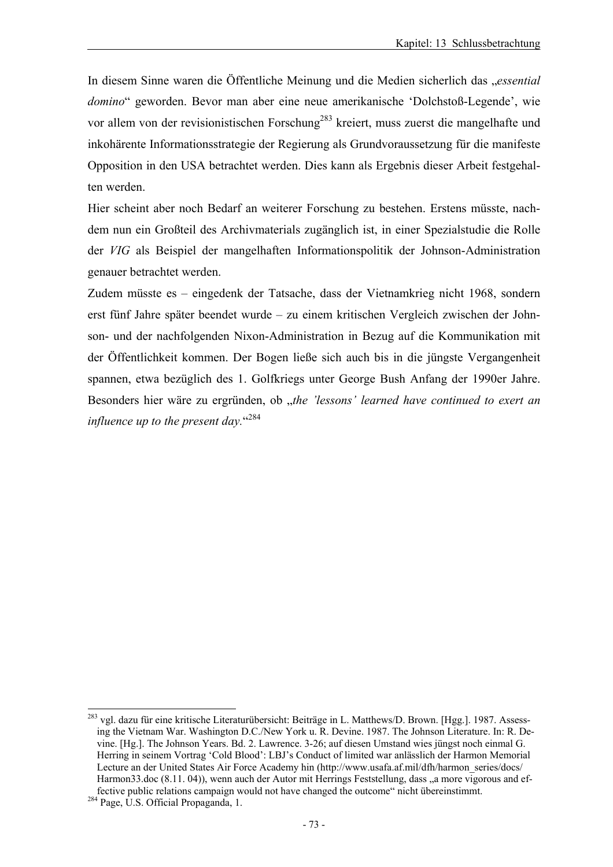In diesem Sinne waren die Öffentliche Meinung und die Medien sicherlich das "*essential domino*" geworden. Bevor man aber eine neue amerikanische 'Dolchstoß-Legende', wie vor allem von der revisionistischen Forschung<sup>283</sup> kreiert, muss zuerst die mangelhafte und inkohärente Informationsstrategie der Regierung als Grundvoraussetzung für die manifeste Opposition in den USA betrachtet werden. Dies kann als Ergebnis dieser Arbeit festgehalten werden.

Hier scheint aber noch Bedarf an weiterer Forschung zu bestehen. Erstens müsste, nachdem nun ein Großteil des Archivmaterials zugänglich ist, in einer Spezialstudie die Rolle der *VIG* als Beispiel der mangelhaften Informationspolitik der Johnson-Administration genauer betrachtet werden.

Zudem müsste es – eingedenk der Tatsache, dass der Vietnamkrieg nicht 1968, sondern erst fünf Jahre später beendet wurde – zu einem kritischen Vergleich zwischen der Johnson- und der nachfolgenden Nixon-Administration in Bezug auf die Kommunikation mit der Öffentlichkeit kommen. Der Bogen ließe sich auch bis in die jüngste Vergangenheit spannen, etwa bezüglich des 1. Golfkriegs unter George Bush Anfang der 1990er Jahre. Besonders hier wäre zu ergründen, ob "the 'lessons' learned have continued to exert an influence up to the present day."<sup>284</sup>

l

<sup>&</sup>lt;sup>283</sup> vgl. dazu für eine kritische Literaturübersicht: Beiträge in L. Matthews/D. Brown. [Hgg.]. 1987. Assessing the Vietnam War. Washington D.C./New York u. R. Devine. 1987. The Johnson Literature. In: R. Devine. [Hg.]. The Johnson Years. Bd. 2. Lawrence. 3-26; auf diesen Umstand wies jüngst noch einmal G. Herring in seinem Vortrag 'Cold Blood': LBJ's Conduct of limited war anlässlich der Harmon Memorial Lecture an der United States Air Force Academy hin (http://www.usafa.af.mil/dfh/harmon\_series/docs/ Harmon33.doc (8.11. 04)), wenn auch der Autor mit Herrings Feststellung, dass "a more vigorous and effective public relations campaign would not have changed the outcome" nicht übereinstimmt. 284 Page, U.S. Official Propaganda, 1.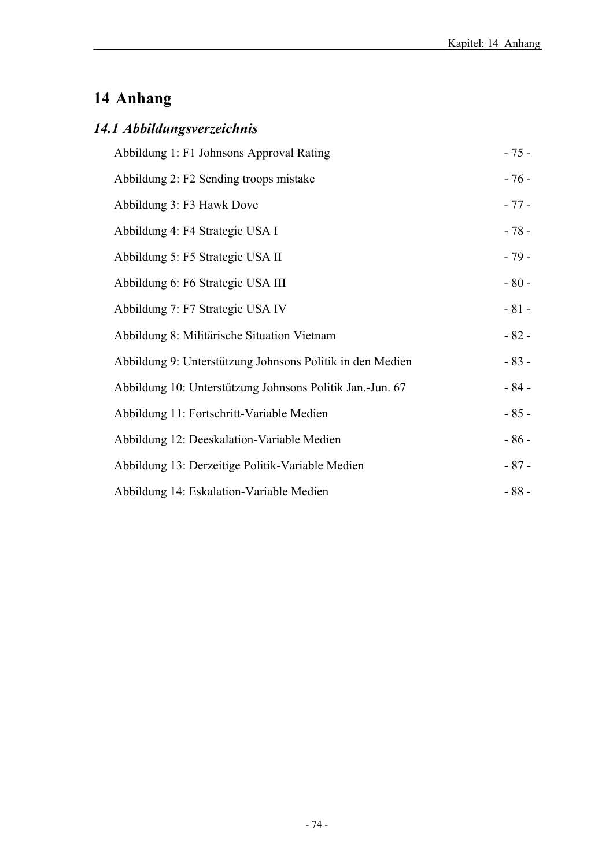# **14 Anhang**

# *14.1 Abbildungsverzeichnis*

| Abbildung 1: F1 Johnsons Approval Rating                  | $-75-$ |
|-----------------------------------------------------------|--------|
| Abbildung 2: F2 Sending troops mistake                    | $-76-$ |
| Abbildung 3: F3 Hawk Dove                                 | $-77-$ |
| Abbildung 4: F4 Strategie USA I                           | $-78-$ |
| Abbildung 5: F5 Strategie USA II                          | $-79-$ |
| Abbildung 6: F6 Strategie USA III                         | $-80-$ |
| Abbildung 7: F7 Strategie USA IV                          | $-81-$ |
| Abbildung 8: Militärische Situation Vietnam               | $-82-$ |
| Abbildung 9: Unterstützung Johnsons Politik in den Medien | $-83-$ |
| Abbildung 10: Unterstützung Johnsons Politik Jan.-Jun. 67 | $-84-$ |
| Abbildung 11: Fortschritt-Variable Medien                 | $-85-$ |
| Abbildung 12: Deeskalation-Variable Medien                | $-86-$ |
| Abbildung 13: Derzeitige Politik-Variable Medien          | $-87-$ |
| Abbildung 14: Eskalation-Variable Medien                  | $-88-$ |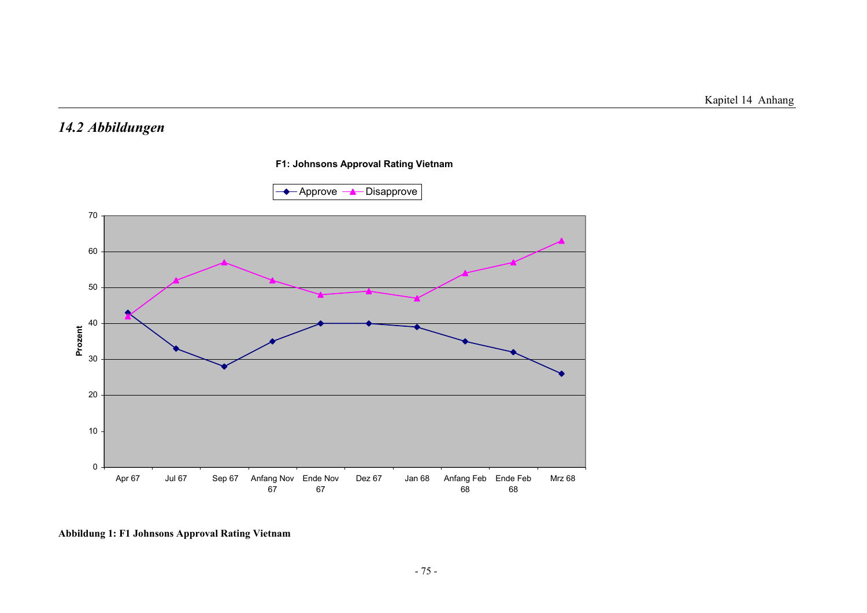#### *14.2 Abbildungen*





**Abbildung 1: F1 Johnsons Approval Rating Vietnam**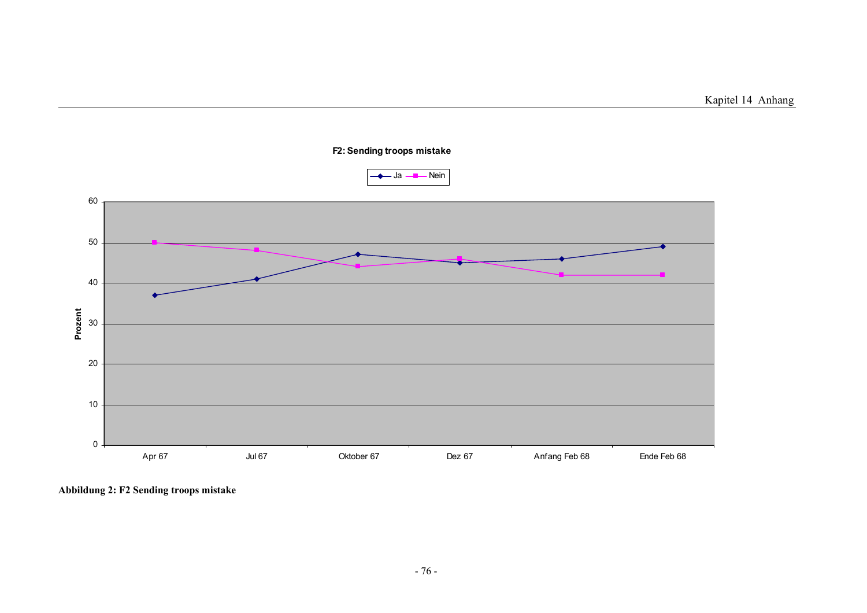

**Abbildung 2: F2 Sending troops mistake**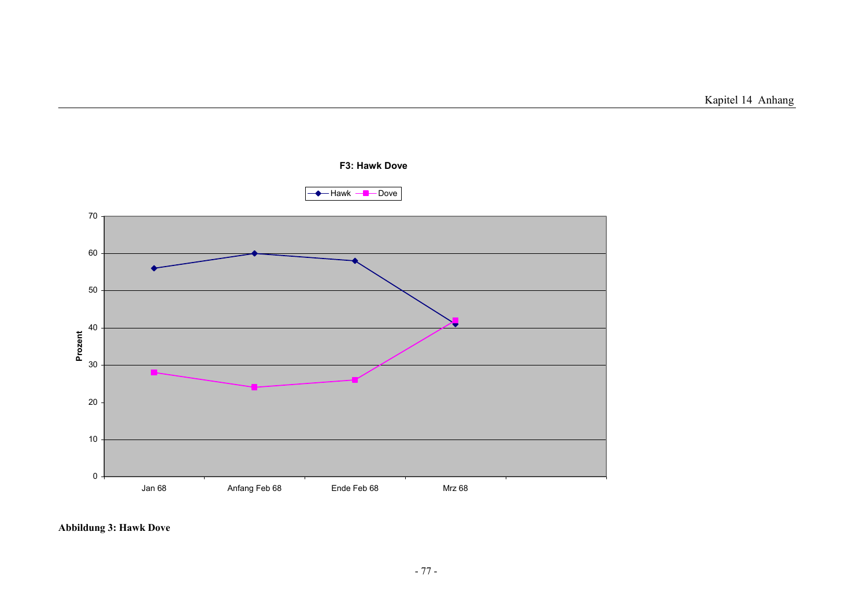

#### **Abbildung 3: Hawk Dove**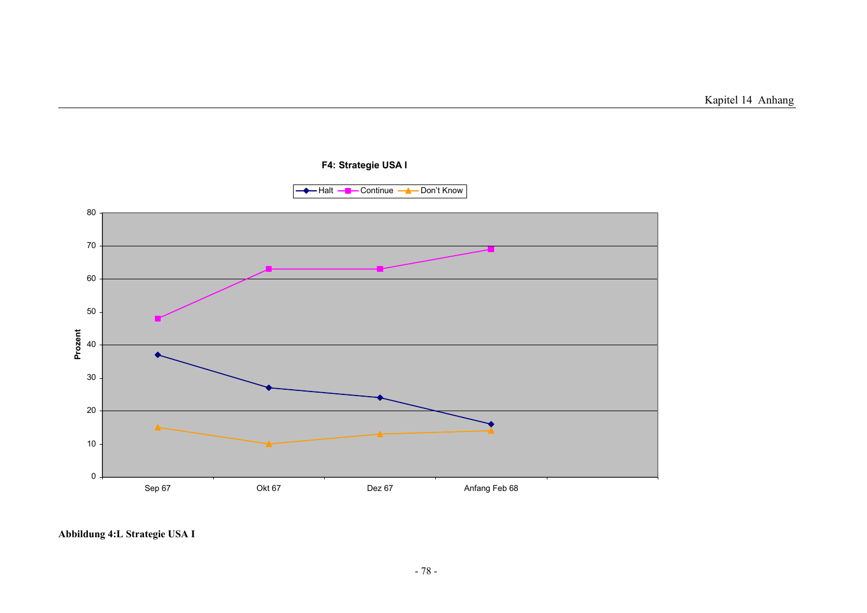

**Abbildung 4:L Strategie USA I**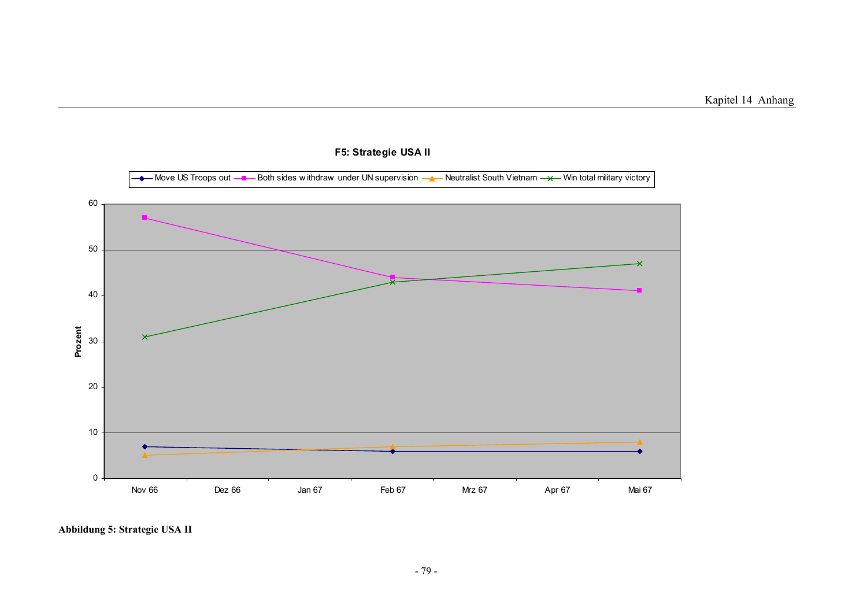Kapitel 14 Anhang



#### **F5: Strategie USA II**

**Abbildung 5: Strategie USA II**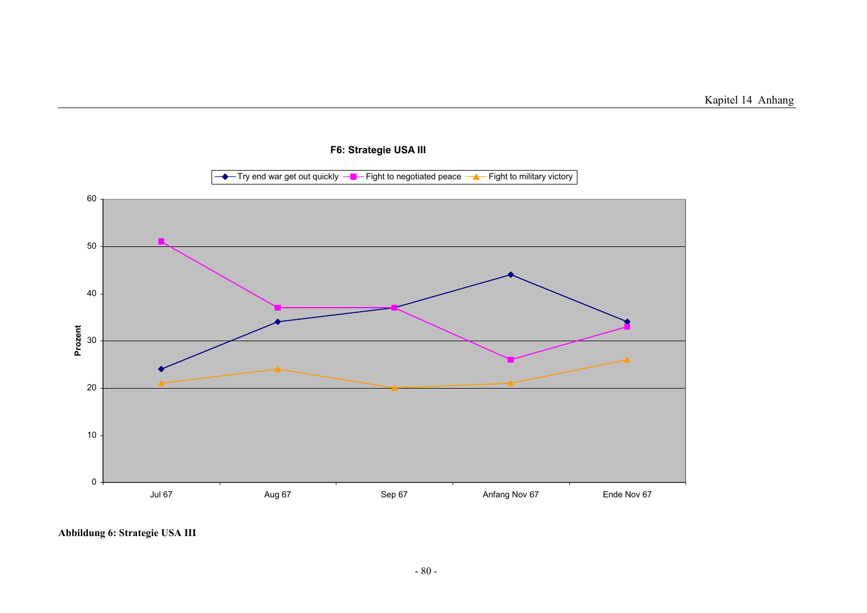

**Abbildung 6: Strategie USA III**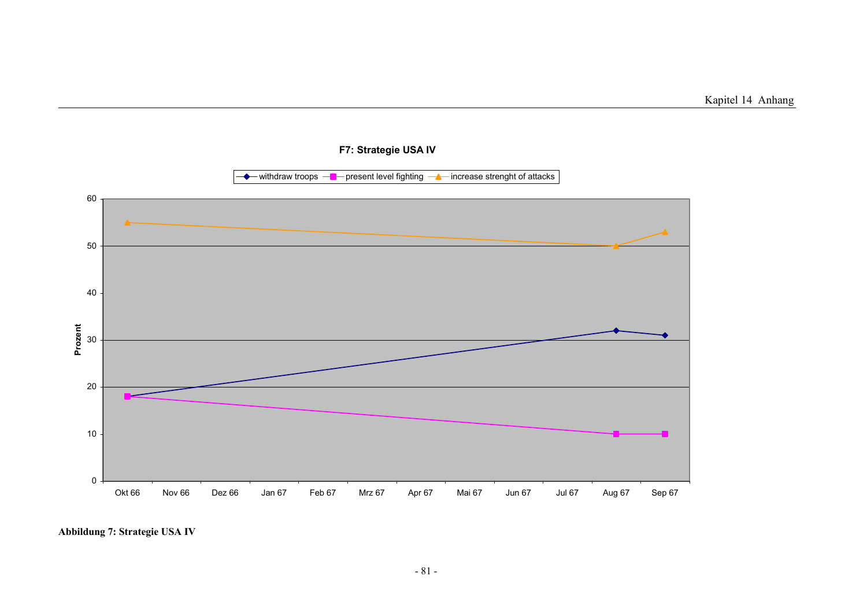

**Abbildung 7: Strategie USA IV**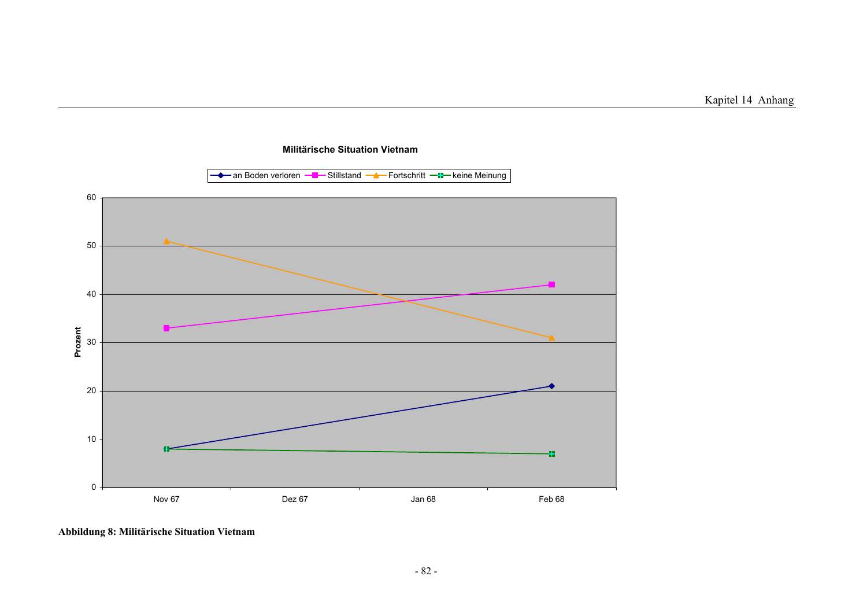

**Militärische Situation Vietnam**

**Abbildung 8: Militärische Situation Vietnam**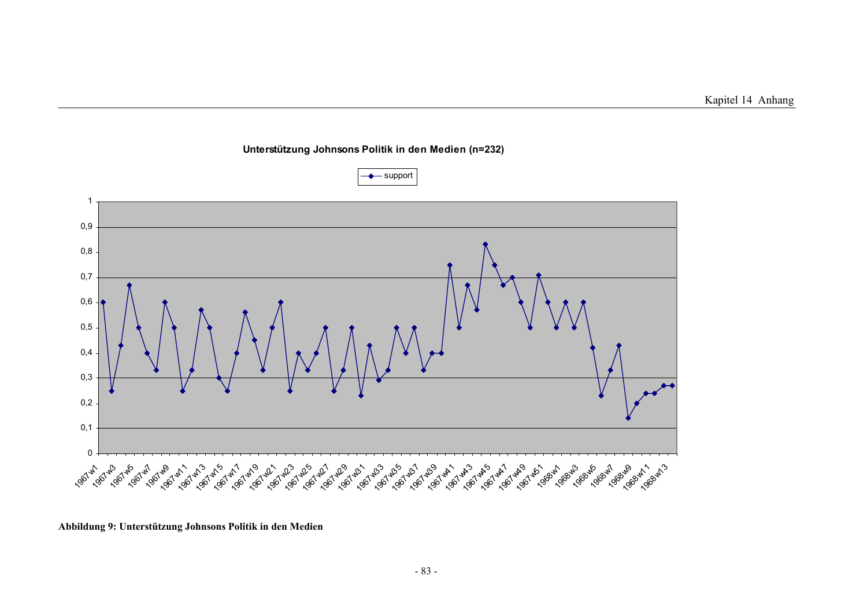

**Unterstützung Johnsons Politik in den Medien (n=232)**

**Abbildung 9: Unterstützung Johnsons Politik in den Medien**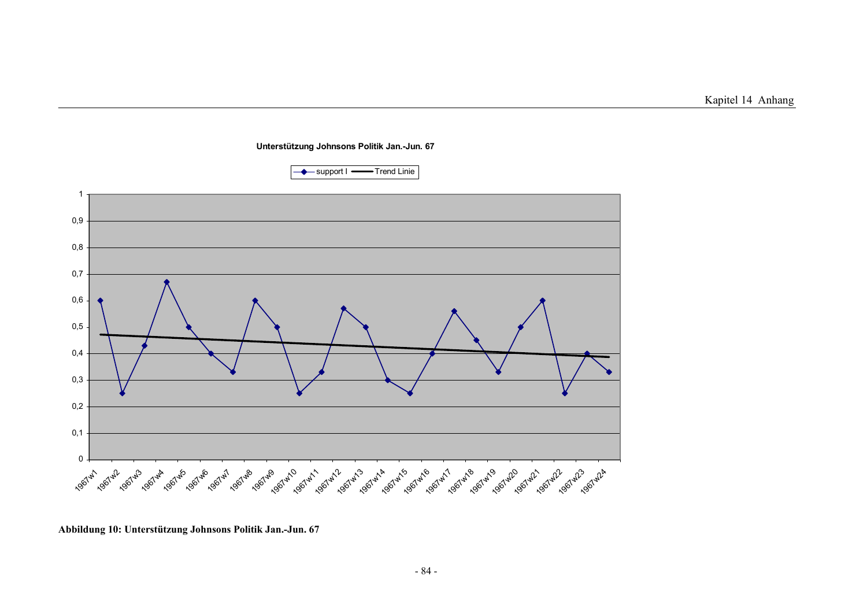

**Unterstützung Johnsons Politik Jan.-Jun. 67**

**Abbildung 10: Unterstützung Johnsons Politik Jan.-Jun. 67**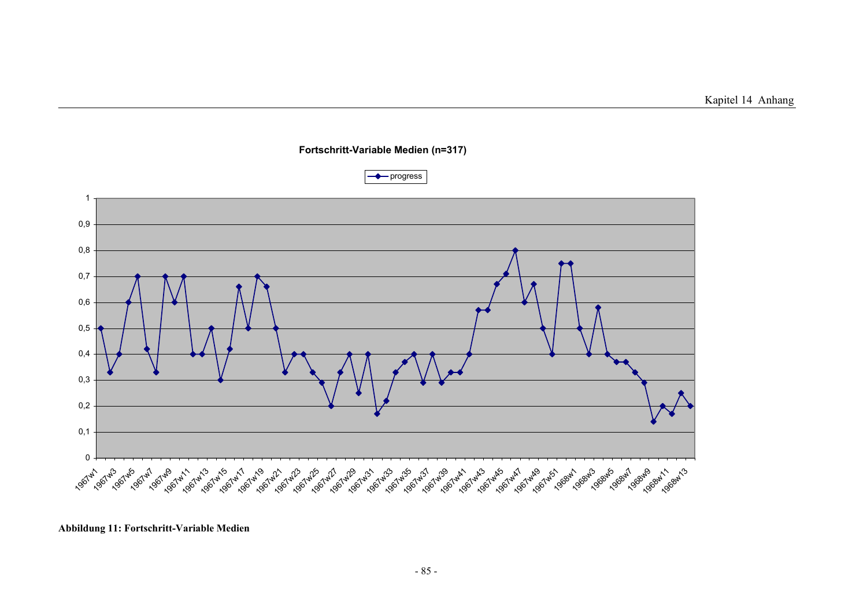

#### **Fortschritt-Variable Medien (n=317)**

**Abbildung 11: Fortschritt-Variable Medien**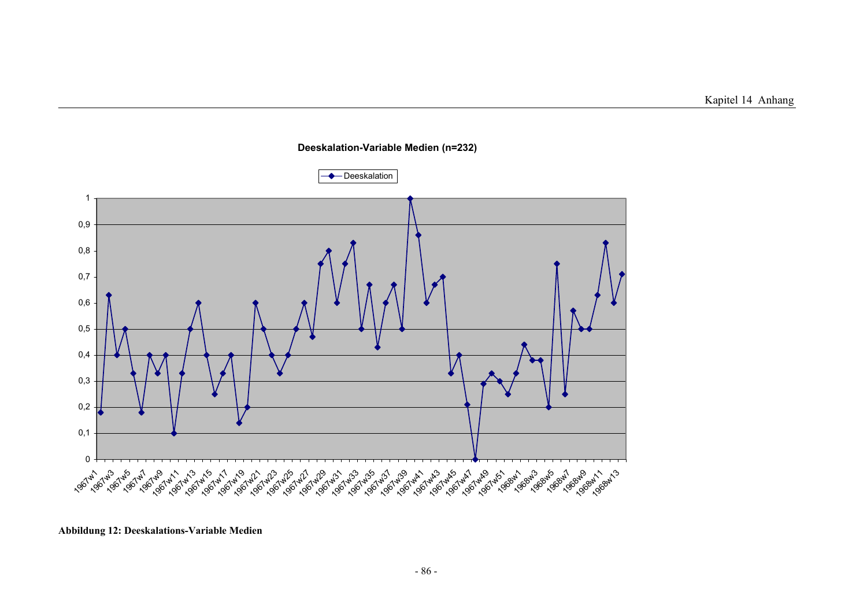

#### **Deeskalation-Variable Medien (n=232)**

**Abbildung 12: Deeskalations-Variable Medien**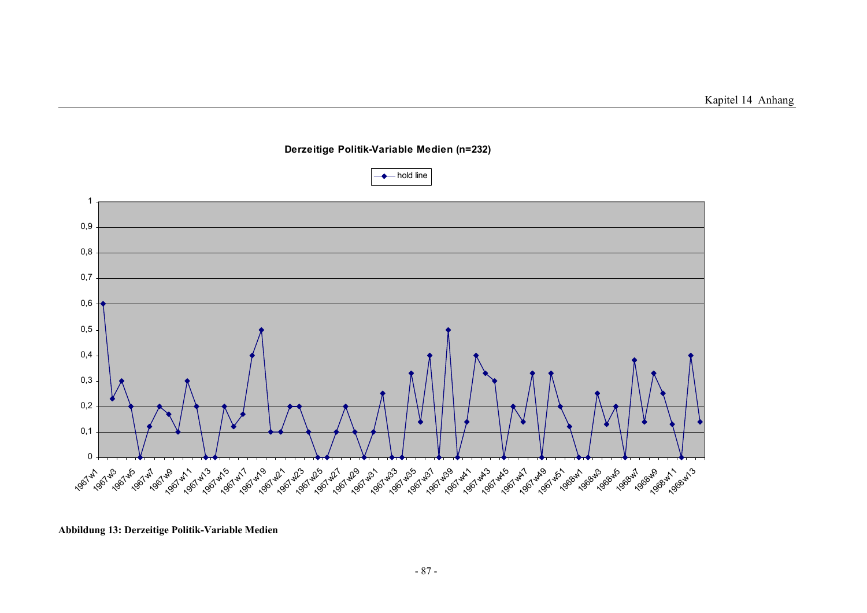

**Derzeitige Politik-Variable Medien (n=232)**

**Abbildung 13: Derzeitige Politik-Variable Medien**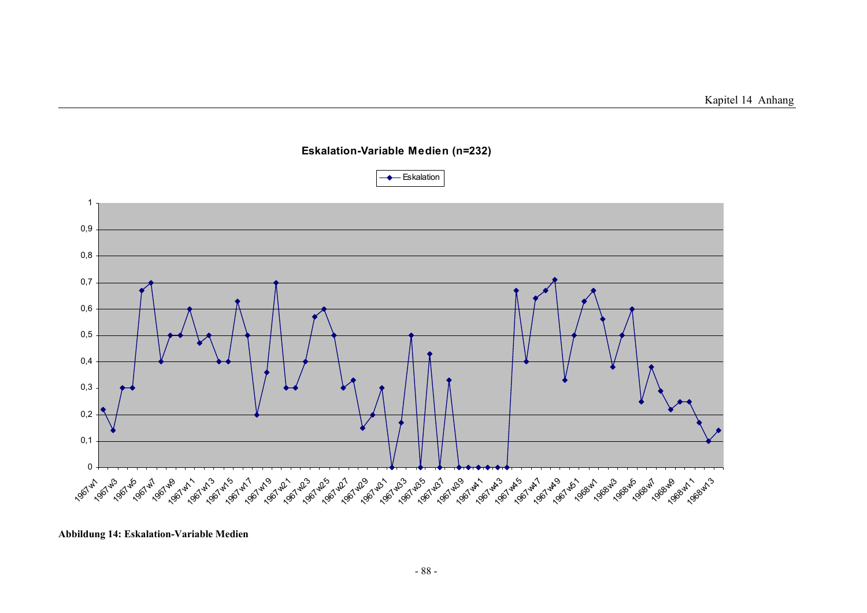

**Eskalation-Variable Medien (n=232)**

**Abbildung 14: Eskalation-Variable Medien**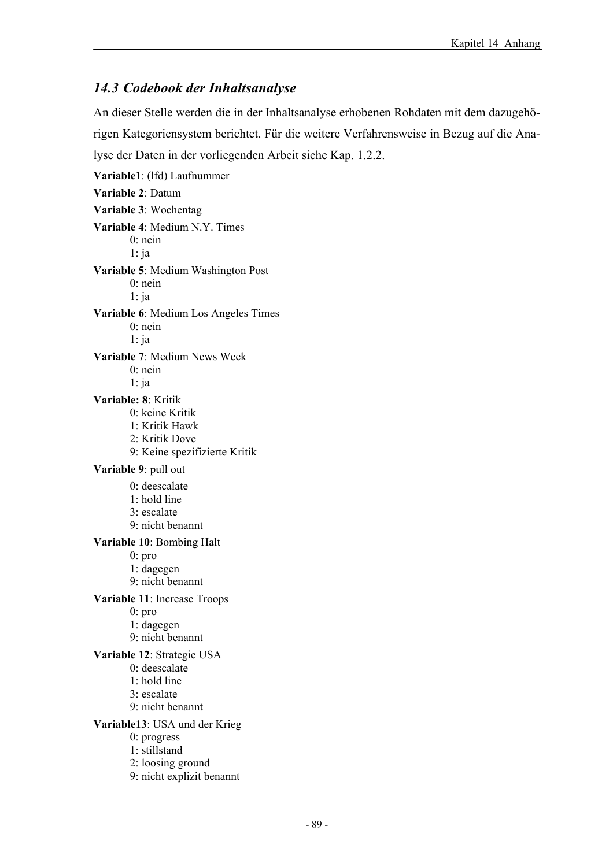#### *14.3 Codebook der Inhaltsanalyse*

An dieser Stelle werden die in der Inhaltsanalyse erhobenen Rohdaten mit dem dazugehörigen Kategoriensystem berichtet. Für die weitere Verfahrensweise in Bezug auf die Analyse der Daten in der vorliegenden Arbeit siehe Kap. 1.2.2. **Variable1**: (lfd) Laufnummer **Variable 2**: Datum **Variable 3**: Wochentag **Variable 4**: Medium N.Y. Times 0: nein 1: ja **Variable 5**: Medium Washington Post 0: nein 1: ja **Variable 6**: Medium Los Angeles Times 0: nein 1: ja **Variable 7**: Medium News Week 0: nein 1: ja **Variable: 8**: Kritik 0: keine Kritik 1: Kritik Hawk 2: Kritik Dove 9: Keine spezifizierte Kritik **Variable 9**: pull out 0: deescalate 1: hold line 3: escalate 9: nicht benannt **Variable 10**: Bombing Halt 0: pro 1: dagegen 9: nicht benannt **Variable 11**: Increase Troops 0: pro 1: dagegen 9: nicht benannt **Variable 12**: Strategie USA 0: deescalate 1: hold line 3: escalate 9: nicht benannt **Variable13**: USA und der Krieg 0: progress 1: stillstand 2: loosing ground 9: nicht explizit benannt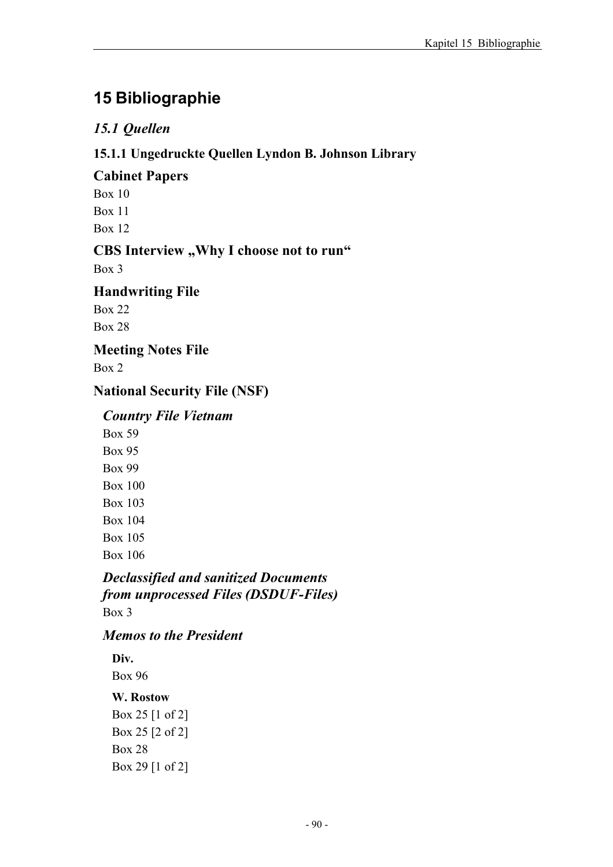# **15 Bibliographie**

# *15.1 Quellen*

### **15.1.1 Ungedruckte Quellen Lyndon B. Johnson Library**

### **Cabinet Papers**

Box 10

Box 11

Box 12

## **CBS Interview "Why I choose not to run"**

Box 3

### **Handwriting File**

Box 22 Box 28

## **Meeting Notes File**

Box 2

## **National Security File (NSF)**

## *Country File Vietnam*

Box 59 Box 95 Box 99 Box 100 Box 103 Box 104 Box 105 Box 106

#### *Declassified and sanitized Documents from unprocessed Files (DSDUF-Files)*  Box 3

### *Memos to the President*

# **Div.**

Box 96

### **W. Rostow**

Box 25 [1 of 2] Box 25 [2 of 2] Box 28 Box 29 [1 of 2]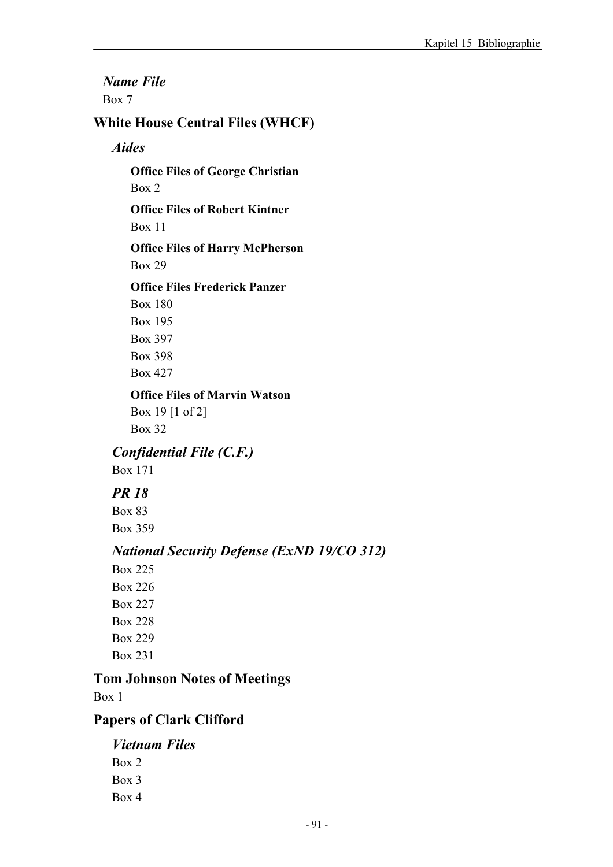*Name File*  Box 7

### **White House Central Files (WHCF)**

#### *Aides*

**Office Files of George Christian**  Box 2

**Office Files of Robert Kintner**  Box 11

**Office Files of Harry McPherson**  Box 29

#### **Office Files Frederick Panzer**

Box 180 Box 195 Box 397 Box 398 Box 427

**Office Files of Marvin Watson**  Box 19 [1 of 2] Box 32

*Confidential File (C.F.)* 

Box 171

## *PR 18*

Box 83 Box 359

# *National Security Defense (ExND 19/CO 312)*

Box 225 Box 226 Box 227 Box 228 Box 229 Box 231

### **Tom Johnson Notes of Meetings**

Box 1

### **Papers of Clark Clifford**

# *Vietnam Files*

Box 2 Box 3 Box 4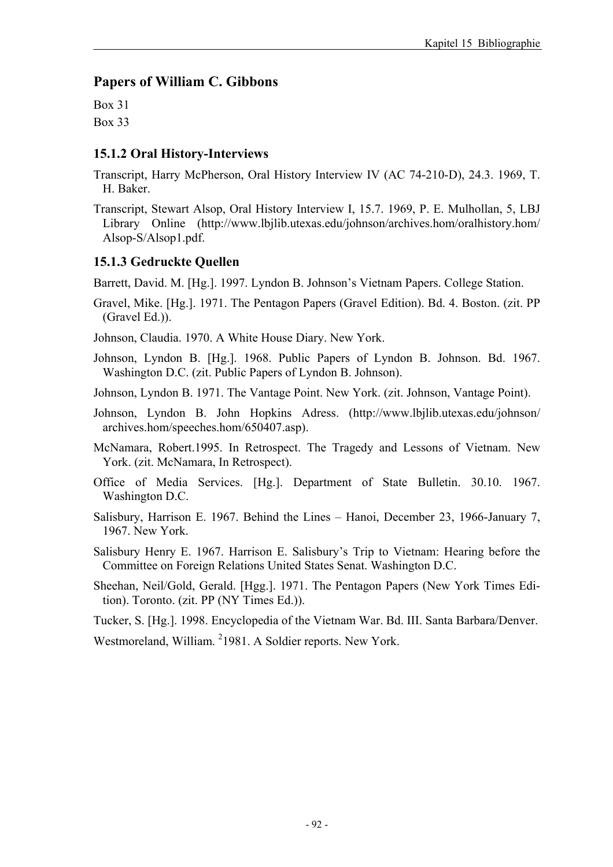#### **Papers of William C. Gibbons**

Box 31 Box 33

#### **15.1.2 Oral History-Interviews**

Transcript, Harry McPherson, Oral History Interview IV (AC 74-210-D), 24.3. 1969, T. H. Baker.

Transcript, Stewart Alsop, Oral History Interview I, 15.7. 1969, P. E. Mulhollan, 5, LBJ Library Online (http://www.lbjlib.utexas.edu/johnson/archives.hom/oralhistory.hom/ Alsop-S/Alsop1.pdf.

#### **15.1.3 Gedruckte Quellen**

Barrett, David. M. [Hg.]. 1997. Lyndon B. Johnson's Vietnam Papers. College Station.

Gravel, Mike. [Hg.]. 1971. The Pentagon Papers (Gravel Edition). Bd. 4. Boston. (zit. PP (Gravel Ed.)).

Johnson, Claudia. 1970. A White House Diary. New York.

Johnson, Lyndon B. [Hg.]. 1968. Public Papers of Lyndon B. Johnson. Bd. 1967. Washington D.C. (zit. Public Papers of Lyndon B. Johnson).

Johnson, Lyndon B. 1971. The Vantage Point. New York. (zit. Johnson, Vantage Point).

Johnson, Lyndon B. John Hopkins Adress. (http://www.lbjlib.utexas.edu/johnson/ archives.hom/speeches.hom/650407.asp).

McNamara, Robert.1995. In Retrospect. The Tragedy and Lessons of Vietnam. New York. (zit. McNamara, In Retrospect).

Office of Media Services. [Hg.]. Department of State Bulletin. 30.10. 1967. Washington D.C.

Salisbury, Harrison E. 1967. Behind the Lines – Hanoi, December 23, 1966-January 7, 1967. New York.

Salisbury Henry E. 1967. Harrison E. Salisbury's Trip to Vietnam: Hearing before the Committee on Foreign Relations United States Senat. Washington D.C.

Sheehan, Neil/Gold, Gerald. [Hgg.]. 1971. The Pentagon Papers (New York Times Edition). Toronto. (zit. PP (NY Times Ed.)).

Tucker, S. [Hg.]. 1998. Encyclopedia of the Vietnam War. Bd. III. Santa Barbara/Denver.

Westmoreland, William. <sup>2</sup>1981. A Soldier reports. New York.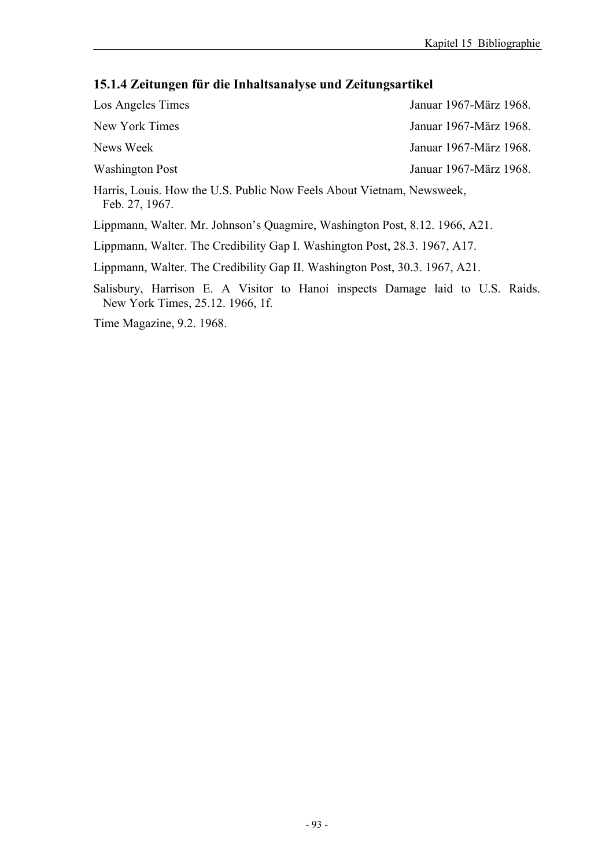# **15.1.4 Zeitungen für die Inhaltsanalyse und Zeitungsartikel**

| Los Angeles Times                                                                                                 | Januar 1967-März 1968. |  |  |
|-------------------------------------------------------------------------------------------------------------------|------------------------|--|--|
| New York Times                                                                                                    | Januar 1967-März 1968. |  |  |
| News Week                                                                                                         | Januar 1967-März 1968. |  |  |
| Washington Post                                                                                                   | Januar 1967-März 1968. |  |  |
| Harris, Louis. How the U.S. Public Now Feels About Vietnam, Newsweek,<br>Feb. 27, 1967.                           |                        |  |  |
| Lippmann, Walter. Mr. Johnson's Quagmire, Washington Post, 8.12. 1966, A21.                                       |                        |  |  |
| Lippmann, Walter. The Credibility Gap I. Washington Post, 28.3. 1967, A17.                                        |                        |  |  |
| Lippmann, Walter. The Credibility Gap II. Washington Post, 30.3. 1967, A21.                                       |                        |  |  |
| Salisbury, Harrison E. A Visitor to Hanoi inspects Damage laid to U.S. Raids.<br>New York Times, 25.12. 1966, 1f. |                        |  |  |
| Time Magazine, 9.2. 1968.                                                                                         |                        |  |  |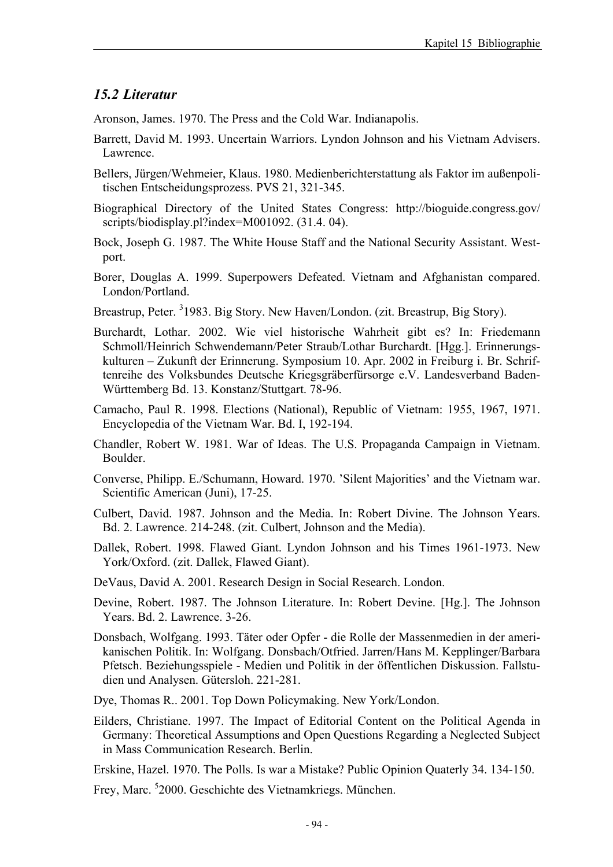#### *15.2 Literatur*

Aronson, James. 1970. The Press and the Cold War. Indianapolis.

- Barrett, David M. 1993. Uncertain Warriors. Lyndon Johnson and his Vietnam Advisers. Lawrence.
- Bellers, Jürgen/Wehmeier, Klaus. 1980. Medienberichterstattung als Faktor im außenpolitischen Entscheidungsprozess. PVS 21, 321-345.
- Biographical Directory of the United States Congress: http://bioguide.congress.gov/ scripts/biodisplay.pl?index=M001092. (31.4. 04).
- Bock, Joseph G. 1987. The White House Staff and the National Security Assistant. Westport.
- Borer, Douglas A. 1999. Superpowers Defeated. Vietnam and Afghanistan compared. London/Portland.
- Breastrup, Peter. <sup>3</sup>1983. Big Story. New Haven/London. (zit. Breastrup, Big Story).
- Burchardt, Lothar. 2002. Wie viel historische Wahrheit gibt es? In: Friedemann Schmoll/Heinrich Schwendemann/Peter Straub/Lothar Burchardt. [Hgg.]. Erinnerungskulturen – Zukunft der Erinnerung. Symposium 10. Apr. 2002 in Freiburg i. Br. Schriftenreihe des Volksbundes Deutsche Kriegsgräberfürsorge e.V. Landesverband Baden-Württemberg Bd. 13. Konstanz/Stuttgart. 78-96.
- Camacho, Paul R. 1998. Elections (National), Republic of Vietnam: 1955, 1967, 1971. Encyclopedia of the Vietnam War. Bd. I, 192-194.
- Chandler, Robert W. 1981. War of Ideas. The U.S. Propaganda Campaign in Vietnam. Boulder.
- Converse, Philipp. E./Schumann, Howard. 1970. 'Silent Majorities' and the Vietnam war. Scientific American (Juni), 17-25.
- Culbert, David. 1987. Johnson and the Media. In: Robert Divine. The Johnson Years. Bd. 2. Lawrence. 214-248. (zit. Culbert, Johnson and the Media).
- Dallek, Robert. 1998. Flawed Giant. Lyndon Johnson and his Times 1961-1973. New York/Oxford. (zit. Dallek, Flawed Giant).
- DeVaus, David A. 2001. Research Design in Social Research. London.
- Devine, Robert. 1987. The Johnson Literature. In: Robert Devine. [Hg.]. The Johnson Years. Bd. 2. Lawrence. 3-26.
- Donsbach, Wolfgang. 1993. Täter oder Opfer die Rolle der Massenmedien in der amerikanischen Politik. In: Wolfgang. Donsbach/Otfried. Jarren/Hans M. Kepplinger/Barbara Pfetsch. Beziehungsspiele - Medien und Politik in der öffentlichen Diskussion. Fallstudien und Analysen. Gütersloh. 221-281.
- Dye, Thomas R.. 2001. Top Down Policymaking. New York/London.
- Eilders, Christiane. 1997. The Impact of Editorial Content on the Political Agenda in Germany: Theoretical Assumptions and Open Questions Regarding a Neglected Subject in Mass Communication Research. Berlin.
- Erskine, Hazel. 1970. The Polls. Is war a Mistake? Public Opinion Quaterly 34. 134-150.
- Frey, Marc. <sup>5</sup>2000. Geschichte des Vietnamkriegs. München.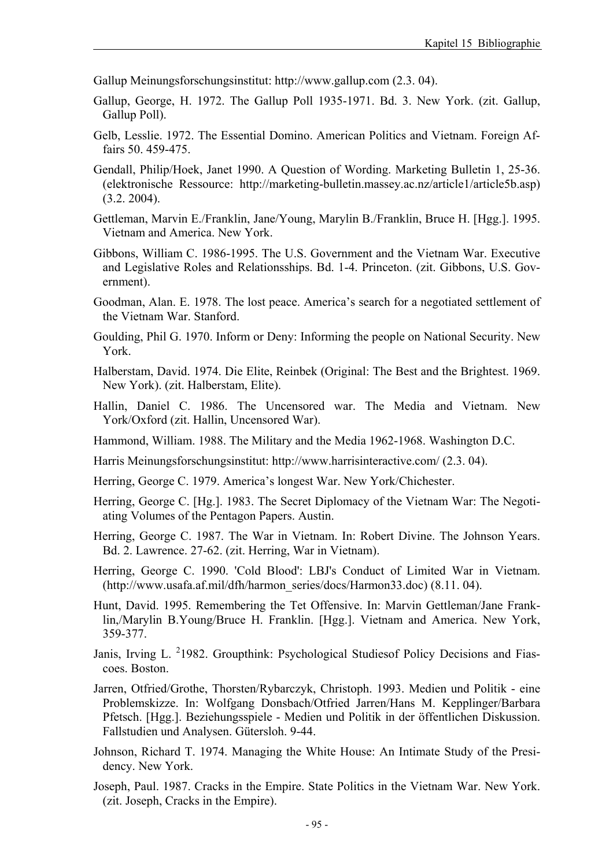Gallup Meinungsforschungsinstitut: http://www.gallup.com (2.3. 04).

- Gallup, George, H. 1972. The Gallup Poll 1935-1971. Bd. 3. New York. (zit. Gallup, Gallup Poll).
- Gelb, Lesslie. 1972. The Essential Domino. American Politics and Vietnam. Foreign Affairs 50. 459-475.
- Gendall, Philip/Hoek, Janet 1990. A Question of Wording. Marketing Bulletin 1, 25-36. (elektronische Ressource: http://marketing-bulletin.massey.ac.nz/article1/article5b.asp) (3.2. 2004).
- Gettleman, Marvin E./Franklin, Jane/Young, Marylin B./Franklin, Bruce H. [Hgg.]. 1995. Vietnam and America. New York.
- Gibbons, William C. 1986-1995. The U.S. Government and the Vietnam War. Executive and Legislative Roles and Relationsships. Bd. 1-4. Princeton. (zit. Gibbons, U.S. Government).
- Goodman, Alan. E. 1978. The lost peace. America's search for a negotiated settlement of the Vietnam War. Stanford.
- Goulding, Phil G. 1970. Inform or Deny: Informing the people on National Security. New York.
- Halberstam, David. 1974. Die Elite, Reinbek (Original: The Best and the Brightest. 1969. New York). (zit. Halberstam, Elite).
- Hallin, Daniel C. 1986. The Uncensored war. The Media and Vietnam. New York/Oxford (zit. Hallin, Uncensored War).
- Hammond, William. 1988. The Military and the Media 1962-1968. Washington D.C.
- Harris Meinungsforschungsinstitut: http://www.harrisinteractive.com/ (2.3. 04).
- Herring, George C. 1979. America's longest War. New York/Chichester.
- Herring, George C. [Hg.]. 1983. The Secret Diplomacy of the Vietnam War: The Negotiating Volumes of the Pentagon Papers. Austin.
- Herring, George C. 1987. The War in Vietnam. In: Robert Divine. The Johnson Years. Bd. 2. Lawrence. 27-62. (zit. Herring, War in Vietnam).
- Herring, George C. 1990. 'Cold Blood': LBJ's Conduct of Limited War in Vietnam. (http://www.usafa.af.mil/dfh/harmon\_series/docs/Harmon33.doc) (8.11. 04).
- Hunt, David. 1995. Remembering the Tet Offensive. In: Marvin Gettleman/Jane Franklin,/Marylin B.Young/Bruce H. Franklin. [Hgg.]. Vietnam and America. New York, 359-377.
- Janis, Irving L. <sup>2</sup>1982. Groupthink: Psychological Studiesof Policy Decisions and Fiascoes. Boston.
- Jarren, Otfried/Grothe, Thorsten/Rybarczyk, Christoph. 1993. Medien und Politik eine Problemskizze. In: Wolfgang Donsbach/Otfried Jarren/Hans M. Kepplinger/Barbara Pfetsch. [Hgg.]. Beziehungsspiele - Medien und Politik in der öffentlichen Diskussion. Fallstudien und Analysen. Gütersloh. 9-44.
- Johnson, Richard T. 1974. Managing the White House: An Intimate Study of the Presidency. New York.
- Joseph, Paul. 1987. Cracks in the Empire. State Politics in the Vietnam War. New York. (zit. Joseph, Cracks in the Empire).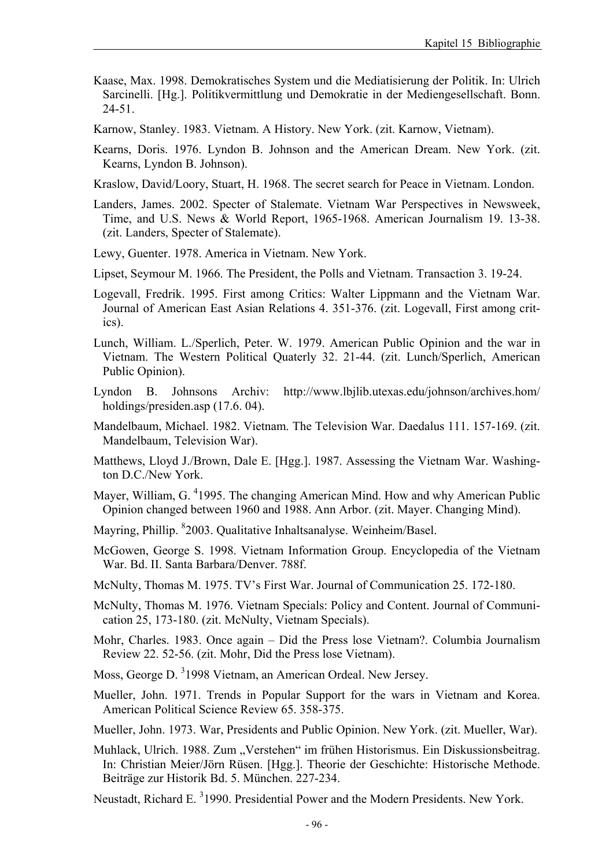- Kaase, Max. 1998. Demokratisches System und die Mediatisierung der Politik. In: Ulrich Sarcinelli. [Hg.]. Politikvermittlung und Demokratie in der Mediengesellschaft. Bonn. 24-51.
- Karnow, Stanley. 1983. Vietnam. A History. New York. (zit. Karnow, Vietnam).
- Kearns, Doris. 1976. Lyndon B. Johnson and the American Dream. New York. (zit. Kearns, Lyndon B. Johnson).
- Kraslow, David/Loory, Stuart, H. 1968. The secret search for Peace in Vietnam. London.
- Landers, James. 2002. Specter of Stalemate. Vietnam War Perspectives in Newsweek, Time, and U.S. News & World Report, 1965-1968. American Journalism 19. 13-38. (zit. Landers, Specter of Stalemate).

Lewy, Guenter. 1978. America in Vietnam. New York.

Lipset, Seymour M. 1966. The President, the Polls and Vietnam. Transaction 3. 19-24.

- Logevall, Fredrik. 1995. First among Critics: Walter Lippmann and the Vietnam War. Journal of American East Asian Relations 4. 351-376. (zit. Logevall, First among critics).
- Lunch, William. L./Sperlich, Peter. W. 1979. American Public Opinion and the war in Vietnam. The Western Political Quaterly 32. 21-44. (zit. Lunch/Sperlich, American Public Opinion).
- Lyndon B. Johnsons Archiv: http://www.lbjlib.utexas.edu/johnson/archives.hom/ holdings/presiden.asp (17.6. 04).
- Mandelbaum, Michael. 1982. Vietnam. The Television War. Daedalus 111. 157-169. (zit. Mandelbaum, Television War).
- Matthews, Lloyd J./Brown, Dale E. [Hgg.]. 1987. Assessing the Vietnam War. Washington D.C./New York.
- Mayer, William, G. <sup>4</sup>1995. The changing American Mind. How and why American Public Opinion changed between 1960 and 1988. Ann Arbor. (zit. Mayer. Changing Mind).
- Mayring, Phillip. <sup>8</sup>2003. Qualitative Inhaltsanalyse. Weinheim/Basel.
- McGowen, George S. 1998. Vietnam Information Group. Encyclopedia of the Vietnam War. Bd. II. Santa Barbara/Denver. 788f.
- McNulty, Thomas M. 1975. TV's First War. Journal of Communication 25. 172-180.
- McNulty, Thomas M. 1976. Vietnam Specials: Policy and Content. Journal of Communication 25, 173-180. (zit. McNulty, Vietnam Specials).
- Mohr, Charles. 1983. Once again Did the Press lose Vietnam?. Columbia Journalism Review 22. 52-56. (zit. Mohr, Did the Press lose Vietnam).
- Moss, George D. <sup>3</sup>1998 Vietnam, an American Ordeal. New Jersey.
- Mueller, John. 1971. Trends in Popular Support for the wars in Vietnam and Korea. American Political Science Review 65. 358-375.
- Mueller, John. 1973. War, Presidents and Public Opinion. New York. (zit. Mueller, War).
- Muhlack, Ulrich. 1988. Zum "Verstehen" im frühen Historismus. Ein Diskussionsbeitrag. In: Christian Meier/Jörn Rüsen. [Hgg.]. Theorie der Geschichte: Historische Methode. Beiträge zur Historik Bd. 5. München. 227-234.
- Neustadt, Richard E. <sup>3</sup>1990. Presidential Power and the Modern Presidents. New York.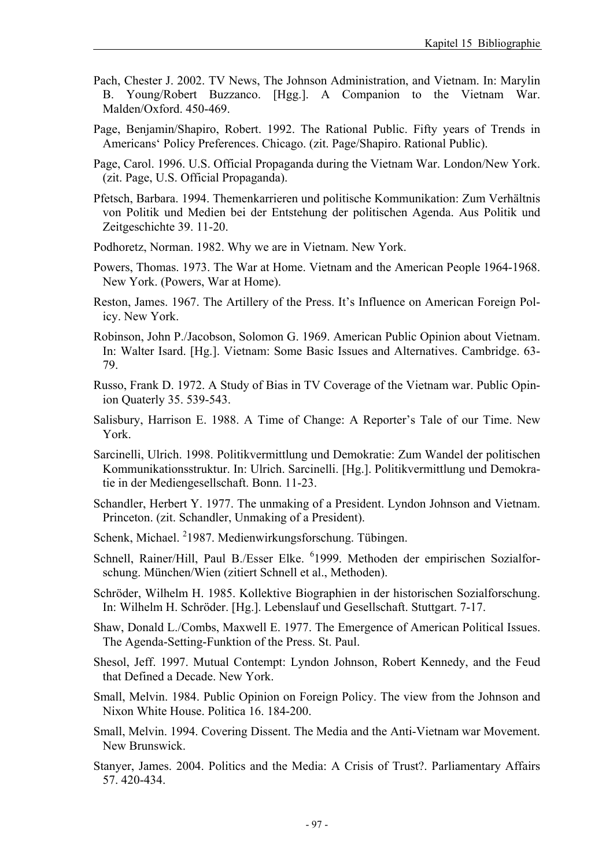- Pach, Chester J. 2002. TV News, The Johnson Administration, and Vietnam. In: Marylin B. Young/Robert Buzzanco. [Hgg.]. A Companion to the Vietnam War. Malden/Oxford. 450-469.
- Page, Benjamin/Shapiro, Robert. 1992. The Rational Public. Fifty years of Trends in Americans' Policy Preferences. Chicago. (zit. Page/Shapiro. Rational Public).
- Page, Carol. 1996. U.S. Official Propaganda during the Vietnam War. London/New York. (zit. Page, U.S. Official Propaganda).
- Pfetsch, Barbara. 1994. Themenkarrieren und politische Kommunikation: Zum Verhältnis von Politik und Medien bei der Entstehung der politischen Agenda. Aus Politik und Zeitgeschichte 39. 11-20.
- Podhoretz, Norman. 1982. Why we are in Vietnam. New York.
- Powers, Thomas. 1973. The War at Home. Vietnam and the American People 1964-1968. New York. (Powers, War at Home).
- Reston, James. 1967. The Artillery of the Press. It's Influence on American Foreign Policy. New York.
- Robinson, John P./Jacobson, Solomon G. 1969. American Public Opinion about Vietnam. In: Walter Isard. [Hg.]. Vietnam: Some Basic Issues and Alternatives. Cambridge. 63- 79.
- Russo, Frank D. 1972. A Study of Bias in TV Coverage of the Vietnam war. Public Opinion Quaterly 35. 539-543.
- Salisbury, Harrison E. 1988. A Time of Change: A Reporter's Tale of our Time. New York.
- Sarcinelli, Ulrich. 1998. Politikvermittlung und Demokratie: Zum Wandel der politischen Kommunikationsstruktur. In: Ulrich. Sarcinelli. [Hg.]. Politikvermittlung und Demokratie in der Mediengesellschaft. Bonn. 11-23.
- Schandler, Herbert Y. 1977. The unmaking of a President. Lyndon Johnson and Vietnam. Princeton. (zit. Schandler, Unmaking of a President).
- Schenk, Michael. <sup>2</sup>1987. Medienwirkungsforschung. Tübingen.
- Schnell, Rainer/Hill, Paul B./Esser Elke. <sup>6</sup>1999. Methoden der empirischen Sozialforschung. München/Wien (zitiert Schnell et al., Methoden).
- Schröder, Wilhelm H. 1985. Kollektive Biographien in der historischen Sozialforschung. In: Wilhelm H. Schröder. [Hg.]. Lebenslauf und Gesellschaft. Stuttgart. 7-17.
- Shaw, Donald L./Combs, Maxwell E. 1977. The Emergence of American Political Issues. The Agenda-Setting-Funktion of the Press. St. Paul.
- Shesol, Jeff. 1997. Mutual Contempt: Lyndon Johnson, Robert Kennedy, and the Feud that Defined a Decade. New York.
- Small, Melvin. 1984. Public Opinion on Foreign Policy. The view from the Johnson and Nixon White House. Politica 16. 184-200.
- Small, Melvin. 1994. Covering Dissent. The Media and the Anti-Vietnam war Movement. New Brunswick.
- Stanyer, James. 2004. Politics and the Media: A Crisis of Trust?. Parliamentary Affairs 57. 420-434.